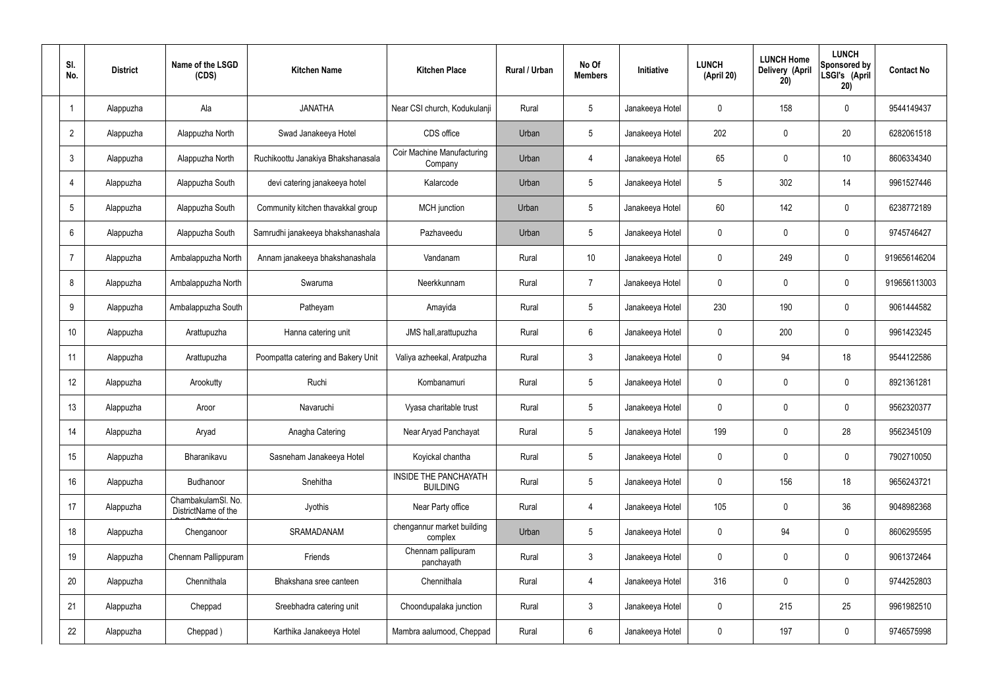| SI.<br>No.      | <b>District</b> | Name of the LSGD<br>(CDS)                 | <b>Kitchen Name</b>                | <b>Kitchen Place</b>                            | Rural / Urban | No Of<br><b>Members</b> | <b>Initiative</b> | <b>LUNCH</b><br>(April 20) | <b>LUNCH Home</b><br>Delivery (April<br>20) | <b>LUNCH</b><br>Sponsored by<br>LSGI's (April<br>20) | <b>Contact No</b> |
|-----------------|-----------------|-------------------------------------------|------------------------------------|-------------------------------------------------|---------------|-------------------------|-------------------|----------------------------|---------------------------------------------|------------------------------------------------------|-------------------|
|                 | Alappuzha       | Ala                                       | <b>JANATHA</b>                     | Near CSI church, Kodukulanji                    | Rural         | $5\phantom{.0}$         | Janakeeya Hotel   | $\mathbf 0$                | 158                                         | $\mathbf 0$                                          | 9544149437        |
| $\overline{2}$  | Alappuzha       | Alappuzha North                           | Swad Janakeeya Hotel               | CDS office                                      | Urban         | $5\phantom{.0}$         | Janakeeya Hotel   | 202                        | $\mathbf 0$                                 | 20                                                   | 6282061518        |
| $\mathbf{3}$    | Alappuzha       | Alappuzha North                           | Ruchikoottu Janakiya Bhakshanasala | Coir Machine Manufacturing<br>Company           | Urban         | $\overline{4}$          | Janakeeya Hotel   | 65                         | $\mathbf 0$                                 | 10                                                   | 8606334340        |
| $\overline{4}$  | Alappuzha       | Alappuzha South                           | devi catering janakeeya hotel      | Kalarcode                                       | Urban         | $5\phantom{.0}$         | Janakeeya Hotel   | 5                          | 302                                         | 14                                                   | 9961527446        |
| $5\overline{)}$ | Alappuzha       | Alappuzha South                           | Community kitchen thavakkal group  | MCH junction                                    | Urban         | $5\phantom{.0}$         | Janakeeya Hotel   | $60\,$                     | 142                                         | $\mathbf 0$                                          | 6238772189        |
| 6               | Alappuzha       | Alappuzha South                           | Samrudhi janakeeya bhakshanashala  | Pazhaveedu                                      | Urban         | $5\phantom{.0}$         | Janakeeya Hotel   | $\mathbf 0$                | $\mathbf 0$                                 | $\mathbf 0$                                          | 9745746427        |
| $\overline{7}$  | Alappuzha       | Ambalappuzha North                        | Annam janakeeya bhakshanashala     | Vandanam                                        | Rural         | 10 <sup>°</sup>         | Janakeeya Hotel   | $\mathbf 0$                | 249                                         | $\mathbf 0$                                          | 919656146204      |
| 8               | Alappuzha       | Ambalappuzha North                        | Swaruma                            | Neerkkunnam                                     | Rural         | $\overline{7}$          | Janakeeya Hotel   | $\mathbf 0$                | 0                                           | $\mathbf 0$                                          | 919656113003      |
| 9               | Alappuzha       | Ambalappuzha South                        | Patheyam                           | Amayida                                         | Rural         | $5\phantom{.0}$         | Janakeeya Hotel   | 230                        | 190                                         | $\mathbf 0$                                          | 9061444582        |
| 10              | Alappuzha       | Arattupuzha                               | Hanna catering unit                | JMS hall, arattupuzha                           | Rural         | $6\phantom{.}6$         | Janakeeya Hotel   | $\mathbf 0$                | 200                                         | $\mathbf 0$                                          | 9961423245        |
| 11              | Alappuzha       | Arattupuzha                               | Poompatta catering and Bakery Unit | Valiya azheekal, Aratpuzha                      | Rural         | $\mathbf{3}$            | Janakeeya Hotel   | $\mathbf 0$                | 94                                          | 18                                                   | 9544122586        |
| 12              | Alappuzha       | Arookutty                                 | Ruchi                              | Kombanamuri                                     | Rural         | $5\phantom{.0}$         | Janakeeya Hotel   | $\mathbf 0$                | $\mathbf 0$                                 | $\mathbf 0$                                          | 8921361281        |
| 13              | Alappuzha       | Aroor                                     | Navaruchi                          | Vyasa charitable trust                          | Rural         | $5\phantom{.0}$         | Janakeeya Hotel   | $\mathbf 0$                | 0                                           | 0                                                    | 9562320377        |
| 14              | Alappuzha       | Aryad                                     | Anagha Catering                    | Near Aryad Panchayat                            | Rural         | $5\phantom{.0}$         | Janakeeya Hotel   | 199                        | $\mathbf 0$                                 | 28                                                   | 9562345109        |
| 15              | Alappuzha       | Bharanikavu                               | Sasneham Janakeeya Hotel           | Koyickal chantha                                | Rural         | $5\phantom{.0}$         | Janakeeya Hotel   | $\mathbf 0$                | $\mathbf 0$                                 | $\mathbf 0$                                          | 7902710050        |
| 16              | Alappuzha       | Budhanoor                                 | Snehitha                           | <b>INSIDE THE PANCHAYATH</b><br><b>BUILDING</b> | Rural         | $5\phantom{.0}$         | Janakeeya Hotel   | $\mathbf 0$                | 156                                         | 18                                                   | 9656243721        |
| 17              | Alappuzha       | ChambakulamSl. No.<br>DistrictName of the | Jyothis                            | Near Party office                               | Rural         | 4                       | Janakeeya Hotel   | 105                        | $\mathbf 0$                                 | 36                                                   | 9048982368        |
| 18              | Alappuzha       | Chenganoor                                | SRAMADANAM                         | chengannur market building<br>complex           | Urban         | $5\phantom{.0}$         | Janakeeya Hotel   | $\mathbf 0$                | 94                                          | $\mathbf 0$                                          | 8606295595        |
| 19              | Alappuzha       | Chennam Pallippuram                       | Friends                            | Chennam pallipuram<br>panchayath                | Rural         | $\mathbf{3}$            | Janakeeya Hotel   | $\mathbf 0$                | 0                                           | $\mathbf 0$                                          | 9061372464        |
| 20              | Alappuzha       | Chennithala                               | Bhakshana sree canteen             | Chennithala                                     | Rural         | $\overline{4}$          | Janakeeya Hotel   | 316                        | 0                                           | $\mathbf 0$                                          | 9744252803        |
| 21              | Alappuzha       | Cheppad                                   | Sreebhadra catering unit           | Choondupalaka junction                          | Rural         | $\mathbf{3}$            | Janakeeya Hotel   | $\mathbf 0$                | 215                                         | 25                                                   | 9961982510        |
| 22              | Alappuzha       | Cheppad)                                  | Karthika Janakeeya Hotel           | Mambra aalumood, Cheppad                        | Rural         | $6\overline{6}$         | Janakeeya Hotel   | 0                          | 197                                         | $\mathbf 0$                                          | 9746575998        |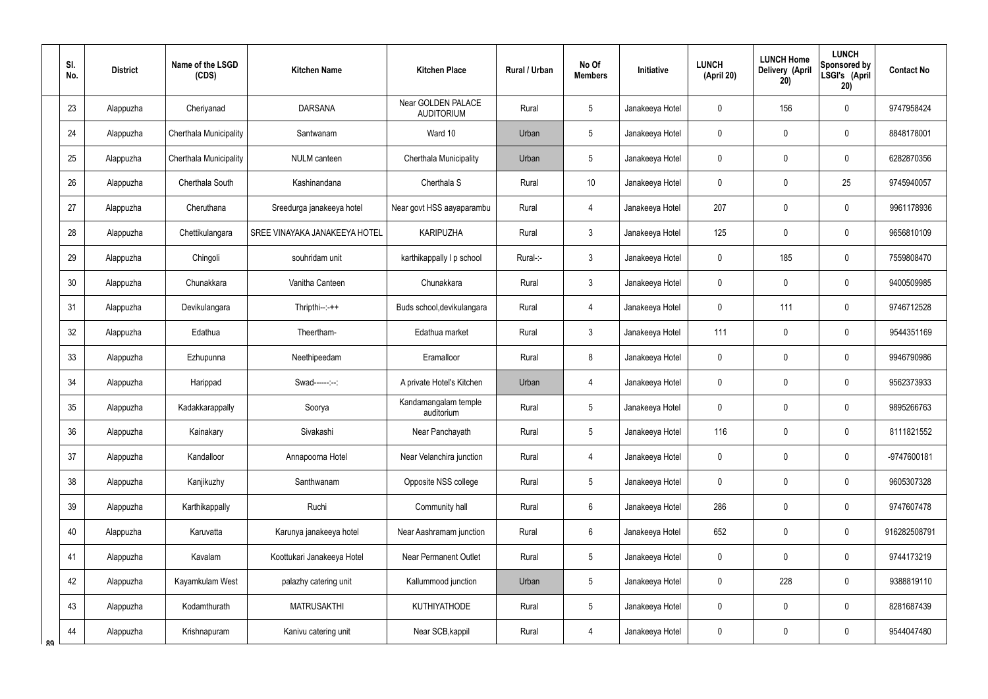|    | SI.<br>No. | <b>District</b> | Name of the LSGD<br>(CDS) | <b>Kitchen Name</b>           | <b>Kitchen Place</b>                    | <b>Rural / Urban</b> | No Of<br><b>Members</b> | Initiative      | <b>LUNCH</b><br>(April 20) | <b>LUNCH Home</b><br><b>Delivery (April</b><br>20) | <b>LUNCH</b><br>Sponsored by<br>LSGI's (April<br>20) | <b>Contact No</b> |
|----|------------|-----------------|---------------------------|-------------------------------|-----------------------------------------|----------------------|-------------------------|-----------------|----------------------------|----------------------------------------------------|------------------------------------------------------|-------------------|
|    | 23         | Alappuzha       | Cheriyanad                | <b>DARSANA</b>                | Near GOLDEN PALACE<br><b>AUDITORIUM</b> | Rural                | 5                       | Janakeeya Hotel | 0                          | 156                                                | $\mathbf 0$                                          | 9747958424        |
|    | 24         | Alappuzha       | Cherthala Municipality    | Santwanam                     | Ward 10                                 | Urban                | 5                       | Janakeeya Hotel | 0                          | 0                                                  | $\mathbf 0$                                          | 8848178001        |
|    | 25         | Alappuzha       | Cherthala Municipality    | NULM canteen                  | Cherthala Municipality                  | Urban                | 5                       | Janakeeya Hotel | 0                          | 0                                                  | $\mathbf 0$                                          | 6282870356        |
|    | 26         | Alappuzha       | Cherthala South           | Kashinandana                  | Cherthala S                             | Rural                | 10                      | Janakeeya Hotel | 0                          | $\mathbf 0$                                        | 25                                                   | 9745940057        |
|    | 27         | Alappuzha       | Cheruthana                | Sreedurga janakeeya hotel     | Near govt HSS aayaparambu               | Rural                | 4                       | Janakeeya Hotel | 207                        | 0                                                  | $\mathbf 0$                                          | 9961178936        |
|    | 28         | Alappuzha       | Chettikulangara           | SREE VINAYAKA JANAKEEYA HOTEL | <b>KARIPUZHA</b>                        | Rural                | $\mathbf{3}$            | Janakeeya Hotel | 125                        | $\mathbf 0$                                        | $\mathbf 0$                                          | 9656810109        |
|    | 29         | Alappuzha       | Chingoli                  | souhridam unit                | karthikappally I p school               | Rural-:-             | $\mathbf{3}$            | Janakeeya Hotel | 0                          | 185                                                | $\mathbf 0$                                          | 7559808470        |
|    | 30         | Alappuzha       | Chunakkara                | Vanitha Canteen               | Chunakkara                              | Rural                | $\mathfrak{Z}$          | Janakeeya Hotel | 0                          | $\mathbf 0$                                        | $\mathbf 0$                                          | 9400509985        |
|    | 31         | Alappuzha       | Devikulangara             | $Thripthi--++$                | Buds school, devikulangara              | Rural                | $\overline{4}$          | Janakeeya Hotel | 0                          | 111                                                | $\mathbf 0$                                          | 9746712528        |
|    | 32         | Alappuzha       | Edathua                   | Theertham-                    | Edathua market                          | Rural                | 3                       | Janakeeya Hotel | 111                        | $\mathbf 0$                                        | $\mathbf 0$                                          | 9544351169        |
|    | 33         | Alappuzha       | Ezhupunna                 | Neethipeedam                  | Eramalloor                              | Rural                | 8                       | Janakeeya Hotel | 0                          | 0                                                  | $\mathbf 0$                                          | 9946790986        |
|    | 34         | Alappuzha       | Harippad                  | Swad------:--:                | A private Hotel's Kitchen               | Urban                | $\overline{4}$          | Janakeeya Hotel | 0                          | $\mathbf 0$                                        | $\mathbf 0$                                          | 9562373933        |
|    | 35         | Alappuzha       | Kadakkarappally           | Soorya                        | Kandamangalam temple<br>auditorium      | Rural                | 5                       | Janakeeya Hotel | 0                          | $\mathbf 0$                                        | $\mathbf 0$                                          | 9895266763        |
|    | 36         | Alappuzha       | Kainakary                 | Sivakashi                     | Near Panchayath                         | Rural                | 5                       | Janakeeya Hotel | 116                        | $\mathbf 0$                                        | $\mathbf 0$                                          | 8111821552        |
|    | 37         | Alappuzha       | Kandalloor                | Annapoorna Hotel              | Near Velanchira junction                | Rural                | $\overline{4}$          | Janakeeya Hotel | 0                          | $\pmb{0}$                                          | $\pmb{0}$                                            | -9747600181       |
|    | 38         | Alappuzha       | Kanjikuzhy                | Santhwanam                    | Opposite NSS college                    | Rural                | 5                       | Janakeeya Hotel | 0                          | $\pmb{0}$                                          | $\pmb{0}$                                            | 9605307328        |
|    | 39         | Alappuzha       | Karthikappally            | Ruchi                         | Community hall                          | Rural                | $6\overline{6}$         | Janakeeya Hotel | 286                        | $\mathbf 0$                                        | $\mathbf 0$                                          | 9747607478        |
|    | 40         | Alappuzha       | Karuvatta                 | Karunya janakeeya hotel       | Near Aashramam junction                 | Rural                | $6\overline{6}$         | Janakeeya Hotel | 652                        | $\pmb{0}$                                          | $\pmb{0}$                                            | 916282508791      |
|    | 41         | Alappuzha       | Kavalam                   | Koottukari Janakeeya Hotel    | <b>Near Permanent Outlet</b>            | Rural                | 5                       | Janakeeya Hotel | 0                          | $\pmb{0}$                                          | $\pmb{0}$                                            | 9744173219        |
|    | 42         | Alappuzha       | Kayamkulam West           | palazhy catering unit         | Kallummood junction                     | Urban                | $5\phantom{.0}$         | Janakeeya Hotel | 0                          | 228                                                | $\pmb{0}$                                            | 9388819110        |
|    | 43         | Alappuzha       | Kodamthurath              | <b>MATRUSAKTHI</b>            | <b>KUTHIYATHODE</b>                     | Rural                | 5                       | Janakeeya Hotel | 0                          | $\overline{0}$                                     | $\pmb{0}$                                            | 8281687439        |
| ՋQ | 44         | Alappuzha       | Krishnapuram              | Kanivu catering unit          | Near SCB, kappil                        | Rural                | $\overline{4}$          | Janakeeya Hotel | 0                          | $\overline{0}$                                     | $\pmb{0}$                                            | 9544047480        |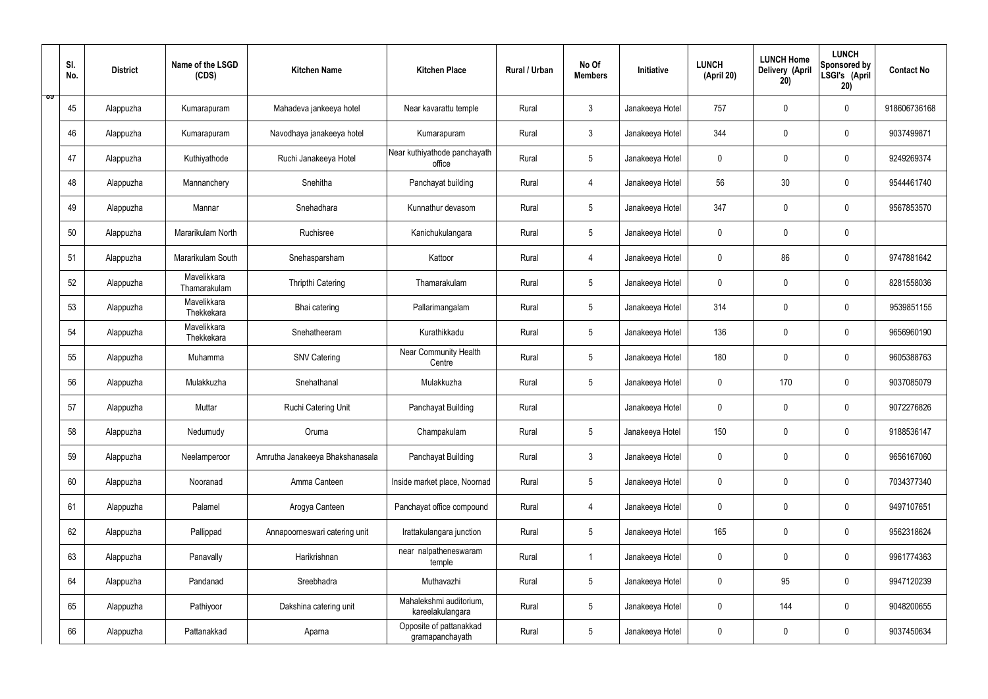|   | SI.<br>No. | <b>District</b> | Name of the LSGD<br>(CDS)   | <b>Kitchen Name</b>             | <b>Kitchen Place</b>                        | Rural / Urban | No Of<br><b>Members</b> | Initiative      | <b>LUNCH</b><br>(April 20) | <b>LUNCH Home</b><br><b>Delivery (April</b><br>20) | <b>LUNCH</b><br>Sponsored by<br>LSGI's (April<br>20) | <b>Contact No</b> |
|---|------------|-----------------|-----------------------------|---------------------------------|---------------------------------------------|---------------|-------------------------|-----------------|----------------------------|----------------------------------------------------|------------------------------------------------------|-------------------|
| ಾ | 45         | Alappuzha       | Kumarapuram                 | Mahadeva jankeeya hotel         | Near kavarattu temple                       | Rural         | $\mathfrak{Z}$          | Janakeeya Hotel | 757                        | $\mathbf 0$                                        | $\mathbf 0$                                          | 918606736168      |
|   | 46         | Alappuzha       | Kumarapuram                 | Navodhaya janakeeya hotel       | Kumarapuram                                 | Rural         | $\mathbf{3}$            | Janakeeya Hotel | 344                        | $\mathbf 0$                                        | $\mathbf 0$                                          | 9037499871        |
|   | 47         | Alappuzha       | Kuthiyathode                | Ruchi Janakeeya Hotel           | Near kuthiyathode panchayath<br>office      | Rural         | $5\phantom{.0}$         | Janakeeya Hotel | $\mathbf 0$                | 0                                                  | $\mathbf 0$                                          | 9249269374        |
|   | 48         | Alappuzha       | Mannanchery                 | Snehitha                        | Panchayat building                          | Rural         | 4                       | Janakeeya Hotel | 56                         | 30                                                 | $\mathbf 0$                                          | 9544461740        |
|   | 49         | Alappuzha       | Mannar                      | Snehadhara                      | Kunnathur devasom                           | Rural         | $5\phantom{.0}$         | Janakeeya Hotel | 347                        | $\mathbf 0$                                        | $\mathbf 0$                                          | 9567853570        |
|   | 50         | Alappuzha       | Mararikulam North           | Ruchisree                       | Kanichukulangara                            | Rural         | $5\phantom{.0}$         | Janakeeya Hotel | $\mathbf 0$                | $\mathbf 0$                                        | $\mathbf 0$                                          |                   |
|   | 51         | Alappuzha       | Mararikulam South           | Snehasparsham                   | Kattoor                                     | Rural         | 4                       | Janakeeya Hotel | $\mathbf 0$                | 86                                                 | $\mathbf 0$                                          | 9747881642        |
|   | 52         | Alappuzha       | Mavelikkara<br>Thamarakulam | Thripthi Catering               | Thamarakulam                                | Rural         | $5\overline{)}$         | Janakeeya Hotel | $\mathbf 0$                | $\mathbf 0$                                        | $\mathbf 0$                                          | 8281558036        |
|   | 53         | Alappuzha       | Mavelikkara<br>Thekkekara   | Bhai catering                   | Pallarimangalam                             | Rural         | $5\phantom{.0}$         | Janakeeya Hotel | 314                        | $\mathbf 0$                                        | $\mathbf 0$                                          | 9539851155        |
|   | 54         | Alappuzha       | Mavelikkara<br>Thekkekara   | Snehatheeram                    | Kurathikkadu                                | Rural         | $5\overline{)}$         | Janakeeya Hotel | 136                        | $\mathbf 0$                                        | $\mathbf 0$                                          | 9656960190        |
|   | 55         | Alappuzha       | Muhamma                     | <b>SNV Catering</b>             | Near Community Health<br>Centre             | Rural         | $5\phantom{.0}$         | Janakeeya Hotel | 180                        | $\mathbf 0$                                        | $\mathbf 0$                                          | 9605388763        |
|   | 56         | Alappuzha       | Mulakkuzha                  | Snehathanal                     | Mulakkuzha                                  | Rural         | $5\phantom{.0}$         | Janakeeya Hotel | $\mathbf 0$                | 170                                                | $\mathbf 0$                                          | 9037085079        |
|   | 57         | Alappuzha       | Muttar                      | Ruchi Catering Unit             | Panchayat Building                          | Rural         |                         | Janakeeya Hotel | $\pmb{0}$                  | 0                                                  | $\mathbf 0$                                          | 9072276826        |
|   | 58         | Alappuzha       | Nedumudy                    | Oruma                           | Champakulam                                 | Rural         | $5\phantom{.0}$         | Janakeeya Hotel | 150                        | $\pmb{0}$                                          | $\mathbf 0$                                          | 9188536147        |
|   | 59         | Alappuzha       | Neelamperoor                | Amrutha Janakeeya Bhakshanasala | Panchayat Building                          | Rural         | $\mathbf{3}$            | Janakeeya Hotel | $\mathbf 0$                | $\pmb{0}$                                          | $\mathbf 0$                                          | 9656167060        |
|   | 60         | Alappuzha       | Nooranad                    | Amma Canteen                    | Inside market place, Noornad                | Rural         | $5\phantom{.0}$         | Janakeeya Hotel | $\pmb{0}$                  | $\mathbf 0$                                        | $\mathbf 0$                                          | 7034377340        |
|   | 61         | Alappuzha       | Palamel                     | Arogya Canteen                  | Panchayat office compound                   | Rural         | $\overline{4}$          | Janakeeya Hotel | $\mathbf 0$                | $\mathbf 0$                                        | $\mathbf 0$                                          | 9497107651        |
|   | 62         | Alappuzha       | Pallippad                   | Annapoorneswari catering unit   | Irattakulangara junction                    | Rural         | $5\phantom{.0}$         | Janakeeya Hotel | 165                        | $\mathbf 0$                                        | $\mathbf 0$                                          | 9562318624        |
|   | 63         | Alappuzha       | Panavally                   | Harikrishnan                    | near nalpatheneswaram<br>temple             | Rural         | $\mathbf{1}$            | Janakeeya Hotel | $\mathbf 0$                | $\pmb{0}$                                          | $\mathbf 0$                                          | 9961774363        |
|   | 64         | Alappuzha       | Pandanad                    | Sreebhadra                      | Muthavazhi                                  | Rural         | $5\phantom{.0}$         | Janakeeya Hotel | $\pmb{0}$                  | 95                                                 | $\mathbf 0$                                          | 9947120239        |
|   | 65         | Alappuzha       | Pathiyoor                   | Dakshina catering unit          | Mahalekshmi auditorium,<br>kareelakulangara | Rural         | $5\phantom{.0}$         | Janakeeya Hotel | $\mathbf 0$                | 144                                                | $\mathbf 0$                                          | 9048200655        |
|   | 66         | Alappuzha       | Pattanakkad                 | Aparna                          | Opposite of pattanakkad<br>gramapanchayath  | Rural         | $5\phantom{.0}$         | Janakeeya Hotel | 0                          | $\pmb{0}$                                          | $\mathbf 0$                                          | 9037450634        |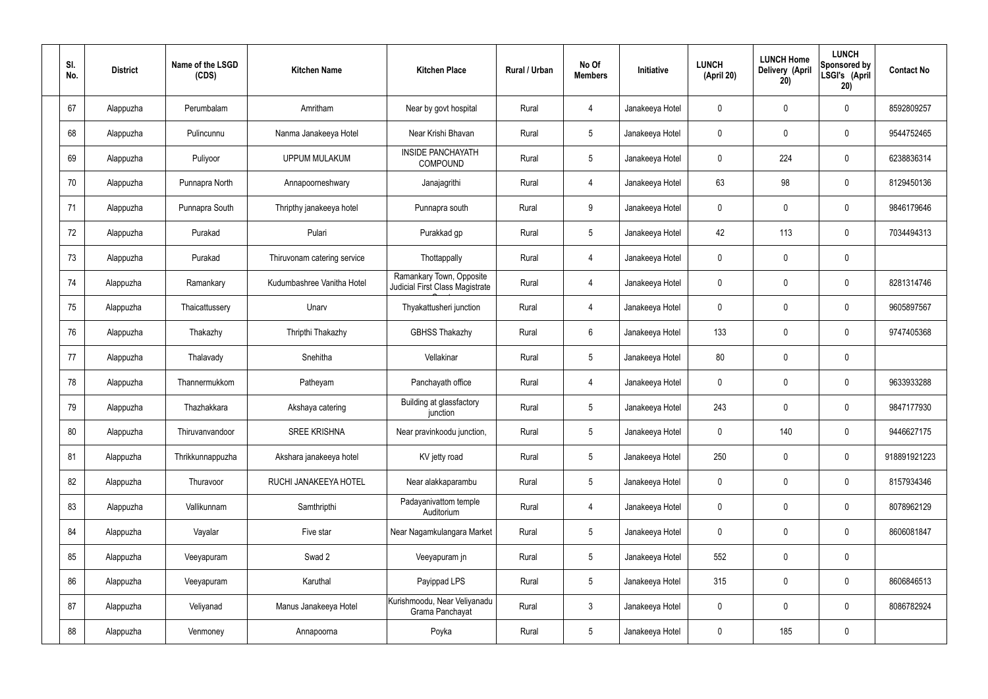| SI.<br>No. | <b>District</b> | Name of the LSGD<br>(CDS) | <b>Kitchen Name</b>         | <b>Kitchen Place</b>                                        | Rural / Urban | No Of<br><b>Members</b> | Initiative      | <b>LUNCH</b><br>(April 20) | <b>LUNCH Home</b><br>Delivery (April<br>20) | <b>LUNCH</b><br>Sponsored by<br>LSGI's (April<br>20) | <b>Contact No</b> |
|------------|-----------------|---------------------------|-----------------------------|-------------------------------------------------------------|---------------|-------------------------|-----------------|----------------------------|---------------------------------------------|------------------------------------------------------|-------------------|
| 67         | Alappuzha       | Perumbalam                | Amritham                    | Near by govt hospital                                       | Rural         | 4                       | Janakeeya Hotel | $\mathbf 0$                | $\mathbf 0$                                 | $\pmb{0}$                                            | 8592809257        |
| 68         | Alappuzha       | Pulincunnu                | Nanma Janakeeya Hotel       | Near Krishi Bhavan                                          | Rural         | $5\phantom{.0}$         | Janakeeya Hotel | $\mathbf 0$                | $\mathbf 0$                                 | $\pmb{0}$                                            | 9544752465        |
| 69         | Alappuzha       | Puliyoor                  | <b>UPPUM MULAKUM</b>        | <b>INSIDE PANCHAYATH</b><br>COMPOUND                        | Rural         | $5\phantom{.0}$         | Janakeeya Hotel | $\mathbf 0$                | 224                                         | $\pmb{0}$                                            | 6238836314        |
| 70         | Alappuzha       | Punnapra North            | Annapoorneshwary            | Janajagrithi                                                | Rural         | $\overline{4}$          | Janakeeya Hotel | 63                         | 98                                          | $\pmb{0}$                                            | 8129450136        |
| 71         | Alappuzha       | Punnapra South            | Thripthy janakeeya hotel    | Punnapra south                                              | Rural         | 9                       | Janakeeya Hotel | $\mathbf 0$                | $\mathbf 0$                                 | $\pmb{0}$                                            | 9846179646        |
| 72         | Alappuzha       | Purakad                   | Pulari                      | Purakkad gp                                                 | Rural         | $5\phantom{.0}$         | Janakeeya Hotel | 42                         | 113                                         | $\pmb{0}$                                            | 7034494313        |
| 73         | Alappuzha       | Purakad                   | Thiruvonam catering service | Thottappally                                                | Rural         | $\overline{4}$          | Janakeeya Hotel | $\mathbf 0$                | $\mathbf 0$                                 | $\pmb{0}$                                            |                   |
| 74         | Alappuzha       | Ramankary                 | Kudumbashree Vanitha Hotel  | Ramankary Town, Opposite<br>Judicial First Class Magistrate | Rural         | 4                       | Janakeeya Hotel | $\mathbf 0$                | $\mathbf 0$                                 | $\pmb{0}$                                            | 8281314746        |
| 75         | Alappuzha       | Thaicattussery            | Unarv                       | Thyakattusheri junction                                     | Rural         | 4                       | Janakeeya Hotel | $\mathbf 0$                | $\mathbf 0$                                 | $\pmb{0}$                                            | 9605897567        |
| 76         | Alappuzha       | Thakazhy                  | Thripthi Thakazhy           | <b>GBHSS Thakazhy</b>                                       | Rural         | $6\phantom{.}6$         | Janakeeya Hotel | 133                        | $\mathbf 0$                                 | $\pmb{0}$                                            | 9747405368        |
| 77         | Alappuzha       | Thalavady                 | Snehitha                    | Vellakinar                                                  | Rural         | $5\phantom{.0}$         | Janakeeya Hotel | 80                         | $\pmb{0}$                                   | $\pmb{0}$                                            |                   |
| 78         | Alappuzha       | Thannermukkom             | Patheyam                    | Panchayath office                                           | Rural         | 4                       | Janakeeya Hotel | $\mathbf 0$                | $\mathbf 0$                                 | $\pmb{0}$                                            | 9633933288        |
| 79         | Alappuzha       | Thazhakkara               | Akshaya catering            | Building at glassfactory<br>junction                        | Rural         | 5                       | Janakeeya Hotel | 243                        | $\mathbf 0$                                 | $\mathbf 0$                                          | 9847177930        |
| 80         | Alappuzha       | Thiruvanvandoor           | <b>SREE KRISHNA</b>         | Near pravinkoodu junction,                                  | Rural         | 5 <sub>5</sub>          | Janakeeya Hotel | $\pmb{0}$                  | 140                                         | $\pmb{0}$                                            | 9446627175        |
| 81         | Alappuzha       | Thrikkunnappuzha          | Akshara janakeeya hotel     | KV jetty road                                               | Rural         | 5 <sup>5</sup>          | Janakeeya Hotel | 250                        | $\pmb{0}$                                   | $\mathbf 0$                                          | 918891921223      |
| 82         | Alappuzha       | Thuravoor                 | RUCHI JANAKEEYA HOTEL       | Near alakkaparambu                                          | Rural         | 5 <sup>5</sup>          | Janakeeya Hotel | $\pmb{0}$                  | $\pmb{0}$                                   | $\mathbf 0$                                          | 8157934346        |
| 83         | Alappuzha       | Vallikunnam               | Samthripthi                 | Padayanivattom temple<br>Auditorium                         | Rural         | $\overline{4}$          | Janakeeya Hotel | $\mathbf 0$                | $\pmb{0}$                                   | $\mathbf 0$                                          | 8078962129        |
| 84         | Alappuzha       | Vayalar                   | Five star                   | Near Nagamkulangara Market                                  | Rural         | 5 <sup>5</sup>          | Janakeeya Hotel | $\pmb{0}$                  | $\pmb{0}$                                   | $\mathbf 0$                                          | 8606081847        |
| 85         | Alappuzha       | Veeyapuram                | Swad 2                      | Veeyapuram jn                                               | Rural         | 5 <sup>5</sup>          | Janakeeya Hotel | 552                        | $\pmb{0}$                                   | $\mathbf 0$                                          |                   |
| 86         | Alappuzha       | Veeyapuram                | Karuthal                    | Payippad LPS                                                | Rural         | 5 <sub>5</sub>          | Janakeeya Hotel | 315                        | $\pmb{0}$                                   | $\mathbf 0$                                          | 8606846513        |
| 87         | Alappuzha       | Veliyanad                 | Manus Janakeeya Hotel       | Kurishmoodu, Near Veliyanadu<br>Grama Panchayat             | Rural         | $3\phantom{a}$          | Janakeeya Hotel | $\mathbf 0$                | $\pmb{0}$                                   | $\mathbf 0$                                          | 8086782924        |
| 88         | Alappuzha       | Venmoney                  | Annapoorna                  | Poyka                                                       | Rural         | 5 <sub>5</sub>          | Janakeeya Hotel | 0                          | 185                                         | $\pmb{0}$                                            |                   |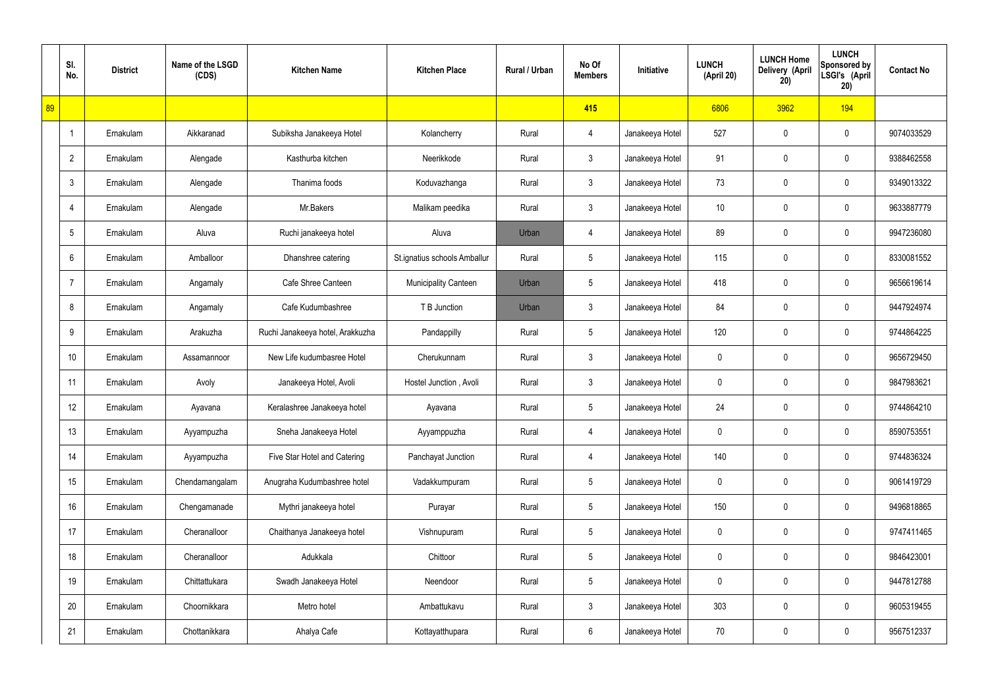|    | SI.<br>No.     | <b>District</b> | Name of the LSGD<br>(CDS) | <b>Kitchen Name</b>              | <b>Kitchen Place</b>         | Rural / Urban | No Of<br><b>Members</b> | Initiative      | <b>LUNCH</b><br>(April 20) | <b>LUNCH Home</b><br>Delivery (April<br>20) | <b>LUNCH</b><br>Sponsored by<br>LSGI's (April<br>20) | <b>Contact No</b> |
|----|----------------|-----------------|---------------------------|----------------------------------|------------------------------|---------------|-------------------------|-----------------|----------------------------|---------------------------------------------|------------------------------------------------------|-------------------|
| 89 |                |                 |                           |                                  |                              |               | 415                     |                 | 6806                       | 3962                                        | 194                                                  |                   |
|    | $\overline{1}$ | Ernakulam       | Aikkaranad                | Subiksha Janakeeya Hotel         | Kolancherry                  | Rural         | 4                       | Janakeeya Hotel | 527                        | 0                                           | $\mathbf 0$                                          | 9074033529        |
|    | $\overline{2}$ | Ernakulam       | Alengade                  | Kasthurba kitchen                | Neerikkode                   | Rural         | $\mathbf{3}$            | Janakeeya Hotel | 91                         | 0                                           | $\mathbf 0$                                          | 9388462558        |
|    | $\mathfrak{Z}$ | Ernakulam       | Alengade                  | Thanima foods                    | Koduvazhanga                 | Rural         | $\mathfrak{Z}$          | Janakeeya Hotel | 73                         | 0                                           | $\mathbf 0$                                          | 9349013322        |
|    | $\overline{4}$ | Ernakulam       | Alengade                  | Mr.Bakers                        | Malikam peedika              | Rural         | $\mathbf{3}$            | Janakeeya Hotel | 10 <sup>°</sup>            | 0                                           | $\mathbf 0$                                          | 9633887779        |
|    | 5              | Ernakulam       | Aluva                     | Ruchi janakeeya hotel            | Aluva                        | Urban         | 4                       | Janakeeya Hotel | 89                         | 0                                           | $\mathbf 0$                                          | 9947236080        |
|    | 6              | Ernakulam       | Amballoor                 | Dhanshree catering               | St.ignatius schools Amballur | Rural         | $5\phantom{.0}$         | Janakeeya Hotel | 115                        | 0                                           | $\mathbf 0$                                          | 8330081552        |
|    | $\overline{7}$ | Ernakulam       | Angamaly                  | Cafe Shree Canteen               | <b>Municipality Canteen</b>  | Urban         | $5\phantom{.0}$         | Janakeeya Hotel | 418                        | 0                                           | $\mathbf 0$                                          | 9656619614        |
|    | 8              | Ernakulam       | Angamaly                  | Cafe Kudumbashree                | T B Junction                 | Urban         | $\mathfrak{Z}$          | Janakeeya Hotel | 84                         | 0                                           | $\mathbf 0$                                          | 9447924974        |
|    | 9              | Ernakulam       | Arakuzha                  | Ruchi Janakeeya hotel, Arakkuzha | Pandappilly                  | Rural         | $5\phantom{.0}$         | Janakeeya Hotel | 120                        | 0                                           | $\mathbf 0$                                          | 9744864225        |
|    | 10             | Ernakulam       | Assamannoor               | New Life kudumbasree Hotel       | Cherukunnam                  | Rural         | $\mathfrak{Z}$          | Janakeeya Hotel | 0                          | 0                                           | $\boldsymbol{0}$                                     | 9656729450        |
|    | 11             | Ernakulam       | Avoly                     | Janakeeya Hotel, Avoli           | Hostel Junction, Avoli       | Rural         | $\mathbf{3}$            | Janakeeya Hotel | 0                          | 0                                           | $\boldsymbol{0}$                                     | 9847983621        |
|    | 12             | Ernakulam       | Ayavana                   | Keralashree Janakeeya hotel      | Ayavana                      | Rural         | $5\phantom{.0}$         | Janakeeya Hotel | 24                         | 0                                           | $\boldsymbol{0}$                                     | 9744864210        |
|    | 13             | Ernakulam       | Ayyampuzha                | Sneha Janakeeya Hotel            | Ayyamppuzha                  | Rural         | 4                       | Janakeeya Hotel | 0                          | 0                                           | $\mathbf 0$                                          | 8590753551        |
|    | 14             | Ernakulam       | Ayyampuzha                | Five Star Hotel and Catering     | Panchayat Junction           | Rural         | $\overline{4}$          | Janakeeya Hotel | 140                        | 0                                           | $\mathbf 0$                                          | 9744836324        |
|    | 15             | Ernakulam       | Chendamangalam            | Anugraha Kudumbashree hotel      | Vadakkumpuram                | Rural         | $5\phantom{.0}$         | Janakeeya Hotel | 0                          | 0                                           | $\mathbf 0$                                          | 9061419729        |
|    | 16             | Ernakulam       | Chengamanade              | Mythri janakeeya hotel           | Purayar                      | Rural         | $5\phantom{.0}$         | Janakeeya Hotel | 150                        | 0                                           | $\mathbf 0$                                          | 9496818865        |
|    | 17             | Ernakulam       | Cheranalloor              | Chaithanya Janakeeya hotel       | Vishnupuram                  | Rural         | $5\phantom{.0}$         | Janakeeya Hotel | 0                          | 0                                           | $\mathbf 0$                                          | 9747411465        |
|    | 18             | Ernakulam       | Cheranalloor              | Adukkala                         | Chittoor                     | Rural         | $5\phantom{.0}$         | Janakeeya Hotel | 0                          | 0                                           | $\mathbf 0$                                          | 9846423001        |
|    | 19             | Ernakulam       | Chittattukara             | Swadh Janakeeya Hotel            | Neendoor                     | Rural         | $5\phantom{.0}$         | Janakeeya Hotel | 0                          | 0                                           | $\mathbf 0$                                          | 9447812788        |
|    | 20             | Ernakulam       | Choornikkara              | Metro hotel                      | Ambattukavu                  | Rural         | $\mathfrak{Z}$          | Janakeeya Hotel | 303                        | 0                                           | $\mathbf 0$                                          | 9605319455        |
|    | 21             | Ernakulam       | Chottanikkara             | Ahalya Cafe                      | Kottayatthupara              | Rural         | $6\,$                   | Janakeeya Hotel | 70                         | 0                                           | $\boldsymbol{0}$                                     | 9567512337        |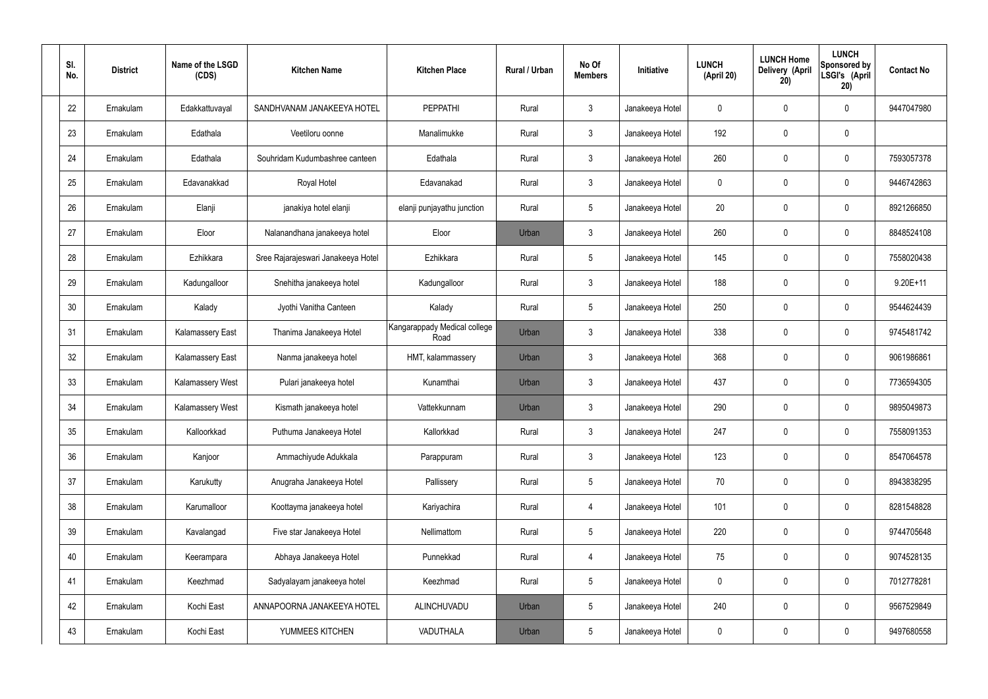| SI.<br>No. | <b>District</b> | Name of the LSGD<br>(CDS) | <b>Kitchen Name</b>                | <b>Kitchen Place</b>                 | Rural / Urban | No Of<br><b>Members</b> | Initiative      | <b>LUNCH</b><br>(April 20) | <b>LUNCH Home</b><br>Delivery (April<br>20) | <b>LUNCH</b><br>Sponsored by<br>LSGI's (April<br>20) | <b>Contact No</b> |
|------------|-----------------|---------------------------|------------------------------------|--------------------------------------|---------------|-------------------------|-----------------|----------------------------|---------------------------------------------|------------------------------------------------------|-------------------|
| 22         | Ernakulam       | Edakkattuvayal            | SANDHVANAM JANAKEEYA HOTEL         | <b>PEPPATHI</b>                      | Rural         | $\mathbf{3}$            | Janakeeya Hotel | 0                          | 0                                           | 0                                                    | 9447047980        |
| 23         | Ernakulam       | Edathala                  | Veetiloru oonne                    | Manalimukke                          | Rural         | $\mathbf{3}$            | Janakeeya Hotel | 192                        | 0                                           | $\mathbf 0$                                          |                   |
| 24         | Ernakulam       | Edathala                  | Souhridam Kudumbashree canteen     | Edathala                             | Rural         | $\mathbf{3}$            | Janakeeya Hotel | 260                        | 0                                           | $\mathbf 0$                                          | 7593057378        |
| 25         | Ernakulam       | Edavanakkad               | Royal Hotel                        | Edavanakad                           | Rural         | $\mathbf{3}$            | Janakeeya Hotel | $\mathbf 0$                | 0                                           | $\boldsymbol{0}$                                     | 9446742863        |
| 26         | Ernakulam       | Elanji                    | janakiya hotel elanji              | elanji punjayathu junction           | Rural         | $5\phantom{.0}$         | Janakeeya Hotel | 20                         | 0                                           | $\mathbf 0$                                          | 8921266850        |
| 27         | Ernakulam       | Eloor                     | Nalanandhana janakeeya hotel       | Eloor                                | Urban         | $\mathbf{3}$            | Janakeeya Hotel | 260                        | 0                                           | $\mathbf 0$                                          | 8848524108        |
| 28         | Ernakulam       | Ezhikkara                 | Sree Rajarajeswari Janakeeya Hotel | Ezhikkara                            | Rural         | $5\phantom{.0}$         | Janakeeya Hotel | 145                        | 0                                           | $\mathbf 0$                                          | 7558020438        |
| 29         | Ernakulam       | Kadungalloor              | Snehitha janakeeya hotel           | Kadungalloor                         | Rural         | $\mathbf{3}$            | Janakeeya Hotel | 188                        | 0                                           | $\boldsymbol{0}$                                     | $9.20E+11$        |
| 30         | Ernakulam       | Kalady                    | Jyothi Vanitha Canteen             | Kalady                               | Rural         | $5\phantom{.0}$         | Janakeeya Hotel | 250                        | 0                                           | $\mathbf 0$                                          | 9544624439        |
| 31         | Ernakulam       | <b>Kalamassery East</b>   | Thanima Janakeeya Hotel            | Kangarappady Medical college<br>Road | Urban         | $\mathbf{3}$            | Janakeeya Hotel | 338                        | 0                                           | $\mathbf 0$                                          | 9745481742        |
| 32         | Ernakulam       | <b>Kalamassery East</b>   | Nanma janakeeya hotel              | HMT, kalammassery                    | Urban         | $\mathbf{3}$            | Janakeeya Hotel | 368                        | $\boldsymbol{0}$                            | $\mathbf 0$                                          | 9061986861        |
| 33         | Ernakulam       | Kalamassery West          | Pulari janakeeya hotel             | Kunamthai                            | Urban         | $\mathbf{3}$            | Janakeeya Hotel | 437                        | 0                                           | $\mathbf 0$                                          | 7736594305        |
| 34         | Ernakulam       | Kalamassery West          | Kismath janakeeya hotel            | Vattekkunnam                         | Urban         | $\mathbf{3}$            | Janakeeya Hotel | 290                        | $\boldsymbol{0}$                            | 0                                                    | 9895049873        |
| 35         | Ernakulam       | Kalloorkkad               | Puthuma Janakeeya Hotel            | Kallorkkad                           | Rural         | $\mathbf{3}$            | Janakeeya Hotel | 247                        | $\mathsf{0}$                                | $\pmb{0}$                                            | 7558091353        |
| 36         | Ernakulam       | Kanjoor                   | Ammachiyude Adukkala               | Parappuram                           | Rural         | 3 <sup>1</sup>          | Janakeeya Hotel | 123                        | 0                                           | $\mathbf 0$                                          | 8547064578        |
| 37         | Ernakulam       | Karukutty                 | Anugraha Janakeeya Hotel           | Pallissery                           | Rural         | $5\phantom{.0}$         | Janakeeya Hotel | 70                         | 0                                           | $\mathbf 0$                                          | 8943838295        |
| 38         | Ernakulam       | Karumalloor               | Koottayma janakeeya hotel          | Kariyachira                          | Rural         | $\overline{4}$          | Janakeeya Hotel | 101                        | 0                                           | $\mathbf 0$                                          | 8281548828        |
| 39         | Ernakulam       | Kavalangad                | Five star Janakeeya Hotel          | Nellimattom                          | Rural         | $5\phantom{.0}$         | Janakeeya Hotel | 220                        | 0                                           | $\mathbf 0$                                          | 9744705648        |
| 40         | Ernakulam       | Keerampara                | Abhaya Janakeeya Hotel             | Punnekkad                            | Rural         | $\overline{4}$          | Janakeeya Hotel | 75                         | 0                                           | $\mathbf 0$                                          | 9074528135        |
| 41         | Ernakulam       | Keezhmad                  | Sadyalayam janakeeya hotel         | Keezhmad                             | Rural         | $5\phantom{.0}$         | Janakeeya Hotel | 0                          | 0                                           | $\mathbf 0$                                          | 7012778281        |
| 42         | Ernakulam       | Kochi East                | ANNAPOORNA JANAKEEYA HOTEL         | ALINCHUVADU                          | Urban         | $5\phantom{.0}$         | Janakeeya Hotel | 240                        | 0                                           | $\mathbf 0$                                          | 9567529849        |
| 43         | Ernakulam       | Kochi East                | YUMMEES KITCHEN                    | VADUTHALA                            | Urban         | $5\phantom{.0}$         | Janakeeya Hotel | 0                          | 0                                           | $\boldsymbol{0}$                                     | 9497680558        |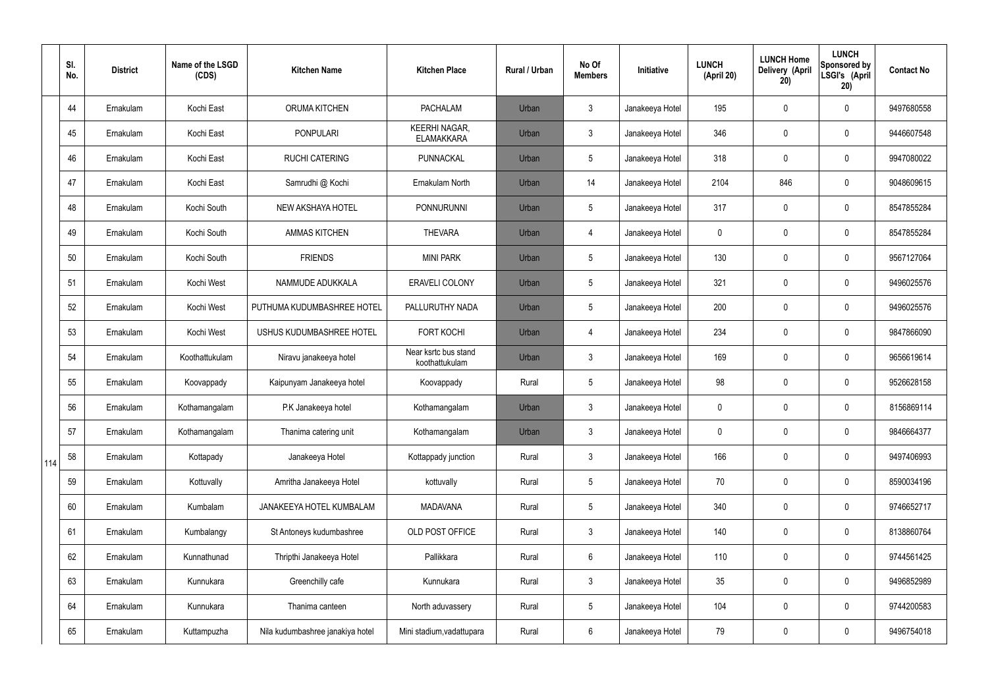|     | SI.<br>No. | <b>District</b> | Name of the LSGD<br>(CDS) | <b>Kitchen Name</b>              | <b>Kitchen Place</b>                      | <b>Rural / Urban</b> | No Of<br><b>Members</b> | <b>Initiative</b> | <b>LUNCH</b><br>(April 20) | <b>LUNCH Home</b><br>Delivery (April<br>20) | <b>LUNCH</b><br><b>Sponsored by</b><br>LSGI's (April<br>20) | <b>Contact No</b> |
|-----|------------|-----------------|---------------------------|----------------------------------|-------------------------------------------|----------------------|-------------------------|-------------------|----------------------------|---------------------------------------------|-------------------------------------------------------------|-------------------|
|     | 44         | Ernakulam       | Kochi East                | ORUMA KITCHEN                    | <b>PACHALAM</b>                           | Urban                | $\mathbf{3}$            | Janakeeya Hotel   | 195                        | 0                                           | $\mathbf 0$                                                 | 9497680558        |
|     | 45         | Ernakulam       | Kochi East                | <b>PONPULARI</b>                 | <b>KEERHI NAGAR,</b><br><b>ELAMAKKARA</b> | Urban                | $\mathfrak{Z}$          | Janakeeya Hotel   | 346                        | 0                                           | $\boldsymbol{0}$                                            | 9446607548        |
|     | 46         | Ernakulam       | Kochi East                | <b>RUCHI CATERING</b>            | PUNNACKAL                                 | Urban                | 5                       | Janakeeya Hotel   | 318                        | 0                                           | $\mathbf 0$                                                 | 9947080022        |
|     | 47         | Ernakulam       | Kochi East                | Samrudhi @ Kochi                 | Ernakulam North                           | Urban                | 14                      | Janakeeya Hotel   | 2104                       | 846                                         | $\pmb{0}$                                                   | 9048609615        |
|     | 48         | Ernakulam       | Kochi South               | NEW AKSHAYA HOTEL                | <b>PONNURUNNI</b>                         | Urban                | 5                       | Janakeeya Hotel   | 317                        | 0                                           | $\mathbf 0$                                                 | 8547855284        |
|     | 49         | Ernakulam       | Kochi South               | <b>AMMAS KITCHEN</b>             | <b>THEVARA</b>                            | Urban                | $\overline{4}$          | Janakeeya Hotel   | 0                          | 0                                           | $\mathbf 0$                                                 | 8547855284        |
|     | 50         | Ernakulam       | Kochi South               | <b>FRIENDS</b>                   | <b>MINI PARK</b>                          | Urban                | 5                       | Janakeeya Hotel   | 130                        | 0                                           | $\mathbf 0$                                                 | 9567127064        |
|     | 51         | Ernakulam       | Kochi West                | NAMMUDE ADUKKALA                 | <b>ERAVELI COLONY</b>                     | Urban                | 5                       | Janakeeya Hotel   | 321                        | 0                                           | $\mathbf 0$                                                 | 9496025576        |
|     | 52         | Ernakulam       | Kochi West                | PUTHUMA KUDUMBASHREE HOTEL       | PALLURUTHY NADA                           | Urban                | 5                       | Janakeeya Hotel   | 200                        | 0                                           | $\mathbf 0$                                                 | 9496025576        |
|     | 53         | Ernakulam       | Kochi West                | USHUS KUDUMBASHREE HOTEL         | <b>FORT KOCHI</b>                         | Urban                | $\overline{4}$          | Janakeeya Hotel   | 234                        | 0                                           | $\pmb{0}$                                                   | 9847866090        |
|     | 54         | Ernakulam       | Koothattukulam            | Niravu janakeeya hotel           | Near ksrtc bus stand<br>koothattukulam    | Urban                | $\mathfrak{Z}$          | Janakeeya Hotel   | 169                        | 0                                           | $\pmb{0}$                                                   | 9656619614        |
|     | 55         | Ernakulam       | Koovappady                | Kaipunyam Janakeeya hotel        | Koovappady                                | Rural                | 5                       | Janakeeya Hotel   | 98                         | 0                                           | $\boldsymbol{0}$                                            | 9526628158        |
|     | 56         | Ernakulam       | Kothamangalam             | P.K Janakeeya hotel              | Kothamangalam                             | Urban                | $\mathbf{3}$            | Janakeeya Hotel   | 0                          | 0                                           | $\mathbf 0$                                                 | 8156869114        |
|     | 57         | Ernakulam       | Kothamangalam             | Thanima catering unit            | Kothamangalam                             | Urban                | $\mathbf{3}$            | Janakeeya Hotel   | 0                          | 0                                           | $\mathbf 0$                                                 | 9846664377        |
| 114 | 58         | Ernakulam       | Kottapady                 | Janakeeya Hotel                  | Kottappady junction                       | Rural                | $\mathbf{3}$            | Janakeeya Hotel   | 166                        | 0                                           | $\mathbf 0$                                                 | 9497406993        |
|     | 59         | Ernakulam       | Kottuvally                | Amritha Janakeeya Hotel          | kottuvally                                | Rural                | 5                       | Janakeeya Hotel   | 70                         | 0                                           | $\mathbf 0$                                                 | 8590034196        |
|     | 60         | Ernakulam       | Kumbalam                  | JANAKEEYA HOTEL KUMBALAM         | <b>MADAVANA</b>                           | Rural                | 5                       | Janakeeya Hotel   | 340                        | 0                                           | $\pmb{0}$                                                   | 9746652717        |
|     | 61         | Ernakulam       | Kumbalangy                | St Antoneys kudumbashree         | OLD POST OFFICE                           | Rural                | $\mathbf{3}$            | Janakeeya Hotel   | 140                        | 0                                           | $\pmb{0}$                                                   | 8138860764        |
|     | 62         | Ernakulam       | Kunnathunad               | Thripthi Janakeeya Hotel         | Pallikkara                                | Rural                | 6                       | Janakeeya Hotel   | 110                        | 0                                           | $\pmb{0}$                                                   | 9744561425        |
|     | 63         | Ernakulam       | Kunnukara                 | Greenchilly cafe                 | Kunnukara                                 | Rural                | $\mathfrak{Z}$          | Janakeeya Hotel   | 35 <sub>5</sub>            | 0                                           | $\pmb{0}$                                                   | 9496852989        |
|     | 64         | Ernakulam       | Kunnukara                 | Thanima canteen                  | North aduvassery                          | Rural                | $5\phantom{.0}$         | Janakeeya Hotel   | 104                        | 0                                           | $\pmb{0}$                                                   | 9744200583        |
|     | 65         | Ernakulam       | Kuttampuzha               | Nila kudumbashree janakiya hotel | Mini stadium, vadattupara                 | Rural                | $6\phantom{.}$          | Janakeeya Hotel   | 79                         | 0                                           | $\pmb{0}$                                                   | 9496754018        |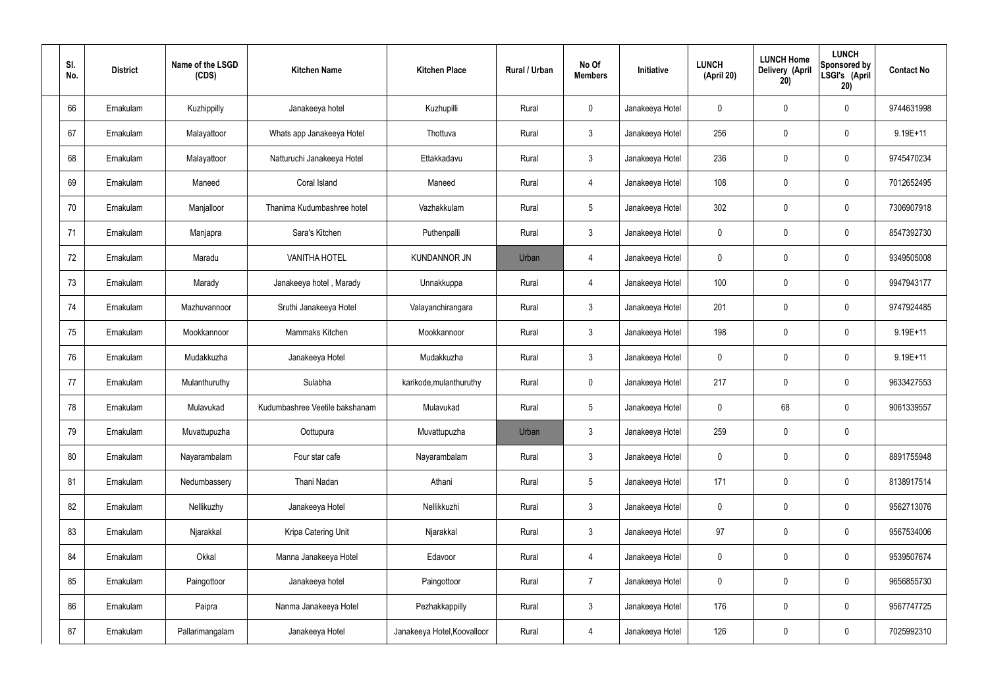| SI.<br>No. | <b>District</b> | Name of the LSGD<br>(CDS) | <b>Kitchen Name</b>            | <b>Kitchen Place</b>        | Rural / Urban | No Of<br><b>Members</b> | Initiative      | <b>LUNCH</b><br>(April 20) | <b>LUNCH Home</b><br>Delivery (April<br>20) | <b>LUNCH</b><br>Sponsored by<br>LSGI's (April<br>20) | <b>Contact No</b> |
|------------|-----------------|---------------------------|--------------------------------|-----------------------------|---------------|-------------------------|-----------------|----------------------------|---------------------------------------------|------------------------------------------------------|-------------------|
| 66         | Ernakulam       | Kuzhippilly               | Janakeeya hotel                | Kuzhupilli                  | Rural         | $\mathbf 0$             | Janakeeya Hotel | 0                          | 0                                           | $\mathbf 0$                                          | 9744631998        |
| 67         | Ernakulam       | Malayattoor               | Whats app Janakeeya Hotel      | Thottuva                    | Rural         | $\mathbf{3}$            | Janakeeya Hotel | 256                        | 0                                           | $\mathbf 0$                                          | 9.19E+11          |
| 68         | Ernakulam       | Malayattoor               | Natturuchi Janakeeya Hotel     | Ettakkadavu                 | Rural         | $\mathbf{3}$            | Janakeeya Hotel | 236                        | 0                                           | $\mathbf 0$                                          | 9745470234        |
| 69         | Ernakulam       | Maneed                    | Coral Island                   | Maneed                      | Rural         | $\overline{4}$          | Janakeeya Hotel | 108                        | 0                                           | $\mathbf 0$                                          | 7012652495        |
| 70         | Ernakulam       | Manjalloor                | Thanima Kudumbashree hotel     | Vazhakkulam                 | Rural         | $5\phantom{.0}$         | Janakeeya Hotel | 302                        | $\boldsymbol{0}$                            | $\mathbf 0$                                          | 7306907918        |
| 71         | Ernakulam       | Manjapra                  | Sara's Kitchen                 | Puthenpalli                 | Rural         | $\mathbf{3}$            | Janakeeya Hotel | $\mathbf 0$                | 0                                           | $\mathbf 0$                                          | 8547392730        |
| 72         | Ernakulam       | Maradu                    | <b>VANITHA HOTEL</b>           | <b>KUNDANNOR JN</b>         | Urban         | $\overline{4}$          | Janakeeya Hotel | $\mathbf 0$                | 0                                           | $\mathbf 0$                                          | 9349505008        |
| 73         | Ernakulam       | Marady                    | Janakeeya hotel, Marady        | Unnakkuppa                  | Rural         | $\overline{4}$          | Janakeeya Hotel | 100                        | 0                                           | $\mathbf 0$                                          | 9947943177        |
| 74         | Ernakulam       | Mazhuvannoor              | Sruthi Janakeeya Hotel         | Valayanchirangara           | Rural         | $\mathbf{3}$            | Janakeeya Hotel | 201                        | $\boldsymbol{0}$                            | $\mathbf 0$                                          | 9747924485        |
| 75         | Ernakulam       | Mookkannoor               | Mammaks Kitchen                | Mookkannoor                 | Rural         | $\mathfrak{Z}$          | Janakeeya Hotel | 198                        | 0                                           | $\mathbf 0$                                          | $9.19E + 11$      |
| 76         | Ernakulam       | Mudakkuzha                | Janakeeya Hotel                | Mudakkuzha                  | Rural         | $\mathbf{3}$            | Janakeeya Hotel | $\mathbf 0$                | 0                                           | $\boldsymbol{0}$                                     | $9.19E + 11$      |
| 77         | Ernakulam       | Mulanthuruthy             | Sulabha                        | karikode, mulanthuruthy     | Rural         | $\mathbf 0$             | Janakeeya Hotel | 217                        | 0                                           | $\boldsymbol{0}$                                     | 9633427553        |
| 78         | Ernakulam       | Mulavukad                 | Kudumbashree Veetile bakshanam | Mulavukad                   | Rural         | $5\phantom{.0}$         | Janakeeya Hotel | 0                          | 68                                          | $\boldsymbol{0}$                                     | 9061339557        |
| 79         | Ernakulam       | Muvattupuzha              | Oottupura                      | Muvattupuzha                | Urban         | 3                       | Janakeeya Hotel | 259                        | $\mathsf{0}$                                | $\pmb{0}$                                            |                   |
| 80         | Ernakulam       | Nayarambalam              | Four star cafe                 | Nayarambalam                | Rural         | $3\phantom{a}$          | Janakeeya Hotel | $\mathbf 0$                | $\mathsf{0}$                                | $\mathbf 0$                                          | 8891755948        |
| 81         | Ernakulam       | Nedumbassery              | Thani Nadan                    | Athani                      | Rural         | $5\phantom{.0}$         | Janakeeya Hotel | 171                        | $\mathbf 0$                                 | $\mathbf 0$                                          | 8138917514        |
| 82         | Ernakulam       | Nellikuzhy                | Janakeeya Hotel                | Nellikkuzhi                 | Rural         | $\mathbf{3}$            | Janakeeya Hotel | $\mathbf 0$                | $\mathsf{0}$                                | $\mathbf 0$                                          | 9562713076        |
| 83         | Ernakulam       | Njarakkal                 | Kripa Catering Unit            | Njarakkal                   | Rural         | $\mathbf{3}$            | Janakeeya Hotel | 97                         | $\mathbf 0$                                 | $\mathbf 0$                                          | 9567534006        |
| 84         | Ernakulam       | Okkal                     | Manna Janakeeya Hotel          | Edavoor                     | Rural         | $\overline{4}$          | Janakeeya Hotel | $\mathbf 0$                | $\mathsf{0}$                                | $\mathbf 0$                                          | 9539507674        |
| 85         | Ernakulam       | Paingottoor               | Janakeeya hotel                | Paingottoor                 | Rural         | $\overline{7}$          | Janakeeya Hotel | $\mathbf 0$                | $\mathbf 0$                                 | $\mathbf 0$                                          | 9656855730        |
| 86         | Ernakulam       | Paipra                    | Nanma Janakeeya Hotel          | Pezhakkappilly              | Rural         | $\mathfrak{Z}$          | Janakeeya Hotel | 176                        | 0                                           | $\mathbf 0$                                          | 9567747725        |
| 87         | Ernakulam       | Pallarimangalam           | Janakeeya Hotel                | Janakeeya Hotel, Koovalloor | Rural         | 4                       | Janakeeya Hotel | 126                        | $\pmb{0}$                                   | $\boldsymbol{0}$                                     | 7025992310        |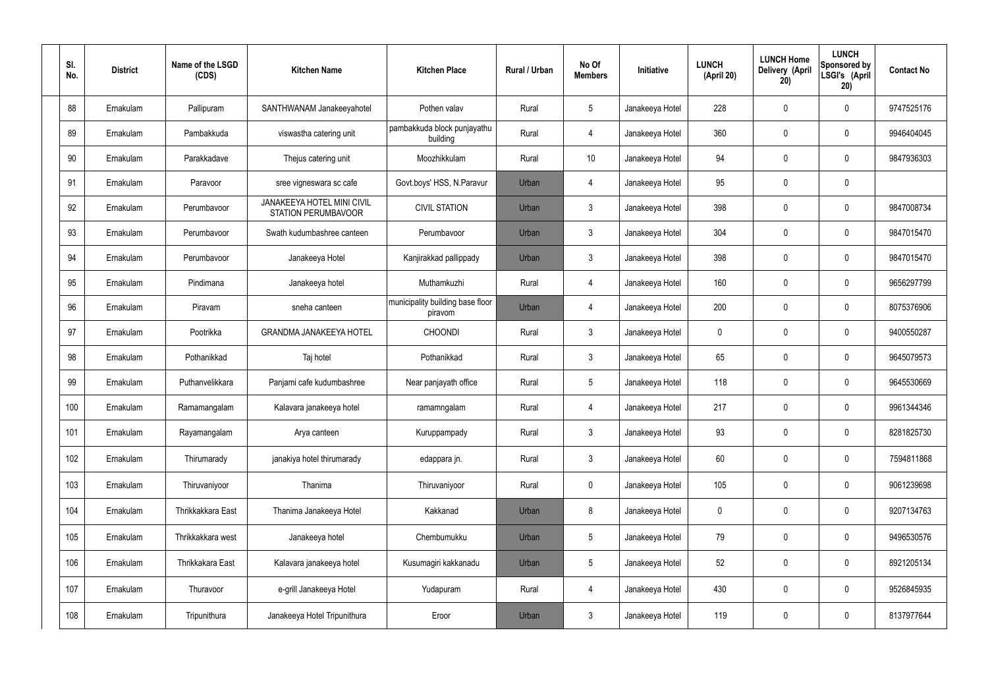| SI.<br>No. | <b>District</b> | Name of the LSGD<br>(CDS) | <b>Kitchen Name</b>                                             | <b>Kitchen Place</b>                        | Rural / Urban | No Of<br><b>Members</b> | Initiative      | <b>LUNCH</b><br>(April 20) | <b>LUNCH Home</b><br>Delivery (April<br>20) | <b>LUNCH</b><br>Sponsored by<br>LSGI's (April<br>20) | <b>Contact No</b> |
|------------|-----------------|---------------------------|-----------------------------------------------------------------|---------------------------------------------|---------------|-------------------------|-----------------|----------------------------|---------------------------------------------|------------------------------------------------------|-------------------|
| 88         | Ernakulam       | Pallipuram                | SANTHWANAM Janakeeyahotel                                       | Pothen valav                                | Rural         | $5\phantom{.0}$         | Janakeeya Hotel | 228                        | $\mathbf 0$                                 | $\mathbf 0$                                          | 9747525176        |
| 89         | Ernakulam       | Pambakkuda                | viswastha catering unit                                         | pambakkuda block punjayathu<br>building     | Rural         | 4                       | Janakeeya Hotel | 360                        | 0                                           | $\mathbf 0$                                          | 9946404045        |
| 90         | Ernakulam       | Parakkadave               | Thejus catering unit                                            | Moozhikkulam                                | Rural         | 10 <sup>°</sup>         | Janakeeya Hotel | 94                         | 0                                           | $\mathbf 0$                                          | 9847936303        |
| 91         | Ernakulam       | Paravoor                  | sree vigneswara sc cafe                                         | Govt.boys' HSS, N.Paravur                   | Urban         | 4                       | Janakeeya Hotel | 95                         | 0                                           | $\mathbf 0$                                          |                   |
| 92         | Ernakulam       | Perumbavoor               | <b>JANAKEEYA HOTEL MINI CIVIL</b><br><b>STATION PERUMBAVOOR</b> | <b>CIVIL STATION</b>                        | Urban         | $\mathbf{3}$            | Janakeeya Hotel | 398                        | $\mathbf 0$                                 | $\mathbf 0$                                          | 9847008734        |
| 93         | Ernakulam       | Perumbavoor               | Swath kudumbashree canteen                                      | Perumbavoor                                 | Urban         | $\mathbf{3}$            | Janakeeya Hotel | 304                        | 0                                           | $\mathbf 0$                                          | 9847015470        |
| 94         | Ernakulam       | Perumbayoor               | Janakeeya Hotel                                                 | Kanjirakkad pallippady                      | Urban         | $\mathbf{3}$            | Janakeeya Hotel | 398                        | $\mathbf 0$                                 | $\mathbf 0$                                          | 9847015470        |
| 95         | Ernakulam       | Pindimana                 | Janakeeya hotel                                                 | Muthamkuzhi                                 | Rural         | 4                       | Janakeeya Hotel | 160                        | 0                                           | $\mathbf 0$                                          | 9656297799        |
| 96         | Ernakulam       | Piravam                   | sneha canteen                                                   | municipality building base floor<br>piravom | Urban         | 4                       | Janakeeya Hotel | 200                        | 0                                           | $\mathbf 0$                                          | 8075376906        |
| 97         | Ernakulam       | Pootrikka                 | <b>GRANDMA JANAKEEYA HOTEL</b>                                  | <b>CHOONDI</b>                              | Rural         | $\mathbf{3}$            | Janakeeya Hotel | $\mathbf 0$                | 0                                           | $\mathbf 0$                                          | 9400550287        |
| 98         | Ernakulam       | Pothanikkad               | Taj hotel                                                       | Pothanikkad                                 | Rural         | $\mathbf{3}$            | Janakeeya Hotel | 65                         | $\mathbf 0$                                 | $\mathbf 0$                                          | 9645079573        |
| 99         | Ernakulam       | Puthanvelikkara           | Panjami cafe kudumbashree                                       | Near panjayath office                       | Rural         | $5\phantom{.0}$         | Janakeeya Hotel | 118                        | $\mathbf 0$                                 | $\mathbf 0$                                          | 9645530669        |
| 100        | Ernakulam       | Ramamangalam              | Kalavara janakeeya hotel                                        | ramamngalam                                 | Rural         | 4                       | Janakeeya Hotel | 217                        | $\mathbf 0$                                 | $\mathbf 0$                                          | 9961344346        |
| 101        | Ernakulam       | Rayamangalam              | Arya canteen                                                    | Kuruppampady                                | Rural         | $\mathbf{3}$            | Janakeeya Hotel | 93                         | 0                                           | $\pmb{0}$                                            | 8281825730        |
| 102        | Ernakulam       | Thirumarady               | janakiya hotel thirumarady                                      | edappara jn.                                | Rural         | $\mathbf{3}$            | Janakeeya Hotel | 60                         | $\boldsymbol{0}$                            | $\mathbf 0$                                          | 7594811868        |
| 103        | Ernakulam       | Thiruvaniyoor             | Thanima                                                         | Thiruvaniyoor                               | Rural         | $\mathbf 0$             | Janakeeya Hotel | 105                        | 0                                           | $\mathbf 0$                                          | 9061239698        |
| 104        | Ernakulam       | Thrikkakkara East         | Thanima Janakeeya Hotel                                         | Kakkanad                                    | Urban         | 8                       | Janakeeya Hotel | 0                          | $\boldsymbol{0}$                            | $\mathbf 0$                                          | 9207134763        |
| 105        | Ernakulam       | Thrikkakkara west         | Janakeeya hotel                                                 | Chembumukku                                 | Urban         | $5\,$                   | Janakeeya Hotel | 79                         | 0                                           | $\mathbf 0$                                          | 9496530576        |
| 106        | Ernakulam       | Thrikkakara East          | Kalavara janakeeya hotel                                        | Kusumagiri kakkanadu                        | Urban         | $5\phantom{.0}$         | Janakeeya Hotel | 52                         | 0                                           | $\mathbf 0$                                          | 8921205134        |
| 107        | Ernakulam       | Thuravoor                 | e-grill Janakeeya Hotel                                         | Yudapuram                                   | Rural         | $\overline{4}$          | Janakeeya Hotel | 430                        | $\pmb{0}$                                   | $\mathbf 0$                                          | 9526845935        |
| 108        | Ernakulam       | Tripunithura              | Janakeeya Hotel Tripunithura                                    | Eroor                                       | Urban         | $\mathbf{3}$            | Janakeeya Hotel | 119                        | 0                                           | $\mathbf 0$                                          | 8137977644        |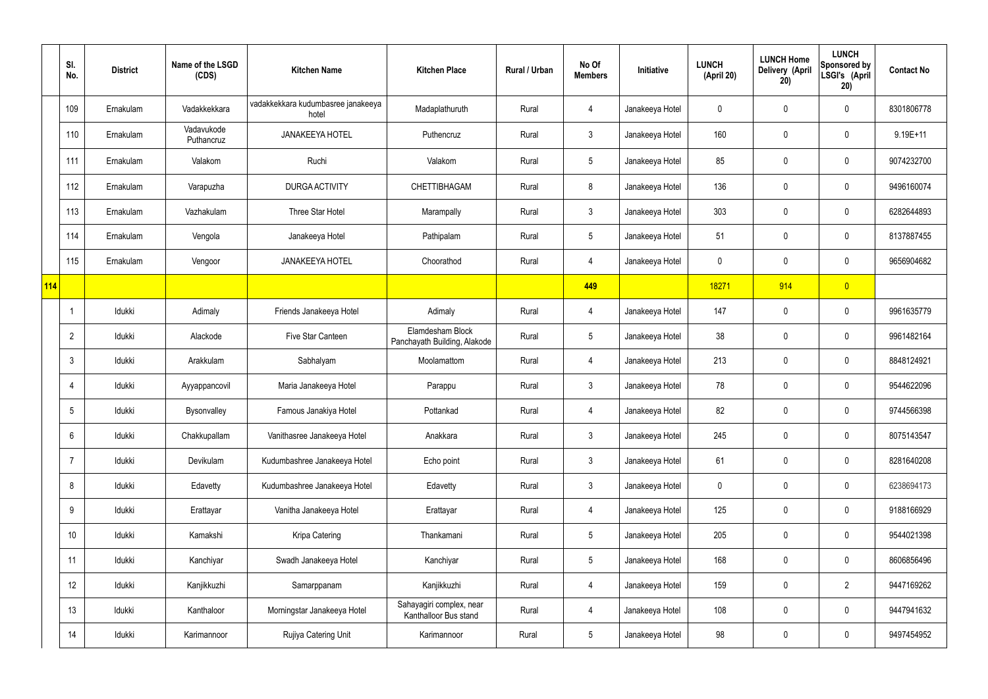|     | SI.<br>No.      | <b>District</b> | Name of the LSGD<br>(CDS) | <b>Kitchen Name</b>                         | <b>Kitchen Place</b>                              | Rural / Urban | No Of<br><b>Members</b> | Initiative      | <b>LUNCH</b><br>(April 20) | <b>LUNCH Home</b><br>Delivery (April<br>20) | <b>LUNCH</b><br><b>Sponsored by</b><br>LSGI's (April<br>20) | <b>Contact No</b> |
|-----|-----------------|-----------------|---------------------------|---------------------------------------------|---------------------------------------------------|---------------|-------------------------|-----------------|----------------------------|---------------------------------------------|-------------------------------------------------------------|-------------------|
|     | 109             | Ernakulam       | Vadakkekkara              | vadakkekkara kudumbasree janakeeya<br>hotel | Madaplathuruth                                    | Rural         | 4                       | Janakeeya Hotel | 0                          | 0                                           | $\pmb{0}$                                                   | 8301806778        |
|     | 110             | Ernakulam       | Vadavukode<br>Puthancruz  | <b>JANAKEEYA HOTEL</b>                      | Puthencruz                                        | Rural         | $\mathfrak{Z}$          | Janakeeya Hotel | 160                        | $\mathbf 0$                                 | $\pmb{0}$                                                   | $9.19E + 11$      |
|     | 111             | Ernakulam       | Valakom                   | Ruchi                                       | Valakom                                           | Rural         | $5\phantom{.0}$         | Janakeeya Hotel | 85                         | 0                                           | $\pmb{0}$                                                   | 9074232700        |
|     | 112             | Ernakulam       | Varapuzha                 | <b>DURGA ACTIVITY</b>                       | <b>CHETTIBHAGAM</b>                               | Rural         | 8                       | Janakeeya Hotel | 136                        | 0                                           | $\mathbf 0$                                                 | 9496160074        |
|     | 113             | Ernakulam       | Vazhakulam                | Three Star Hotel                            | Marampally                                        | Rural         | $\mathfrak{Z}$          | Janakeeya Hotel | 303                        | $\mathbf 0$                                 | $\pmb{0}$                                                   | 6282644893        |
|     | 114             | Ernakulam       | Vengola                   | Janakeeya Hotel                             | Pathipalam                                        | Rural         | $5\phantom{.0}$         | Janakeeya Hotel | 51                         | 0                                           | $\pmb{0}$                                                   | 8137887455        |
|     | 115             | Ernakulam       | Vengoor                   | <b>JANAKEEYA HOTEL</b>                      | Choorathod                                        | Rural         | 4                       | Janakeeya Hotel | $\mathbf 0$                | 0                                           | $\pmb{0}$                                                   | 9656904682        |
| 114 |                 |                 |                           |                                             |                                                   |               | 449                     |                 | 18271                      | 914                                         | $\overline{0}$                                              |                   |
|     | $\mathbf 1$     | Idukki          | Adimaly                   | Friends Janakeeya Hotel                     | Adimaly                                           | Rural         | $\overline{4}$          | Janakeeya Hotel | 147                        | $\mathbf 0$                                 | $\pmb{0}$                                                   | 9961635779        |
|     | $\overline{2}$  | Idukki          | Alackode                  | Five Star Canteen                           | Elamdesham Block<br>Panchayath Building, Alakode  | Rural         | $5\phantom{.0}$         | Janakeeya Hotel | 38                         | 0                                           | $\pmb{0}$                                                   | 9961482164        |
|     | $\mathbf{3}$    | Idukki          | Arakkulam                 | Sabhalyam                                   | Moolamattom                                       | Rural         | 4                       | Janakeeya Hotel | 213                        | 0                                           | $\pmb{0}$                                                   | 8848124921        |
|     | 4               | Idukki          | Ayyappancovil             | Maria Janakeeya Hotel                       | Parappu                                           | Rural         | $\mathfrak{Z}$          | Janakeeya Hotel | 78                         | 0                                           | $\pmb{0}$                                                   | 9544622096        |
|     | 5               | Idukki          | Bysonvalley               | Famous Janakiya Hotel                       | Pottankad                                         | Rural         | 4                       | Janakeeya Hotel | 82                         | 0                                           | $\mathbf 0$                                                 | 9744566398        |
|     | $6\phantom{.}6$ | Idukki          | Chakkupallam              | Vanithasree Janakeeya Hotel                 | Anakkara                                          | Rural         | $\mathbf{3}$            | Janakeeya Hotel | 245                        | 0                                           | $\mathbf 0$                                                 | 8075143547        |
|     | $\overline{7}$  | Idukki          | Devikulam                 | Kudumbashree Janakeeya Hotel                | Echo point                                        | Rural         | $\mathbf{3}$            | Janakeeya Hotel | 61                         | $\mathbf 0$                                 | $\mathbf 0$                                                 | 8281640208        |
|     | 8               | Idukki          | Edavetty                  | Kudumbashree Janakeeya Hotel                | Edavetty                                          | Rural         | $\mathbf{3}$            | Janakeeya Hotel | $\mathbf 0$                | $\pmb{0}$                                   | $\pmb{0}$                                                   | 6238694173        |
|     | $9\,$           | Idukki          | Erattayar                 | Vanitha Janakeeya Hotel                     | Erattayar                                         | Rural         | 4                       | Janakeeya Hotel | 125                        | $\pmb{0}$                                   | $\mathbf 0$                                                 | 9188166929        |
|     | 10              | Idukki          | Kamakshi                  | Kripa Catering                              | Thankamani                                        | Rural         | $5\phantom{.0}$         | Janakeeya Hotel | 205                        | $\pmb{0}$                                   | $\pmb{0}$                                                   | 9544021398        |
|     | 11              | Idukki          | Kanchiyar                 | Swadh Janakeeya Hotel                       | Kanchiyar                                         | Rural         | $5\phantom{.0}$         | Janakeeya Hotel | 168                        | $\pmb{0}$                                   | $\mathbf 0$                                                 | 8606856496        |
|     | 12              | Idukki          | Kanjikkuzhi               | Samarppanam                                 | Kanjikkuzhi                                       | Rural         | 4                       | Janakeeya Hotel | 159                        | $\pmb{0}$                                   | $\overline{2}$                                              | 9447169262        |
|     | 13              | Idukki          | Kanthaloor                | Morningstar Janakeeya Hotel                 | Sahayagiri complex, near<br>Kanthalloor Bus stand | Rural         | 4                       | Janakeeya Hotel | 108                        | $\pmb{0}$                                   | $\mathbf 0$                                                 | 9447941632        |
|     | 14              | Idukki          | Karimannoor               | Rujiya Catering Unit                        | Karimannoor                                       | Rural         | $\overline{5}$          | Janakeeya Hotel | 98                         | 0                                           | $\pmb{0}$                                                   | 9497454952        |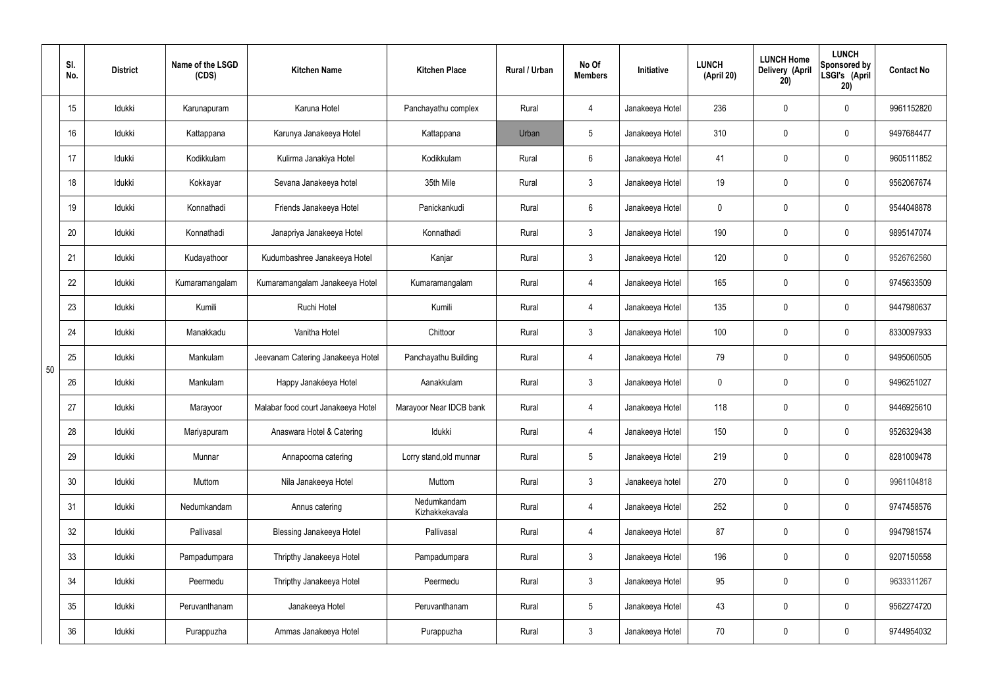|    | SI.<br>No. | <b>District</b> | Name of the LSGD<br>(CDS) | <b>Kitchen Name</b>                | <b>Kitchen Place</b>          | <b>Rural / Urban</b> | No Of<br><b>Members</b> | Initiative      | <b>LUNCH</b><br>(April 20) | <b>LUNCH Home</b><br>Delivery (April<br>20) | <b>LUNCH</b><br>Sponsored by<br>LSGI's (April<br>20) | <b>Contact No</b> |
|----|------------|-----------------|---------------------------|------------------------------------|-------------------------------|----------------------|-------------------------|-----------------|----------------------------|---------------------------------------------|------------------------------------------------------|-------------------|
|    | 15         | Idukki          | Karunapuram               | Karuna Hotel                       | Panchayathu complex           | Rural                | 4                       | Janakeeya Hotel | 236                        | $\mathbf 0$                                 | $\mathbf 0$                                          | 9961152820        |
|    | 16         | Idukki          | Kattappana                | Karunya Janakeeya Hotel            | Kattappana                    | Urban                | 5                       | Janakeeya Hotel | 310                        | $\pmb{0}$                                   | $\pmb{0}$                                            | 9497684477        |
|    | 17         | Idukki          | Kodikkulam                | Kulirma Janakiya Hotel             | Kodikkulam                    | Rural                | $6\phantom{.}$          | Janakeeya Hotel | 41                         | 0                                           | $\pmb{0}$                                            | 9605111852        |
|    | 18         | Idukki          | Kokkayar                  | Sevana Janakeeya hotel             | 35th Mile                     | Rural                | $\mathfrak{Z}$          | Janakeeya Hotel | 19                         | $\pmb{0}$                                   | $\pmb{0}$                                            | 9562067674        |
|    | 19         | Idukki          | Konnathadi                | Friends Janakeeya Hotel            | Panickankudi                  | Rural                | $6\overline{6}$         | Janakeeya Hotel | 0                          | 0                                           | $\pmb{0}$                                            | 9544048878        |
|    | 20         | Idukki          | Konnathadi                | Janapriya Janakeeya Hotel          | Konnathadi                    | Rural                | 3                       | Janakeeya Hotel | 190                        | $\mathbf 0$                                 | $\pmb{0}$                                            | 9895147074        |
|    | 21         | Idukki          | Kudayathoor               | Kudumbashree Janakeeya Hotel       | Kanjar                        | Rural                | $\mathbf{3}$            | Janakeeya Hotel | 120                        | $\mathbf 0$                                 | $\pmb{0}$                                            | 9526762560        |
|    | 22         | Idukki          | Kumaramangalam            | Kumaramangalam Janakeeya Hotel     | Kumaramangalam                | Rural                | 4                       | Janakeeya Hotel | 165                        | $\mathbf 0$                                 | $\pmb{0}$                                            | 9745633509        |
|    | 23         | Idukki          | Kumili                    | Ruchi Hotel                        | Kumili                        | Rural                | 4                       | Janakeeya Hotel | 135                        | $\mathbf 0$                                 | $\mathbf 0$                                          | 9447980637        |
|    | 24         | Idukki          | Manakkadu                 | Vanitha Hotel                      | Chittoor                      | Rural                | $\mathbf{3}$            | Janakeeya Hotel | 100                        | $\mathbf 0$                                 | $\pmb{0}$                                            | 8330097933        |
| 50 | 25         | Idukki          | Mankulam                  | Jeevanam Catering Janakeeya Hotel  | Panchayathu Building          | Rural                | 4                       | Janakeeya Hotel | 79                         | 0                                           | $\pmb{0}$                                            | 9495060505        |
|    | 26         | Idukki          | Mankulam                  | Happy Janakéeya Hotel              | Aanakkulam                    | Rural                | 3                       | Janakeeya Hotel | 0                          | 0                                           | $\pmb{0}$                                            | 9496251027        |
|    | 27         | Idukki          | Marayoor                  | Malabar food court Janakeeya Hotel | Marayoor Near IDCB bank       | Rural                | 4                       | Janakeeya Hotel | 118                        | $\mathbf 0$                                 | $\mathbf 0$                                          | 9446925610        |
|    | 28         | Idukki          | Mariyapuram               | Anaswara Hotel & Catering          | Idukki                        | Rural                | 4                       | Janakeeya Hotel | 150                        | $\mathbf 0$                                 | $\mathbf 0$                                          | 9526329438        |
|    | 29         | Idukki          | Munnar                    | Annapoorna catering                | Lorry stand, old munnar       | Rural                | 5 <sub>5</sub>          | Janakeeya Hotel | 219                        | $\mathbf 0$                                 | $\pmb{0}$                                            | 8281009478        |
|    | 30         | Idukki          | Muttom                    | Nila Janakeeya Hotel               | Muttom                        | Rural                | $\mathbf{3}$            | Janakeeya hotel | 270                        | $\mathbf 0$                                 | $\mathbf 0$                                          | 9961104818        |
|    | 31         | Idukki          | Nedumkandam               | Annus catering                     | Nedumkandam<br>Kizhakkekavala | Rural                | 4                       | Janakeeya Hotel | 252                        | $\mathbf 0$                                 | $\mathbf 0$                                          | 9747458576        |
|    | 32         | Idukki          | Pallivasal                | <b>Blessing Janakeeya Hotel</b>    | Pallivasal                    | Rural                | 4                       | Janakeeya Hotel | 87                         | $\mathbf 0$                                 | $\mathbf 0$                                          | 9947981574        |
|    | 33         | Idukki          | Pampadumpara              | Thripthy Janakeeya Hotel           | Pampadumpara                  | Rural                | $\mathbf{3}$            | Janakeeya Hotel | 196                        | $\mathbf 0$                                 | $\mathbf 0$                                          | 9207150558        |
|    | 34         | Idukki          | Peermedu                  | Thripthy Janakeeya Hotel           | Peermedu                      | Rural                | 3 <sup>1</sup>          | Janakeeya Hotel | 95                         | $\mathbf 0$                                 | $\mathbf 0$                                          | 9633311267        |
|    | 35         | Idukki          | Peruvanthanam             | Janakeeya Hotel                    | Peruvanthanam                 | Rural                | $5\phantom{.0}$         | Janakeeya Hotel | 43                         | $\mathbf 0$                                 | $\pmb{0}$                                            | 9562274720        |
|    | 36         | Idukki          | Purappuzha                | Ammas Janakeeya Hotel              | Purappuzha                    | Rural                | $\mathfrak{Z}$          | Janakeeya Hotel | 70                         | 0                                           | $\pmb{0}$                                            | 9744954032        |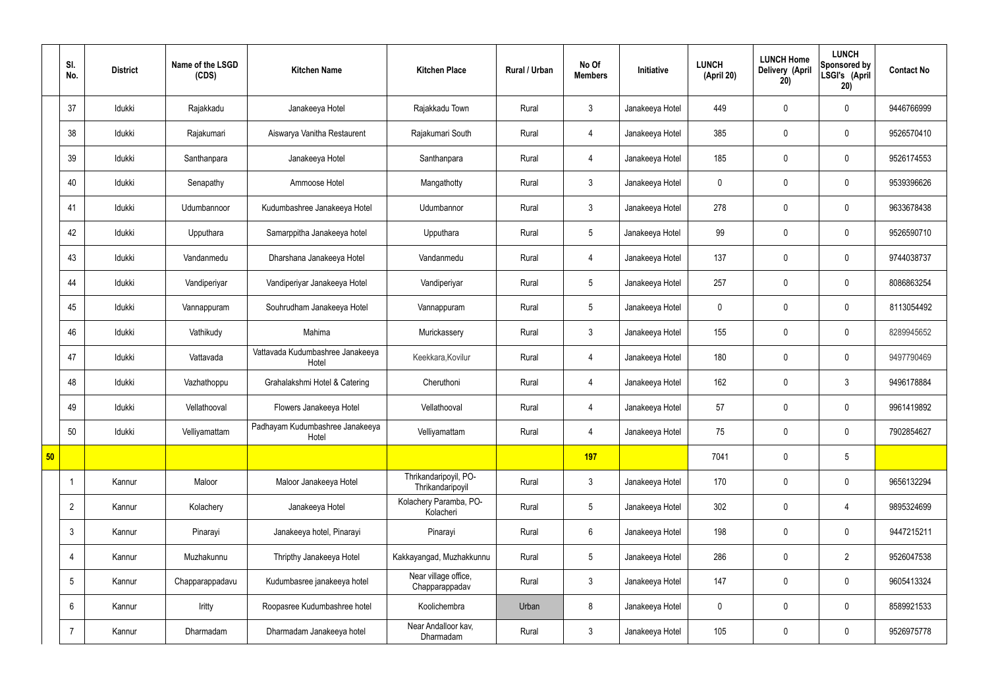|    | SI.<br>No.      | <b>District</b> | Name of the LSGD<br>(CDS) | <b>Kitchen Name</b>                       | <b>Kitchen Place</b>                      | Rural / Urban | No Of<br><b>Members</b> | Initiative      | <b>LUNCH</b><br>(April 20) | <b>LUNCH Home</b><br>Delivery (April<br>20) | <b>LUNCH</b><br>Sponsored by<br>LSGI's (April<br>20) | <b>Contact No</b> |
|----|-----------------|-----------------|---------------------------|-------------------------------------------|-------------------------------------------|---------------|-------------------------|-----------------|----------------------------|---------------------------------------------|------------------------------------------------------|-------------------|
|    | 37              | Idukki          | Rajakkadu                 | Janakeeya Hotel                           | Rajakkadu Town                            | Rural         | $\mathbf{3}$            | Janakeeya Hotel | 449                        | $\mathbf 0$                                 | $\mathbf 0$                                          | 9446766999        |
|    | 38              | Idukki          | Rajakumari                | Aiswarya Vanitha Restaurent               | Rajakumari South                          | Rural         | 4                       | Janakeeya Hotel | 385                        | $\mathbf 0$                                 | $\mathbf 0$                                          | 9526570410        |
|    | 39              | Idukki          | Santhanpara               | Janakeeya Hotel                           | Santhanpara                               | Rural         | $\overline{4}$          | Janakeeya Hotel | 185                        | $\mathbf 0$                                 | $\mathbf 0$                                          | 9526174553        |
|    | 40              | Idukki          | Senapathy                 | Ammoose Hotel                             | Mangathotty                               | Rural         | $\mathbf{3}$            | Janakeeya Hotel | $\mathbf 0$                | $\mathbf 0$                                 | $\mathbf 0$                                          | 9539396626        |
|    | 41              | Idukki          | Udumbannoor               | Kudumbashree Janakeeya Hotel              | Udumbannor                                | Rural         | $\mathbf{3}$            | Janakeeya Hotel | 278                        | $\mathbf 0$                                 | $\mathbf 0$                                          | 9633678438        |
|    | 42              | Idukki          | Upputhara                 | Samarppitha Janakeeya hotel               | Upputhara                                 | Rural         | $5\phantom{.0}$         | Janakeeya Hotel | 99                         | $\mathbf 0$                                 | $\mathbf 0$                                          | 9526590710        |
|    | 43              | Idukki          | Vandanmedu                | Dharshana Janakeeya Hotel                 | Vandanmedu                                | Rural         | $\overline{4}$          | Janakeeya Hotel | 137                        | $\mathbf 0$                                 | $\mathbf 0$                                          | 9744038737        |
|    | 44              | Idukki          | Vandiperiyar              | Vandiperiyar Janakeeya Hotel              | Vandiperiyar                              | Rural         | $5\overline{)}$         | Janakeeya Hotel | 257                        | $\mathbf 0$                                 | $\mathbf 0$                                          | 8086863254        |
|    | 45              | Idukki          | Vannappuram               | Souhrudham Janakeeya Hotel                | Vannappuram                               | Rural         | $5\phantom{.0}$         | Janakeeya Hotel | $\mathbf 0$                | $\mathbf 0$                                 | $\mathbf 0$                                          | 8113054492        |
|    | 46              | Idukki          | Vathikudy                 | Mahima                                    | Murickassery                              | Rural         | $\mathbf{3}$            | Janakeeya Hotel | 155                        | $\mathbf 0$                                 | $\mathbf 0$                                          | 8289945652        |
|    | 47              | Idukki          | Vattavada                 | Vattavada Kudumbashree Janakeeya<br>Hotel | Keekkara, Kovilur                         | Rural         | $\overline{4}$          | Janakeeya Hotel | 180                        | $\pmb{0}$                                   | $\mathbf 0$                                          | 9497790469        |
|    | 48              | Idukki          | Vazhathoppu               | Grahalakshmi Hotel & Catering             | Cheruthoni                                | Rural         | $\overline{4}$          | Janakeeya Hotel | 162                        | $\mathbf 0$                                 | $\mathbf{3}$                                         | 9496178884        |
|    | 49              | Idukki          | Vellathooval              | Flowers Janakeeya Hotel                   | Vellathooval                              | Rural         | $\overline{4}$          | Janakeeya Hotel | 57                         | $\mathbf 0$                                 | $\mathbf 0$                                          | 9961419892        |
|    | 50              | Idukki          | Velliyamattam             | Padhayam Kudumbashree Janakeeya<br>Hotel  | Velliyamattam                             | Rural         | $\overline{4}$          | Janakeeya Hotel | 75                         | $\mathbf 0$                                 | $\mathbf 0$                                          | 7902854627        |
| 50 |                 |                 |                           |                                           |                                           |               | 197                     |                 | 7041                       | $\pmb{0}$                                   | $5\phantom{.0}$                                      |                   |
|    |                 | Kannur          | Maloor                    | Maloor Janakeeya Hotel                    | Thrikandaripoyil, PO-<br>Thrikandaripoyil | Rural         | $\mathbf{3}$            | Janakeeya Hotel | 170                        | $\pmb{0}$                                   | $\mathbf 0$                                          | 9656132294        |
|    | $\overline{2}$  | Kannur          | Kolachery                 | Janakeeya Hotel                           | Kolachery Paramba, PO-<br>Kolacheri       | Rural         | $5\overline{)}$         | Janakeeya Hotel | 302                        | $\pmb{0}$                                   | $\overline{4}$                                       | 9895324699        |
|    | $\mathfrak{Z}$  | Kannur          | Pinarayi                  | Janakeeya hotel, Pinarayi                 | Pinarayi                                  | Rural         | $6\overline{6}$         | Janakeeya Hotel | 198                        | $\pmb{0}$                                   | $\mathbf 0$                                          | 9447215211        |
|    | 4               | Kannur          | Muzhakunnu                | Thripthy Janakeeya Hotel                  | Kakkayangad, Muzhakkunnu                  | Rural         | $5\phantom{.0}$         | Janakeeya Hotel | 286                        | $\pmb{0}$                                   | $\overline{2}$                                       | 9526047538        |
|    | $5\phantom{.0}$ | Kannur          | Chapparappadavu           | Kudumbasree janakeeya hotel               | Near village office,<br>Chapparappadav    | Rural         | $\mathbf{3}$            | Janakeeya Hotel | 147                        | $\pmb{0}$                                   | $\mathbf 0$                                          | 9605413324        |
|    | $6\phantom{.}$  | Kannur          | Iritty                    | Roopasree Kudumbashree hotel              | Koolichembra                              | Urban         | 8                       | Janakeeya Hotel | $\mathbf 0$                | $\pmb{0}$                                   | $\mathbf 0$                                          | 8589921533        |
|    | $\overline{7}$  | Kannur          | Dharmadam                 | Dharmadam Janakeeya hotel                 | Near Andalloor kav,<br>Dharmadam          | Rural         | $3\overline{3}$         | Janakeeya Hotel | 105                        | $\pmb{0}$                                   | $\boldsymbol{0}$                                     | 9526975778        |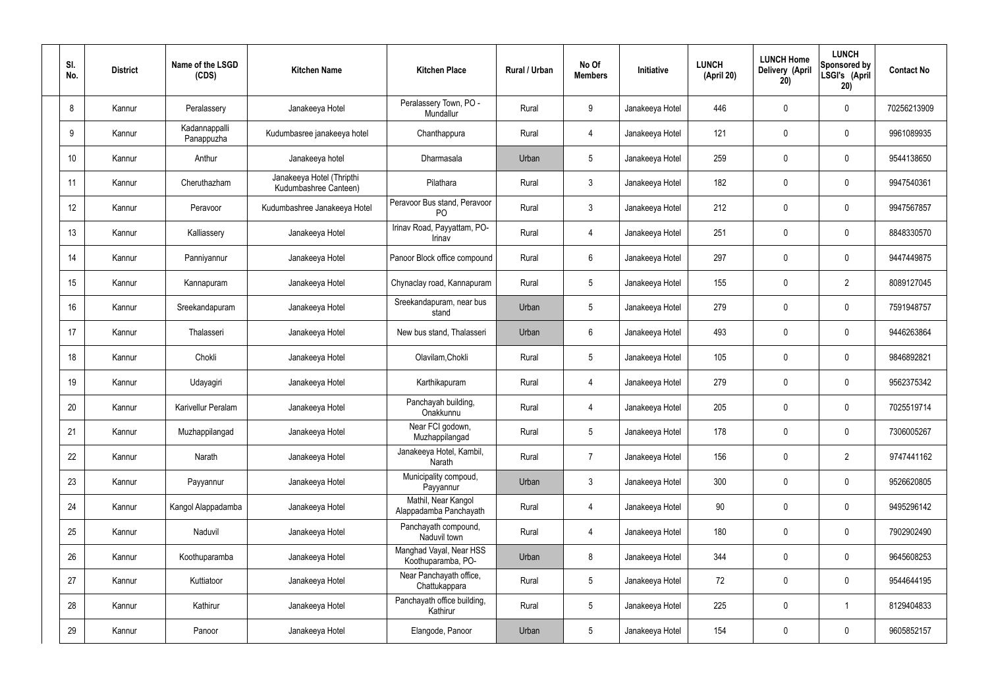| SI.<br>No. | <b>District</b> | Name of the LSGD<br>(CDS)   | <b>Kitchen Name</b>                                | <b>Kitchen Place</b>                           | Rural / Urban | No Of<br><b>Members</b> | Initiative      | <b>LUNCH</b><br>(April 20) | <b>LUNCH Home</b><br>Delivery (April<br>20) | <b>LUNCH</b><br>Sponsored by<br>LSGI's (April<br>20) | <b>Contact No</b> |
|------------|-----------------|-----------------------------|----------------------------------------------------|------------------------------------------------|---------------|-------------------------|-----------------|----------------------------|---------------------------------------------|------------------------------------------------------|-------------------|
| 8          | Kannur          | Peralassery                 | Janakeeya Hotel                                    | Peralassery Town, PO -<br>Mundallur            | Rural         | 9                       | Janakeeya Hotel | 446                        | 0                                           | $\mathbf 0$                                          | 70256213909       |
| 9          | Kannur          | Kadannappalli<br>Panappuzha | Kudumbasree janakeeya hotel                        | Chanthappura                                   | Rural         | $\overline{4}$          | Janakeeya Hotel | 121                        | 0                                           | $\mathbf 0$                                          | 9961089935        |
| 10         | Kannur          | Anthur                      | Janakeeya hotel                                    | <b>Dharmasala</b>                              | Urban         | $5\phantom{.0}$         | Janakeeya Hotel | 259                        | 0                                           | $\mathbf 0$                                          | 9544138650        |
| 11         | Kannur          | Cheruthazham                | Janakeeya Hotel (Thripthi<br>Kudumbashree Canteen) | Pilathara                                      | Rural         | $\mathbf{3}$            | Janakeeya Hotel | 182                        | 0                                           | $\mathbf 0$                                          | 9947540361        |
| 12         | Kannur          | Peravoor                    | Kudumbashree Janakeeya Hotel                       | Peravoor Bus stand, Peravoor<br>P <sub>O</sub> | Rural         | $\mathbf{3}$            | Janakeeya Hotel | 212                        | 0                                           | $\mathbf 0$                                          | 9947567857        |
| 13         | Kannur          | Kalliassery                 | Janakeeya Hotel                                    | Irinav Road, Payyattam, PO-<br>Irinav          | Rural         | $\overline{4}$          | Janakeeya Hotel | 251                        | 0                                           | $\mathbf 0$                                          | 8848330570        |
| 14         | Kannur          | Panniyannur                 | Janakeeya Hotel                                    | Panoor Block office compound                   | Rural         | $6\phantom{.}6$         | Janakeeya Hotel | 297                        | 0                                           | $\mathbf 0$                                          | 9447449875        |
| 15         | Kannur          | Kannapuram                  | Janakeeya Hotel                                    | Chynaclay road, Kannapuram                     | Rural         | $5\phantom{.0}$         | Janakeeya Hotel | 155                        | 0                                           | $\overline{2}$                                       | 8089127045        |
| 16         | Kannur          | Sreekandapuram              | Janakeeya Hotel                                    | Sreekandapuram, near bus<br>stand              | Urban         | $5\phantom{.0}$         | Janakeeya Hotel | 279                        | 0                                           | $\mathbf 0$                                          | 7591948757        |
| 17         | Kannur          | Thalasseri                  | Janakeeya Hotel                                    | New bus stand, Thalasseri                      | Urban         | $6\phantom{.}6$         | Janakeeya Hotel | 493                        | 0                                           | $\mathbf 0$                                          | 9446263864        |
| 18         | Kannur          | Chokli                      | Janakeeya Hotel                                    | Olavilam, Chokli                               | Rural         | $5\phantom{.0}$         | Janakeeya Hotel | 105                        | 0                                           | $\mathbf 0$                                          | 9846892821        |
| 19         | Kannur          | Udayagiri                   | Janakeeya Hotel                                    | Karthikapuram                                  | Rural         | $\overline{4}$          | Janakeeya Hotel | 279                        | 0                                           | $\mathbf 0$                                          | 9562375342        |
| 20         | Kannur          | Karivellur Peralam          | Janakeeya Hotel                                    | Panchayah building,<br>Onakkunnu               | Rural         | 4                       | Janakeeya Hotel | 205                        | 0                                           | 0                                                    | 7025519714        |
| 21         | Kannur          | Muzhappilangad              | Janakeeya Hotel                                    | Near FCI godown,<br>Muzhappilangad             | Rural         | $5\phantom{.0}$         | Janakeeya Hotel | 178                        | $\mathbf 0$                                 | $\mathbf 0$                                          | 7306005267        |
| 22         | Kannur          | Narath                      | Janakeeya Hotel                                    | Janakeeya Hotel, Kambil,<br>Narath             | Rural         | $\overline{7}$          | Janakeeya Hotel | 156                        | $\mathsf{0}$                                | $\overline{2}$                                       | 9747441162        |
| 23         | Kannur          | Payyannur                   | Janakeeya Hotel                                    | Municipality compoud,<br>Payyannur             | Urban         | $\mathbf{3}$            | Janakeeya Hotel | 300                        | $\mathbf 0$                                 | $\mathbf 0$                                          | 9526620805        |
| 24         | Kannur          | Kangol Alappadamba          | Janakeeya Hotel                                    | Mathil, Near Kangol<br>Alappadamba Panchayath  | Rural         | $\overline{4}$          | Janakeeya Hotel | 90                         | 0                                           | $\mathbf 0$                                          | 9495296142        |
| 25         | Kannur          | Naduvil                     | Janakeeya Hotel                                    | Panchayath compound,<br>Naduvil town           | Rural         | $\overline{4}$          | Janakeeya Hotel | 180                        | 0                                           | $\mathbf 0$                                          | 7902902490        |
| 26         | Kannur          | Koothuparamba               | Janakeeya Hotel                                    | Manghad Vayal, Near HSS<br>Koothuparamba, PO-  | Urban         | 8                       | Janakeeya Hotel | 344                        | 0                                           | $\mathbf 0$                                          | 9645608253        |
| 27         | Kannur          | Kuttiatoor                  | Janakeeya Hotel                                    | Near Panchayath office,<br>Chattukappara       | Rural         | $5\phantom{.0}$         | Janakeeya Hotel | 72                         | 0                                           | $\mathbf 0$                                          | 9544644195        |
| 28         | Kannur          | Kathirur                    | Janakeeya Hotel                                    | Panchayath office building,<br>Kathirur        | Rural         | $5\phantom{.0}$         | Janakeeya Hotel | 225                        | $\mathsf{0}$                                | $\mathbf 1$                                          | 8129404833        |
| 29         | Kannur          | Panoor                      | Janakeeya Hotel                                    | Elangode, Panoor                               | Urban         | $5\phantom{.0}$         | Janakeeya Hotel | 154                        | 0                                           | $\mathbf 0$                                          | 9605852157        |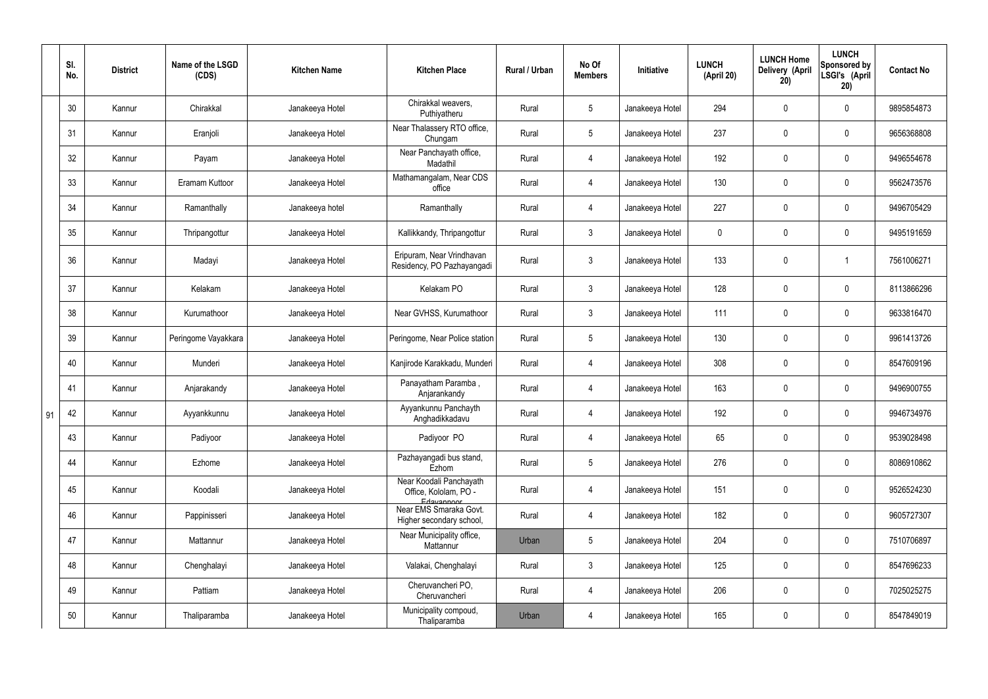|    | SI.<br>No. | <b>District</b> | Name of the LSGD<br>(CDS) | <b>Kitchen Name</b> | <b>Kitchen Place</b>                                           | Rural / Urban | No Of<br><b>Members</b> | Initiative      | <b>LUNCH</b><br>(April 20) | <b>LUNCH Home</b><br>Delivery (April<br>20) | <b>LUNCH</b><br>Sponsored by<br>LSGI's (April<br>20) | <b>Contact No</b> |
|----|------------|-----------------|---------------------------|---------------------|----------------------------------------------------------------|---------------|-------------------------|-----------------|----------------------------|---------------------------------------------|------------------------------------------------------|-------------------|
|    | 30         | Kannur          | Chirakkal                 | Janakeeya Hotel     | Chirakkal weavers,<br>Puthiyatheru                             | Rural         | $5\phantom{.0}$         | Janakeeya Hotel | 294                        | 0                                           | $\mathbf 0$                                          | 9895854873        |
|    | 31         | Kannur          | Eranjoli                  | Janakeeya Hotel     | Near Thalassery RTO office,<br>Chungam                         | Rural         | $5\phantom{.0}$         | Janakeeya Hotel | 237                        | $\mathbf 0$                                 | $\overline{0}$                                       | 9656368808        |
|    | 32         | Kannur          | Payam                     | Janakeeya Hotel     | Near Panchayath office,<br>Madathil                            | Rural         | 4                       | Janakeeya Hotel | 192                        | $\mathbf 0$                                 | $\mathbf 0$                                          | 9496554678        |
|    | 33         | Kannur          | Eramam Kuttoor            | Janakeeya Hotel     | Mathamangalam, Near CDS<br>office                              | Rural         | $\overline{4}$          | Janakeeya Hotel | 130                        | $\mathbf 0$                                 | $\overline{0}$                                       | 9562473576        |
|    | 34         | Kannur          | Ramanthally               | Janakeeya hotel     | Ramanthally                                                    | Rural         | 4                       | Janakeeya Hotel | 227                        | $\mathbf 0$                                 | $\mathbf 0$                                          | 9496705429        |
|    | 35         | Kannur          | Thripangottur             | Janakeeya Hotel     | Kallikkandy, Thripangottur                                     | Rural         | $\mathbf{3}$            | Janakeeya Hotel | $\mathbf 0$                | $\mathbf 0$                                 | $\overline{0}$                                       | 9495191659        |
|    | 36         | Kannur          | Madayi                    | Janakeeya Hotel     | Eripuram, Near Vrindhavan<br>Residency, PO Pazhayangadi        | Rural         | $\mathbf{3}$            | Janakeeya Hotel | 133                        | $\pmb{0}$                                   |                                                      | 7561006271        |
|    | 37         | Kannur          | Kelakam                   | Janakeeya Hotel     | Kelakam PO                                                     | Rural         | $\mathbf{3}$            | Janakeeya Hotel | 128                        | 0                                           | $\mathbf 0$                                          | 8113866296        |
|    | 38         | Kannur          | Kurumathoor               | Janakeeya Hotel     | Near GVHSS, Kurumathoor                                        | Rural         | $\mathbf{3}$            | Janakeeya Hotel | 111                        | $\mathbf 0$                                 | $\mathbf 0$                                          | 9633816470        |
|    | 39         | Kannur          | Peringome Vayakkara       | Janakeeya Hotel     | Peringome, Near Police station                                 | Rural         | $5\overline{)}$         | Janakeeya Hotel | 130                        | 0                                           | $\mathbf 0$                                          | 9961413726        |
|    | 40         | Kannur          | Munderi                   | Janakeeya Hotel     | Kanjirode Karakkadu, Munderi                                   | Rural         | 4                       | Janakeeya Hotel | 308                        | 0                                           | $\mathbf 0$                                          | 8547609196        |
|    | 41         | Kannur          | Anjarakandy               | Janakeeya Hotel     | Panayatham Paramba,<br>Anjarankandy                            | Rural         | $\overline{4}$          | Janakeeya Hotel | 163                        | 0                                           | $\overline{0}$                                       | 9496900755        |
| 91 | 42         | Kannur          | Ayyankkunnu               | Janakeeya Hotel     | Ayyankunnu Panchayth<br>Anghadikkadavu                         | Rural         | 4                       | Janakeeya Hotel | 192                        | 0                                           | 0                                                    | 9946734976        |
|    | 43         | Kannur          | Padiyoor                  | Janakeeya Hotel     | Padiyoor PO                                                    | Rural         | $\overline{4}$          | Janakeeya Hotel | 65                         | 0                                           | $\mathbf 0$                                          | 9539028498        |
|    | 44         | Kannur          | Ezhome                    | Janakeeya Hotel     | Pazhayangadi bus stand,<br>Ezhom                               | Rural         | $5\phantom{.0}$         | Janakeeya Hotel | 276                        | 0                                           | $\mathbf 0$                                          | 8086910862        |
|    | 45         | Kannur          | Koodali                   | Janakeeya Hotel     | Near Koodali Panchayath<br>Office, Kololam, PO -<br>Edavannoor | Rural         | $\overline{4}$          | Janakeeya Hotel | 151                        | $\pmb{0}$                                   | $\mathbf 0$                                          | 9526524230        |
|    | 46         | Kannur          | Pappinisseri              | Janakeeya Hotel     | Near EMS Smaraka Govt.<br>Higher secondary school,             | Rural         | 4                       | Janakeeya Hotel | 182                        | $\pmb{0}$                                   | $\mathbf 0$                                          | 9605727307        |
|    | 47         | Kannur          | Mattannur                 | Janakeeya Hotel     | Near Municipality office,<br>Mattannur                         | Urban         | $5\phantom{.0}$         | Janakeeya Hotel | 204                        | 0                                           | $\mathbf 0$                                          | 7510706897        |
|    | 48         | Kannur          | Chenghalayi               | Janakeeya Hotel     | Valakai, Chenghalayi                                           | Rural         | $\mathbf{3}$            | Janakeeya Hotel | 125                        | $\pmb{0}$                                   | $\mathbf 0$                                          | 8547696233        |
|    | 49         | Kannur          | Pattiam                   | Janakeeya Hotel     | Cheruvancheri PO,<br>Cheruvancheri                             | Rural         | $\overline{4}$          | Janakeeya Hotel | 206                        | 0                                           | $\mathbf 0$                                          | 7025025275        |
|    | 50         | Kannur          | Thaliparamba              | Janakeeya Hotel     | Municipality compoud,<br>Thaliparamba                          | Urban         | 4                       | Janakeeya Hotel | 165                        | 0                                           | $\boldsymbol{0}$                                     | 8547849019        |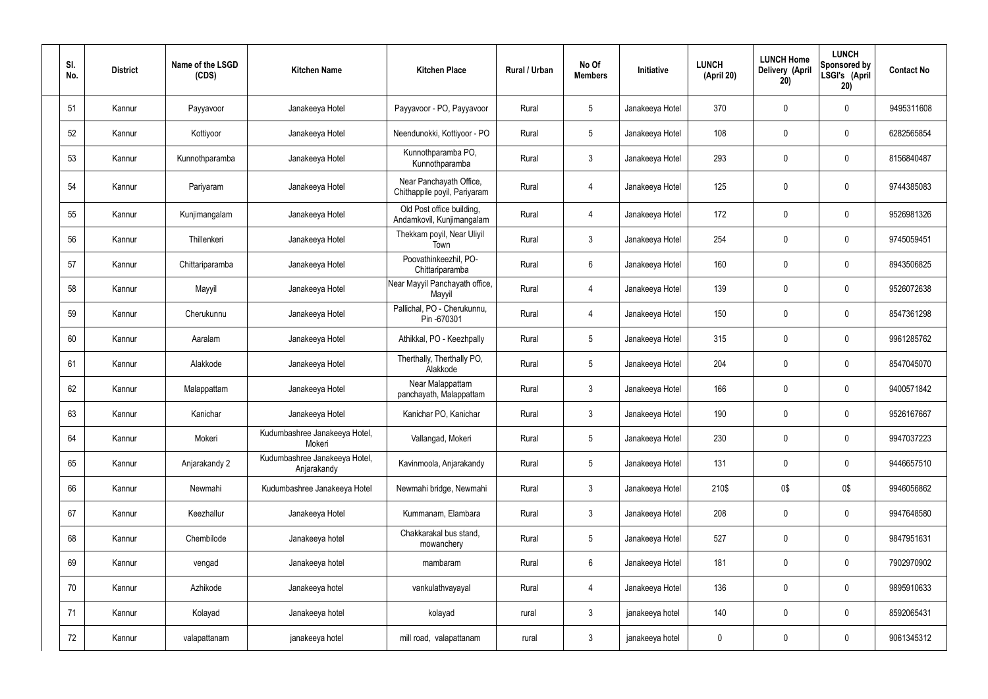| SI.<br>No. | <b>District</b> | Name of the LSGD<br>(CDS) | <b>Kitchen Name</b>                          | <b>Kitchen Place</b>                                    | Rural / Urban | No Of<br><b>Members</b> | Initiative      | <b>LUNCH</b><br>(April 20) | <b>LUNCH Home</b><br><b>Delivery (April</b><br>20) | <b>LUNCH</b><br>Sponsored by<br>LSGI's (April<br>20) | <b>Contact No</b> |
|------------|-----------------|---------------------------|----------------------------------------------|---------------------------------------------------------|---------------|-------------------------|-----------------|----------------------------|----------------------------------------------------|------------------------------------------------------|-------------------|
| 51         | Kannur          | Payyavoor                 | Janakeeya Hotel                              | Payyavoor - PO, Payyavoor                               | Rural         | $5\overline{)}$         | Janakeeya Hotel | 370                        | 0                                                  | $\mathbf 0$                                          | 9495311608        |
| 52         | Kannur          | Kottiyoor                 | Janakeeya Hotel                              | Neendunokki, Kottiyoor - PO                             | Rural         | $5\phantom{.0}$         | Janakeeya Hotel | 108                        | 0                                                  | $\mathbf 0$                                          | 6282565854        |
| 53         | Kannur          | Kunnothparamba            | Janakeeya Hotel                              | Kunnothparamba PO,<br>Kunnothparamba                    | Rural         | $\mathbf{3}$            | Janakeeya Hotel | 293                        | 0                                                  | $\mathbf 0$                                          | 8156840487        |
| 54         | Kannur          | Pariyaram                 | Janakeeya Hotel                              | Near Panchayath Office,<br>Chithappile poyil, Pariyaram | Rural         | 4                       | Janakeeya Hotel | 125                        | 0                                                  | $\mathbf 0$                                          | 9744385083        |
| 55         | Kannur          | Kunjimangalam             | Janakeeya Hotel                              | Old Post office building,<br>Andamkovil, Kunjimangalam  | Rural         | 4                       | Janakeeya Hotel | 172                        | $\mathbf 0$                                        | $\mathbf 0$                                          | 9526981326        |
| 56         | Kannur          | Thillenkeri               | Janakeeya Hotel                              | Thekkam poyil, Near Uliyil<br>Town                      | Rural         | $\mathbf{3}$            | Janakeeya Hotel | 254                        | 0                                                  | $\mathbf 0$                                          | 9745059451        |
| 57         | Kannur          | Chittariparamba           | Janakeeya Hotel                              | Poovathinkeezhil, PO-<br>Chittariparamba                | Rural         | $6\overline{6}$         | Janakeeya Hotel | 160                        | 0                                                  | $\mathbf 0$                                          | 8943506825        |
| 58         | Kannur          | Mayyil                    | Janakeeya Hotel                              | Near Mayyil Panchayath office,<br>Mayyil                | Rural         | $\overline{4}$          | Janakeeya Hotel | 139                        | 0                                                  | $\mathbf 0$                                          | 9526072638        |
| 59         | Kannur          | Cherukunnu                | Janakeeya Hotel                              | Pallichal, PO - Cherukunnu,<br>Pin -670301              | Rural         | 4                       | Janakeeya Hotel | 150                        | 0                                                  | $\mathbf 0$                                          | 8547361298        |
| 60         | Kannur          | Aaralam                   | Janakeeya Hotel                              | Athikkal, PO - Keezhpally                               | Rural         | $5\overline{)}$         | Janakeeya Hotel | 315                        | 0                                                  | $\mathbf 0$                                          | 9961285762        |
| 61         | Kannur          | Alakkode                  | Janakeeya Hotel                              | Therthally, Therthally PO,<br>Alakkode                  | Rural         | $5\overline{)}$         | Janakeeya Hotel | 204                        | 0                                                  | $\mathbf 0$                                          | 8547045070        |
| 62         | Kannur          | Malappattam               | Janakeeya Hotel                              | Near Malappattam<br>panchayath, Malappattam             | Rural         | $\mathbf{3}$            | Janakeeya Hotel | 166                        | 0                                                  | $\overline{0}$                                       | 9400571842        |
| 63         | Kannur          | Kanichar                  | Janakeeya Hotel                              | Kanichar PO, Kanichar                                   | Rural         | 3                       | Janakeeya Hotel | 190                        | 0                                                  | 0                                                    | 9526167667        |
| 64         | Kannur          | Mokeri                    | Kudumbashree Janakeeya Hotel,<br>Mokeri      | Vallangad, Mokeri                                       | Rural         | $5\phantom{.0}$         | Janakeeya Hotel | 230                        | 0                                                  | $\mathbf 0$                                          | 9947037223        |
| 65         | Kannur          | Anjarakandy 2             | Kudumbashree Janakeeya Hotel,<br>Anjarakandy | Kavinmoola, Anjarakandy                                 | Rural         | 5 <sub>5</sub>          | Janakeeya Hotel | 131                        | 0                                                  | $\mathbf 0$                                          | 9446657510        |
| 66         | Kannur          | Newmahi                   | Kudumbashree Janakeeya Hotel                 | Newmahi bridge, Newmahi                                 | Rural         | $\mathbf{3}$            | Janakeeya Hotel | 210\$                      | 0\$                                                | 0\$                                                  | 9946056862        |
| 67         | Kannur          | Keezhallur                | Janakeeya Hotel                              | Kummanam, Elambara                                      | Rural         | $\mathbf{3}$            | Janakeeya Hotel | 208                        | 0                                                  | $\mathbf 0$                                          | 9947648580        |
| 68         | Kannur          | Chembilode                | Janakeeya hotel                              | Chakkarakal bus stand,<br>mowanchery                    | Rural         | $5\phantom{.0}$         | Janakeeya Hotel | 527                        | 0                                                  | $\mathbf 0$                                          | 9847951631        |
| 69         | Kannur          | vengad                    | Janakeeya hotel                              | mambaram                                                | Rural         | $6\overline{6}$         | Janakeeya Hotel | 181                        | 0                                                  | $\mathbf 0$                                          | 7902970902        |
| 70         | Kannur          | Azhikode                  | Janakeeya hotel                              | vankulathvayayal                                        | Rural         | 4                       | Janakeeya Hotel | 136                        | 0                                                  | $\mathbf 0$                                          | 9895910633        |
| 71         | Kannur          | Kolayad                   | Janakeeya hotel                              | kolayad                                                 | rural         | $\mathbf{3}$            | janakeeya hotel | 140                        | 0                                                  | $\boldsymbol{0}$                                     | 8592065431        |
| 72         | Kannur          | valapattanam              | janakeeya hotel                              | mill road, valapattanam                                 | rural         | $\mathbf{3}$            | janakeeya hotel | $\pmb{0}$                  | 0                                                  | $\boldsymbol{0}$                                     | 9061345312        |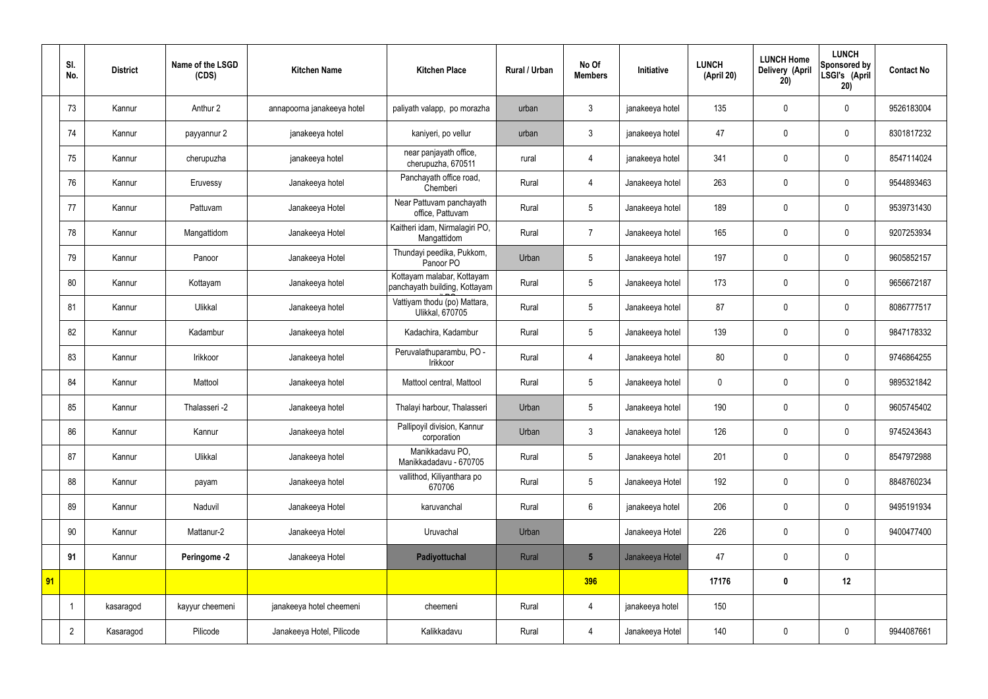|    | SI.<br>No.     | <b>District</b> | Name of the LSGD<br>(CDS) | <b>Kitchen Name</b>        | <b>Kitchen Place</b>                                        | <b>Rural / Urban</b> | No Of<br><b>Members</b> | Initiative      | <b>LUNCH</b><br>(April 20) | <b>LUNCH Home</b><br>Delivery (April<br>20) | <b>LUNCH</b><br>Sponsored by<br>LSGI's (April<br>20) | <b>Contact No</b> |
|----|----------------|-----------------|---------------------------|----------------------------|-------------------------------------------------------------|----------------------|-------------------------|-----------------|----------------------------|---------------------------------------------|------------------------------------------------------|-------------------|
|    | 73             | Kannur          | Anthur 2                  | annapoorna janakeeya hotel | paliyath valapp, po morazha                                 | urban                | 3                       | janakeeya hotel | 135                        | $\mathbf 0$                                 | $\mathbf 0$                                          | 9526183004        |
|    | 74             | Kannur          | payyannur 2               | janakeeya hotel            | kaniyeri, po vellur                                         | urban                | $\mathbf{3}$            | janakeeya hotel | 47                         | $\mathbf 0$                                 | $\mathbf 0$                                          | 8301817232        |
|    | 75             | Kannur          | cherupuzha                | janakeeya hotel            | near panjayath office,<br>cherupuzha, 670511                | rural                | 4                       | janakeeya hotel | 341                        | $\mathbf 0$                                 | $\mathbf 0$                                          | 8547114024        |
|    | 76             | Kannur          | Eruvessy                  | Janakeeya hotel            | Panchayath office road,<br>Chemberi                         | Rural                | 4                       | Janakeeya hotel | 263                        | $\mathbf 0$                                 | $\mathbf 0$                                          | 9544893463        |
|    | 77             | Kannur          | Pattuvam                  | Janakeeya Hotel            | Near Pattuvam panchayath<br>office, Pattuvam                | Rural                | 5                       | Janakeeya hotel | 189                        | $\mathbf 0$                                 | $\mathbf 0$                                          | 9539731430        |
|    | 78             | Kannur          | Mangattidom               | Janakeeya Hotel            | Kaitheri idam, Nirmalagiri PO,<br>Mangattidom               | Rural                | $\overline{7}$          | Janakeeya hotel | 165                        | $\mathbf 0$                                 | $\mathbf 0$                                          | 9207253934        |
|    | 79             | Kannur          | Panoor                    | Janakeeya Hotel            | Thundayi peedika, Pukkom,<br>Panoor PO                      | Urban                | 5                       | Janakeeya hotel | 197                        | $\mathbf 0$                                 | $\mathbf 0$                                          | 9605852157        |
|    | 80             | Kannur          | Kottayam                  | Janakeeya hotel            | Kottayam malabar, Kottayam<br>panchayath building, Kottayam | Rural                | 5                       | Janakeeya hotel | 173                        | $\mathbf 0$                                 | $\mathbf 0$                                          | 9656672187        |
|    | 81             | Kannur          | Ulikkal                   | Janakeeya hotel            | Vattiyam thodu (po) Mattara,<br>Ulikkal, 670705             | Rural                | 5                       | Janakeeya hotel | 87                         | $\mathbf 0$                                 | $\mathbf 0$                                          | 8086777517        |
|    | 82             | Kannur          | Kadambur                  | Janakeeya hotel            | Kadachira, Kadambur                                         | Rural                | 5                       | Janakeeya hotel | 139                        | $\mathbf 0$                                 | $\mathbf 0$                                          | 9847178332        |
|    | 83             | Kannur          | Irikkoor                  | Janakeeya hotel            | Peruvalathuparambu, PO -<br>Irikkoor                        | Rural                | $\overline{4}$          | Janakeeya hotel | 80                         | $\mathbf 0$                                 | $\mathbf 0$                                          | 9746864255        |
|    | 84             | Kannur          | Mattool                   | Janakeeya hotel            | Mattool central, Mattool                                    | Rural                | 5                       | Janakeeya hotel | $\boldsymbol{0}$           | $\mathbf 0$                                 | $\mathbf 0$                                          | 9895321842        |
|    | 85             | Kannur          | Thalasseri -2             | Janakeeya hotel            | Thalayi harbour, Thalasseri                                 | Urban                | 5                       | Janakeeya hotel | 190                        | $\mathbf 0$                                 | $\mathbf 0$                                          | 9605745402        |
|    | 86             | Kannur          | Kannur                    | Janakeeya hotel            | Pallipoyil division, Kannur<br>corporation                  | Urban                | $\mathfrak{Z}$          | Janakeeya hotel | 126                        | $\pmb{0}$                                   | $\mathbf 0$                                          | 9745243643        |
|    | 87             | Kannur          | Ulikkal                   | Janakeeya hotel            | Manikkadavu PO,<br>Manikkadadavu - 670705                   | Rural                | 5                       | Janakeeya hotel | 201                        | $\pmb{0}$                                   | $\mathbf 0$                                          | 8547972988        |
|    | 88             | Kannur          | payam                     | Janakeeya hotel            | vallithod, Kiliyanthara po<br>670706                        | Rural                | 5                       | Janakeeya Hotel | 192                        | $\pmb{0}$                                   | $\mathbf 0$                                          | 8848760234        |
|    | 89             | Kannur          | Naduvil                   | Janakeeya Hotel            | karuvanchal                                                 | Rural                | $6\overline{6}$         | janakeeya hotel | 206                        | $\pmb{0}$                                   | $\mathbf 0$                                          | 9495191934        |
|    | 90             | Kannur          | Mattanur-2                | Janakeeya Hotel            | Uruvachal                                                   | Urban                |                         | Janakeeya Hotel | 226                        | $\pmb{0}$                                   | $\mathbf 0$                                          | 9400477400        |
|    | 91             | Kannur          | Peringome -2              | Janakeeya Hotel            | Padiyottuchal                                               | Rural                | $5\overline{)}$         | Janakeeya Hotel | 47                         | $\pmb{0}$                                   | $\mathbf 0$                                          |                   |
| 91 |                |                 |                           |                            |                                                             |                      | 396                     |                 | 17176                      | $\pmb{0}$                                   | 12                                                   |                   |
|    |                | kasaragod       | kayyur cheemeni           | janakeeya hotel cheemeni   | cheemeni                                                    | Rural                | 4                       | janakeeya hotel | 150                        |                                             |                                                      |                   |
|    | $\overline{2}$ | Kasaragod       | Pilicode                  | Janakeeya Hotel, Pilicode  | Kalikkadavu                                                 | Rural                | 4                       | Janakeeya Hotel | 140                        | $\pmb{0}$                                   | $\mathbf 0$                                          | 9944087661        |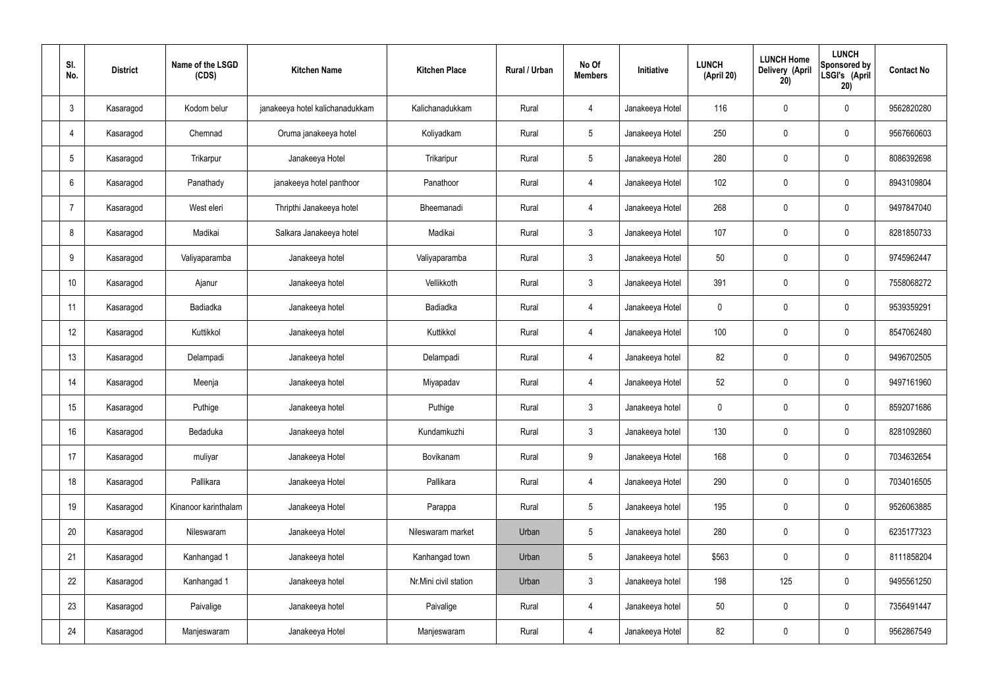| SI.<br>No.      | <b>District</b> | Name of the LSGD<br>(CDS) | <b>Kitchen Name</b>             | <b>Kitchen Place</b>  | <b>Rural / Urban</b> | No Of<br><b>Members</b> | Initiative      | <b>LUNCH</b><br>(April 20) | <b>LUNCH Home</b><br>Delivery (April<br>20) | <b>LUNCH</b><br>Sponsored by<br>LSGI's (April<br>20) | <b>Contact No</b> |
|-----------------|-----------------|---------------------------|---------------------------------|-----------------------|----------------------|-------------------------|-----------------|----------------------------|---------------------------------------------|------------------------------------------------------|-------------------|
| $\mathbf{3}$    | Kasaragod       | Kodom belur               | janakeeya hotel kalichanadukkam | Kalichanadukkam       | Rural                | $\overline{4}$          | Janakeeya Hotel | 116                        | $\mathbf 0$                                 | $\mathbf 0$                                          | 9562820280        |
| $\overline{4}$  | Kasaragod       | Chemnad                   | Oruma janakeeya hotel           | Koliyadkam            | Rural                | 5                       | Janakeeya Hotel | 250                        | $\mathbf 0$                                 | $\mathbf 0$                                          | 9567660603        |
| $5\phantom{.0}$ | Kasaragod       | Trikarpur                 | Janakeeya Hotel                 | Trikaripur            | Rural                | $5\phantom{.0}$         | Janakeeya Hotel | 280                        | $\mathbf 0$                                 | $\mathbf 0$                                          | 8086392698        |
| 6               | Kasaragod       | Panathady                 | janakeeya hotel panthoor        | Panathoor             | Rural                | $\overline{4}$          | Janakeeya Hotel | 102                        | $\mathbf 0$                                 | $\mathbf 0$                                          | 8943109804        |
| 7               | Kasaragod       | West eleri                | Thripthi Janakeeya hotel        | Bheemanadi            | Rural                | $\overline{4}$          | Janakeeya Hotel | 268                        | $\mathbf 0$                                 | $\mathbf 0$                                          | 9497847040        |
| 8               | Kasaragod       | Madikai                   | Salkara Janakeeya hotel         | Madikai               | Rural                | $\mathbf{3}$            | Janakeeya Hotel | 107                        | $\pmb{0}$                                   | $\mathbf 0$                                          | 8281850733        |
| 9               | Kasaragod       | Valiyaparamba             | Janakeeya hotel                 | Valiyaparamba         | Rural                | $\mathbf{3}$            | Janakeeya Hotel | 50                         | $\mathbf 0$                                 | $\mathbf 0$                                          | 9745962447        |
| 10              | Kasaragod       | Ajanur                    | Janakeeya hotel                 | Vellikkoth            | Rural                | $\mathbf{3}$            | Janakeeya Hotel | 391                        | $\mathbf 0$                                 | $\mathbf 0$                                          | 7558068272        |
| 11              | Kasaragod       | Badiadka                  | Janakeeya hotel                 | Badiadka              | Rural                | $\overline{4}$          | Janakeeya Hotel | $\mathbf 0$                | $\mathbf 0$                                 | $\mathbf 0$                                          | 9539359291        |
| 12              | Kasaragod       | Kuttikkol                 | Janakeeya hotel                 | Kuttikkol             | Rural                | $\overline{4}$          | Janakeeya Hotel | 100                        | $\mathbf 0$                                 | $\mathbf 0$                                          | 8547062480        |
| 13              | Kasaragod       | Delampadi                 | Janakeeya hotel                 | Delampadi             | Rural                | $\overline{4}$          | Janakeeya hotel | 82                         | $\pmb{0}$                                   | $\mathbf 0$                                          | 9496702505        |
| 14              | Kasaragod       | Meenja                    | Janakeeya hotel                 | Miyapadav             | Rural                | 4                       | Janakeeya Hotel | 52                         | $\mathbf 0$                                 | $\mathbf 0$                                          | 9497161960        |
| 15              | Kasaragod       | Puthige                   | Janakeeya hotel                 | Puthige               | Rural                | 3 <sup>1</sup>          | Janakeeya hotel | 0                          | $\mathbf 0$                                 | $\mathbf 0$                                          | 8592071686        |
| 16              | Kasaragod       | Bedaduka                  | Janakeeya hotel                 | Kundamkuzhi           | Rural                | $\mathbf{3}$            | Janakeeya hotel | 130                        | $\pmb{0}$                                   | $\mathbf 0$                                          | 8281092860        |
| 17              | Kasaragod       | muliyar                   | Janakeeya Hotel                 | Bovikanam             | Rural                | 9                       | Janakeeya Hotel | 168                        | $\pmb{0}$                                   | $\mathbf 0$                                          | 7034632654        |
| 18              | Kasaragod       | Pallikara                 | Janakeeya Hotel                 | Pallikara             | Rural                | $\overline{4}$          | Janakeeya Hotel | 290                        | $\pmb{0}$                                   | $\mathbf 0$                                          | 7034016505        |
| 19              | Kasaragod       | Kinanoor karinthalam      | Janakeeya Hotel                 | Parappa               | Rural                | $5\phantom{.0}$         | Janakeeya hotel | 195                        | $\pmb{0}$                                   | $\mathbf 0$                                          | 9526063885        |
| 20              | Kasaragod       | Nileswaram                | Janakeeya Hotel                 | Nileswaram market     | Urban                | 5                       | Janakeeya hotel | 280                        | $\pmb{0}$                                   | $\mathbf 0$                                          | 6235177323        |
| 21              | Kasaragod       | Kanhangad 1               | Janakeeya hotel                 | Kanhangad town        | Urban                | 5                       | Janakeeya hotel | \$563                      | $\pmb{0}$                                   | $\mathbf 0$                                          | 8111858204        |
| 22              | Kasaragod       | Kanhangad 1               | Janakeeya hotel                 | Nr.Mini civil station | Urban                | $\mathbf{3}$            | Janakeeya hotel | 198                        | 125                                         | $\mathbf 0$                                          | 9495561250        |
| 23              | Kasaragod       | Paivalige                 | Janakeeya hotel                 | Paivalige             | Rural                | $\overline{4}$          | Janakeeya hotel | 50                         | $\pmb{0}$                                   | $\mathbf 0$                                          | 7356491447        |
| 24              | Kasaragod       | Manjeswaram               | Janakeeya Hotel                 | Manjeswaram           | Rural                | 4                       | Janakeeya Hotel | 82                         | $\pmb{0}$                                   | $\mathbf 0$                                          | 9562867549        |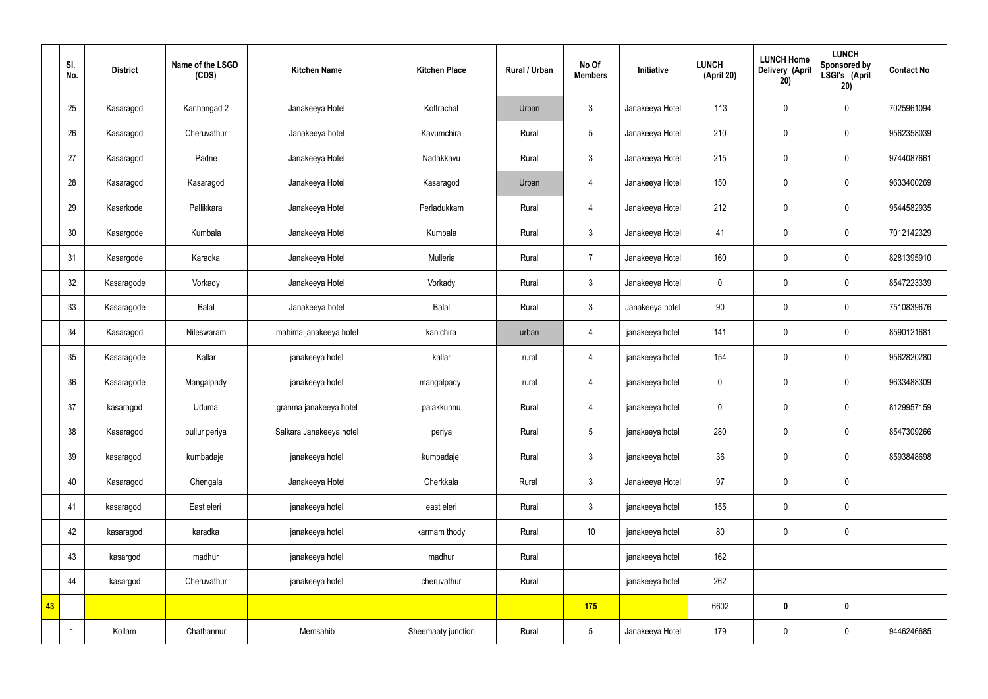|    | SI.<br>No. | <b>District</b> | Name of the LSGD<br>(CDS) | <b>Kitchen Name</b>     | <b>Kitchen Place</b> | <b>Rural / Urban</b> | No Of<br><b>Members</b> | Initiative      | <b>LUNCH</b><br>(April 20) | <b>LUNCH Home</b><br>Delivery (April<br>20) | <b>LUNCH</b><br>Sponsored by<br>LSGI's (April<br>20) | <b>Contact No</b> |
|----|------------|-----------------|---------------------------|-------------------------|----------------------|----------------------|-------------------------|-----------------|----------------------------|---------------------------------------------|------------------------------------------------------|-------------------|
|    | 25         | Kasaragod       | Kanhangad 2               | Janakeeya Hotel         | Kottrachal           | Urban                | $\mathbf{3}$            | Janakeeya Hotel | 113                        | $\pmb{0}$                                   | $\mathbf 0$                                          | 7025961094        |
|    | 26         | Kasaragod       | Cheruvathur               | Janakeeya hotel         | Kavumchira           | Rural                | 5                       | Janakeeya Hotel | 210                        | $\pmb{0}$                                   | $\pmb{0}$                                            | 9562358039        |
|    | 27         | Kasaragod       | Padne                     | Janakeeya Hotel         | Nadakkavu            | Rural                | $\mathfrak{Z}$          | Janakeeya Hotel | 215                        | $\pmb{0}$                                   | $\mathbf 0$                                          | 9744087661        |
|    | 28         | Kasaragod       | Kasaragod                 | Janakeeya Hotel         | Kasaragod            | Urban                | 4                       | Janakeeya Hotel | 150                        | $\pmb{0}$                                   | $\pmb{0}$                                            | 9633400269        |
|    | 29         | Kasarkode       | Pallikkara                | Janakeeya Hotel         | Perladukkam          | Rural                | $\overline{4}$          | Janakeeya Hotel | 212                        | $\pmb{0}$                                   | $\mathbf 0$                                          | 9544582935        |
|    | 30         | Kasargode       | Kumbala                   | Janakeeya Hotel         | Kumbala              | Rural                | $\mathbf{3}$            | Janakeeya Hotel | 41                         | $\mathbf 0$                                 | $\pmb{0}$                                            | 7012142329        |
|    | 31         | Kasargode       | Karadka                   | Janakeeya Hotel         | Mulleria             | Rural                | $\overline{7}$          | Janakeeya Hotel | 160                        | $\pmb{0}$                                   | $\mathbf 0$                                          | 8281395910        |
|    | 32         | Kasaragode      | Vorkady                   | Janakeeya Hotel         | Vorkady              | Rural                | $\mathbf{3}$            | Janakeeya Hotel | $\mathbf 0$                | $\mathbf 0$                                 | $\pmb{0}$                                            | 8547223339        |
|    | 33         | Kasaragode      | Balal                     | Janakeeya hotel         | Balal                | Rural                | $\mathfrak{Z}$          | Janakeeya hotel | 90                         | $\pmb{0}$                                   | $\mathbf 0$                                          | 7510839676        |
|    | 34         | Kasaragod       | Nileswaram                | mahima janakeeya hotel  | kanichira            | urban                | 4                       | janakeeya hotel | 141                        | $\mathbf 0$                                 | $\mathbf 0$                                          | 8590121681        |
|    | 35         | Kasaragode      | Kallar                    | janakeeya hotel         | kallar               | rural                | $\overline{4}$          | janakeeya hotel | 154                        | $\pmb{0}$                                   | $\mathbf 0$                                          | 9562820280        |
|    | 36         | Kasaragode      | Mangalpady                | janakeeya hotel         | mangalpady           | rural                | $\overline{4}$          | janakeeya hotel | $\mathbf 0$                | $\pmb{0}$                                   | $\pmb{0}$                                            | 9633488309        |
|    | 37         | kasaragod       | Uduma                     | granma janakeeya hotel  | palakkunnu           | Rural                | 4                       | janakeeya hotel | 0                          | $\mathbf 0$                                 | $\mathbf 0$                                          | 8129957159        |
|    | 38         | Kasaragod       | pullur periya             | Salkara Janakeeya hotel | periya               | Rural                | 5                       | janakeeya hotel | 280                        | $\pmb{0}$                                   | $\pmb{0}$                                            | 8547309266        |
|    | 39         | kasaragod       | kumbadaje                 | janakeeya hotel         | kumbadaje            | Rural                | $\mathbf{3}$            | janakeeya hotel | 36                         | $\pmb{0}$                                   | $\pmb{0}$                                            | 8593848698        |
|    | 40         | Kasaragod       | Chengala                  | Janakeeya Hotel         | Cherkkala            | Rural                | $\mathbf{3}$            | Janakeeya Hotel | 97                         | $\mathbf 0$                                 | $\pmb{0}$                                            |                   |
|    | 41         | kasaragod       | East eleri                | janakeeya hotel         | east eleri           | Rural                | $\mathbf{3}$            | janakeeya hotel | 155                        | $\pmb{0}$                                   | $\pmb{0}$                                            |                   |
|    | 42         | kasaragod       | karadka                   | janakeeya hotel         | karmam thody         | Rural                | $10$                    | janakeeya hotel | 80                         | $\overline{0}$                              | $\pmb{0}$                                            |                   |
|    | 43         | kasargod        | madhur                    | janakeeya hotel         | madhur               | Rural                |                         | janakeeya hotel | 162                        |                                             |                                                      |                   |
|    | 44         | kasargod        | Cheruvathur               | janakeeya hotel         | cheruvathur          | Rural                |                         | janakeeya hotel | 262                        |                                             |                                                      |                   |
| 43 |            |                 |                           |                         |                      |                      | 175                     |                 | 6602                       | $\pmb{0}$                                   | $\mathbf 0$                                          |                   |
|    |            | Kollam          | Chathannur                | Memsahib                | Sheemaaty junction   | Rural                | $5\phantom{.0}$         | Janakeeya Hotel | 179                        | $\pmb{0}$                                   | $\pmb{0}$                                            | 9446246685        |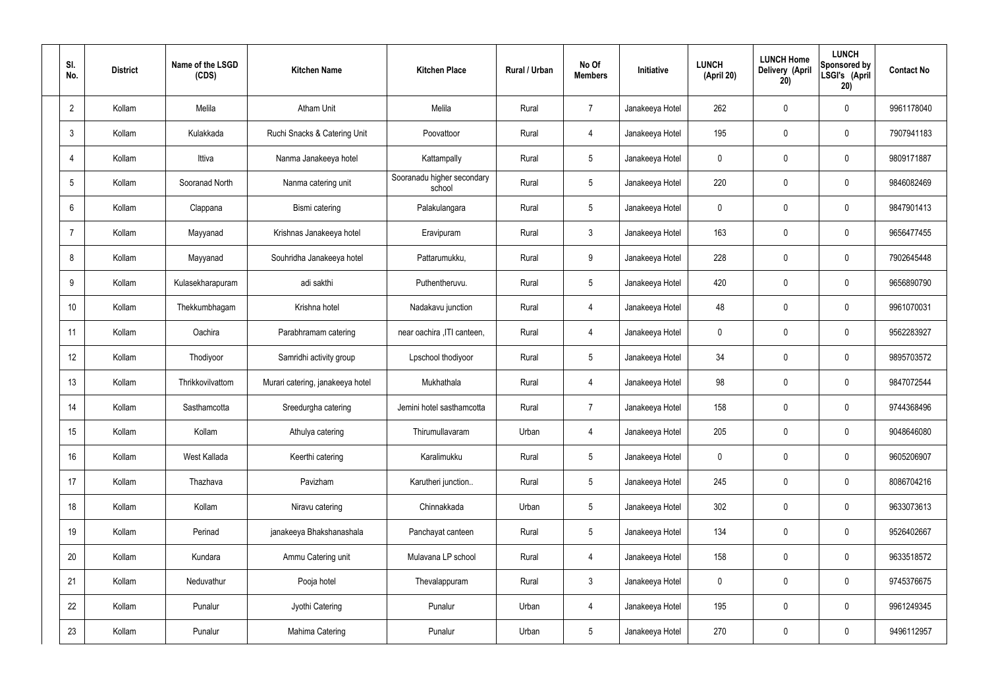| SI.<br>No.      |    | <b>District</b> | Name of the LSGD<br>(CDS) | <b>Kitchen Name</b>              | <b>Kitchen Place</b>                 | Rural / Urban | No Of<br><b>Members</b> | Initiative      | <b>LUNCH</b><br>(April 20) | <b>LUNCH Home</b><br>Delivery (April<br>20) | <b>LUNCH</b><br>Sponsored by<br>LSGI's (April<br>20) | <b>Contact No</b> |
|-----------------|----|-----------------|---------------------------|----------------------------------|--------------------------------------|---------------|-------------------------|-----------------|----------------------------|---------------------------------------------|------------------------------------------------------|-------------------|
| $\overline{2}$  |    | Kollam          | Melila                    | <b>Atham Unit</b>                | Melila                               | Rural         | $\overline{7}$          | Janakeeya Hotel | 262                        | $\mathbf 0$                                 | $\mathbf 0$                                          | 9961178040        |
| $\mathbf{3}$    |    | Kollam          | Kulakkada                 | Ruchi Snacks & Catering Unit     | Poovattoor                           | Rural         | $\overline{4}$          | Janakeeya Hotel | 195                        | $\mathbf 0$                                 | $\mathbf 0$                                          | 7907941183        |
| $\overline{4}$  |    | Kollam          | Ittiva                    | Nanma Janakeeya hotel            | Kattampally                          | Rural         | $5\phantom{.0}$         | Janakeeya Hotel | $\mathbf 0$                | $\mathbf 0$                                 | $\mathbf 0$                                          | 9809171887        |
| $5\phantom{.0}$ |    | Kollam          | Sooranad North            | Nanma catering unit              | Sooranadu higher secondary<br>school | Rural         | $5\phantom{.0}$         | Janakeeya Hotel | 220                        | $\mathbf 0$                                 | $\mathbf 0$                                          | 9846082469        |
| 6               |    | Kollam          | Clappana                  | Bismi catering                   | Palakulangara                        | Rural         | $5\phantom{.0}$         | Janakeeya Hotel | $\mathbf 0$                | $\mathbf 0$                                 | $\mathbf 0$                                          | 9847901413        |
| $\overline{7}$  |    | Kollam          | Mayyanad                  | Krishnas Janakeeya hotel         | Eravipuram                           | Rural         | $\mathbf{3}$            | Janakeeya Hotel | 163                        | $\mathbf 0$                                 | $\mathbf 0$                                          | 9656477455        |
| 8               |    | Kollam          | Mayyanad                  | Souhridha Janakeeya hotel        | Pattarumukku,                        | Rural         | 9                       | Janakeeya Hotel | 228                        | $\mathbf 0$                                 | $\mathbf 0$                                          | 7902645448        |
| 9               |    | Kollam          | Kulasekharapuram          | adi sakthi                       | Puthentheruvu.                       | Rural         | $5\phantom{.0}$         | Janakeeya Hotel | 420                        | 0                                           | $\mathbf 0$                                          | 9656890790        |
| 10              |    | Kollam          | Thekkumbhagam             | Krishna hotel                    | Nadakavu junction                    | Rural         | $\overline{4}$          | Janakeeya Hotel | 48                         | $\mathbf 0$                                 | $\mathbf 0$                                          | 9961070031        |
| 11              |    | Kollam          | Oachira                   | Parabhramam catering             | near oachira , ITI canteen,          | Rural         | 4                       | Janakeeya Hotel | $\mathbf 0$                | 0                                           | $\mathbf 0$                                          | 9562283927        |
| 12              |    | Kollam          | Thodiyoor                 | Samridhi activity group          | Lpschool thodiyoor                   | Rural         | $5\phantom{.0}$         | Janakeeya Hotel | 34                         | 0                                           | $\mathbf 0$                                          | 9895703572        |
| 13              |    | Kollam          | Thrikkovilvattom          | Murari catering, janakeeya hotel | Mukhathala                           | Rural         | 4                       | Janakeeya Hotel | 98                         | 0                                           | $\mathbf 0$                                          | 9847072544        |
| 14              |    | Kollam          | Sasthamcotta              | Sreedurgha catering              | Jemini hotel sasthamcotta            | Rural         | $\overline{7}$          | Janakeeya Hotel | 158                        | 0                                           | $\mathbf 0$                                          | 9744368496        |
|                 | 15 | Kollam          | Kollam                    | Athulya catering                 | Thirumullavaram                      | Urban         | $\overline{4}$          | Janakeeya Hotel | 205                        | $\mathbf 0$                                 | $\mathbf 0$                                          | 9048646080        |
| 16              |    | Kollam          | West Kallada              | Keerthi catering                 | Karalimukku                          | Rural         | $5\overline{)}$         | Janakeeya Hotel | $\mathbf 0$                | $\mathbf 0$                                 | $\mathbf 0$                                          | 9605206907        |
| 17              |    | Kollam          | Thazhava                  | Pavizham                         | Karutheri junction                   | Rural         | $5\overline{)}$         | Janakeeya Hotel | 245                        | 0                                           | $\mathbf 0$                                          | 8086704216        |
| 18              |    | Kollam          | Kollam                    | Niravu catering                  | Chinnakkada                          | Urban         | $5\phantom{.0}$         | Janakeeya Hotel | 302                        | 0                                           | $\mathbf 0$                                          | 9633073613        |
|                 | 19 | Kollam          | Perinad                   | janakeeya Bhakshanashala         | Panchayat canteen                    | Rural         | $5\overline{)}$         | Janakeeya Hotel | 134                        | 0                                           | $\mathbf 0$                                          | 9526402667        |
| 20              |    | Kollam          | Kundara                   | Ammu Catering unit               | Mulavana LP school                   | Rural         | $\overline{4}$          | Janakeeya Hotel | 158                        | 0                                           | $\mathbf 0$                                          | 9633518572        |
| 21              |    | Kollam          | Neduvathur                | Pooja hotel                      | Thevalappuram                        | Rural         | $\mathbf{3}$            | Janakeeya Hotel | $\pmb{0}$                  | 0                                           | $\mathbf 0$                                          | 9745376675        |
| 22              |    | Kollam          | Punalur                   | Jyothi Catering                  | Punalur                              | Urban         | $\overline{4}$          | Janakeeya Hotel | 195                        | 0                                           | $\mathbf 0$                                          | 9961249345        |
| 23              |    | Kollam          | Punalur                   | Mahima Catering                  | Punalur                              | Urban         | $5\,$                   | Janakeeya Hotel | 270                        | 0                                           | $\mathbf 0$                                          | 9496112957        |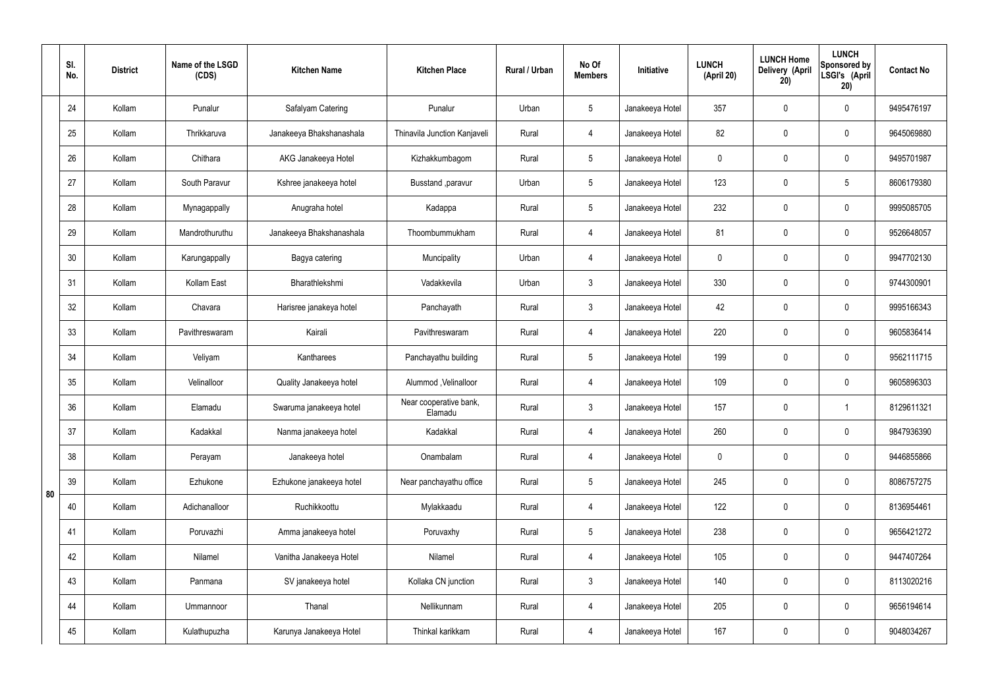|    | SI.<br>No. | <b>District</b> | Name of the LSGD<br>(CDS) | <b>Kitchen Name</b>      | <b>Kitchen Place</b>              | Rural / Urban | No Of<br><b>Members</b> | Initiative      | <b>LUNCH</b><br>(April 20) | <b>LUNCH Home</b><br>Delivery (April<br>20) | <b>LUNCH</b><br>Sponsored by<br>LSGI's (April<br>20) | <b>Contact No</b> |
|----|------------|-----------------|---------------------------|--------------------------|-----------------------------------|---------------|-------------------------|-----------------|----------------------------|---------------------------------------------|------------------------------------------------------|-------------------|
|    | 24         | Kollam          | Punalur                   | Safalyam Catering        | Punalur                           | Urban         | $5\phantom{.0}$         | Janakeeya Hotel | 357                        | $\mathbf 0$                                 | $\mathbf 0$                                          | 9495476197        |
|    | 25         | Kollam          | Thrikkaruva               | Janakeeya Bhakshanashala | Thinavila Junction Kanjaveli      | Rural         | 4                       | Janakeeya Hotel | 82                         | $\mathbf 0$                                 | $\mathbf 0$                                          | 9645069880        |
|    | 26         | Kollam          | Chithara                  | AKG Janakeeya Hotel      | Kizhakkumbagom                    | Rural         | $5\phantom{.0}$         | Janakeeya Hotel | $\mathbf 0$                | $\mathbf 0$                                 | $\mathbf 0$                                          | 9495701987        |
|    | 27         | Kollam          | South Paravur             | Kshree janakeeya hotel   | Busstand , paravur                | Urban         | $5\phantom{.0}$         | Janakeeya Hotel | 123                        | $\mathbf 0$                                 | $5\phantom{.0}$                                      | 8606179380        |
|    | 28         | Kollam          | Mynagappally              | Anugraha hotel           | Kadappa                           | Rural         | $5\overline{)}$         | Janakeeya Hotel | 232                        | $\mathbf 0$                                 | $\mathbf 0$                                          | 9995085705        |
|    | 29         | Kollam          | Mandrothuruthu            | Janakeeya Bhakshanashala | Thoombummukham                    | Rural         | 4                       | Janakeeya Hotel | 81                         | $\mathbf 0$                                 | $\mathbf 0$                                          | 9526648057        |
|    | 30         | Kollam          | Karungappally             | Bagya catering           | Muncipality                       | Urban         | 4                       | Janakeeya Hotel | $\mathbf 0$                | $\mathbf 0$                                 | $\mathbf 0$                                          | 9947702130        |
|    | 31         | Kollam          | Kollam East               | Bharathlekshmi           | Vadakkevila                       | Urban         | $\mathbf{3}$            | Janakeeya Hotel | 330                        | $\mathbf 0$                                 | $\mathbf 0$                                          | 9744300901        |
|    | 32         | Kollam          | Chavara                   | Harisree janakeya hotel  | Panchayath                        | Rural         | $\mathbf{3}$            | Janakeeya Hotel | 42                         | 0                                           | $\mathbf 0$                                          | 9995166343        |
|    | 33         | Kollam          | Pavithreswaram            | Kairali                  | Pavithreswaram                    | Rural         | 4                       | Janakeeya Hotel | 220                        | $\mathbf 0$                                 | $\mathbf 0$                                          | 9605836414        |
|    | 34         | Kollam          | Veliyam                   | Kantharees               | Panchayathu building              | Rural         | $5\phantom{.0}$         | Janakeeya Hotel | 199                        | 0                                           | $\mathbf 0$                                          | 9562111715        |
|    | 35         | Kollam          | Velinalloor               | Quality Janakeeya hotel  | Alummod, Velinalloor              | Rural         | 4                       | Janakeeya Hotel | 109                        | $\mathbf 0$                                 | $\mathbf 0$                                          | 9605896303        |
|    | 36         | Kollam          | Elamadu                   | Swaruma janakeeya hotel  | Near cooperative bank,<br>Elamadu | Rural         | $\mathbf{3}$            | Janakeeya Hotel | 157                        | $\mathbf 0$                                 |                                                      | 8129611321        |
|    | 37         | Kollam          | Kadakkal                  | Nanma janakeeya hotel    | Kadakkal                          | Rural         | $\overline{4}$          | Janakeeya Hotel | 260                        | $\pmb{0}$                                   | $\mathbf 0$                                          | 9847936390        |
|    | 38         | Kollam          | Perayam                   | Janakeeya hotel          | Onambalam                         | Rural         | $\overline{4}$          | Janakeeya Hotel | $\mathbf 0$                | $\pmb{0}$                                   | $\mathbf 0$                                          | 9446855866        |
| 80 | 39         | Kollam          | Ezhukone                  | Ezhukone janakeeya hotel | Near panchayathu office           | Rural         | $5\overline{)}$         | Janakeeya Hotel | 245                        | 0                                           | $\mathbf 0$                                          | 8086757275        |
|    | 40         | Kollam          | Adichanalloor             | Ruchikkoottu             | Mylakkaadu                        | Rural         | $\overline{4}$          | Janakeeya Hotel | 122                        | $\pmb{0}$                                   | $\mathbf 0$                                          | 8136954461        |
|    | 41         | Kollam          | Poruvazhi                 | Amma janakeeya hotel     | Poruvaxhy                         | Rural         | $5\overline{)}$         | Janakeeya Hotel | 238                        | 0                                           | $\mathbf 0$                                          | 9656421272        |
|    | 42         | Kollam          | Nilamel                   | Vanitha Janakeeya Hotel  | Nilamel                           | Rural         | $\overline{4}$          | Janakeeya Hotel | 105                        | $\pmb{0}$                                   | $\mathbf 0$                                          | 9447407264        |
|    | 43         | Kollam          | Panmana                   | SV janakeeya hotel       | Kollaka CN junction               | Rural         | 3 <sup>5</sup>          | Janakeeya Hotel | 140                        | 0                                           | $\mathbf 0$                                          | 8113020216        |
|    | 44         | Kollam          | Ummannoor                 | Thanal                   | Nellikunnam                       | Rural         | $\overline{4}$          | Janakeeya Hotel | 205                        | 0                                           | $\mathbf 0$                                          | 9656194614        |
|    | 45         | Kollam          | Kulathupuzha              | Karunya Janakeeya Hotel  | Thinkal karikkam                  | Rural         | $\overline{4}$          | Janakeeya Hotel | 167                        | $\pmb{0}$                                   | $\boldsymbol{0}$                                     | 9048034267        |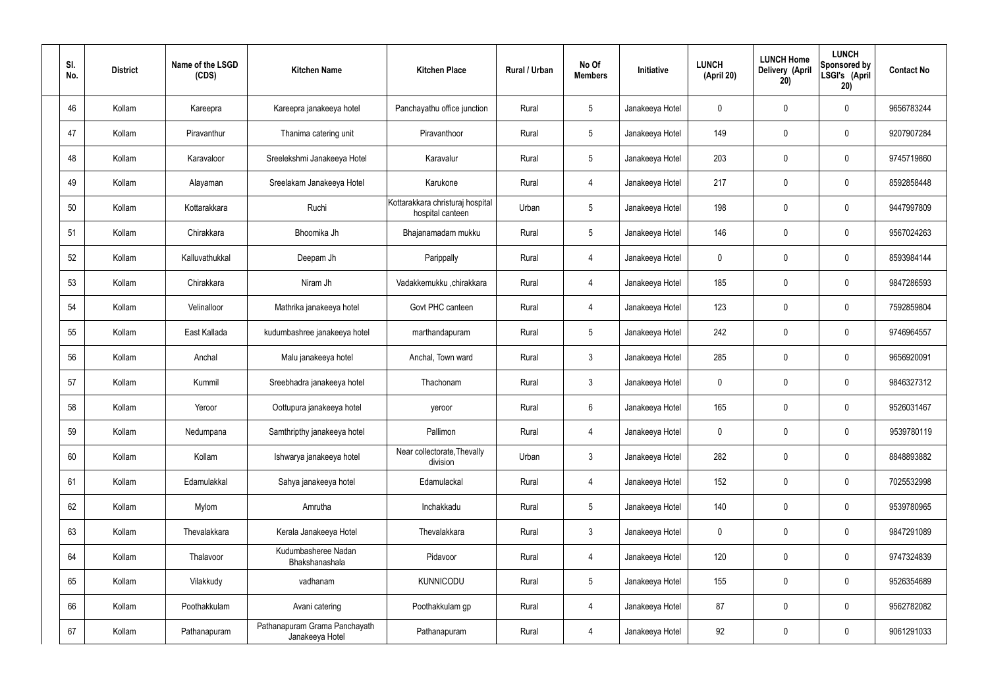| SI.<br>No. | <b>District</b> | Name of the LSGD<br>(CDS) | <b>Kitchen Name</b>                              | <b>Kitchen Place</b>                                 | Rural / Urban | No Of<br><b>Members</b> | Initiative      | <b>LUNCH</b><br>(April 20) | <b>LUNCH Home</b><br>Delivery (April<br>20) | <b>LUNCH</b><br>Sponsored by<br>LSGI's (April<br>20) | <b>Contact No</b> |
|------------|-----------------|---------------------------|--------------------------------------------------|------------------------------------------------------|---------------|-------------------------|-----------------|----------------------------|---------------------------------------------|------------------------------------------------------|-------------------|
| 46         | Kollam          | Kareepra                  | Kareepra janakeeya hotel                         | Panchayathu office junction                          | Rural         | $5\phantom{.0}$         | Janakeeya Hotel | 0                          | 0                                           | $\mathbf 0$                                          | 9656783244        |
| 47         | Kollam          | Piravanthur               | Thanima catering unit                            | Piravanthoor                                         | Rural         | $\sqrt{5}$              | Janakeeya Hotel | 149                        | 0                                           | $\mathbf 0$                                          | 9207907284        |
| 48         | Kollam          | Karavaloor                | Sreelekshmi Janakeeya Hotel                      | Karavalur                                            | Rural         | $5\phantom{.0}$         | Janakeeya Hotel | 203                        | 0                                           | $\mathbf 0$                                          | 9745719860        |
| 49         | Kollam          | Alayaman                  | Sreelakam Janakeeya Hotel                        | Karukone                                             | Rural         | $\overline{4}$          | Janakeeya Hotel | 217                        | 0                                           | $\mathbf 0$                                          | 8592858448        |
| 50         | Kollam          | Kottarakkara              | Ruchi                                            | Kottarakkara christuraj hospital<br>hospital canteen | Urban         | $5\phantom{.0}$         | Janakeeya Hotel | 198                        | 0                                           | $\mathbf 0$                                          | 9447997809        |
| 51         | Kollam          | Chirakkara                | Bhoomika Jh                                      | Bhajanamadam mukku                                   | Rural         | $\sqrt{5}$              | Janakeeya Hotel | 146                        | 0                                           | $\mathbf 0$                                          | 9567024263        |
| 52         | Kollam          | Kalluvathukkal            | Deepam Jh                                        | Parippally                                           | Rural         | $\overline{4}$          | Janakeeya Hotel | $\mathbf 0$                | 0                                           | $\mathbf 0$                                          | 8593984144        |
| 53         | Kollam          | Chirakkara                | Niram Jh                                         | Vadakkemukku ,chirakkara                             | Rural         | 4                       | Janakeeya Hotel | 185                        | 0                                           | $\mathbf 0$                                          | 9847286593        |
| 54         | Kollam          | Velinalloor               | Mathrika janakeeya hotel                         | Govt PHC canteen                                     | Rural         | 4                       | Janakeeya Hotel | 123                        | $\boldsymbol{0}$                            | $\mathbf 0$                                          | 7592859804        |
| 55         | Kollam          | East Kallada              | kudumbashree janakeeya hotel                     | marthandapuram                                       | Rural         | $5\phantom{.0}$         | Janakeeya Hotel | 242                        | 0                                           | $\mathbf 0$                                          | 9746964557        |
| 56         | Kollam          | Anchal                    | Malu janakeeya hotel                             | Anchal, Town ward                                    | Rural         | $\mathbf{3}$            | Janakeeya Hotel | 285                        | 0                                           | $\boldsymbol{0}$                                     | 9656920091        |
| 57         | Kollam          | Kummil                    | Sreebhadra janakeeya hotel                       | Thachonam                                            | Rural         | $\mathfrak{Z}$          | Janakeeya Hotel | $\mathbf 0$                | 0                                           | $\boldsymbol{0}$                                     | 9846327312        |
| 58         | Kollam          | Yeroor                    | Oottupura janakeeya hotel                        | yeroor                                               | Rural         | $6\phantom{.}$          | Janakeeya Hotel | 165                        | 0                                           | 0                                                    | 9526031467        |
| 59         | Kollam          | Nedumpana                 | Samthripthy janakeeya hotel                      | Pallimon                                             | Rural         | $\overline{4}$          | Janakeeya Hotel | $\mathbf 0$                | 0                                           | $\mathbf 0$                                          | 9539780119        |
| 60         | Kollam          | Kollam                    | Ishwarya janakeeya hotel                         | Near collectorate, Thevally<br>division              | Urban         | $\mathbf{3}$            | Janakeeya Hotel | 282                        | $\mathbf 0$                                 | $\mathbf 0$                                          | 8848893882        |
| 61         | Kollam          | Edamulakkal               | Sahya janakeeya hotel                            | Edamulackal                                          | Rural         | 4                       | Janakeeya Hotel | 152                        | $\mathbf 0$                                 | $\mathbf 0$                                          | 7025532998        |
| 62         | Kollam          | Mylom                     | Amrutha                                          | Inchakkadu                                           | Rural         | $5\phantom{.0}$         | Janakeeya Hotel | 140                        | $\mathbf 0$                                 | $\mathbf 0$                                          | 9539780965        |
| 63         | Kollam          | Thevalakkara              | Kerala Janakeeya Hotel                           | Thevalakkara                                         | Rural         | $\mathbf{3}$            | Janakeeya Hotel | $\mathbf 0$                | 0                                           | $\mathbf 0$                                          | 9847291089        |
| 64         | Kollam          | Thalavoor                 | Kudumbasheree Nadan<br>Bhakshanashala            | Pidavoor                                             | Rural         | 4                       | Janakeeya Hotel | 120                        | $\mathbf 0$                                 | $\mathbf 0$                                          | 9747324839        |
| 65         | Kollam          | Vilakkudy                 | vadhanam                                         | <b>KUNNICODU</b>                                     | Rural         | $\sqrt{5}$              | Janakeeya Hotel | 155                        | $\mathbf 0$                                 | $\mathbf 0$                                          | 9526354689        |
| 66         | Kollam          | Poothakkulam              | Avani catering                                   | Poothakkulam gp                                      | Rural         | 4                       | Janakeeya Hotel | 87                         | 0                                           | $\mathbf 0$                                          | 9562782082        |
| 67         | Kollam          | Pathanapuram              | Pathanapuram Grama Panchayath<br>Janakeeya Hotel | Pathanapuram                                         | Rural         | 4                       | Janakeeya Hotel | 92                         | 0                                           | $\boldsymbol{0}$                                     | 9061291033        |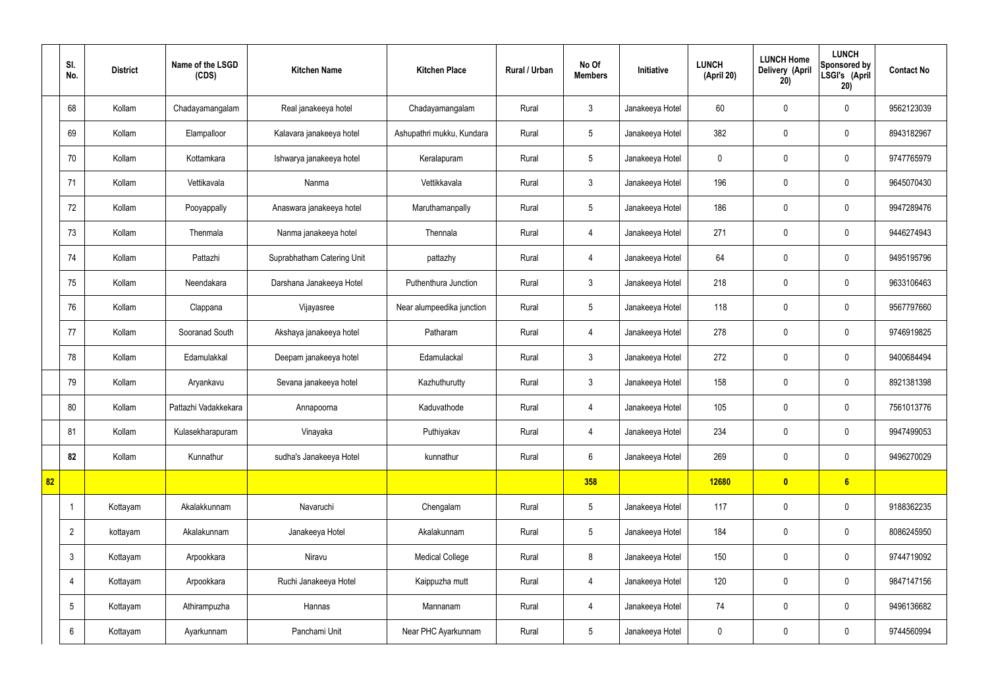|    | SI.<br>No.      | <b>District</b> | Name of the LSGD<br>(CDS) | <b>Kitchen Name</b>        | <b>Kitchen Place</b>      | Rural / Urban | No Of<br><b>Members</b> | Initiative      | <b>LUNCH</b><br>(April 20) | <b>LUNCH Home</b><br>Delivery (April<br>20) | <b>LUNCH</b><br>Sponsored by<br>LSGI's (April<br>20) | <b>Contact No</b> |
|----|-----------------|-----------------|---------------------------|----------------------------|---------------------------|---------------|-------------------------|-----------------|----------------------------|---------------------------------------------|------------------------------------------------------|-------------------|
|    | 68              | Kollam          | Chadayamangalam           | Real janakeeya hotel       | Chadayamangalam           | Rural         | $\mathbf{3}$            | Janakeeya Hotel | 60                         | $\mathbf 0$                                 | $\mathbf 0$                                          | 9562123039        |
|    | 69              | Kollam          | Elampalloor               | Kalavara janakeeya hotel   | Ashupathri mukku, Kundara | Rural         | $5\phantom{.0}$         | Janakeeya Hotel | 382                        | $\mathbf 0$                                 | $\mathbf 0$                                          | 8943182967        |
|    | 70              | Kollam          | Kottamkara                | Ishwarya janakeeya hotel   | Keralapuram               | Rural         | $5\phantom{.0}$         | Janakeeya Hotel | $\mathbf 0$                | $\mathbf 0$                                 | $\mathbf 0$                                          | 9747765979        |
|    | 71              | Kollam          | Vettikavala               | Nanma                      | Vettikkavala              | Rural         | $\mathbf{3}$            | Janakeeya Hotel | 196                        | $\mathbf 0$                                 | $\mathbf 0$                                          | 9645070430        |
|    | 72              | Kollam          | Pooyappally               | Anaswara janakeeya hotel   | Maruthamanpally           | Rural         | $5\phantom{.0}$         | Janakeeya Hotel | 186                        | $\mathbf 0$                                 | $\mathbf 0$                                          | 9947289476        |
|    | 73              | Kollam          | Thenmala                  | Nanma janakeeya hotel      | Thennala                  | Rural         | $\overline{4}$          | Janakeeya Hotel | 271                        | $\mathbf 0$                                 | $\mathbf 0$                                          | 9446274943        |
|    | 74              | Kollam          | Pattazhi                  | Suprabhatham Catering Unit | pattazhy                  | Rural         | $\overline{4}$          | Janakeeya Hotel | 64                         | $\mathbf 0$                                 | $\mathbf 0$                                          | 9495195796        |
|    | 75              | Kollam          | Neendakara                | Darshana Janakeeya Hotel   | Puthenthura Junction      | Rural         | $\mathbf{3}$            | Janakeeya Hotel | 218                        | $\mathbf 0$                                 | $\mathbf 0$                                          | 9633106463        |
|    | 76              | Kollam          | Clappana                  | Vijayasree                 | Near alumpeedika junction | Rural         | $5\phantom{.0}$         | Janakeeya Hotel | 118                        | $\mathbf 0$                                 | $\mathbf 0$                                          | 9567797660        |
|    | 77              | Kollam          | Sooranad South            | Akshaya janakeeya hotel    | Patharam                  | Rural         | $\overline{4}$          | Janakeeya Hotel | 278                        | $\mathbf 0$                                 | $\mathbf 0$                                          | 9746919825        |
|    | 78              | Kollam          | Edamulakkal               | Deepam janakeeya hotel     | Edamulackal               | Rural         | $\mathbf{3}$            | Janakeeya Hotel | 272                        | $\mathbf 0$                                 | $\mathbf 0$                                          | 9400684494        |
|    | 79              | Kollam          | Aryankavu                 | Sevana janakeeya hotel     | Kazhuthurutty             | Rural         | $\mathbf{3}$            | Janakeeya Hotel | 158                        | $\mathbf 0$                                 | $\mathbf 0$                                          | 8921381398        |
|    | 80              | Kollam          | Pattazhi Vadakkekara      | Annapoorna                 | Kaduvathode               | Rural         | 4                       | Janakeeya Hotel | 105                        | $\mathbf 0$                                 | $\mathbf 0$                                          | 7561013776        |
|    | 81              | Kollam          | Kulasekharapuram          | Vinayaka                   | Puthiyakav                | Rural         | 4                       | Janakeeya Hotel | 234                        | $\mathbf 0$                                 | $\mathbf 0$                                          | 9947499053        |
|    | 82              | Kollam          | Kunnathur                 | sudha's Janakeeya Hotel    | kunnathur                 | Rural         | $6\overline{6}$         | Janakeeya Hotel | 269                        | $\pmb{0}$                                   | $\mathbf 0$                                          | 9496270029        |
| 82 |                 |                 |                           |                            |                           |               | 358                     |                 | 12680                      | $\bullet$                                   | $6\overline{6}$                                      |                   |
|    |                 | Kottayam        | Akalakkunnam              | Navaruchi                  | Chengalam                 | Rural         | $5\phantom{.0}$         | Janakeeya Hotel | 117                        | $\pmb{0}$                                   | $\mathbf 0$                                          | 9188362235        |
|    | $\overline{2}$  | kottayam        | Akalakunnam               | Janakeeya Hotel            | Akalakunnam               | Rural         | $5\overline{)}$         | Janakeeya Hotel | 184                        | $\pmb{0}$                                   | $\mathbf 0$                                          | 8086245950        |
|    | $\mathfrak{Z}$  | Kottayam        | Arpookkara                | Niravu                     | <b>Medical College</b>    | Rural         | 8                       | Janakeeya Hotel | 150                        | $\pmb{0}$                                   | $\mathbf 0$                                          | 9744719092        |
|    | $\overline{4}$  | Kottayam        | Arpookkara                | Ruchi Janakeeya Hotel      | Kaippuzha mutt            | Rural         | $\overline{4}$          | Janakeeya Hotel | 120                        | $\pmb{0}$                                   | $\mathbf 0$                                          | 9847147156        |
|    | $5\phantom{.0}$ | Kottayam        | Athirampuzha              | Hannas                     | Mannanam                  | Rural         | $\overline{4}$          | Janakeeya Hotel | 74                         | $\pmb{0}$                                   | $\mathbf 0$                                          | 9496136682        |
|    | $6\phantom{.}$  | Kottayam        | Ayarkunnam                | Panchami Unit              | Near PHC Ayarkunnam       | Rural         | $5\phantom{.0}$         | Janakeeya Hotel | $\boldsymbol{0}$           | $\pmb{0}$                                   | $\mathbf 0$                                          | 9744560994        |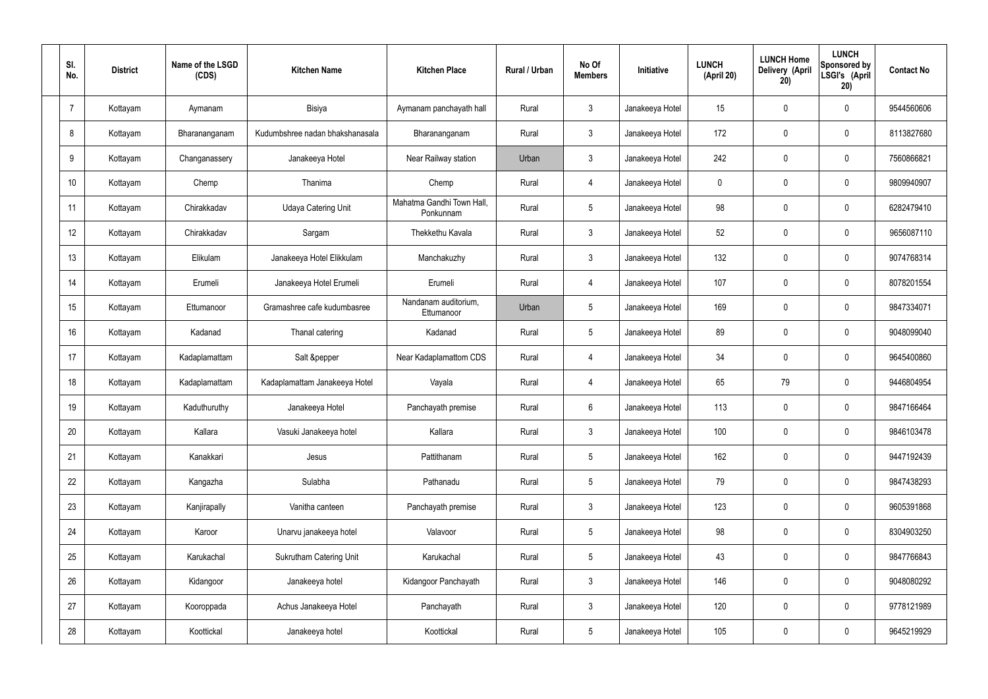| SI.<br>No.     | <b>District</b> | Name of the LSGD<br>(CDS) | <b>Kitchen Name</b>             | <b>Kitchen Place</b>                   | Rural / Urban | No Of<br><b>Members</b> | Initiative      | <b>LUNCH</b><br>(April 20) | <b>LUNCH Home</b><br>Delivery (April<br>20) | <b>LUNCH</b><br>Sponsored by<br>LSGI's (April<br>20) | <b>Contact No</b> |
|----------------|-----------------|---------------------------|---------------------------------|----------------------------------------|---------------|-------------------------|-----------------|----------------------------|---------------------------------------------|------------------------------------------------------|-------------------|
| $\overline{7}$ | Kottayam        | Aymanam                   | Bisiya                          | Aymanam panchayath hall                | Rural         | $\mathbf{3}$            | Janakeeya Hotel | 15                         | $\mathbf 0$                                 | $\mathbf 0$                                          | 9544560606        |
| 8              | Kottayam        | Bharananganam             | Kudumbshree nadan bhakshanasala | Bharananganam                          | Rural         | $\mathbf{3}$            | Janakeeya Hotel | 172                        | $\mathbf 0$                                 | $\mathbf 0$                                          | 8113827680        |
| 9              | Kottayam        | Changanassery             | Janakeeya Hotel                 | Near Railway station                   | Urban         | $\mathbf{3}$            | Janakeeya Hotel | 242                        | $\mathbf 0$                                 | $\mathbf 0$                                          | 7560866821        |
| 10             | Kottayam        | Chemp                     | Thanima                         | Chemp                                  | Rural         | $\overline{4}$          | Janakeeya Hotel | $\mathbf 0$                | 0                                           | $\mathbf 0$                                          | 9809940907        |
| 11             | Kottayam        | Chirakkadav               | <b>Udaya Catering Unit</b>      | Mahatma Gandhi Town Hall,<br>Ponkunnam | Rural         | $5\phantom{.0}$         | Janakeeya Hotel | 98                         | $\mathbf 0$                                 | $\mathbf 0$                                          | 6282479410        |
| 12             | Kottayam        | Chirakkadav               | Sargam                          | Thekkethu Kavala                       | Rural         | $\mathbf{3}$            | Janakeeya Hotel | 52                         | 0                                           | $\mathbf 0$                                          | 9656087110        |
| 13             | Kottayam        | Elikulam                  | Janakeeya Hotel Elikkulam       | Manchakuzhy                            | Rural         | $\mathbf{3}$            | Janakeeya Hotel | 132                        | $\mathbf 0$                                 | $\mathbf 0$                                          | 9074768314        |
| 14             | Kottayam        | Erumeli                   | Janakeeya Hotel Erumeli         | Erumeli                                | Rural         | $\overline{4}$          | Janakeeya Hotel | 107                        | 0                                           | $\mathbf 0$                                          | 8078201554        |
| 15             | Kottayam        | Ettumanoor                | Gramashree cafe kudumbasree     | Nandanam auditorium,<br>Ettumanoor     | Urban         | $5\phantom{.0}$         | Janakeeya Hotel | 169                        | $\mathbf 0$                                 | $\mathbf 0$                                          | 9847334071        |
| 16             | Kottayam        | Kadanad                   | Thanal catering                 | Kadanad                                | Rural         | $5\phantom{.0}$         | Janakeeya Hotel | 89                         | 0                                           | $\mathbf 0$                                          | 9048099040        |
| 17             | Kottayam        | Kadaplamattam             | Salt &pepper                    | Near Kadaplamattom CDS                 | Rural         | $\overline{4}$          | Janakeeya Hotel | 34                         | 0                                           | $\mathbf 0$                                          | 9645400860        |
| 18             | Kottayam        | Kadaplamattam             | Kadaplamattam Janakeeya Hotel   | Vayala                                 | Rural         | 4                       | Janakeeya Hotel | 65                         | 79                                          | $\mathbf 0$                                          | 9446804954        |
| 19             | Kottayam        | Kaduthuruthy              | Janakeeya Hotel                 | Panchayath premise                     | Rural         | $6\phantom{.}6$         | Janakeeya Hotel | 113                        | 0                                           | $\mathbf 0$                                          | 9847166464        |
| 20             | Kottayam        | Kallara                   | Vasuki Janakeeya hotel          | Kallara                                | Rural         | $\mathbf{3}$            | Janakeeya Hotel | 100                        | $\mathbf 0$                                 | $\mathbf 0$                                          | 9846103478        |
| 21             | Kottayam        | Kanakkari                 | Jesus                           | Pattithanam                            | Rural         | $5\overline{)}$         | Janakeeya Hotel | 162                        | 0                                           | $\mathbf 0$                                          | 9447192439        |
| 22             | Kottayam        | Kangazha                  | Sulabha                         | Pathanadu                              | Rural         | $5\overline{)}$         | Janakeeya Hotel | 79                         | 0                                           | $\mathbf 0$                                          | 9847438293        |
| 23             | Kottayam        | Kanjirapally              | Vanitha canteen                 | Panchayath premise                     | Rural         | $\mathfrak{Z}$          | Janakeeya Hotel | 123                        | 0                                           | $\mathbf 0$                                          | 9605391868        |
| 24             | Kottayam        | Karoor                    | Unarvu janakeeya hotel          | Valavoor                               | Rural         | $5\phantom{.0}$         | Janakeeya Hotel | 98                         | 0                                           | $\mathbf 0$                                          | 8304903250        |
| 25             | Kottayam        | Karukachal                | Sukrutham Catering Unit         | Karukachal                             | Rural         | $5\phantom{.0}$         | Janakeeya Hotel | 43                         | 0                                           | $\mathbf 0$                                          | 9847766843        |
| 26             | Kottayam        | Kidangoor                 | Janakeeya hotel                 | Kidangoor Panchayath                   | Rural         | $\mathfrak{Z}$          | Janakeeya Hotel | 146                        | 0                                           | $\mathbf 0$                                          | 9048080292        |
| 27             | Kottayam        | Kooroppada                | Achus Janakeeya Hotel           | Panchayath                             | Rural         | $\mathfrak{Z}$          | Janakeeya Hotel | 120                        | 0                                           | $\mathbf 0$                                          | 9778121989        |
| 28             | Kottayam        | Koottickal                | Janakeeya hotel                 | Koottickal                             | Rural         | $5\,$                   | Janakeeya Hotel | 105                        | 0                                           | $\mathbf 0$                                          | 9645219929        |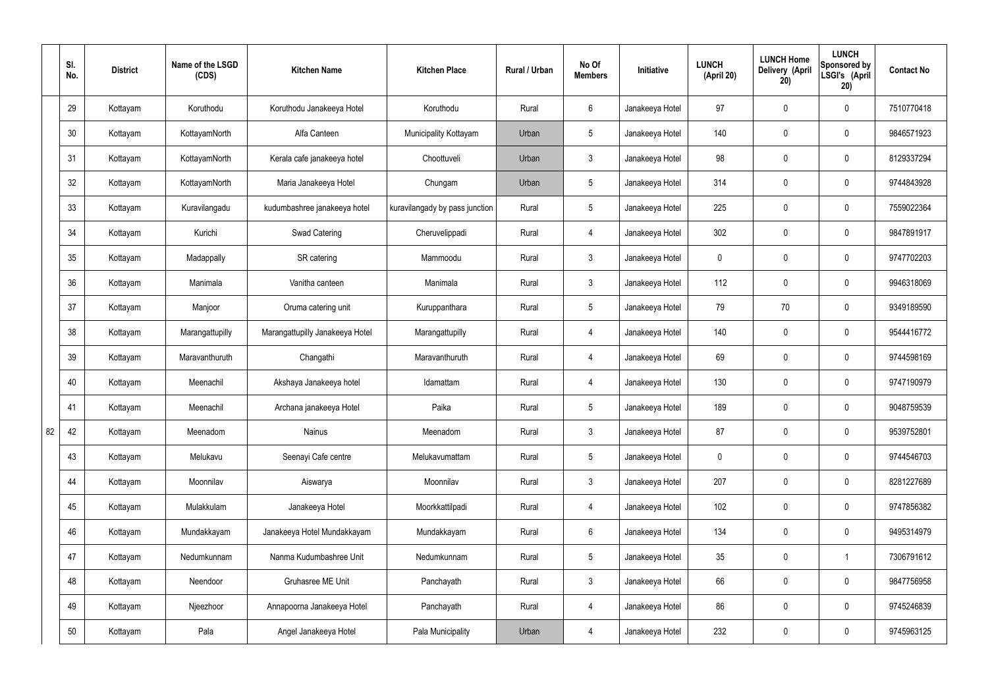|    | SI.<br>No. | <b>District</b> | Name of the LSGD<br>(CDS) | <b>Kitchen Name</b>             | <b>Kitchen Place</b>           | Rural / Urban | No Of<br><b>Members</b> | Initiative      | <b>LUNCH</b><br>(April 20) | <b>LUNCH Home</b><br>Delivery (April<br>20) | <b>LUNCH</b><br>Sponsored by<br>LSGI's (April<br>20) | <b>Contact No</b> |
|----|------------|-----------------|---------------------------|---------------------------------|--------------------------------|---------------|-------------------------|-----------------|----------------------------|---------------------------------------------|------------------------------------------------------|-------------------|
|    | 29         | Kottayam        | Koruthodu                 | Koruthodu Janakeeya Hotel       | Koruthodu                      | Rural         | $6\overline{6}$         | Janakeeya Hotel | 97                         | $\mathbf 0$                                 | $\mathbf 0$                                          | 7510770418        |
|    | 30         | Kottayam        | KottayamNorth             | Alfa Canteen                    | Municipality Kottayam          | Urban         | $5\overline{)}$         | Janakeeya Hotel | 140                        | $\mathbf 0$                                 | $\mathbf 0$                                          | 9846571923        |
|    | 31         | Kottayam        | KottayamNorth             | Kerala cafe janakeeya hotel     | Choottuveli                    | Urban         | $\mathbf{3}$            | Janakeeya Hotel | 98                         | $\mathbf 0$                                 | $\mathbf 0$                                          | 8129337294        |
|    | 32         | Kottayam        | KottayamNorth             | Maria Janakeeya Hotel           | Chungam                        | Urban         | $5\overline{)}$         | Janakeeya Hotel | 314                        | $\mathbf 0$                                 | $\mathbf 0$                                          | 9744843928        |
|    | 33         | Kottayam        | Kuravilangadu             | kudumbashree janakeeya hotel    | kuravilangady by pass junction | Rural         | $5\overline{)}$         | Janakeeya Hotel | 225                        | $\mathbf 0$                                 | $\mathbf 0$                                          | 7559022364        |
|    | 34         | Kottayam        | Kurichi                   | <b>Swad Catering</b>            | Cheruvelippadi                 | Rural         | 4                       | Janakeeya Hotel | 302                        | $\mathbf 0$                                 | $\mathbf 0$                                          | 9847891917        |
|    | 35         | Kottayam        | Madappally                | SR catering                     | Mammoodu                       | Rural         | 3 <sup>5</sup>          | Janakeeya Hotel | $\mathbf 0$                | $\mathbf 0$                                 | $\mathbf 0$                                          | 9747702203        |
|    | 36         | Kottayam        | Manimala                  | Vanitha canteen                 | Manimala                       | Rural         | 3                       | Janakeeya Hotel | 112                        | $\mathbf 0$                                 | $\mathbf 0$                                          | 9946318069        |
|    | 37         | Kottayam        | Manjoor                   | Oruma catering unit             | Kuruppanthara                  | Rural         | $5\overline{)}$         | Janakeeya Hotel | 79                         | 70                                          | $\mathbf 0$                                          | 9349189590        |
|    | 38         | Kottayam        | Marangattupilly           | Marangattupilly Janakeeya Hotel | Marangattupilly                | Rural         | 4                       | Janakeeya Hotel | 140                        | $\mathbf 0$                                 | $\mathbf 0$                                          | 9544416772        |
|    | 39         | Kottayam        | Maravanthuruth            | Changathi                       | Maravanthuruth                 | Rural         | 4                       | Janakeeya Hotel | 69                         | 0                                           | $\mathbf 0$                                          | 9744598169        |
|    | 40         | Kottayam        | Meenachil                 | Akshaya Janakeeya hotel         | Idamattam                      | Rural         | 4                       | Janakeeya Hotel | 130                        | $\mathbf 0$                                 | $\mathbf 0$                                          | 9747190979        |
|    | 41         | Kottayam        | Meenachil                 | Archana janakeeya Hotel         | Paika                          | Rural         | 5                       | Janakeeya Hotel | 189                        | $\mathbf 0$                                 | $\mathbf 0$                                          | 9048759539        |
| 82 | 42         | Kottayam        | Meenadom                  | Nainus                          | Meenadom                       | Rural         | 3 <sup>5</sup>          | Janakeeya Hotel | 87                         | $\pmb{0}$                                   | $\mathbf 0$                                          | 9539752801        |
|    | 43         | Kottayam        | Melukavu                  | Seenayi Cafe centre             | Melukavumattam                 | Rural         | $5\overline{)}$         | Janakeeya Hotel | $\mathbf 0$                | $\pmb{0}$                                   | $\mathbf 0$                                          | 9744546703        |
|    | 44         | Kottayam        | Moonnilav                 | Aiswarya                        | Moonnilav                      | Rural         | $3\phantom{a}$          | Janakeeya Hotel | 207                        | 0                                           | $\mathbf 0$                                          | 8281227689        |
|    | 45         | Kottayam        | Mulakkulam                | Janakeeya Hotel                 | Moorkkattilpadi                | Rural         | $\overline{4}$          | Janakeeya Hotel | 102                        | $\pmb{0}$                                   | $\mathbf 0$                                          | 9747856382        |
|    | 46         | Kottayam        | Mundakkayam               | Janakeeya Hotel Mundakkayam     | Mundakkayam                    | Rural         | $6\overline{6}$         | Janakeeya Hotel | 134                        | 0                                           | $\mathbf 0$                                          | 9495314979        |
|    | 47         | Kottayam        | Nedumkunnam               | Nanma Kudumbashree Unit         | Nedumkunnam                    | Rural         | 5 <sup>5</sup>          | Janakeeya Hotel | 35                         | $\pmb{0}$                                   | $\mathbf{1}$                                         | 7306791612        |
|    | 48         | Kottayam        | Neendoor                  | Gruhasree ME Unit               | Panchayath                     | Rural         | $3\phantom{a}$          | Janakeeya Hotel | 66                         | 0                                           | $\mathbf 0$                                          | 9847756958        |
|    | 49         | Kottayam        | Njeezhoor                 | Annapoorna Janakeeya Hotel      | Panchayath                     | Rural         | $\overline{4}$          | Janakeeya Hotel | 86                         | 0                                           | $\mathbf 0$                                          | 9745246839        |
|    | 50         | Kottayam        | Pala                      | Angel Janakeeya Hotel           | Pala Municipality              | Urban         | 4                       | Janakeeya Hotel | 232                        | 0                                           | $\boldsymbol{0}$                                     | 9745963125        |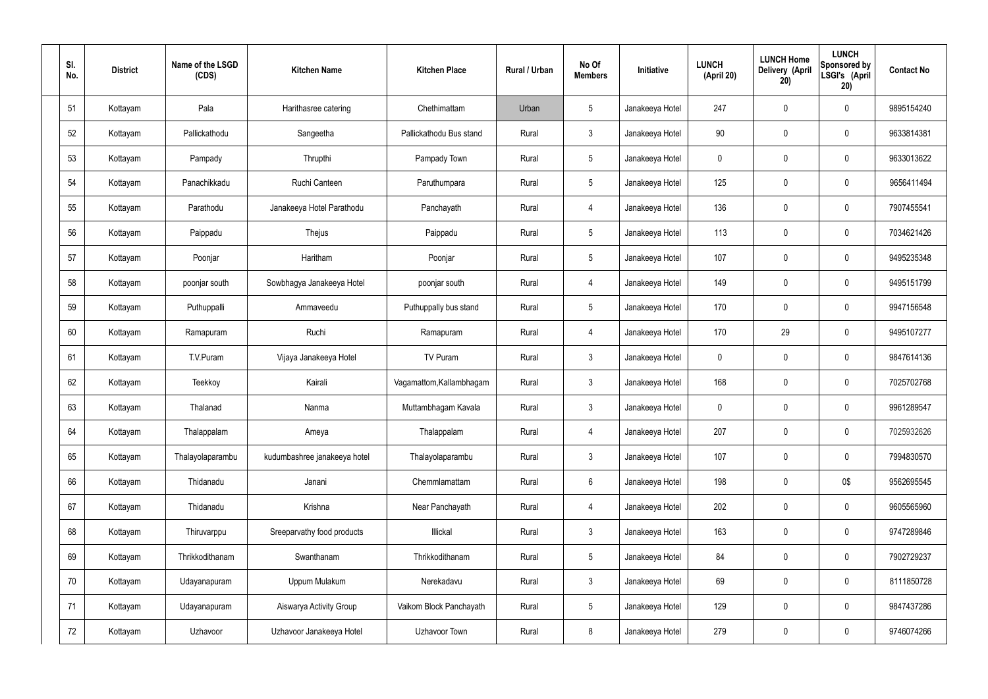| SI.<br>No. | <b>District</b> | Name of the LSGD<br>(CDS) | <b>Kitchen Name</b>          | <b>Kitchen Place</b>     | Rural / Urban | No Of<br><b>Members</b> | Initiative      | <b>LUNCH</b><br>(April 20) | <b>LUNCH Home</b><br><b>Delivery (April</b><br>20) | <b>LUNCH</b><br>Sponsored by<br>LSGI's (April<br>20) | <b>Contact No</b> |
|------------|-----------------|---------------------------|------------------------------|--------------------------|---------------|-------------------------|-----------------|----------------------------|----------------------------------------------------|------------------------------------------------------|-------------------|
| 51         | Kottayam        | Pala                      | Harithasree catering         | Chethimattam             | Urban         | $5\phantom{.0}$         | Janakeeya Hotel | 247                        | $\mathbf 0$                                        | $\mathbf 0$                                          | 9895154240        |
| 52         | Kottayam        | Pallickathodu             | Sangeetha                    | Pallickathodu Bus stand  | Rural         | $\mathbf{3}$            | Janakeeya Hotel | 90                         | $\mathbf 0$                                        | $\boldsymbol{0}$                                     | 9633814381        |
| 53         | Kottayam        | Pampady                   | Thrupthi                     | Pampady Town             | Rural         | $5\phantom{.0}$         | Janakeeya Hotel | $\mathbf 0$                | $\mathbf 0$                                        | $\mathbf 0$                                          | 9633013622        |
| 54         | Kottayam        | Panachikkadu              | Ruchi Canteen                | Paruthumpara             | Rural         | $5\phantom{.0}$         | Janakeeya Hotel | 125                        | $\mathbf 0$                                        | $\boldsymbol{0}$                                     | 9656411494        |
| 55         | Kottayam        | Parathodu                 | Janakeeya Hotel Parathodu    | Panchayath               | Rural         | 4                       | Janakeeya Hotel | 136                        | $\boldsymbol{0}$                                   | $\mathbf 0$                                          | 7907455541        |
| 56         | Kottayam        | Paippadu                  | Thejus                       | Paippadu                 | Rural         | $5\phantom{.0}$         | Janakeeya Hotel | 113                        | $\boldsymbol{0}$                                   | $\pmb{0}$                                            | 7034621426        |
| 57         | Kottayam        | Poonjar                   | Haritham                     | Poonjar                  | Rural         | $5\phantom{.0}$         | Janakeeya Hotel | 107                        | $\boldsymbol{0}$                                   | $\mathbf 0$                                          | 9495235348        |
| 58         | Kottayam        | poonjar south             | Sowbhagya Janakeeya Hotel    | poonjar south            | Rural         | $\overline{4}$          | Janakeeya Hotel | 149                        | $\mathbf 0$                                        | $\mathbf 0$                                          | 9495151799        |
| 59         | Kottayam        | Puthuppalli               | Ammaveedu                    | Puthuppally bus stand    | Rural         | $5\phantom{.0}$         | Janakeeya Hotel | 170                        | $\mathbf 0$                                        | $\mathbf 0$                                          | 9947156548        |
| 60         | Kottayam        | Ramapuram                 | Ruchi                        | Ramapuram                | Rural         | $\overline{4}$          | Janakeeya Hotel | 170                        | 29                                                 | $\boldsymbol{0}$                                     | 9495107277        |
| 61         | Kottayam        | T.V.Puram                 | Vijaya Janakeeya Hotel       | TV Puram                 | Rural         | $\mathbf{3}$            | Janakeeya Hotel | $\mathbf 0$                | $\boldsymbol{0}$                                   | $\mathbf 0$                                          | 9847614136        |
| 62         | Kottayam        | Teekkoy                   | Kairali                      | Vagamattom, Kallambhagam | Rural         | $\mathbf{3}$            | Janakeeya Hotel | 168                        | 0                                                  | $\boldsymbol{0}$                                     | 7025702768        |
| 63         | Kottayam        | Thalanad                  | Nanma                        | Muttambhagam Kavala      | Rural         | $\mathbf{3}$            | Janakeeya Hotel | $\mathbf 0$                | $\boldsymbol{0}$                                   | $\mathbf 0$                                          | 9961289547        |
| 64         | Kottayam        | Thalappalam               | Ameya                        | Thalappalam              | Rural         | $\overline{4}$          | Janakeeya Hotel | 207                        | $\mathbf 0$                                        | $\mathbf 0$                                          | 7025932626        |
| 65         | Kottayam        | Thalayolaparambu          | kudumbashree janakeeya hotel | Thalayolaparambu         | Rural         | $\mathbf{3}$            | Janakeeya Hotel | 107                        | $\mathbf 0$                                        | $\pmb{0}$                                            | 7994830570        |
| 66         | Kottayam        | Thidanadu                 | Janani                       | Chemmlamattam            | Rural         | $6\overline{6}$         | Janakeeya Hotel | 198                        | $\boldsymbol{0}$                                   | 0\$                                                  | 9562695545        |
| 67         | Kottayam        | Thidanadu                 | Krishna                      | Near Panchayath          | Rural         | $\overline{4}$          | Janakeeya Hotel | 202                        | $\pmb{0}$                                          | $\pmb{0}$                                            | 9605565960        |
| 68         | Kottayam        | Thiruvarppu               | Sreeparvathy food products   | Illickal                 | Rural         | $\mathbf{3}$            | Janakeeya Hotel | 163                        | $\boldsymbol{0}$                                   | $\mathbf 0$                                          | 9747289846        |
| 69         | Kottayam        | Thrikkodithanam           | Swanthanam                   | Thrikkodithanam          | Rural         | $5\phantom{.0}$         | Janakeeya Hotel | 84                         | $\mathbf 0$                                        | $\pmb{0}$                                            | 7902729237        |
| 70         | Kottayam        | Udayanapuram              | Uppum Mulakum                | Nerekadavu               | Rural         | $\mathbf{3}$            | Janakeeya Hotel | 69                         | $\mathbf 0$                                        | $\mathbf 0$                                          | 8111850728        |
| 71         | Kottayam        | Udayanapuram              | Aiswarya Activity Group      | Vaikom Block Panchayath  | Rural         | $5\phantom{.0}$         | Janakeeya Hotel | 129                        | $\mathbf 0$                                        | $\pmb{0}$                                            | 9847437286        |
| 72         | Kottayam        | Uzhavoor                  | Uzhavoor Janakeeya Hotel     | Uzhavoor Town            | Rural         | 8                       | Janakeeya Hotel | 279                        | $\boldsymbol{0}$                                   | $\pmb{0}$                                            | 9746074266        |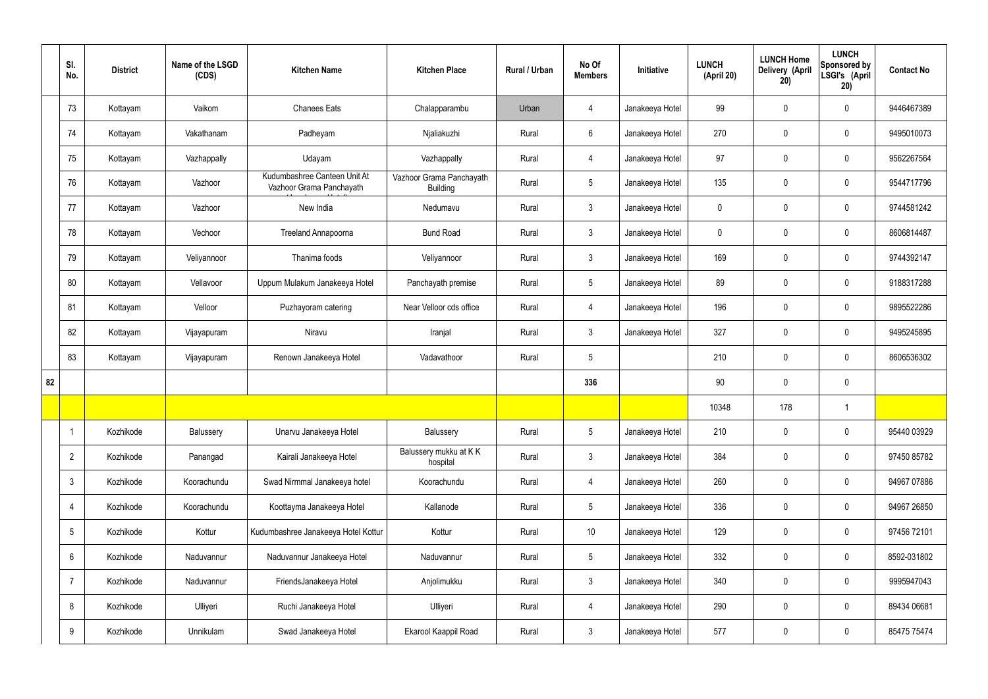|    | SI.<br>No.      | <b>District</b> | Name of the LSGD<br>(CDS) | <b>Kitchen Name</b>                                      | <b>Kitchen Place</b>                        | Rural / Urban | No Of<br><b>Members</b> | Initiative      | <b>LUNCH</b><br>(April 20) | <b>LUNCH Home</b><br><b>Delivery (April</b><br>20) | <b>LUNCH</b><br>Sponsored by<br>LSGI's (April<br>20) | <b>Contact No</b> |
|----|-----------------|-----------------|---------------------------|----------------------------------------------------------|---------------------------------------------|---------------|-------------------------|-----------------|----------------------------|----------------------------------------------------|------------------------------------------------------|-------------------|
|    | 73              | Kottayam        | Vaikom                    | <b>Chanees Eats</b>                                      | Chalapparambu                               | Urban         | 4                       | Janakeeya Hotel | 99                         | $\mathbf 0$                                        | $\mathbf 0$                                          | 9446467389        |
|    | 74              | Kottayam        | Vakathanam                | Padheyam                                                 | Njaliakuzhi                                 | Rural         | $6\overline{6}$         | Janakeeya Hotel | 270                        | $\mathbf 0$                                        | $\mathbf 0$                                          | 9495010073        |
|    | 75              | Kottayam        | Vazhappally               | Udayam                                                   | Vazhappally                                 | Rural         | $\overline{4}$          | Janakeeya Hotel | 97                         | $\mathbf 0$                                        | $\mathbf 0$                                          | 9562267564        |
|    | 76              | Kottayam        | Vazhoor                   | Kudumbashree Canteen Unit At<br>Vazhoor Grama Panchayath | Vazhoor Grama Panchayath<br><b>Building</b> | Rural         | $5\phantom{.0}$         | Janakeeya Hotel | 135                        | $\mathbf 0$                                        | $\mathbf 0$                                          | 9544717796        |
|    | 77              | Kottayam        | Vazhoor                   | New India                                                | Nedumavu                                    | Rural         | $\mathbf{3}$            | Janakeeya Hotel | $\mathbf 0$                | $\mathbf 0$                                        | $\mathbf 0$                                          | 9744581242        |
|    | 78              | Kottayam        | Vechoor                   | Treeland Annapoorna                                      | <b>Bund Road</b>                            | Rural         | $\mathbf{3}$            | Janakeeya Hotel | $\mathbf 0$                | $\mathbf 0$                                        | $\mathbf 0$                                          | 8606814487        |
|    | 79              | Kottayam        | Veliyannoor               | Thanima foods                                            | Veliyannoor                                 | Rural         | $\mathbf{3}$            | Janakeeya Hotel | 169                        | $\mathbf 0$                                        | $\mathbf 0$                                          | 9744392147        |
|    | 80              | Kottayam        | Vellavoor                 | Uppum Mulakum Janakeeya Hotel                            | Panchayath premise                          | Rural         | $5\phantom{.0}$         | Janakeeya Hotel | 89                         | $\mathbf 0$                                        | $\mathbf 0$                                          | 9188317288        |
|    | 81              | Kottayam        | Velloor                   | Puzhayoram catering                                      | Near Velloor cds office                     | Rural         | $\overline{4}$          | Janakeeya Hotel | 196                        | $\mathbf 0$                                        | $\mathbf 0$                                          | 9895522286        |
|    | 82              | Kottayam        | Vijayapuram               | Niravu                                                   | Iranjal                                     | Rural         | $\mathbf{3}$            | Janakeeya Hotel | 327                        | $\mathbf 0$                                        | $\mathbf 0$                                          | 9495245895        |
|    | 83              | Kottayam        | Vijayapuram               | Renown Janakeeya Hotel                                   | Vadavathoor                                 | Rural         | 5                       |                 | 210                        | $\pmb{0}$                                          | $\mathbf 0$                                          | 8606536302        |
| 82 |                 |                 |                           |                                                          |                                             |               | 336                     |                 | 90                         | $\mathbf 0$                                        | $\mathbf 0$                                          |                   |
|    |                 |                 |                           |                                                          |                                             |               |                         |                 | 10348                      | 178                                                |                                                      |                   |
|    |                 | Kozhikode       | Balussery                 | Unarvu Janakeeya Hotel                                   | Balussery                                   | Rural         | 5 <sub>5</sub>          | Janakeeya Hotel | 210                        | $\pmb{0}$                                          | $\mathbf 0$                                          | 95440 03929       |
|    | $\overline{2}$  | Kozhikode       | Panangad                  | Kairali Janakeeya Hotel                                  | Balussery mukku at KK<br>hospital           | Rural         | $\mathbf{3}$            | Janakeeya Hotel | 384                        | $\pmb{0}$                                          | $\mathbf 0$                                          | 97450 85782       |
|    | $\mathbf{3}$    | Kozhikode       | Koorachundu               | Swad Nirmmal Janakeeya hotel                             | Koorachundu                                 | Rural         | $\overline{4}$          | Janakeeya Hotel | 260                        | $\pmb{0}$                                          | $\mathbf 0$                                          | 94967 07886       |
|    | 4               | Kozhikode       | Koorachundu               | Koottayma Janakeeya Hotel                                | Kallanode                                   | Rural         | $5\phantom{.0}$         | Janakeeya Hotel | 336                        | $\pmb{0}$                                          | $\mathbf 0$                                          | 94967 26850       |
|    | $5\phantom{.0}$ | Kozhikode       | Kottur                    | Kudumbashree Janakeeya Hotel Kottur                      | Kottur                                      | Rural         | $10$                    | Janakeeya Hotel | 129                        | $\pmb{0}$                                          | $\mathbf 0$                                          | 97456 72101       |
|    | 6               | Kozhikode       | Naduvannur                | Naduvannur Janakeeya Hotel                               | Naduvannur                                  | Rural         | $5\phantom{.0}$         | Janakeeya Hotel | 332                        | $\pmb{0}$                                          | $\mathbf 0$                                          | 8592-031802       |
|    | $\overline{7}$  | Kozhikode       | Naduvannur                | FriendsJanakeeya Hotel                                   | Anjolimukku                                 | Rural         | $\mathbf{3}$            | Janakeeya Hotel | 340                        | $\pmb{0}$                                          | $\mathbf 0$                                          | 9995947043        |
|    | 8               | Kozhikode       | Ulliyeri                  | Ruchi Janakeeya Hotel                                    | Ulliyeri                                    | Rural         | 4                       | Janakeeya Hotel | 290                        | $\pmb{0}$                                          | $\mathbf 0$                                          | 89434 06681       |
|    | 9               | Kozhikode       | Unnikulam                 | Swad Janakeeya Hotel                                     | Ekarool Kaappil Road                        | Rural         | $\mathbf{3}$            | Janakeeya Hotel | 577                        | $\pmb{0}$                                          | $\boldsymbol{0}$                                     | 85475 75474       |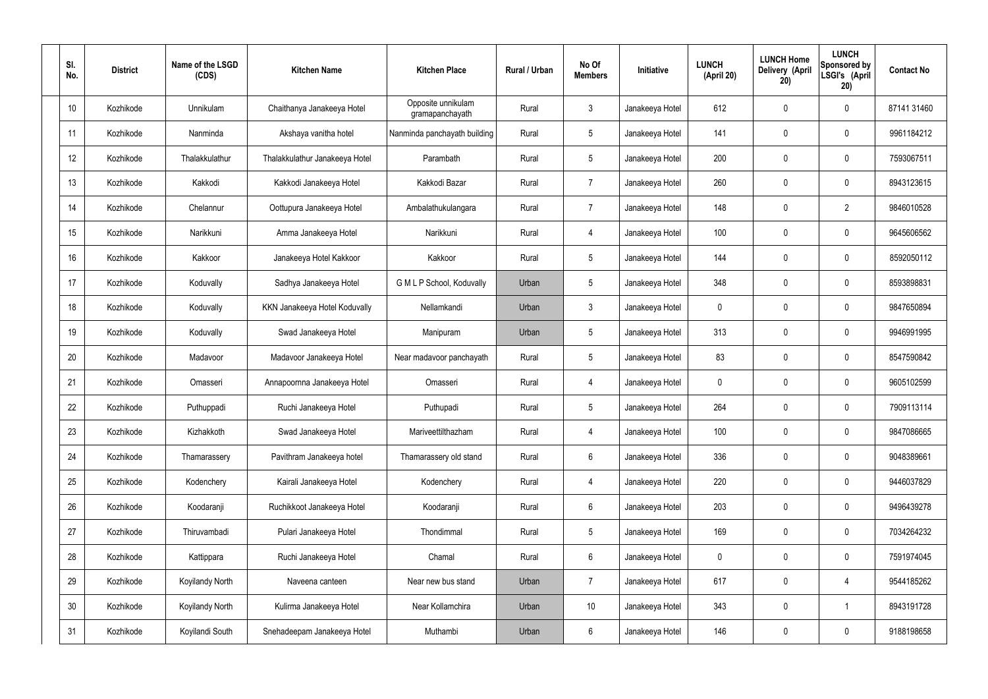| SI.<br>No. | <b>District</b> | Name of the LSGD<br>(CDS) | <b>Kitchen Name</b>            | <b>Kitchen Place</b>                  | Rural / Urban | No Of<br><b>Members</b> | <b>Initiative</b> | <b>LUNCH</b><br>(April 20) | <b>LUNCH Home</b><br>Delivery (April<br>20) | <b>LUNCH</b><br>Sponsored by<br>LSGI's (April<br>20) | <b>Contact No</b> |
|------------|-----------------|---------------------------|--------------------------------|---------------------------------------|---------------|-------------------------|-------------------|----------------------------|---------------------------------------------|------------------------------------------------------|-------------------|
| 10         | Kozhikode       | Unnikulam                 | Chaithanya Janakeeya Hotel     | Opposite unnikulam<br>gramapanchayath | Rural         | $\mathbf{3}$            | Janakeeya Hotel   | 612                        | $\mathbf 0$                                 | $\mathbf 0$                                          | 87141 31460       |
| 11         | Kozhikode       | Nanminda                  | Akshaya vanitha hotel          | Nanminda panchayath building          | Rural         | $5\phantom{.0}$         | Janakeeya Hotel   | 141                        | 0                                           | $\mathbf 0$                                          | 9961184212        |
| 12         | Kozhikode       | Thalakkulathur            | Thalakkulathur Janakeeya Hotel | Parambath                             | Rural         | $5\phantom{.0}$         | Janakeeya Hotel   | 200                        | 0                                           | $\mathbf 0$                                          | 7593067511        |
| 13         | Kozhikode       | Kakkodi                   | Kakkodi Janakeeya Hotel        | Kakkodi Bazar                         | Rural         | $\overline{7}$          | Janakeeya Hotel   | 260                        | 0                                           | $\mathbf 0$                                          | 8943123615        |
| 14         | Kozhikode       | Chelannur                 | Oottupura Janakeeya Hotel      | Ambalathukulangara                    | Rural         | $\overline{7}$          | Janakeeya Hotel   | 148                        | 0                                           | $\overline{2}$                                       | 9846010528        |
| 15         | Kozhikode       | Narikkuni                 | Amma Janakeeya Hotel           | Narikkuni                             | Rural         | $\overline{4}$          | Janakeeya Hotel   | 100                        | 0                                           | $\mathbf 0$                                          | 9645606562        |
| 16         | Kozhikode       | Kakkoor                   | Janakeeya Hotel Kakkoor        | Kakkoor                               | Rural         | $5\phantom{.0}$         | Janakeeya Hotel   | 144                        | $\mathbf 0$                                 | $\mathbf 0$                                          | 8592050112        |
| 17         | Kozhikode       | Koduvally                 | Sadhya Janakeeya Hotel         | G M L P School, Koduvally             | Urban         | $5\phantom{.0}$         | Janakeeya Hotel   | 348                        | 0                                           | $\mathbf 0$                                          | 8593898831        |
| 18         | Kozhikode       | Koduvally                 | KKN Janakeeya Hotel Koduvally  | Nellamkandi                           | Urban         | $\mathbf{3}$            | Janakeeya Hotel   | $\mathbf 0$                | 0                                           | $\mathbf 0$                                          | 9847650894        |
| 19         | Kozhikode       | Koduvally                 | Swad Janakeeya Hotel           | Manipuram                             | Urban         | $5\phantom{.0}$         | Janakeeya Hotel   | 313                        | 0                                           | $\mathbf 0$                                          | 9946991995        |
| 20         | Kozhikode       | Madavoor                  | Madavoor Janakeeya Hotel       | Near madavoor panchayath              | Rural         | $5\phantom{.0}$         | Janakeeya Hotel   | 83                         | 0                                           | $\mathbf 0$                                          | 8547590842        |
| 21         | Kozhikode       | Omasseri                  | Annapoornna Janakeeya Hotel    | Omasseri                              | Rural         | 4                       | Janakeeya Hotel   | $\mathbf 0$                | 0                                           | $\mathbf 0$                                          | 9605102599        |
| 22         | Kozhikode       | Puthuppadi                | Ruchi Janakeeya Hotel          | Puthupadi                             | Rural         | $5\phantom{.0}$         | Janakeeya Hotel   | 264                        | 0                                           | 0                                                    | 7909113114        |
| 23         | Kozhikode       | Kizhakkoth                | Swad Janakeeya Hotel           | Mariveettilthazham                    | Rural         | $\overline{4}$          | Janakeeya Hotel   | 100                        | $\mathbf 0$                                 | $\mathbf 0$                                          | 9847086665        |
| 24         | Kozhikode       | Thamarassery              | Pavithram Janakeeya hotel      | Thamarassery old stand                | Rural         | $6\overline{6}$         | Janakeeya Hotel   | 336                        | $\mathbf 0$                                 | $\mathbf 0$                                          | 9048389661        |
| 25         | Kozhikode       | Kodenchery                | Kairali Janakeeya Hotel        | Kodenchery                            | Rural         | $\overline{4}$          | Janakeeya Hotel   | 220                        | 0                                           | $\mathbf 0$                                          | 9446037829        |
| 26         | Kozhikode       | Koodaranji                | Ruchikkoot Janakeeya Hotel     | Koodaranji                            | Rural         | $6\overline{6}$         | Janakeeya Hotel   | 203                        | 0                                           | $\mathbf 0$                                          | 9496439278        |
| 27         | Kozhikode       | Thiruvambadi              | Pulari Janakeeya Hotel         | Thondimmal                            | Rural         | $5\phantom{.0}$         | Janakeeya Hotel   | 169                        | 0                                           | $\mathbf 0$                                          | 7034264232        |
| 28         | Kozhikode       | Kattippara                | Ruchi Janakeeya Hotel          | Chamal                                | Rural         | $6\,$                   | Janakeeya Hotel   | $\mathbf 0$                | 0                                           | $\mathbf 0$                                          | 7591974045        |
| 29         | Kozhikode       | Koyilandy North           | Naveena canteen                | Near new bus stand                    | Urban         | $\overline{7}$          | Janakeeya Hotel   | 617                        | 0                                           | $\overline{4}$                                       | 9544185262        |
| 30         | Kozhikode       | Koyilandy North           | Kulirma Janakeeya Hotel        | Near Kollamchira                      | Urban         | 10 <sup>°</sup>         | Janakeeya Hotel   | 343                        | 0                                           | $\mathbf 1$                                          | 8943191728        |
| 31         | Kozhikode       | Koyilandi South           | Snehadeepam Janakeeya Hotel    | Muthambi                              | Urban         | $6\,$                   | Janakeeya Hotel   | 146                        | 0                                           | $\mathbf 0$                                          | 9188198658        |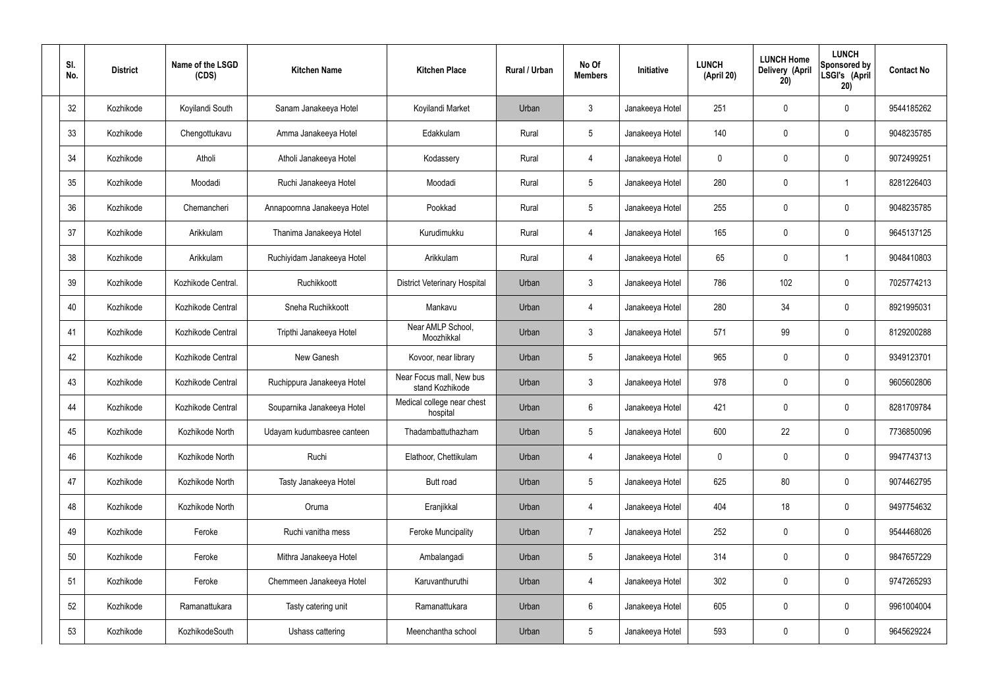| SI.<br>No. | <b>District</b> | Name of the LSGD<br>(CDS) | <b>Kitchen Name</b>         | <b>Kitchen Place</b>                        | <b>Rural / Urban</b> | No Of<br><b>Members</b> | Initiative      | <b>LUNCH</b><br>(April 20) | <b>LUNCH Home</b><br>Delivery (April<br>20) | <b>LUNCH</b><br>Sponsored by<br>LSGI's (April<br>20) | <b>Contact No</b> |
|------------|-----------------|---------------------------|-----------------------------|---------------------------------------------|----------------------|-------------------------|-----------------|----------------------------|---------------------------------------------|------------------------------------------------------|-------------------|
| 32         | Kozhikode       | Koyilandi South           | Sanam Janakeeya Hotel       | Koyilandi Market                            | Urban                | $\mathbf{3}$            | Janakeeya Hotel | 251                        | 0                                           | $\mathbf 0$                                          | 9544185262        |
| 33         | Kozhikode       | Chengottukavu             | Amma Janakeeya Hotel        | Edakkulam                                   | Rural                | $5\phantom{.0}$         | Janakeeya Hotel | 140                        | 0                                           | $\pmb{0}$                                            | 9048235785        |
| 34         | Kozhikode       | Atholi                    | Atholi Janakeeya Hotel      | Kodassery                                   | Rural                | $\overline{4}$          | Janakeeya Hotel | $\mathbf 0$                | 0                                           | $\mathbf 0$                                          | 9072499251        |
| 35         | Kozhikode       | Moodadi                   | Ruchi Janakeeya Hotel       | Moodadi                                     | Rural                | $5\phantom{.0}$         | Janakeeya Hotel | 280                        | 0                                           | -1                                                   | 8281226403        |
| 36         | Kozhikode       | Chemancheri               | Annapoornna Janakeeya Hotel | Pookkad                                     | Rural                | $5\phantom{.0}$         | Janakeeya Hotel | 255                        | $\boldsymbol{0}$                            | $\mathbf 0$                                          | 9048235785        |
| 37         | Kozhikode       | Arikkulam                 | Thanima Janakeeya Hotel     | Kurudimukku                                 | Rural                | $\overline{4}$          | Janakeeya Hotel | 165                        | 0                                           | $\pmb{0}$                                            | 9645137125        |
| 38         | Kozhikode       | Arikkulam                 | Ruchiyidam Janakeeya Hotel  | Arikkulam                                   | Rural                | $\overline{4}$          | Janakeeya Hotel | 65                         | $\boldsymbol{0}$                            | -1                                                   | 9048410803        |
| 39         | Kozhikode       | Kozhikode Central.        | Ruchikkoott                 | <b>District Veterinary Hospital</b>         | Urban                | $\mathbf{3}$            | Janakeeya Hotel | 786                        | 102                                         | $\mathbf 0$                                          | 7025774213        |
| 40         | Kozhikode       | Kozhikode Central         | Sneha Ruchikkoott           | Mankavu                                     | Urban                | $\overline{4}$          | Janakeeya Hotel | 280                        | 34                                          | $\mathbf 0$                                          | 8921995031        |
| 41         | Kozhikode       | Kozhikode Central         | Tripthi Janakeeya Hotel     | Near AMLP School,<br>Moozhikkal             | Urban                | $\mathbf{3}$            | Janakeeya Hotel | 571                        | 99                                          | $\boldsymbol{0}$                                     | 8129200288        |
| 42         | Kozhikode       | Kozhikode Central         | New Ganesh                  | Kovoor, near library                        | Urban                | $5\phantom{.0}$         | Janakeeya Hotel | 965                        | 0                                           | $\boldsymbol{0}$                                     | 9349123701        |
| 43         | Kozhikode       | Kozhikode Central         | Ruchippura Janakeeya Hotel  | Near Focus mall, New bus<br>stand Kozhikode | Urban                | $\mathbf{3}$            | Janakeeya Hotel | 978                        | 0                                           | $\boldsymbol{0}$                                     | 9605602806        |
| 44         | Kozhikode       | Kozhikode Central         | Souparnika Janakeeya Hotel  | Medical college near chest<br>hospital      | Urban                | $6\phantom{.}$          | Janakeeya Hotel | 421                        | 0                                           | 0                                                    | 8281709784        |
| 45         | Kozhikode       | Kozhikode North           | Udayam kudumbasree canteen  | Thadambattuthazham                          | Urban                | $5\phantom{.0}$         | Janakeeya Hotel | 600                        | 22                                          | $\mathbf 0$                                          | 7736850096        |
| 46         | Kozhikode       | Kozhikode North           | Ruchi                       | Elathoor, Chettikulam                       | Urban                | 4                       | Janakeeya Hotel | $\mathbf 0$                | $\mathbf 0$                                 | $\mathbf 0$                                          | 9947743713        |
| 47         | Kozhikode       | Kozhikode North           | Tasty Janakeeya Hotel       | Butt road                                   | Urban                | $5\phantom{.0}$         | Janakeeya Hotel | 625                        | 80                                          | $\mathbf 0$                                          | 9074462795        |
| 48         | Kozhikode       | Kozhikode North           | Oruma                       | Eranjikkal                                  | Urban                | 4                       | Janakeeya Hotel | 404                        | 18                                          | $\mathbf 0$                                          | 9497754632        |
| 49         | Kozhikode       | Feroke                    | Ruchi vanitha mess          | <b>Feroke Muncipality</b>                   | Urban                | $\overline{7}$          | Janakeeya Hotel | 252                        | 0                                           | $\mathbf 0$                                          | 9544468026        |
| 50         | Kozhikode       | Feroke                    | Mithra Janakeeya Hotel      | Ambalangadi                                 | Urban                | $5\phantom{.0}$         | Janakeeya Hotel | 314                        | 0                                           | $\mathbf 0$                                          | 9847657229        |
| 51         | Kozhikode       | Feroke                    | Chemmeen Janakeeya Hotel    | Karuvanthuruthi                             | Urban                | 4                       | Janakeeya Hotel | 302                        | 0                                           | $\mathbf 0$                                          | 9747265293        |
| 52         | Kozhikode       | Ramanattukara             | Tasty catering unit         | Ramanattukara                               | Urban                | $6\,$                   | Janakeeya Hotel | 605                        | 0                                           | $\mathbf 0$                                          | 9961004004        |
| 53         | Kozhikode       | KozhikodeSouth            | Ushass cattering            | Meenchantha school                          | Urban                | $5\,$                   | Janakeeya Hotel | 593                        | $\pmb{0}$                                   | $\boldsymbol{0}$                                     | 9645629224        |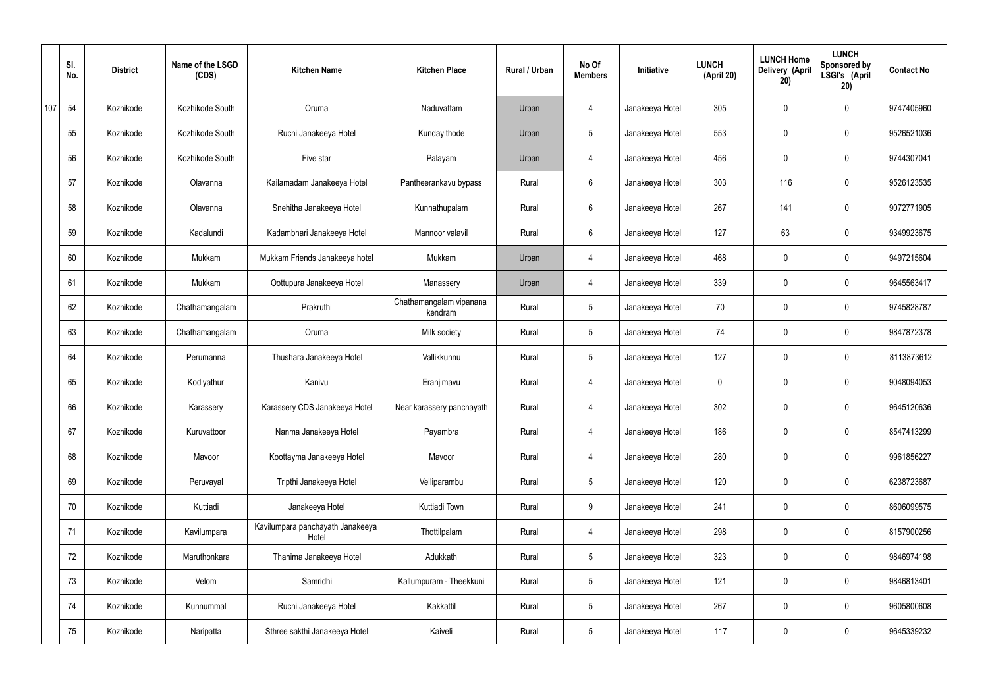|     | SI.<br>No. | <b>District</b> | Name of the LSGD<br>(CDS) | <b>Kitchen Name</b>                       | <b>Kitchen Place</b>               | <b>Rural / Urban</b> | No Of<br><b>Members</b> | Initiative      | <b>LUNCH</b><br>(April 20) | <b>LUNCH Home</b><br>Delivery (April<br>20) | <b>LUNCH</b><br>Sponsored by<br>LSGI's (April<br>20) | <b>Contact No</b> |
|-----|------------|-----------------|---------------------------|-------------------------------------------|------------------------------------|----------------------|-------------------------|-----------------|----------------------------|---------------------------------------------|------------------------------------------------------|-------------------|
| 107 | 54         | Kozhikode       | Kozhikode South           | Oruma                                     | Naduvattam                         | Urban                | 4                       | Janakeeya Hotel | 305                        | $\mathbf 0$                                 | $\mathbf 0$                                          | 9747405960        |
|     | 55         | Kozhikode       | Kozhikode South           | Ruchi Janakeeya Hotel                     | Kundayithode                       | Urban                | $5\phantom{.0}$         | Janakeeya Hotel | 553                        | $\mathbf 0$                                 | $\mathbf 0$                                          | 9526521036        |
|     | 56         | Kozhikode       | Kozhikode South           | Five star                                 | Palayam                            | Urban                | 4                       | Janakeeya Hotel | 456                        | $\mathbf 0$                                 | $\mathbf 0$                                          | 9744307041        |
|     | 57         | Kozhikode       | Olavanna                  | Kailamadam Janakeeya Hotel                | Pantheerankavu bypass              | Rural                | $6\phantom{.}6$         | Janakeeya Hotel | 303                        | 116                                         | $\mathbf 0$                                          | 9526123535        |
|     | 58         | Kozhikode       | Olavanna                  | Snehitha Janakeeya Hotel                  | Kunnathupalam                      | Rural                | $6\overline{6}$         | Janakeeya Hotel | 267                        | 141                                         | $\mathbf 0$                                          | 9072771905        |
|     | 59         | Kozhikode       | Kadalundi                 | Kadambhari Janakeeya Hotel                | Mannoor valavil                    | Rural                | $6\phantom{.}6$         | Janakeeya Hotel | 127                        | 63                                          | $\mathbf 0$                                          | 9349923675        |
|     | 60         | Kozhikode       | Mukkam                    | Mukkam Friends Janakeeya hotel            | Mukkam                             | Urban                | $\overline{4}$          | Janakeeya Hotel | 468                        | $\mathbf 0$                                 | $\mathbf 0$                                          | 9497215604        |
|     | 61         | Kozhikode       | Mukkam                    | Oottupura Janakeeya Hotel                 | Manassery                          | Urban                | 4                       | Janakeeya Hotel | 339                        | $\mathbf 0$                                 | $\mathbf 0$                                          | 9645563417        |
|     | 62         | Kozhikode       | Chathamangalam            | Prakruthi                                 | Chathamangalam vipanana<br>kendram | Rural                | $5\overline{)}$         | Janakeeya Hotel | 70                         | $\mathbf 0$                                 | $\mathbf 0$                                          | 9745828787        |
|     | 63         | Kozhikode       | Chathamangalam            | Oruma                                     | Milk society                       | Rural                | $5\phantom{.0}$         | Janakeeya Hotel | 74                         | 0                                           | $\mathbf 0$                                          | 9847872378        |
|     | 64         | Kozhikode       | Perumanna                 | Thushara Janakeeya Hotel                  | Vallikkunnu                        | Rural                | $5\phantom{.0}$         | Janakeeya Hotel | 127                        | 0                                           | $\mathbf 0$                                          | 8113873612        |
|     | 65         | Kozhikode       | Kodiyathur                | Kanivu                                    | Eranjimavu                         | Rural                | 4                       | Janakeeya Hotel | 0                          | 0                                           | $\mathbf 0$                                          | 9048094053        |
|     | 66         | Kozhikode       | Karassery                 | Karassery CDS Janakeeya Hotel             | Near karassery panchayath          | Rural                | 4                       | Janakeeya Hotel | 302                        | 0                                           | $\mathbf 0$                                          | 9645120636        |
|     | 67         | Kozhikode       | Kuruvattoor               | Nanma Janakeeya Hotel                     | Payambra                           | Rural                | $\overline{4}$          | Janakeeya Hotel | 186                        | $\mathbf 0$                                 | $\mathbf 0$                                          | 8547413299        |
|     | 68         | Kozhikode       | Mavoor                    | Koottayma Janakeeya Hotel                 | Mavoor                             | Rural                | $\overline{4}$          | Janakeeya Hotel | 280                        | $\mathbf 0$                                 | $\mathbf 0$                                          | 9961856227        |
|     | 69         | Kozhikode       | Peruvayal                 | Tripthi Janakeeya Hotel                   | Velliparambu                       | Rural                | $5\overline{)}$         | Janakeeya Hotel | 120                        | 0                                           | $\mathbf 0$                                          | 6238723687        |
|     | 70         | Kozhikode       | Kuttiadi                  | Janakeeya Hotel                           | Kuttiadi Town                      | Rural                | 9                       | Janakeeya Hotel | 241                        | 0                                           | $\mathbf 0$                                          | 8606099575        |
|     | 71         | Kozhikode       | Kavilumpara               | Kavilumpara panchayath Janakeeya<br>Hotel | Thottilpalam                       | Rural                | $\overline{4}$          | Janakeeya Hotel | 298                        | 0                                           | $\mathbf 0$                                          | 8157900256        |
|     | 72         | Kozhikode       | Maruthonkara              | Thanima Janakeeya Hotel                   | Adukkath                           | Rural                | $5\overline{)}$         | Janakeeya Hotel | 323                        | 0                                           | $\mathbf 0$                                          | 9846974198        |
|     | 73         | Kozhikode       | Velom                     | Samridhi                                  | Kallumpuram - Theekkuni            | Rural                | $5\overline{)}$         | Janakeeya Hotel | 121                        | 0                                           | $\mathbf 0$                                          | 9846813401        |
|     | 74         | Kozhikode       | Kunnummal                 | Ruchi Janakeeya Hotel                     | Kakkattil                          | Rural                | $5\phantom{.0}$         | Janakeeya Hotel | 267                        | 0                                           | $\mathbf 0$                                          | 9605800608        |
|     | 75         | Kozhikode       | Naripatta                 | Sthree sakthi Janakeeya Hotel             | Kaiveli                            | Rural                | $5\phantom{.0}$         | Janakeeya Hotel | 117                        | 0                                           | $\overline{0}$                                       | 9645339232        |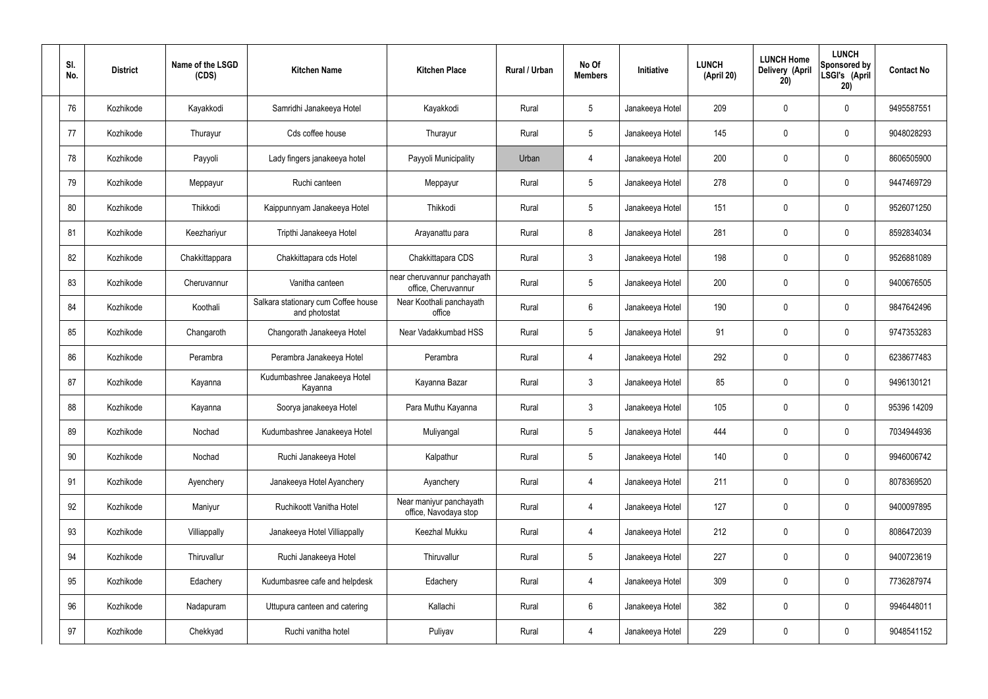| SI.<br>No. | <b>District</b> | Name of the LSGD<br>(CDS) | <b>Kitchen Name</b>                                  | <b>Kitchen Place</b>                               | Rural / Urban | No Of<br><b>Members</b> | <b>Initiative</b> | <b>LUNCH</b><br>(April 20) | <b>LUNCH Home</b><br>Delivery (April<br>20) | <b>LUNCH</b><br>Sponsored by<br>LSGI's (April<br>20) | <b>Contact No</b> |
|------------|-----------------|---------------------------|------------------------------------------------------|----------------------------------------------------|---------------|-------------------------|-------------------|----------------------------|---------------------------------------------|------------------------------------------------------|-------------------|
| 76         | Kozhikode       | Kayakkodi                 | Samridhi Janakeeya Hotel                             | Kayakkodi                                          | Rural         | $5\phantom{.0}$         | Janakeeya Hotel   | 209                        | $\mathbf 0$                                 | $\mathbf 0$                                          | 9495587551        |
| 77         | Kozhikode       | Thurayur                  | Cds coffee house                                     | Thurayur                                           | Rural         | $5\phantom{.0}$         | Janakeeya Hotel   | 145                        | $\mathbf 0$                                 | $\mathbf 0$                                          | 9048028293        |
| 78         | Kozhikode       | Payyoli                   | Lady fingers janakeeya hotel                         | Payyoli Municipality                               | Urban         | $\overline{4}$          | Janakeeya Hotel   | 200                        | $\mathbf 0$                                 | $\mathbf 0$                                          | 8606505900        |
| 79         | Kozhikode       | Meppayur                  | Ruchi canteen                                        | Meppayur                                           | Rural         | $5\phantom{.0}$         | Janakeeya Hotel   | 278                        | $\mathbf 0$                                 | $\mathbf 0$                                          | 9447469729        |
| 80         | Kozhikode       | Thikkodi                  | Kaippunnyam Janakeeya Hotel                          | Thikkodi                                           | Rural         | $5\phantom{.0}$         | Janakeeya Hotel   | 151                        | $\mathbf 0$                                 | $\mathbf 0$                                          | 9526071250        |
| 81         | Kozhikode       | Keezhariyur               | Tripthi Janakeeya Hotel                              | Arayanattu para                                    | Rural         | 8                       | Janakeeya Hotel   | 281                        | 0                                           | $\mathbf 0$                                          | 8592834034        |
| 82         | Kozhikode       | Chakkittappara            | Chakkittapara cds Hotel                              | Chakkittapara CDS                                  | Rural         | $\mathbf{3}$            | Janakeeya Hotel   | 198                        | $\mathbf 0$                                 | $\mathbf 0$                                          | 9526881089        |
| 83         | Kozhikode       | Cheruvannur               | Vanitha canteen                                      | near cheruvannur panchayath<br>office, Cheruvannur | Rural         | $5\phantom{.0}$         | Janakeeya Hotel   | 200                        | 0                                           | $\mathbf 0$                                          | 9400676505        |
| 84         | Kozhikode       | Koothali                  | Salkara stationary cum Coffee house<br>and photostat | Near Koothali panchayath<br>office                 | Rural         | $6\overline{6}$         | Janakeeya Hotel   | 190                        | $\mathbf 0$                                 | $\mathbf 0$                                          | 9847642496        |
| 85         | Kozhikode       | Changaroth                | Changorath Janakeeya Hotel                           | Near Vadakkumbad HSS                               | Rural         | $5\phantom{.0}$         | Janakeeya Hotel   | 91                         | 0                                           | $\mathbf 0$                                          | 9747353283        |
| 86         | Kozhikode       | Perambra                  | Perambra Janakeeya Hotel                             | Perambra                                           | Rural         | $\overline{4}$          | Janakeeya Hotel   | 292                        | $\mathbf 0$                                 | $\mathbf 0$                                          | 6238677483        |
| 87         | Kozhikode       | Kayanna                   | Kudumbashree Janakeeya Hotel<br>Kayanna              | Kayanna Bazar                                      | Rural         | $\mathbf{3}$            | Janakeeya Hotel   | 85                         | 0                                           | $\mathbf 0$                                          | 9496130121        |
| 88         | Kozhikode       | Kayanna                   | Soorya janakeeya Hotel                               | Para Muthu Kayanna                                 | Rural         | $\mathbf{3}$            | Janakeeya Hotel   | 105                        | 0                                           | 0                                                    | 95396 14209       |
| 89         | Kozhikode       | Nochad                    | Kudumbashree Janakeeya Hotel                         | Muliyangal                                         | Rural         | $5\phantom{.0}$         | Janakeeya Hotel   | 444                        | $\mathbf 0$                                 | $\mathbf 0$                                          | 7034944936        |
| 90         | Kozhikode       | Nochad                    | Ruchi Janakeeya Hotel                                | Kalpathur                                          | Rural         | $5\overline{)}$         | Janakeeya Hotel   | 140                        | $\mathbf 0$                                 | $\mathbf 0$                                          | 9946006742        |
| 91         | Kozhikode       | Ayenchery                 | Janakeeya Hotel Ayanchery                            | Ayanchery                                          | Rural         | $\overline{4}$          | Janakeeya Hotel   | 211                        | $\mathbf 0$                                 | $\mathbf 0$                                          | 8078369520        |
| 92         | Kozhikode       | Maniyur                   | Ruchikoott Vanitha Hotel                             | Near maniyur panchayath<br>office, Navodaya stop   | Rural         | $\overline{4}$          | Janakeeya Hotel   | 127                        | $\mathbf 0$                                 | $\mathbf 0$                                          | 9400097895        |
| 93         | Kozhikode       | Villiappally              | Janakeeya Hotel Villiappally                         | Keezhal Mukku                                      | Rural         | $\overline{4}$          | Janakeeya Hotel   | 212                        | 0                                           | $\mathbf 0$                                          | 8086472039        |
| 94         | Kozhikode       | Thiruvallur               | Ruchi Janakeeya Hotel                                | Thiruvallur                                        | Rural         | $5\phantom{.0}$         | Janakeeya Hotel   | 227                        | 0                                           | $\mathbf 0$                                          | 9400723619        |
| 95         | Kozhikode       | Edachery                  | Kudumbasree cafe and helpdesk                        | Edachery                                           | Rural         | $\overline{4}$          | Janakeeya Hotel   | 309                        | 0                                           | $\mathbf 0$                                          | 7736287974        |
| 96         | Kozhikode       | Nadapuram                 | Uttupura canteen and catering                        | Kallachi                                           | Rural         | $6\overline{6}$         | Janakeeya Hotel   | 382                        | 0                                           | $\mathbf 0$                                          | 9946448011        |
| 97         | Kozhikode       | Chekkyad                  | Ruchi vanitha hotel                                  | Puliyav                                            | Rural         | 4                       | Janakeeya Hotel   | 229                        | 0                                           | $\mathbf 0$                                          | 9048541152        |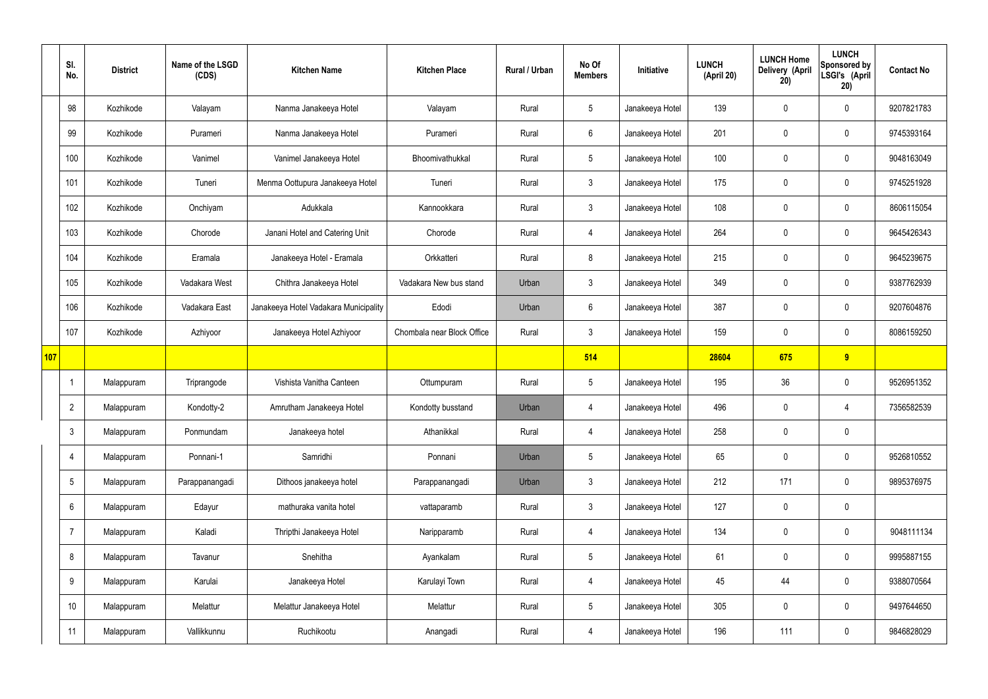|     | SI.<br>No.      | <b>District</b> | Name of the LSGD<br>(CDS) | <b>Kitchen Name</b>                   | <b>Kitchen Place</b>       | <b>Rural / Urban</b> | No Of<br><b>Members</b> | Initiative      | <b>LUNCH</b><br>(April 20) | <b>LUNCH Home</b><br><b>Delivery (April</b><br>20) | <b>LUNCH</b><br>Sponsored by<br>LSGI's (April<br>20) | <b>Contact No</b> |
|-----|-----------------|-----------------|---------------------------|---------------------------------------|----------------------------|----------------------|-------------------------|-----------------|----------------------------|----------------------------------------------------|------------------------------------------------------|-------------------|
|     | 98              | Kozhikode       | Valayam                   | Nanma Janakeeya Hotel                 | Valayam                    | Rural                | $5\phantom{.0}$         | Janakeeya Hotel | 139                        | $\mathbf 0$                                        | $\mathbf 0$                                          | 9207821783        |
|     | 99              | Kozhikode       | Purameri                  | Nanma Janakeeya Hotel                 | Purameri                   | Rural                | $6\phantom{.}6$         | Janakeeya Hotel | 201                        | $\mathbf 0$                                        | $\mathbf 0$                                          | 9745393164        |
|     | 100             | Kozhikode       | Vanimel                   | Vanimel Janakeeya Hotel               | Bhoomivathukkal            | Rural                | $5\phantom{.0}$         | Janakeeya Hotel | 100                        | $\mathbf 0$                                        | $\mathbf 0$                                          | 9048163049        |
|     | 101             | Kozhikode       | Tuneri                    | Menma Oottupura Janakeeya Hotel       | Tuneri                     | Rural                | $\mathbf{3}$            | Janakeeya Hotel | 175                        | $\mathbf 0$                                        | $\mathbf 0$                                          | 9745251928        |
|     | 102             | Kozhikode       | Onchiyam                  | Adukkala                              | Kannookkara                | Rural                | $\mathbf{3}$            | Janakeeya Hotel | 108                        | $\mathbf 0$                                        | $\mathbf 0$                                          | 8606115054        |
|     | 103             | Kozhikode       | Chorode                   | Janani Hotel and Catering Unit        | Chorode                    | Rural                | 4                       | Janakeeya Hotel | 264                        | $\mathbf 0$                                        | $\mathbf 0$                                          | 9645426343        |
|     | 104             | Kozhikode       | Eramala                   | Janakeeya Hotel - Eramala             | Orkkatteri                 | Rural                | 8                       | Janakeeya Hotel | 215                        | $\mathbf 0$                                        | $\mathbf 0$                                          | 9645239675        |
|     | 105             | Kozhikode       | Vadakara West             | Chithra Janakeeya Hotel               | Vadakara New bus stand     | Urban                | $\mathbf{3}$            | Janakeeya Hotel | 349                        | $\mathbf 0$                                        | $\mathbf 0$                                          | 9387762939        |
|     | 106             | Kozhikode       | Vadakara East             | Janakeeya Hotel Vadakara Municipality | Edodi                      | Urban                | $6\phantom{.}6$         | Janakeeya Hotel | 387                        | $\mathbf 0$                                        | $\mathbf 0$                                          | 9207604876        |
|     | 107             | Kozhikode       | Azhiyoor                  | Janakeeya Hotel Azhiyoor              | Chombala near Block Office | Rural                | 3                       | Janakeeya Hotel | 159                        | $\mathbf 0$                                        | $\mathbf 0$                                          | 8086159250        |
| 107 |                 |                 |                           |                                       |                            |                      | 514                     |                 | 28604                      | 675                                                | 9                                                    |                   |
|     | -1              | Malappuram      | Triprangode               | Vishista Vanitha Canteen              | Ottumpuram                 | Rural                | $5\phantom{.0}$         | Janakeeya Hotel | 195                        | 36                                                 | $\mathbf 0$                                          | 9526951352        |
|     | $\overline{2}$  | Malappuram      | Kondotty-2                | Amrutham Janakeeya Hotel              | Kondotty busstand          | Urban                | 4                       | Janakeeya Hotel | 496                        | $\mathbf 0$                                        | 4                                                    | 7356582539        |
|     | $3\phantom{.0}$ | Malappuram      | Ponmundam                 | Janakeeya hotel                       | Athanikkal                 | Rural                | $\overline{4}$          | Janakeeya Hotel | 258                        | $\pmb{0}$                                          | $\mathbf 0$                                          |                   |
|     | $\overline{4}$  | Malappuram      | Ponnani-1                 | Samridhi                              | Ponnani                    | Urban                | $5\phantom{.0}$         | Janakeeya Hotel | 65                         | $\pmb{0}$                                          | $\mathbf 0$                                          | 9526810552        |
|     | 5               | Malappuram      | Parappanangadi            | Dithoos janakeeya hotel               | Parappanangadi             | Urban                | 3 <sup>1</sup>          | Janakeeya Hotel | 212                        | 171                                                | $\mathbf 0$                                          | 9895376975        |
|     | 6               | Malappuram      | Edayur                    | mathuraka vanita hotel                | vattaparamb                | Rural                | $\mathbf{3}$            | Janakeeya Hotel | 127                        | $\pmb{0}$                                          | $\mathbf 0$                                          |                   |
|     | $\overline{7}$  | Malappuram      | Kaladi                    | Thripthi Janakeeya Hotel              | Naripparamb                | Rural                | $\overline{4}$          | Janakeeya Hotel | 134                        | $\pmb{0}$                                          | $\mathbf 0$                                          | 9048111134        |
|     | 8               | Malappuram      | Tavanur                   | Snehitha                              | Ayankalam                  | Rural                | $5\overline{)}$         | Janakeeya Hotel | 61                         | $\pmb{0}$                                          | $\mathbf 0$                                          | 9995887155        |
|     | 9               | Malappuram      | Karulai                   | Janakeeya Hotel                       | Karulayi Town              | Rural                | $\overline{4}$          | Janakeeya Hotel | 45                         | 44                                                 | $\mathbf 0$                                          | 9388070564        |
|     | 10              | Malappuram      | Melattur                  | Melattur Janakeeya Hotel              | Melattur                   | Rural                | 5 <sub>5</sub>          | Janakeeya Hotel | 305                        | $\pmb{0}$                                          | $\mathbf 0$                                          | 9497644650        |
|     | 11              | Malappuram      | Vallikkunnu               | Ruchikootu                            | Anangadi                   | Rural                | 4                       | Janakeeya Hotel | 196                        | 111                                                | $\boldsymbol{0}$                                     | 9846828029        |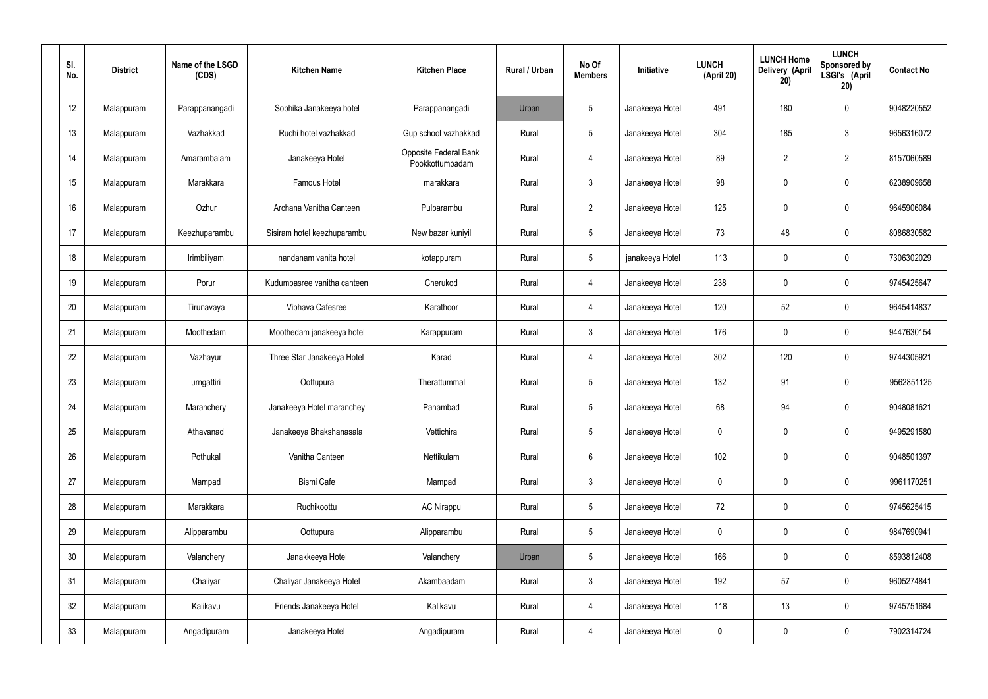| SI.<br>No.      | <b>District</b> | Name of the LSGD<br>(CDS) | <b>Kitchen Name</b>         | <b>Kitchen Place</b>                     | Rural / Urban | No Of<br><b>Members</b> | Initiative      | <b>LUNCH</b><br>(April 20) | <b>LUNCH Home</b><br>Delivery (April<br>20) | <b>LUNCH</b><br>Sponsored by<br>LSGI's (April<br>20) | <b>Contact No</b> |
|-----------------|-----------------|---------------------------|-----------------------------|------------------------------------------|---------------|-------------------------|-----------------|----------------------------|---------------------------------------------|------------------------------------------------------|-------------------|
| 12              | Malappuram      | Parappanangadi            | Sobhika Janakeeya hotel     | Parappanangadi                           | Urban         | $5\phantom{.0}$         | Janakeeya Hotel | 491                        | 180                                         | $\mathbf 0$                                          | 9048220552        |
| 13              | Malappuram      | Vazhakkad                 | Ruchi hotel vazhakkad       | Gup school vazhakkad                     | Rural         | $5\phantom{.0}$         | Janakeeya Hotel | 304                        | 185                                         | $3\phantom{.0}$                                      | 9656316072        |
| 14              | Malappuram      | Amarambalam               | Janakeeya Hotel             | Opposite Federal Bank<br>Pookkottumpadam | Rural         | $\overline{4}$          | Janakeeya Hotel | 89                         | $\overline{2}$                              | $\overline{2}$                                       | 8157060589        |
| 15              | Malappuram      | Marakkara                 | Famous Hotel                | marakkara                                | Rural         | $\mathbf{3}$            | Janakeeya Hotel | 98                         | 0                                           | $\mathbf 0$                                          | 6238909658        |
| 16              | Malappuram      | Ozhur                     | Archana Vanitha Canteen     | Pulparambu                               | Rural         | $2^{\circ}$             | Janakeeya Hotel | 125                        | 0                                           | $\mathbf 0$                                          | 9645906084        |
| 17              | Malappuram      | Keezhuparambu             | Sisiram hotel keezhuparambu | New bazar kuniyil                        | Rural         | $5\phantom{.0}$         | Janakeeya Hotel | 73                         | 48                                          | $\mathbf 0$                                          | 8086830582        |
| 18              | Malappuram      | Irimbiliyam               | nandanam vanita hotel       | kotappuram                               | Rural         | $5\phantom{.0}$         | janakeeya Hotel | 113                        | 0                                           | $\mathbf 0$                                          | 7306302029        |
| 19              | Malappuram      | Porur                     | Kudumbasree vanitha canteen | Cherukod                                 | Rural         | 4                       | Janakeeya Hotel | 238                        | 0                                           | $\mathbf 0$                                          | 9745425647        |
| 20              | Malappuram      | Tirunavaya                | Vibhava Cafesree            | Karathoor                                | Rural         | 4                       | Janakeeya Hotel | 120                        | 52                                          | $\mathbf 0$                                          | 9645414837        |
| 21              | Malappuram      | Moothedam                 | Moothedam janakeeya hotel   | Karappuram                               | Rural         | $\mathfrak{Z}$          | Janakeeya Hotel | 176                        | 0                                           | $\mathbf 0$                                          | 9447630154        |
| 22              | Malappuram      | Vazhayur                  | Three Star Janakeeya Hotel  | Karad                                    | Rural         | 4                       | Janakeeya Hotel | 302                        | 120                                         | $\mathbf 0$                                          | 9744305921        |
| 23              | Malappuram      | urngattiri                | Oottupura                   | Therattummal                             | Rural         | $5\phantom{.0}$         | Janakeeya Hotel | 132                        | 91                                          | $\boldsymbol{0}$                                     | 9562851125        |
| 24              | Malappuram      | Maranchery                | Janakeeya Hotel maranchey   | Panambad                                 | Rural         | $5\phantom{.0}$         | Janakeeya Hotel | 68                         | 94                                          | 0                                                    | 9048081621        |
| 25              | Malappuram      | Athavanad                 | Janakeeya Bhakshanasala     | Vettichira                               | Rural         | $5\phantom{.0}$         | Janakeeya Hotel | $\mathbf 0$                | $\mathsf{0}$                                | $\mathbf 0$                                          | 9495291580        |
| 26              | Malappuram      | Pothukal                  | Vanitha Canteen             | Nettikulam                               | Rural         | $6\,$                   | Janakeeya Hotel | 102                        | $\mathbf 0$                                 | $\mathbf 0$                                          | 9048501397        |
| 27              | Malappuram      | Mampad                    | Bismi Cafe                  | Mampad                                   | Rural         | $\mathbf{3}$            | Janakeeya Hotel | $\mathbf 0$                | $\mathbf 0$                                 | $\mathbf 0$                                          | 9961170251        |
| 28              | Malappuram      | Marakkara                 | Ruchikoottu                 | <b>AC Nirappu</b>                        | Rural         | $5\phantom{.0}$         | Janakeeya Hotel | 72                         | $\mathbf 0$                                 | $\mathbf 0$                                          | 9745625415        |
| 29              | Malappuram      | Alipparambu               | Oottupura                   | Alipparambu                              | Rural         | $5\phantom{.0}$         | Janakeeya Hotel | $\mathbf 0$                | $\mathbf 0$                                 | $\mathbf 0$                                          | 9847690941        |
| 30 <sup>°</sup> | Malappuram      | Valanchery                | Janakkeeya Hotel            | Valanchery                               | Urban         | $5\phantom{.0}$         | Janakeeya Hotel | 166                        | $\mathbf 0$                                 | $\mathbf 0$                                          | 8593812408        |
| 31              | Malappuram      | Chaliyar                  | Chaliyar Janakeeya Hotel    | Akambaadam                               | Rural         | $\mathbf{3}$            | Janakeeya Hotel | 192                        | 57                                          | $\mathbf 0$                                          | 9605274841        |
| 32              | Malappuram      | Kalikavu                  | Friends Janakeeya Hotel     | Kalikavu                                 | Rural         | 4                       | Janakeeya Hotel | 118                        | 13                                          | $\mathbf 0$                                          | 9745751684        |
| 33              | Malappuram      | Angadipuram               | Janakeeya Hotel             | Angadipuram                              | Rural         | 4                       | Janakeeya Hotel | 0                          | $\pmb{0}$                                   | $\boldsymbol{0}$                                     | 7902314724        |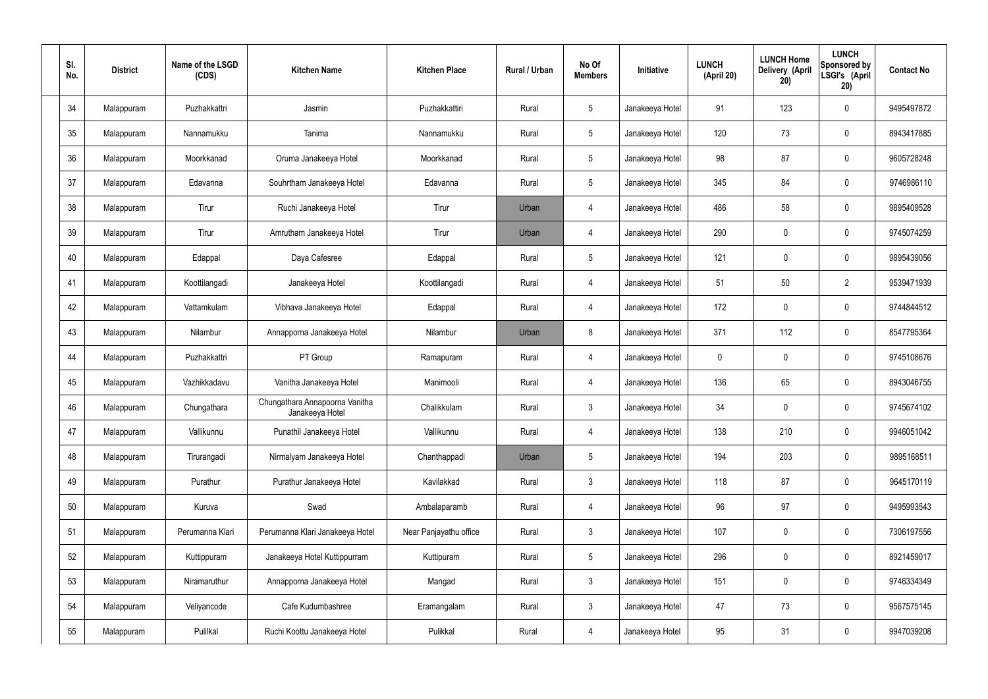| SI.<br>No. | <b>District</b> | Name of the LSGD<br>(CDS) | <b>Kitchen Name</b>                               | <b>Kitchen Place</b>   | Rural / Urban | No Of<br><b>Members</b> | Initiative      | <b>LUNCH</b><br>(April 20) | <b>LUNCH Home</b><br>Delivery (April<br>20) | <b>LUNCH</b><br>Sponsored by<br>LSGI's (April<br>20) | <b>Contact No</b> |
|------------|-----------------|---------------------------|---------------------------------------------------|------------------------|---------------|-------------------------|-----------------|----------------------------|---------------------------------------------|------------------------------------------------------|-------------------|
| 34         | Malappuram      | Puzhakkattri              | Jasmin                                            | Puzhakkattiri          | Rural         | $5\,$                   | Janakeeya Hotel | 91                         | 123                                         | $\mathbf 0$                                          | 9495497872        |
| 35         | Malappuram      | Nannamukku                | Tanima                                            | Nannamukku             | Rural         | $5\phantom{.0}$         | Janakeeya Hotel | 120                        | 73                                          | $\mathbf 0$                                          | 8943417885        |
| 36         | Malappuram      | Moorkkanad                | Oruma Janakeeya Hotel                             | Moorkkanad             | Rural         | $5\phantom{.0}$         | Janakeeya Hotel | 98                         | 87                                          | $\mathbf 0$                                          | 9605728248        |
| 37         | Malappuram      | Edavanna                  | Souhrtham Janakeeya Hotel                         | Edavanna               | Rural         | $5\phantom{.0}$         | Janakeeya Hotel | 345                        | 84                                          | $\mathbf 0$                                          | 9746986110        |
| 38         | Malappuram      | Tirur                     | Ruchi Janakeeya Hotel                             | Tirur                  | Urban         | 4                       | Janakeeya Hotel | 486                        | 58                                          | $\mathbf 0$                                          | 9895409528        |
| 39         | Malappuram      | Tirur                     | Amrutham Janakeeya Hotel                          | Tirur                  | Urban         | 4                       | Janakeeya Hotel | 290                        | $\mathbf 0$                                 | $\mathbf 0$                                          | 9745074259        |
| 40         | Malappuram      | Edappal                   | Daya Cafesree                                     | Edappal                | Rural         | $5\phantom{.0}$         | Janakeeya Hotel | 121                        | $\mathbf 0$                                 | $\mathbf 0$                                          | 9895439056        |
| 41         | Malappuram      | Koottilangadi             | Janakeeya Hotel                                   | Koottilangadi          | Rural         | $\overline{4}$          | Janakeeya Hotel | 51                         | 50                                          | $\overline{2}$                                       | 9539471939        |
| 42         | Malappuram      | Vattamkulam               | Vibhava Janakeeya Hotel                           | Edappal                | Rural         | $\overline{4}$          | Janakeeya Hotel | 172                        | $\mathbf 0$                                 | $\mathbf 0$                                          | 9744844512        |
| 43         | Malappuram      | Nilambur                  | Annapporna Janakeeya Hotel                        | Nilambur               | Urban         | 8                       | Janakeeya Hotel | 371                        | 112                                         | $\mathbf 0$                                          | 8547795364        |
| 44         | Malappuram      | Puzhakkattri              | PT Group                                          | Ramapuram              | Rural         | 4                       | Janakeeya Hotel | $\mathbf 0$                | 0                                           | $\mathbf 0$                                          | 9745108676        |
| 45         | Malappuram      | Vazhikkadavu              | Vanitha Janakeeya Hotel                           | Manimooli              | Rural         | 4                       | Janakeeya Hotel | 136                        | 65                                          | $\mathbf 0$                                          | 8943046755        |
| 46         | Malappuram      | Chungathara               | Chungathara Annapoorna Vanitha<br>Janakeeya Hotel | Chalikkulam            | Rural         | $\mathbf{3}$            | Janakeeya Hotel | 34                         | 0                                           | 0                                                    | 9745674102        |
| 47         | Malappuram      | Vallikunnu                | Punathil Janakeeya Hotel                          | Vallikunnu             | Rural         | $\overline{4}$          | Janakeeya Hotel | 138                        | 210                                         | $\mathbf 0$                                          | 9946051042        |
| 48         | Malappuram      | Tirurangadi               | Nirmalyam Janakeeya Hotel                         | Chanthappadi           | Urban         | $5\phantom{.0}$         | Janakeeya Hotel | 194                        | 203                                         | $\mathbf 0$                                          | 9895168511        |
| 49         | Malappuram      | Purathur                  | Purathur Janakeeya Hotel                          | Kavilakkad             | Rural         | $\mathbf{3}$            | Janakeeya Hotel | 118                        | 87                                          | $\mathbf 0$                                          | 9645170119        |
| 50         | Malappuram      | Kuruva                    | Swad                                              | Ambalaparamb           | Rural         | $\overline{4}$          | Janakeeya Hotel | 96                         | 97                                          | $\mathbf 0$                                          | 9495993543        |
| 51         | Malappuram      | Perumanna Klari           | Perumanna Klari Janakeeya Hotel                   | Near Panjayathu office | Rural         | $\mathfrak{Z}$          | Janakeeya Hotel | 107                        | 0                                           | $\mathbf 0$                                          | 7306197556        |
| 52         | Malappuram      | Kuttippuram               | Janakeeya Hotel Kuttippurram                      | Kuttipuram             | Rural         | $5\phantom{.0}$         | Janakeeya Hotel | 296                        | 0                                           | $\pmb{0}$                                            | 8921459017        |
| 53         | Malappuram      | Niramaruthur              | Annapporna Janakeeya Hotel                        | Mangad                 | Rural         | $\mathfrak{Z}$          | Janakeeya Hotel | 151                        | $\pmb{0}$                                   | $\mathbf 0$                                          | 9746334349        |
| 54         | Malappuram      | Veliyancode               | Cafe Kudumbashree                                 | Eramangalam            | Rural         | $\mathbf{3}$            | Janakeeya Hotel | 47                         | 73                                          | $\mathbf 0$                                          | 9567575145        |
| 55         | Malappuram      | Pulilkal                  | Ruchi Koottu Janakeeya Hotel                      | Pulikkal               | Rural         | $\overline{4}$          | Janakeeya Hotel | 95                         | 31                                          | $\boldsymbol{0}$                                     | 9947039208        |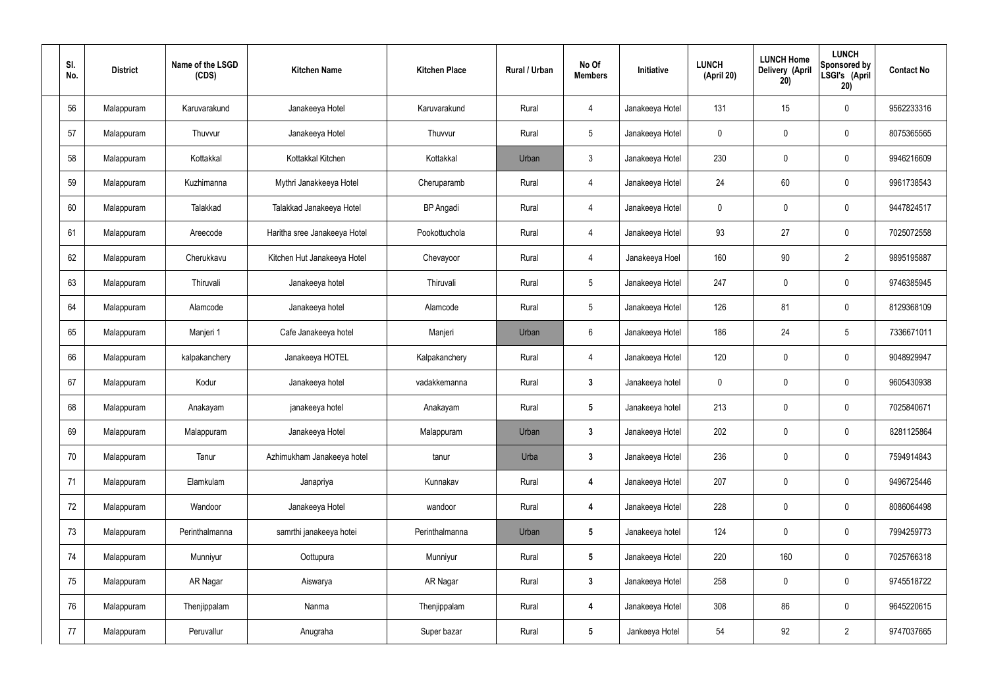| SI.<br>No. | <b>District</b> | Name of the LSGD<br>(CDS) | <b>Kitchen Name</b>          | <b>Kitchen Place</b> | Rural / Urban | No Of<br><b>Members</b> | Initiative      | <b>LUNCH</b><br>(April 20) | <b>LUNCH Home</b><br>Delivery (April<br>20) | <b>LUNCH</b><br>Sponsored by<br>LSGI's (April<br>20) | <b>Contact No</b> |
|------------|-----------------|---------------------------|------------------------------|----------------------|---------------|-------------------------|-----------------|----------------------------|---------------------------------------------|------------------------------------------------------|-------------------|
| 56         | Malappuram      | Karuvarakund              | Janakeeya Hotel              | Karuvarakund         | Rural         | 4                       | Janakeeya Hotel | 131                        | 15                                          | $\mathbf 0$                                          | 9562233316        |
| 57         | Malappuram      | Thuvvur                   | Janakeeya Hotel              | Thuvvur              | Rural         | $5\phantom{.0}$         | Janakeeya Hotel | $\mathbf 0$                | $\mathbf 0$                                 | $\mathbf 0$                                          | 8075365565        |
| 58         | Malappuram      | Kottakkal                 | Kottakkal Kitchen            | Kottakkal            | Urban         | $\mathbf{3}$            | Janakeeya Hotel | 230                        | 0                                           | $\mathbf 0$                                          | 9946216609        |
| 59         | Malappuram      | Kuzhimanna                | Mythri Janakkeeya Hotel      | Cheruparamb          | Rural         | $\overline{4}$          | Janakeeya Hotel | 24                         | 60                                          | $\mathbf 0$                                          | 9961738543        |
| 60         | Malappuram      | Talakkad                  | Talakkad Janakeeya Hotel     | <b>BP</b> Angadi     | Rural         | $\overline{4}$          | Janakeeya Hotel | $\mathbf 0$                | $\mathbf 0$                                 | $\mathbf 0$                                          | 9447824517        |
| 61         | Malappuram      | Areecode                  | Haritha sree Janakeeya Hotel | Pookottuchola        | Rural         | $\overline{4}$          | Janakeeya Hotel | 93                         | 27                                          | $\mathbf 0$                                          | 7025072558        |
| 62         | Malappuram      | Cherukkavu                | Kitchen Hut Janakeeya Hotel  | Chevayoor            | Rural         | $\overline{4}$          | Janakeeya Hoel  | 160                        | 90                                          | $\overline{2}$                                       | 9895195887        |
| 63         | Malappuram      | Thiruvali                 | Janakeeya hotel              | Thiruvali            | Rural         | $5\overline{)}$         | Janakeeya Hotel | 247                        | $\mathbf 0$                                 | $\mathbf 0$                                          | 9746385945        |
| 64         | Malappuram      | Alamcode                  | Janakeeya hotel              | Alamcode             | Rural         | $5\phantom{.0}$         | Janakeeya Hotel | 126                        | 81                                          | $\mathbf 0$                                          | 8129368109        |
| 65         | Malappuram      | Manjeri 1                 | Cafe Janakeeya hotel         | Manjeri              | Urban         | 6                       | Janakeeya Hotel | 186                        | 24                                          | $5\phantom{.0}$                                      | 7336671011        |
| 66         | Malappuram      | kalpakanchery             | Janakeeya HOTEL              | Kalpakanchery        | Rural         | $\overline{4}$          | Janakeeya Hotel | 120                        | 0                                           | $\mathbf 0$                                          | 9048929947        |
| 67         | Malappuram      | Kodur                     | Janakeeya hotel              | vadakkemanna         | Rural         | $\mathbf{3}$            | Janakeeya hotel | $\mathbf 0$                | 0                                           | $\mathbf 0$                                          | 9605430938        |
| 68         | Malappuram      | Anakayam                  | janakeeya hotel              | Anakayam             | Rural         | $5\phantom{.0}$         | Janakeeya hotel | 213                        | $\mathbf 0$                                 | $\boldsymbol{0}$                                     | 7025840671        |
| 69         | Malappuram      | Malappuram                | Janakeeya Hotel              | Malappuram           | Urban         | $\mathbf{3}$            | Janakeeya Hotel | 202                        | $\mathbf 0$                                 | $\mathbf 0$                                          | 8281125864        |
| 70         | Malappuram      | Tanur                     | Azhimukham Janakeeya hotel   | tanur                | Urba          | $3\phantom{a}$          | Janakeeya Hotel | 236                        | $\mathbf 0$                                 | $\mathbf 0$                                          | 7594914843        |
| 71         | Malappuram      | Elamkulam                 | Janapriya                    | Kunnakav             | Rural         | $\overline{\mathbf{4}}$ | Janakeeya Hotel | 207                        | 0                                           | $\mathbf 0$                                          | 9496725446        |
| 72         | Malappuram      | Wandoor                   | Janakeeya Hotel              | wandoor              | Rural         | 4                       | Janakeeya Hotel | 228                        | 0                                           | $\mathbf 0$                                          | 8086064498        |
| 73         | Malappuram      | Perinthalmanna            | samrthi janakeeya hotei      | Perinthalmanna       | Urban         | $5\phantom{.0}$         | Janakeeya hotel | 124                        | 0                                           | $\mathbf 0$                                          | 7994259773        |
| 74         | Malappuram      | Munniyur                  | Oottupura                    | Munniyur             | Rural         | $5\phantom{.0}$         | Janakeeya Hotel | 220                        | 160                                         | $\mathbf 0$                                          | 7025766318        |
| 75         | Malappuram      | AR Nagar                  | Aiswarya                     | AR Nagar             | Rural         | $3\phantom{a}$          | Janakeeya Hotel | 258                        | 0                                           | $\mathbf 0$                                          | 9745518722        |
| 76         | Malappuram      | Thenjippalam              | Nanma                        | Thenjippalam         | Rural         | $\overline{\mathbf{4}}$ | Janakeeya Hotel | 308                        | 86                                          | $\mathbf 0$                                          | 9645220615        |
| 77         | Malappuram      | Peruvallur                | Anugraha                     | Super bazar          | Rural         | $5\phantom{.0}$         | Jankeeya Hotel  | 54                         | 92                                          | $\overline{2}$                                       | 9747037665        |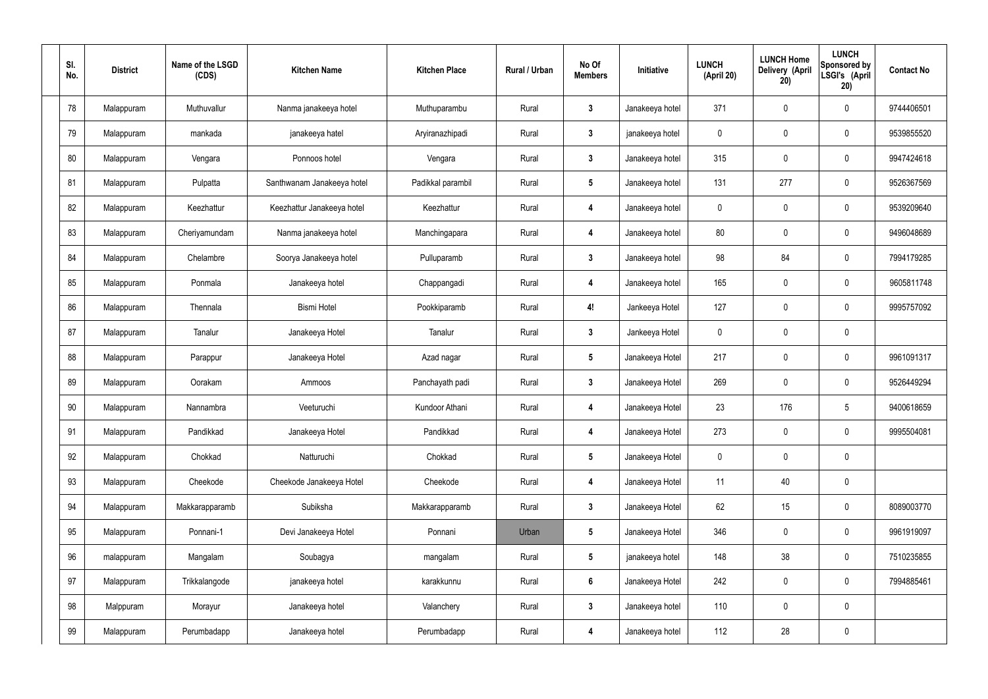| SI.<br>No. | <b>District</b> | Name of the LSGD<br>(CDS) | <b>Kitchen Name</b>        | <b>Kitchen Place</b> | Rural / Urban | No Of<br><b>Members</b> | Initiative      | <b>LUNCH</b><br>(April 20) | <b>LUNCH Home</b><br>Delivery (April<br>20) | <b>LUNCH</b><br>Sponsored by<br>LSGI's (April<br>20) | <b>Contact No</b> |
|------------|-----------------|---------------------------|----------------------------|----------------------|---------------|-------------------------|-----------------|----------------------------|---------------------------------------------|------------------------------------------------------|-------------------|
| 78         | Malappuram      | Muthuvallur               | Nanma janakeeya hotel      | Muthuparambu         | Rural         | $\mathbf{3}$            | Janakeeya hotel | 371                        | $\mathbf 0$                                 | $\pmb{0}$                                            | 9744406501        |
| 79         | Malappuram      | mankada                   | janakeeya hatel            | Aryiranazhipadi      | Rural         | $\mathbf{3}$            | janakeeya hotel | 0                          | $\mathbf 0$                                 | $\pmb{0}$                                            | 9539855520        |
| 80         | Malappuram      | Vengara                   | Ponnoos hotel              | Vengara              | Rural         | $\mathbf{3}$            | Janakeeya hotel | 315                        | $\mathbf 0$                                 | $\pmb{0}$                                            | 9947424618        |
| 81         | Malappuram      | Pulpatta                  | Santhwanam Janakeeya hotel | Padikkal parambil    | Rural         | $5\phantom{.0}$         | Janakeeya hotel | 131                        | 277                                         | $\mathbf 0$                                          | 9526367569        |
| 82         | Malappuram      | Keezhattur                | Keezhattur Janakeeya hotel | Keezhattur           | Rural         | $\overline{\mathbf{4}}$ | Janakeeya hotel | 0                          | $\mathbf 0$                                 | $\pmb{0}$                                            | 9539209640        |
| 83         | Malappuram      | Cheriyamundam             | Nanma janakeeya hotel      | Manchingapara        | Rural         | $\overline{4}$          | Janakeeya hotel | 80                         | $\mathbf 0$                                 | $\mathbf 0$                                          | 9496048689        |
| 84         | Malappuram      | Chelambre                 | Soorya Janakeeya hotel     | Pulluparamb          | Rural         | $\mathbf{3}$            | Janakeeya hotel | 98                         | 84                                          | $\pmb{0}$                                            | 7994179285        |
| 85         | Malappuram      | Ponmala                   | Janakeeya hotel            | Chappangadi          | Rural         | $\overline{\mathbf{4}}$ | Janakeeya hotel | 165                        | $\pmb{0}$                                   | $\mathbf 0$                                          | 9605811748        |
| 86         | Malappuram      | Thennala                  | <b>Bismi Hotel</b>         | Pookkiparamb         | Rural         | 4!                      | Jankeeya Hotel  | 127                        | $\mathbf 0$                                 | $\pmb{0}$                                            | 9995757092        |
| 87         | Malappuram      | Tanalur                   | Janakeeya Hotel            | Tanalur              | Rural         | $\mathbf{3}$            | Jankeeya Hotel  | 0                          | $\pmb{0}$                                   | $\pmb{0}$                                            |                   |
| 88         | Malappuram      | Parappur                  | Janakeeya Hotel            | Azad nagar           | Rural         | $5\phantom{.0}$         | Janakeeya Hotel | 217                        | $\pmb{0}$                                   | $\pmb{0}$                                            | 9961091317        |
| 89         | Malappuram      | Oorakam                   | Ammoos                     | Panchayath padi      | Rural         | $\mathbf{3}$            | Janakeeya Hotel | 269                        | $\mathbf 0$                                 | 0                                                    | 9526449294        |
| 90         | Malappuram      | Nannambra                 | Veeturuchi                 | Kundoor Athani       | Rural         | $\overline{4}$          | Janakeeya Hotel | 23                         | 176                                         | 5                                                    | 9400618659        |
| 91         | Malappuram      | Pandikkad                 | Janakeeya Hotel            | Pandikkad            | Rural         | $\overline{\mathbf{4}}$ | Janakeeya Hotel | 273                        | $\mathbf 0$                                 | $\pmb{0}$                                            | 9995504081        |
| 92         | Malappuram      | Chokkad                   | Natturuchi                 | Chokkad              | Rural         | $5\phantom{.0}$         | Janakeeya Hotel | $\mathbf 0$                | $\overline{0}$                              | $\mathbf 0$                                          |                   |
| 93         | Malappuram      | Cheekode                  | Cheekode Janakeeya Hotel   | Cheekode             | Rural         | $\overline{\mathbf{4}}$ | Janakeeya Hotel | 11                         | 40                                          | $\pmb{0}$                                            |                   |
| 94         | Malappuram      | Makkarapparamb            | Subiksha                   | Makkarapparamb       | Rural         | $\mathbf{3}$            | Janakeeya Hotel | 62                         | 15                                          | $\pmb{0}$                                            | 8089003770        |
| 95         | Malappuram      | Ponnani-1                 | Devi Janakeeya Hotel       | Ponnani              | Urban         | $5\phantom{.0}$         | Janakeeya Hotel | 346                        | $\mathbf 0$                                 | $\mathbf 0$                                          | 9961919097        |
| 96         | malappuram      | Mangalam                  | Soubagya                   | mangalam             | Rural         | $5\phantom{.0}$         | janakeeya hotel | 148                        | 38                                          | $\pmb{0}$                                            | 7510235855        |
| 97         | Malappuram      | Trikkalangode             | janakeeya hotel            | karakkunnu           | Rural         | $6\phantom{.}6$         | Janakeeya Hotel | 242                        | $\overline{0}$                              | $\mathbf 0$                                          | 7994885461        |
| 98         | Malppuram       | Morayur                   | Janakeeya hotel            | Valanchery           | Rural         | $\mathbf{3}$            | Janakeeya hotel | 110                        | $\mathbf 0$                                 | $\mathbf 0$                                          |                   |
| 99         | Malappuram      | Perumbadapp               | Janakeeya hotel            | Perumbadapp          | Rural         | $\overline{\mathbf{4}}$ | Janakeeya hotel | 112                        | 28                                          | $\pmb{0}$                                            |                   |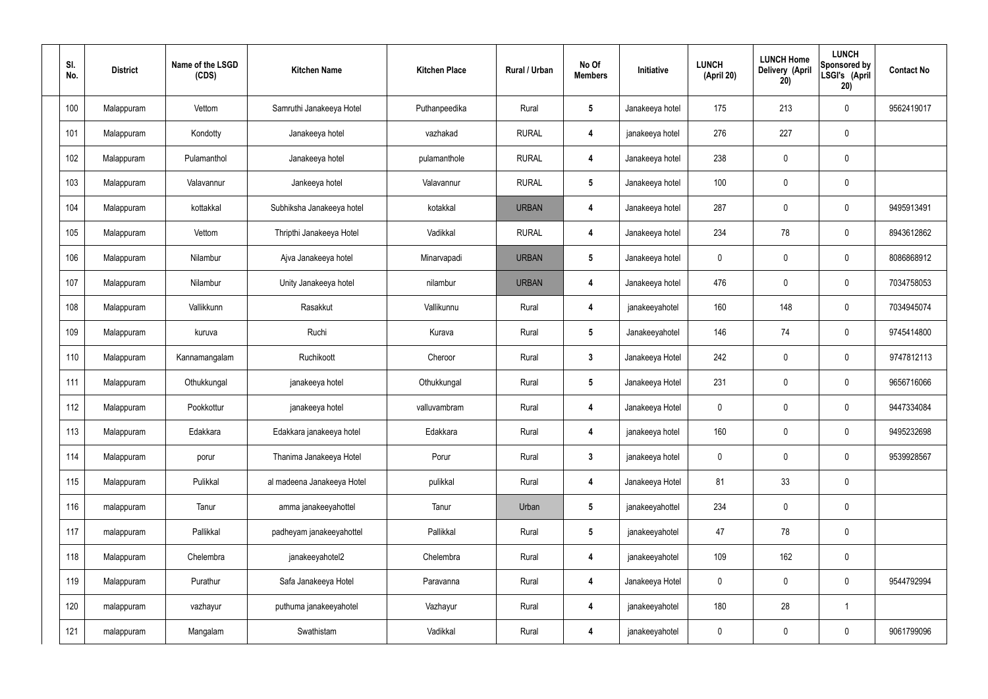| SI.<br>No. | <b>District</b> | Name of the LSGD<br>(CDS) | <b>Kitchen Name</b>        | <b>Kitchen Place</b> | Rural / Urban | No Of<br><b>Members</b> | Initiative      | <b>LUNCH</b><br>(April 20) | <b>LUNCH Home</b><br><b>Delivery (April</b><br>20) | <b>LUNCH</b><br><b>Sponsored by</b><br>LSGI's (April<br>20) | <b>Contact No</b> |
|------------|-----------------|---------------------------|----------------------------|----------------------|---------------|-------------------------|-----------------|----------------------------|----------------------------------------------------|-------------------------------------------------------------|-------------------|
| 100        | Malappuram      | Vettom                    | Samruthi Janakeeya Hotel   | Puthanpeedika        | Rural         | $\sqrt{5}$              | Janakeeya hotel | 175                        | 213                                                | 0                                                           | 9562419017        |
| 101        | Malappuram      | Kondotty                  | Janakeeya hotel            | vazhakad             | <b>RURAL</b>  | $\overline{4}$          | janakeeya hotel | 276                        | 227                                                | 0                                                           |                   |
| 102        | Malappuram      | Pulamanthol               | Janakeeya hotel            | pulamanthole         | <b>RURAL</b>  | $\overline{4}$          | Janakeeya hotel | 238                        | $\mathbf 0$                                        | 0                                                           |                   |
| 103        | Malappuram      | Valavannur                | Jankeeya hotel             | Valavannur           | <b>RURAL</b>  | $5\phantom{.0}$         | Janakeeya hotel | 100                        | $\mathbf 0$                                        | 0                                                           |                   |
| 104        | Malappuram      | kottakkal                 | Subhiksha Janakeeya hotel  | kotakkal             | <b>URBAN</b>  | 4                       | Janakeeya hotel | 287                        | $\mathbf 0$                                        | 0                                                           | 9495913491        |
| 105        | Malappuram      | Vettom                    | Thripthi Janakeeya Hotel   | Vadikkal             | <b>RURAL</b>  | $\overline{4}$          | Janakeeya hotel | 234                        | 78                                                 | 0                                                           | 8943612862        |
| 106        | Malappuram      | Nilambur                  | Ajva Janakeeya hotel       | Minarvapadi          | <b>URBAN</b>  | 5                       | Janakeeya hotel | 0                          | $\mathbf 0$                                        | 0                                                           | 8086868912        |
| 107        | Malappuram      | Nilambur                  | Unity Janakeeya hotel      | nilambur             | <b>URBAN</b>  | 4                       | Janakeeya hotel | 476                        | $\mathbf 0$                                        | 0                                                           | 7034758053        |
| 108        | Malappuram      | Vallikkunn                | Rasakkut                   | Vallikunnu           | Rural         | $\overline{4}$          | janakeeyahotel  | 160                        | 148                                                | 0                                                           | 7034945074        |
| 109        | Malappuram      | kuruva                    | Ruchi                      | Kurava               | Rural         | $5\phantom{.0}$         | Janakeeyahotel  | 146                        | 74                                                 | 0                                                           | 9745414800        |
| 110        | Malappuram      | Kannamangalam             | Ruchikoott                 | Cheroor              | Rural         | $\mathbf{3}$            | Janakeeya Hotel | 242                        | $\mathbf 0$                                        | 0                                                           | 9747812113        |
| 111        | Malappuram      | Othukkungal               | janakeeya hotel            | Othukkungal          | Rural         | $5\phantom{.0}$         | Janakeeya Hotel | 231                        | $\boldsymbol{0}$                                   | 0                                                           | 9656716066        |
| 112        | Malappuram      | Pookkottur                | janakeeya hotel            | valluvambram         | Rural         | $\overline{4}$          | Janakeeya Hotel | $\mathbf 0$                | $\mathbf 0$                                        | 0                                                           | 9447334084        |
| 113        | Malappuram      | Edakkara                  | Edakkara janakeeya hotel   | Edakkara             | Rural         | $\overline{4}$          | janakeeya hotel | 160                        | $\pmb{0}$                                          | 0                                                           | 9495232698        |
| 114        | Malappuram      | porur                     | Thanima Janakeeya Hotel    | Porur                | Rural         | $\mathbf{3}$            | janakeeya hotel | $\mathbf 0$                | $\pmb{0}$                                          | $\mathbf 0$                                                 | 9539928567        |
| 115        | Malappuram      | Pulikkal                  | al madeena Janakeeya Hotel | pulikkal             | Rural         | $\boldsymbol{4}$        | Janakeeya Hotel | 81                         | 33                                                 | 0                                                           |                   |
| 116        | malappuram      | Tanur                     | amma janakeeyahottel       | Tanur                | Urban         | $5\phantom{.0}$         | janakeeyahottel | 234                        | $\overline{0}$                                     | 0                                                           |                   |
| 117        | malappuram      | Pallikkal                 | padheyam janakeeyahottel   | Pallikkal            | Rural         | $5\phantom{.0}$         | janakeeyahotel  | 47                         | 78                                                 | 0                                                           |                   |
| 118        | Malappuram      | Chelembra                 | janakeeyahotel2            | Chelembra            | Rural         | $\boldsymbol{4}$        | janakeeyahotel  | 109                        | 162                                                | 0                                                           |                   |
| 119        | Malappuram      | Purathur                  | Safa Janakeeya Hotel       | Paravanna            | Rural         | $\boldsymbol{4}$        | Janakeeya Hotel | $\mathbf 0$                | $\pmb{0}$                                          | 0                                                           | 9544792994        |
| 120        | malappuram      | vazhayur                  | puthuma janakeeyahotel     | Vazhayur             | Rural         | $\boldsymbol{4}$        | janakeeyahotel  | 180                        | 28                                                 | $\overline{\phantom{a}}$                                    |                   |
| 121        | malappuram      | Mangalam                  | Swathistam                 | Vadikkal             | Rural         | $\boldsymbol{4}$        | janakeeyahotel  | 0                          | $\pmb{0}$                                          | 0                                                           | 9061799096        |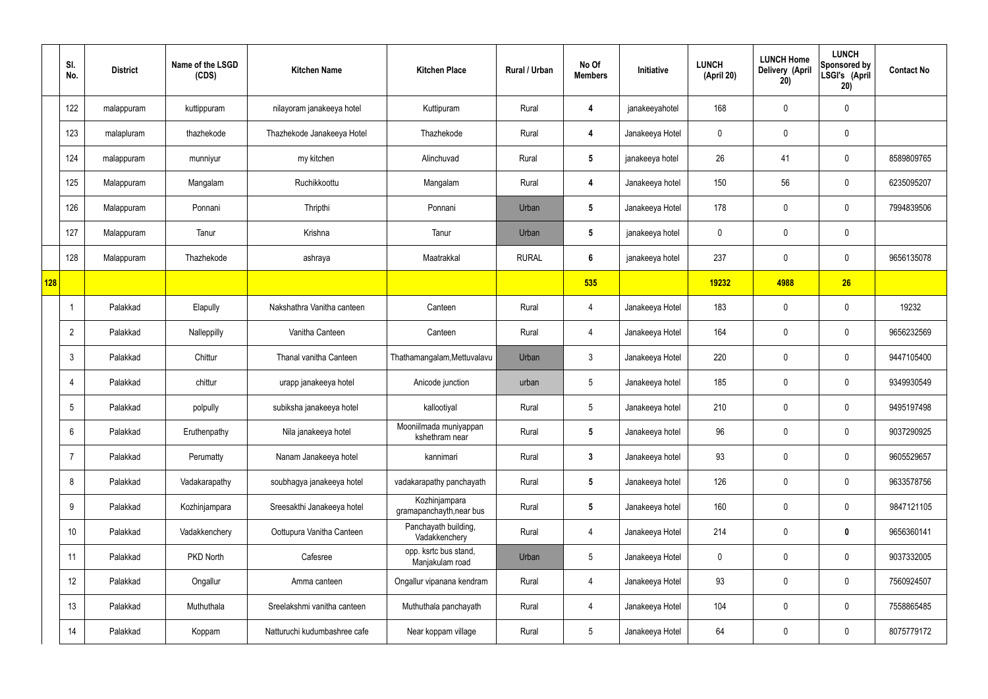|     | SI.<br>No.     | <b>District</b> | Name of the LSGD<br>(CDS) | <b>Kitchen Name</b>          | <b>Kitchen Place</b>                      | Rural / Urban | No Of<br><b>Members</b> | Initiative      | <b>LUNCH</b><br>(April 20) | <b>LUNCH Home</b><br>Delivery (April<br>20) | <b>LUNCH</b><br>Sponsored by<br>LSGI's (April<br>20) | <b>Contact No</b> |
|-----|----------------|-----------------|---------------------------|------------------------------|-------------------------------------------|---------------|-------------------------|-----------------|----------------------------|---------------------------------------------|------------------------------------------------------|-------------------|
|     | 122            | malappuram      | kuttippuram               | nilayoram janakeeya hotel    | Kuttipuram                                | Rural         | $\overline{\mathbf{4}}$ | janakeeyahotel  | 168                        | $\mathbf 0$                                 | $\mathbf 0$                                          |                   |
|     | 123            | malapluram      | thazhekode                | Thazhekode Janakeeya Hotel   | Thazhekode                                | Rural         | $\overline{\mathbf{4}}$ | Janakeeya Hotel | $\mathbf 0$                | $\mathbf 0$                                 | $\mathbf 0$                                          |                   |
|     | 124            | malappuram      | munniyur                  | my kitchen                   | Alinchuvad                                | Rural         | $5\phantom{.0}$         | janakeeya hotel | 26                         | 41                                          | $\mathbf 0$                                          | 8589809765        |
|     | 125            | Malappuram      | Mangalam                  | Ruchikkoottu                 | Mangalam                                  | Rural         | $\overline{\mathbf{4}}$ | Janakeeya hotel | 150                        | 56                                          | $\mathbf 0$                                          | 6235095207        |
|     | 126            | Malappuram      | Ponnani                   | Thripthi                     | Ponnani                                   | Urban         | $5\phantom{.0}$         | Janakeeya Hotel | 178                        | $\mathbf 0$                                 | $\mathbf 0$                                          | 7994839506        |
|     | 127            | Malappuram      | Tanur                     | Krishna                      | Tanur                                     | Urban         | $5\phantom{.0}$         | janakeeya hotel | $\mathbf 0$                | $\mathbf 0$                                 | $\mathbf 0$                                          |                   |
|     | 128            | Malappuram      | Thazhekode                | ashraya                      | Maatrakkal                                | <b>RURAL</b>  | $6\phantom{.}6$         | janakeeya hotel | 237                        | 0                                           | $\mathbf 0$                                          | 9656135078        |
| 128 |                |                 |                           |                              |                                           |               | 535                     |                 | 19232                      | 4988                                        | 26                                                   |                   |
|     |                | Palakkad        | Elapully                  | Nakshathra Vanitha canteen   | Canteen                                   | Rural         | 4                       | Janakeeya Hotel | 183                        | 0                                           | $\mathbf 0$                                          | 19232             |
|     | $\overline{2}$ | Palakkad        | Nalleppilly               | Vanitha Canteen              | Canteen                                   | Rural         | 4                       | Janakeeya Hotel | 164                        | $\mathbf 0$                                 | $\mathbf 0$                                          | 9656232569        |
|     | 3              | Palakkad        | Chittur                   | Thanal vanitha Canteen       | Thathamangalam, Mettuvalavu               | Urban         | $\mathbf{3}$            | Janakeeya Hotel | 220                        | 0                                           | $\mathbf 0$                                          | 9447105400        |
|     | 4              | Palakkad        | chittur                   | urapp janakeeya hotel        | Anicode junction                          | urban         | $5\overline{)}$         | Janakeeya hotel | 185                        | $\mathbf 0$                                 | $\mathbf 0$                                          | 9349930549        |
|     | 5              | Palakkad        | polpully                  | subiksha janakeeya hotel     | kallootiyal                               | Rural         | $5\overline{)}$         | Janakeeya hotel | 210                        | $\mathbf 0$                                 | $\mathbf 0$                                          | 9495197498        |
|     | 6              | Palakkad        | Eruthenpathy              | Nila janakeeya hotel         | Mooniilmada muniyappan<br>kshethram near  | Rural         | $5\overline{)}$         | Janakeeya hotel | 96                         | $\pmb{0}$                                   | $\mathbf 0$                                          | 9037290925        |
|     | 7              | Palakkad        | Perumatty                 | Nanam Janakeeya hotel        | kannimari                                 | Rural         | $3\phantom{a}$          | Janakeeya hotel | 93                         | $\pmb{0}$                                   | $\mathbf 0$                                          | 9605529657        |
|     | 8              | Palakkad        | Vadakarapathy             | soubhagya janakeeya hotel    | vadakarapathy panchayath                  | Rural         | $5\phantom{.0}$         | Janakeeya hotel | 126                        | 0                                           | $\mathbf 0$                                          | 9633578756        |
|     | 9              | Palakkad        | Kozhinjampara             | Sreesakthi Janakeeya hotel   | Kozhinjampara<br>gramapanchayth, near bus | Rural         | $5\phantom{.0}$         | Janakeeya hotel | 160                        | $\pmb{0}$                                   | $\mathbf 0$                                          | 9847121105        |
|     | 10             | Palakkad        | Vadakkenchery             | Oottupura Vanitha Canteen    | Panchayath building,<br>Vadakkenchery     | Rural         | $\overline{4}$          | Janakeeya Hotel | 214                        | 0                                           | $\bf{0}$                                             | 9656360141        |
|     | 11             | Palakkad        | PKD North                 | Cafesree                     | opp. ksrtc bus stand,<br>Manjakulam road  | Urban         | $5\overline{)}$         | Janakeeya Hotel | $\mathbf 0$                | $\pmb{0}$                                   | $\mathbf 0$                                          | 9037332005        |
|     | 12             | Palakkad        | Ongallur                  | Amma canteen                 | Ongallur vipanana kendram                 | Rural         | $\overline{4}$          | Janakeeya Hotel | 93                         | $\mathbf 0$                                 | $\mathbf 0$                                          | 7560924507        |
|     | 13             | Palakkad        | Muthuthala                | Sreelakshmi vanitha canteen  | Muthuthala panchayath                     | Rural         | $\overline{4}$          | Janakeeya Hotel | 104                        | 0                                           | $\mathbf 0$                                          | 7558865485        |
|     | 14             | Palakkad        | Koppam                    | Natturuchi kudumbashree cafe | Near koppam village                       | Rural         | $5\phantom{.0}$         | Janakeeya Hotel | 64                         | 0                                           | $\boldsymbol{0}$                                     | 8075779172        |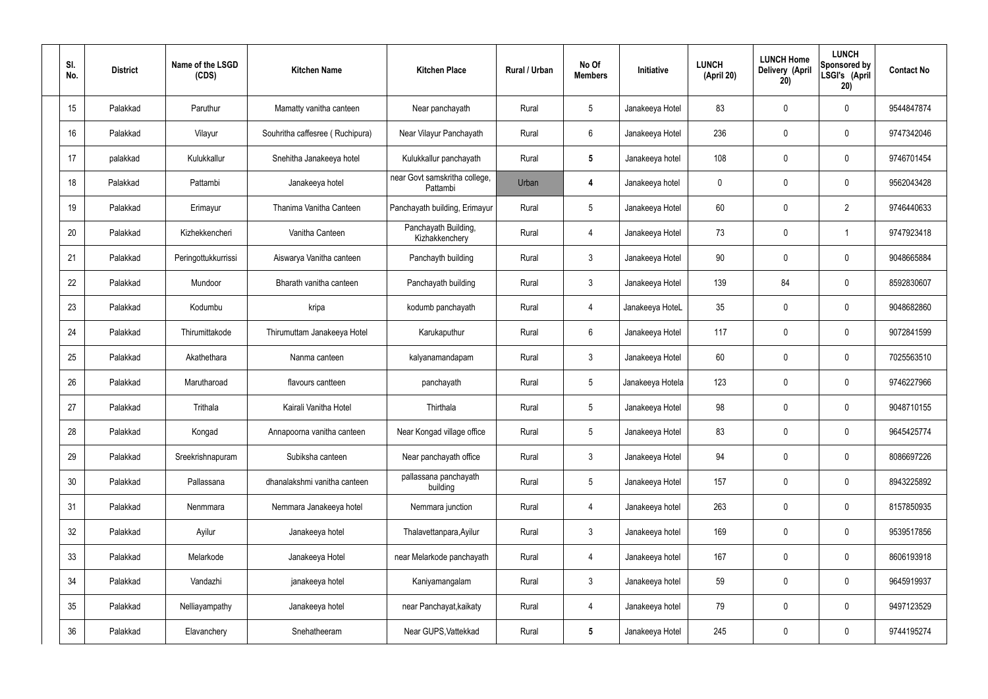| SI.<br>No.      | <b>District</b> | Name of the LSGD<br>(CDS) | <b>Kitchen Name</b>             | <b>Kitchen Place</b>                      | Rural / Urban | No Of<br><b>Members</b> | Initiative       | <b>LUNCH</b><br>(April 20) | <b>LUNCH Home</b><br>Delivery (April<br>20) | <b>LUNCH</b><br>Sponsored by<br>LSGI's (April<br>20) | <b>Contact No</b> |
|-----------------|-----------------|---------------------------|---------------------------------|-------------------------------------------|---------------|-------------------------|------------------|----------------------------|---------------------------------------------|------------------------------------------------------|-------------------|
| 15              | Palakkad        | Paruthur                  | Mamatty vanitha canteen         | Near panchayath                           | Rural         | $5\phantom{.0}$         | Janakeeya Hotel  | 83                         | 0                                           | $\mathbf 0$                                          | 9544847874        |
| 16              | Palakkad        | Vilayur                   | Souhritha caffesree (Ruchipura) | Near Vilayur Panchayath                   | Rural         | $6\phantom{.}$          | Janakeeya Hotel  | 236                        | 0                                           | $\mathbf 0$                                          | 9747342046        |
| 17              | palakkad        | Kulukkallur               | Snehitha Janakeeya hotel        | Kulukkallur panchayath                    | Rural         | $5\phantom{.0}$         | Janakeeya hotel  | 108                        | 0                                           | $\mathbf 0$                                          | 9746701454        |
| 18              | Palakkad        | Pattambi                  | Janakeeya hotel                 | near Govt samskritha college,<br>Pattambi | Urban         | 4                       | Janakeeya hotel  | $\mathbf 0$                | 0                                           | $\mathbf 0$                                          | 9562043428        |
| 19              | Palakkad        | Erimayur                  | Thanima Vanitha Canteen         | Panchayath building, Erimayur             | Rural         | $5\phantom{.0}$         | Janakeeya Hotel  | 60                         | 0                                           | $\overline{2}$                                       | 9746440633        |
| 20              | Palakkad        | Kizhekkencheri            | Vanitha Canteen                 | Panchayath Building,<br>Kizhakkenchery    | Rural         | $\overline{4}$          | Janakeeya Hotel  | 73                         | 0                                           | -1                                                   | 9747923418        |
| 21              | Palakkad        | Peringottukkurrissi       | Aiswarya Vanitha canteen        | Panchayth building                        | Rural         | $\mathbf{3}$            | Janakeeya Hotel  | 90                         | 0                                           | $\mathbf 0$                                          | 9048665884        |
| 22              | Palakkad        | Mundoor                   | Bharath vanitha canteen         | Panchayath building                       | Rural         | $\mathfrak{Z}$          | Janakeeya Hotel  | 139                        | 84                                          | $\mathbf 0$                                          | 8592830607        |
| 23              | Palakkad        | Kodumbu                   | kripa                           | kodumb panchayath                         | Rural         | $\overline{4}$          | Janakeeya HoteL  | 35                         | 0                                           | $\mathbf 0$                                          | 9048682860        |
| 24              | Palakkad        | Thirumittakode            | Thirumuttam Janakeeya Hotel     | Karukaputhur                              | Rural         | $6\phantom{.}$          | Janakeeya Hotel  | 117                        | 0                                           | $\boldsymbol{0}$                                     | 9072841599        |
| 25              | Palakkad        | Akathethara               | Nanma canteen                   | kalyanamandapam                           | Rural         | $\mathbf{3}$            | Janakeeya Hotel  | 60                         | 0                                           | $\boldsymbol{0}$                                     | 7025563510        |
| 26              | Palakkad        | Marutharoad               | flavours cantteen               | panchayath                                | Rural         | $5\phantom{.0}$         | Janakeeya Hotela | 123                        | 0                                           | $\boldsymbol{0}$                                     | 9746227966        |
| 27              | Palakkad        | Trithala                  | Kairali Vanitha Hotel           | Thirthala                                 | Rural         | $5\phantom{.0}$         | Janakeeya Hotel  | 98                         | 0                                           | 0                                                    | 9048710155        |
| 28              | Palakkad        | Kongad                    | Annapoorna vanitha canteen      | Near Kongad village office                | Rural         | $5\phantom{.0}$         | Janakeeya Hotel  | 83                         | 0                                           | $\mathbf 0$                                          | 9645425774        |
| 29              | Palakkad        | Sreekrishnapuram          | Subiksha canteen                | Near panchayath office                    | Rural         | $\mathbf{3}$            | Janakeeya Hotel  | 94                         | $\mathbf 0$                                 | $\mathbf 0$                                          | 8086697226        |
| 30 <sub>2</sub> | Palakkad        | Pallassana                | dhanalakshmi vanitha canteen    | pallassana panchayath<br>building         | Rural         | $5\phantom{.0}$         | Janakeeya Hotel  | 157                        | $\mathbf 0$                                 | $\mathbf 0$                                          | 8943225892        |
| 31              | Palakkad        | Nenmmara                  | Nemmara Janakeeya hotel         | Nemmara junction                          | Rural         | $\overline{4}$          | Janakeeya hotel  | 263                        | $\mathbf 0$                                 | $\mathbf 0$                                          | 8157850935        |
| 32              | Palakkad        | Ayilur                    | Janakeeya hotel                 | Thalavettanpara, Ayilur                   | Rural         | $\mathbf{3}$            | Janakeeya hotel  | 169                        | $\mathbf 0$                                 | $\mathbf 0$                                          | 9539517856        |
| 33              | Palakkad        | Melarkode                 | Janakeeya Hotel                 | near Melarkode panchayath                 | Rural         | $\overline{4}$          | Janakeeya hotel  | 167                        | $\mathbf 0$                                 | $\mathbf 0$                                          | 8606193918        |
| 34              | Palakkad        | Vandazhi                  | janakeeya hotel                 | Kaniyamangalam                            | Rural         | $\mathbf{3}$            | Janakeeya hotel  | 59                         | $\mathbf 0$                                 | $\mathbf 0$                                          | 9645919937        |
| 35              | Palakkad        | Nelliayampathy            | Janakeeya hotel                 | near Panchayat, kaikaty                   | Rural         | 4                       | Janakeeya hotel  | 79                         | 0                                           | $\mathbf 0$                                          | 9497123529        |
| 36              | Palakkad        | Elavanchery               | Snehatheeram                    | Near GUPS, Vattekkad                      | Rural         | $5\phantom{.0}$         | Janakeeya Hotel  | 245                        | $\pmb{0}$                                   | $\boldsymbol{0}$                                     | 9744195274        |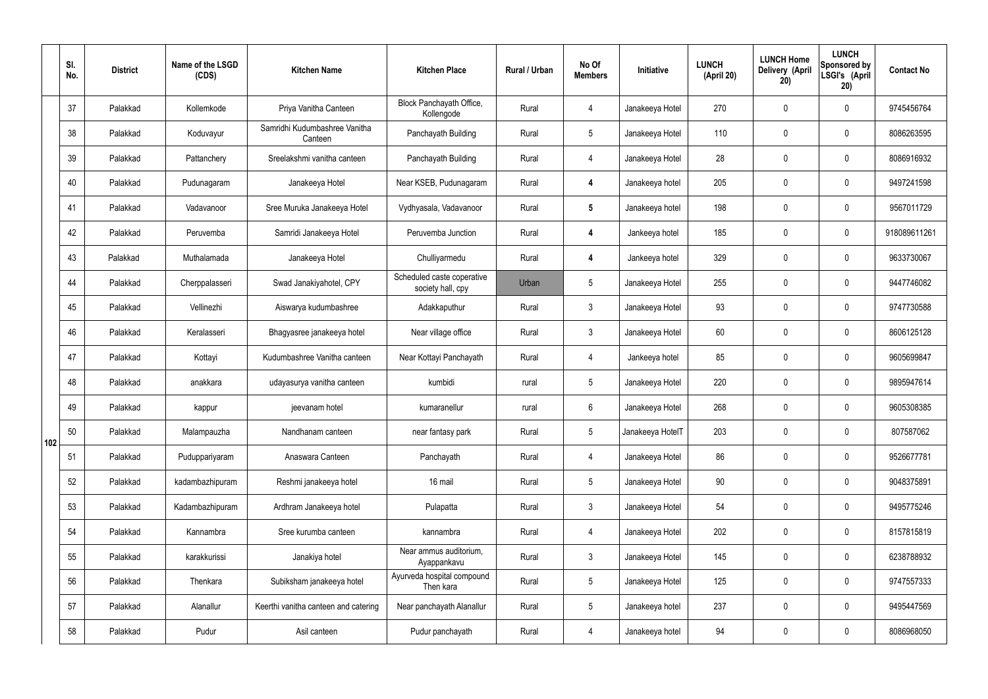|     | SI.<br>No. | <b>District</b> | Name of the LSGD<br>(CDS) | <b>Kitchen Name</b>                      | <b>Kitchen Place</b>                            | <b>Rural / Urban</b> | No Of<br><b>Members</b> | Initiative       | <b>LUNCH</b><br>(April 20) | <b>LUNCH Home</b><br>Delivery (April<br>20) | <b>LUNCH</b><br>Sponsored by<br>LSGI's (April<br>20) | <b>Contact No</b> |
|-----|------------|-----------------|---------------------------|------------------------------------------|-------------------------------------------------|----------------------|-------------------------|------------------|----------------------------|---------------------------------------------|------------------------------------------------------|-------------------|
|     | 37         | Palakkad        | Kollemkode                | Priya Vanitha Canteen                    | Block Panchayath Office,<br>Kollengode          | Rural                | 4                       | Janakeeya Hotel  | 270                        | $\mathbf 0$                                 | $\mathbf 0$                                          | 9745456764        |
|     | 38         | Palakkad        | Koduvayur                 | Samridhi Kudumbashree Vanitha<br>Canteen | Panchayath Building                             | Rural                | $5\overline{)}$         | Janakeeya Hotel  | 110                        | $\mathbf 0$                                 | $\mathbf 0$                                          | 8086263595        |
|     | 39         | Palakkad        | Pattanchery               | Sreelakshmi vanitha canteen              | Panchayath Building                             | Rural                | $\overline{4}$          | Janakeeya Hotel  | 28                         | $\mathbf 0$                                 | $\mathbf 0$                                          | 8086916932        |
|     | 40         | Palakkad        | Pudunagaram               | Janakeeya Hotel                          | Near KSEB, Pudunagaram                          | Rural                | $\overline{\mathbf{4}}$ | Janakeeya hotel  | 205                        | $\mathbf 0$                                 | $\mathbf 0$                                          | 9497241598        |
|     | 41         | Palakkad        | Vadavanoor                | Sree Muruka Janakeeya Hotel              | Vydhyasala, Vadavanoor                          | Rural                | $5\phantom{.0}$         | Janakeeya hotel  | 198                        | $\mathbf 0$                                 | $\mathbf 0$                                          | 9567011729        |
|     | 42         | Palakkad        | Peruvemba                 | Samridi Janakeeya Hotel                  | Peruvemba Junction                              | Rural                | $\boldsymbol{4}$        | Jankeeya hotel   | 185                        | $\mathbf 0$                                 | $\mathbf 0$                                          | 918089611261      |
|     | 43         | Palakkad        | Muthalamada               | Janakeeya Hotel                          | Chulliyarmedu                                   | Rural                | $\boldsymbol{4}$        | Jankeeya hotel   | 329                        | $\mathbf 0$                                 | $\mathbf 0$                                          | 9633730067        |
|     | 44         | Palakkad        | Cherppalasseri            | Swad Janakiyahotel, CPY                  | Scheduled caste coperative<br>society hall, cpy | Urban                | $5\overline{)}$         | Janakeeya Hotel  | 255                        | $\mathbf 0$                                 | $\mathbf 0$                                          | 9447746082        |
|     | 45         | Palakkad        | Vellinezhi                | Aiswarya kudumbashree                    | Adakkaputhur                                    | Rural                | $\mathbf{3}$            | Janakeeya Hotel  | 93                         | $\mathbf 0$                                 | $\mathbf 0$                                          | 9747730588        |
|     | 46         | Palakkad        | Keralasseri               | Bhagyasree janakeeya hotel               | Near village office                             | Rural                | $\mathbf{3}$            | Janakeeya Hotel  | 60                         | $\mathbf 0$                                 | $\mathbf 0$                                          | 8606125128        |
|     | 47         | Palakkad        | Kottayi                   | Kudumbashree Vanitha canteen             | Near Kottayi Panchayath                         | Rural                | $\overline{4}$          | Jankeeya hotel   | 85                         | $\mathbf 0$                                 | $\mathbf 0$                                          | 9605699847        |
|     | 48         | Palakkad        | anakkara                  | udayasurya vanitha canteen               | kumbidi                                         | rural                | $5\phantom{.0}$         | Janakeeya Hotel  | 220                        | $\mathbf 0$                                 | $\mathbf 0$                                          | 9895947614        |
|     | 49         | Palakkad        | kappur                    | jeevanam hotel                           | kumaranellur                                    | rural                | 6                       | Janakeeya Hotel  | 268                        | 0                                           | $\mathbf 0$                                          | 9605308385        |
| 102 | 50         | Palakkad        | Malampauzha               | Nandhanam canteen                        | near fantasy park                               | Rural                | $5\overline{)}$         | Janakeeya HotelT | 203                        | $\mathbf 0$                                 | $\mathbf 0$                                          | 807587062         |
|     | 51         | Palakkad        | Puduppariyaram            | Anaswara Canteen                         | Panchayath                                      | Rural                | $\overline{4}$          | Janakeeya Hotel  | 86                         | $\mathbf 0$                                 | $\mathbf 0$                                          | 9526677781        |
|     | 52         | Palakkad        | kadambazhipuram           | Reshmi janakeeya hotel                   | 16 mail                                         | Rural                | $5\phantom{.0}$         | Janakeeya Hotel  | $90\,$                     | $\mathbf 0$                                 | $\mathbf 0$                                          | 9048375891        |
|     | 53         | Palakkad        | Kadambazhipuram           | Ardhram Janakeeya hotel                  | Pulapatta                                       | Rural                | $\mathbf{3}$            | Janakeeya Hotel  | 54                         | $\mathbf 0$                                 | $\mathbf 0$                                          | 9495775246        |
|     | 54         | Palakkad        | Kannambra                 | Sree kurumba canteen                     | kannambra                                       | Rural                | $\overline{4}$          | Janakeeya Hotel  | 202                        | $\mathbf 0$                                 | $\mathbf 0$                                          | 8157815819        |
|     | 55         | Palakkad        | karakkurissi              | Janakiya hotel                           | Near ammus auditorium,<br>Ayappankavu           | Rural                | $\mathbf{3}$            | Janakeeya Hotel  | 145                        | $\mathbf 0$                                 | $\mathbf 0$                                          | 6238788932        |
|     | 56         | Palakkad        | Thenkara                  | Subiksham janakeeya hotel                | Ayurveda hospital compound<br>Then kara         | Rural                | 5 <sub>5</sub>          | Janakeeya Hotel  | 125                        | $\mathbf 0$                                 | $\mathbf 0$                                          | 9747557333        |
|     | 57         | Palakkad        | Alanallur                 | Keerthi vanitha canteen and catering     | Near panchayath Alanallur                       | Rural                | $5\phantom{.0}$         | Janakeeya hotel  | 237                        | $\mathbf 0$                                 | $\mathbf 0$                                          | 9495447569        |
|     | 58         | Palakkad        | Pudur                     | Asil canteen                             | Pudur panchayath                                | Rural                | $\overline{4}$          | Janakeeya hotel  | 94                         | $\pmb{0}$                                   | $\boldsymbol{0}$                                     | 8086968050        |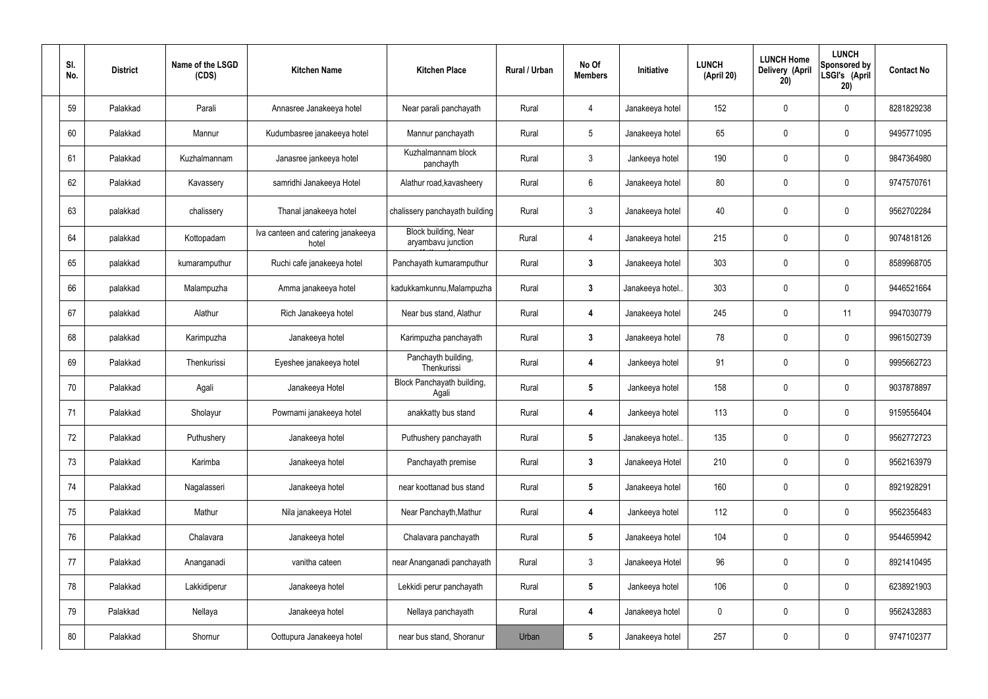| SI.<br>No. | <b>District</b> | Name of the LSGD<br>(CDS) | <b>Kitchen Name</b>                         | <b>Kitchen Place</b>                       | Rural / Urban | No Of<br><b>Members</b> | <b>Initiative</b> | <b>LUNCH</b><br>(April 20) | <b>LUNCH Home</b><br>Delivery (April<br>20) | <b>LUNCH</b><br>Sponsored by<br>LSGI's (April<br>20) | <b>Contact No</b> |
|------------|-----------------|---------------------------|---------------------------------------------|--------------------------------------------|---------------|-------------------------|-------------------|----------------------------|---------------------------------------------|------------------------------------------------------|-------------------|
| 59         | Palakkad        | Parali                    | Annasree Janakeeya hotel                    | Near parali panchayath                     | Rural         | 4                       | Janakeeya hotel   | 152                        | 0                                           | $\mathbf 0$                                          | 8281829238        |
| 60         | Palakkad        | Mannur                    | Kudumbasree janakeeya hotel                 | Mannur panchayath                          | Rural         | $5\phantom{.0}$         | Janakeeya hotel   | 65                         | 0                                           | $\mathbf 0$                                          | 9495771095        |
| 61         | Palakkad        | Kuzhalmannam              | Janasree jankeeya hotel                     | Kuzhalmannam block<br>panchayth            | Rural         | $\mathbf{3}$            | Jankeeya hotel    | 190                        | 0                                           | $\mathbf 0$                                          | 9847364980        |
| 62         | Palakkad        | Kavassery                 | samridhi Janakeeya Hotel                    | Alathur road, kavasheery                   | Rural         | $6\phantom{.}6$         | Janakeeya hotel   | 80                         | $\mathbf 0$                                 | $\mathbf 0$                                          | 9747570761        |
| 63         | palakkad        | chalissery                | Thanal janakeeya hotel                      | chalissery panchayath building             | Rural         | $\mathfrak{Z}$          | Janakeeya hotel   | 40                         | $\boldsymbol{0}$                            | $\boldsymbol{0}$                                     | 9562702284        |
| 64         | palakkad        | Kottopadam                | Iva canteen and catering janakeeya<br>hotel | Block building, Near<br>aryambavu junction | Rural         | 4                       | Janakeeya hotel   | 215                        | 0                                           | $\mathbf 0$                                          | 9074818126        |
| 65         | palakkad        | kumaramputhur             | Ruchi cafe janakeeya hotel                  | Panchayath kumaramputhur                   | Rural         | $\mathbf{3}$            | Janakeeya hotel   | 303                        | $\mathbf 0$                                 | $\mathbf 0$                                          | 8589968705        |
| 66         | palakkad        | Malampuzha                | Amma janakeeya hotel                        | kadukkamkunnu, Malampuzha                  | Rural         | $\mathbf{3}$            | Janakeeya hotel.  | 303                        | 0                                           | $\mathbf 0$                                          | 9446521664        |
| 67         | palakkad        | Alathur                   | Rich Janakeeya hotel                        | Near bus stand, Alathur                    | Rural         | 4                       | Janakeeya hotel   | 245                        | 0                                           | 11                                                   | 9947030779        |
| 68         | palakkad        | Karimpuzha                | Janakeeya hotel                             | Karimpuzha panchayath                      | Rural         | $\mathbf{3}$            | Janakeeya hotel   | 78                         | 0                                           | $\mathbf 0$                                          | 9961502739        |
| 69         | Palakkad        | Thenkurissi               | Eyeshee janakeeya hotel                     | Panchayth building,<br>Thenkurissi         | Rural         | 4                       | Jankeeya hotel    | 91                         | $\mathbf 0$                                 | $\mathbf 0$                                          | 9995662723        |
| 70         | Palakkad        | Agali                     | Janakeeya Hotel                             | Block Panchayath building,<br>Agali        | Rural         | $5\phantom{.0}$         | Jankeeya hotel    | 158                        | 0                                           | $\mathbf 0$                                          | 9037878897        |
| 71         | Palakkad        | Sholayur                  | Powrnami janakeeya hotel                    | anakkatty bus stand                        | Rural         | 4                       | Jankeeya hotel    | 113                        | 0                                           | $\mathbf{0}$                                         | 9159556404        |
| 72         | Palakkad        | Puthushery                | Janakeeya hotel                             | Puthushery panchayath                      | Rural         | $5\phantom{.0}$         | Janakeeya hotel   | 135                        | 0                                           | $\mathbf 0$                                          | 9562772723        |
| 73         | Palakkad        | Karimba                   | Janakeeya hotel                             | Panchayath premise                         | Rural         | $3\phantom{a}$          | Janakeeya Hotel   | 210                        | 0                                           | $\mathbf 0$                                          | 9562163979        |
| 74         | Palakkad        | Nagalasseri               | Janakeeya hotel                             | near koottanad bus stand                   | Rural         | $5\phantom{.0}$         | Janakeeya hotel   | 160                        | 0                                           | $\mathbf 0$                                          | 8921928291        |
| 75         | Palakkad        | Mathur                    | Nila janakeeya Hotel                        | Near Panchayth, Mathur                     | Rural         | 4                       | Jankeeya hotel    | 112                        | 0                                           | $\mathbf 0$                                          | 9562356483        |
| 76         | Palakkad        | Chalavara                 | Janakeeya hotel                             | Chalavara panchayath                       | Rural         | $5\phantom{.0}$         | Janakeeya hotel   | 104                        | 0                                           | $\boldsymbol{0}$                                     | 9544659942        |
| 77         | Palakkad        | Ananganadi                | vanitha cateen                              | near Ananganadi panchayath                 | Rural         | $\mathbf{3}$            | Janakeeya Hotel   | 96                         | 0                                           | $\boldsymbol{0}$                                     | 8921410495        |
| 78         | Palakkad        | Lakkidiperur              | Janakeeya hotel                             | Lekkidi perur panchayath                   | Rural         | $5\phantom{.0}$         | Jankeeya hotel    | 106                        | 0                                           | $\boldsymbol{0}$                                     | 6238921903        |
| 79         | Palakkad        | Nellaya                   | Janakeeya hotel                             | Nellaya panchayath                         | Rural         | 4                       | Janakeeya hotel   | 0                          | 0                                           | $\boldsymbol{0}$                                     | 9562432883        |
| 80         | Palakkad        | Shornur                   | Oottupura Janakeeya hotel                   | near bus stand, Shoranur                   | Urban         | $5\phantom{.0}$         | Janakeeya hotel   | 257                        | 0                                           | $\overline{0}$                                       | 9747102377        |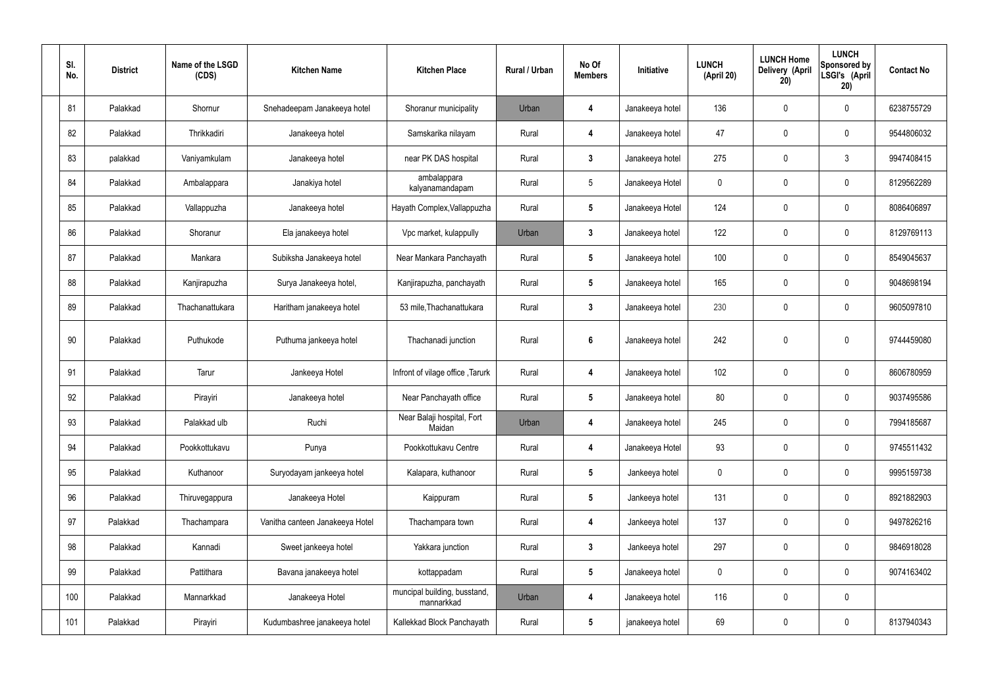| SI.<br>No. | <b>District</b> | Name of the LSGD<br>(CDS) | <b>Kitchen Name</b>             | <b>Kitchen Place</b>                       | Rural / Urban | No Of<br><b>Members</b> | Initiative      | <b>LUNCH</b><br>(April 20) | <b>LUNCH Home</b><br>Delivery (April<br>20) | <b>LUNCH</b><br>Sponsored by<br>LSGI's (April<br>20) | <b>Contact No</b> |
|------------|-----------------|---------------------------|---------------------------------|--------------------------------------------|---------------|-------------------------|-----------------|----------------------------|---------------------------------------------|------------------------------------------------------|-------------------|
| 81         | Palakkad        | Shornur                   | Snehadeepam Janakeeya hotel     | Shoranur municipality                      | Urban         | 4                       | Janakeeya hotel | 136                        | $\mathbf 0$                                 | $\mathbf 0$                                          | 6238755729        |
| 82         | Palakkad        | Thrikkadiri               | Janakeeya hotel                 | Samskarika nilayam                         | Rural         | 4                       | Janakeeya hotel | 47                         | $\mathbf 0$                                 | $\mathbf 0$                                          | 9544806032        |
| 83         | palakkad        | Vaniyamkulam              | Janakeeya hotel                 | near PK DAS hospital                       | Rural         | $3\phantom{a}$          | Janakeeya hotel | 275                        | 0                                           | $\mathfrak{Z}$                                       | 9947408415        |
| 84         | Palakkad        | Ambalappara               | Janakiya hotel                  | ambalappara<br>kalyanamandapam             | Rural         | $5\overline{)}$         | Janakeeya Hotel | $\mathbf 0$                | $\mathbf 0$                                 | $\mathbf 0$                                          | 8129562289        |
| 85         | Palakkad        | Vallappuzha               | Janakeeya hotel                 | Hayath Complex, Vallappuzha                | Rural         | $5\phantom{.0}$         | Janakeeya Hotel | 124                        | $\mathbf 0$                                 | $\mathbf 0$                                          | 8086406897        |
| 86         | Palakkad        | Shoranur                  | Ela janakeeya hotel             | Vpc market, kulappully                     | Urban         | $\mathbf{3}$            | Janakeeya hotel | 122                        | $\mathbf 0$                                 | $\mathbf 0$                                          | 8129769113        |
| 87         | Palakkad        | Mankara                   | Subiksha Janakeeya hotel        | Near Mankara Panchayath                    | Rural         | $5\phantom{.0}$         | Janakeeya hotel | 100                        | $\mathbf 0$                                 | $\mathbf 0$                                          | 8549045637        |
| 88         | Palakkad        | Kanjirapuzha              | Surya Janakeeya hotel,          | Kanjirapuzha, panchayath                   | Rural         | $5\phantom{.0}$         | Janakeeya hotel | 165                        | $\mathbf 0$                                 | $\mathbf 0$                                          | 9048698194        |
| 89         | Palakkad        | Thachanattukara           | Haritham janakeeya hotel        | 53 mile, Thachanattukara                   | Rural         | $3\phantom{a}$          | Janakeeya hotel | 230                        | 0                                           | $\mathbf 0$                                          | 9605097810        |
| 90         | Palakkad        | Puthukode                 | Puthuma jankeeya hotel          | Thachanadi junction                        | Rural         | $6\phantom{1}$          | Janakeeya hotel | 242                        | 0                                           | $\mathbf 0$                                          | 9744459080        |
| 91         | Palakkad        | Tarur                     | Jankeeya Hotel                  | Infront of vilage office, Tarurk           | Rural         | 4                       | Janakeeya hotel | 102                        | 0                                           | $\mathbf 0$                                          | 8606780959        |
| 92         | Palakkad        | Pirayiri                  | Janakeeya hotel                 | Near Panchayath office                     | Rural         | $5\phantom{.0}$         | Janakeeya hotel | 80                         | 0                                           | $\boldsymbol{0}$                                     | 9037495586        |
| 93         | Palakkad        | Palakkad ulb              | Ruchi                           | Near Balaji hospital, Fort<br>Maidan       | Urban         | 4                       | Janakeeya hotel | 245                        | $\pmb{0}$                                   | $\mathbf 0$                                          | 7994185687        |
| 94         | Palakkad        | Pookkottukavu             | Punya                           | Pookkottukavu Centre                       | Rural         | 4                       | Janakeeya Hotel | 93                         | $\pmb{0}$                                   | $\mathbf 0$                                          | 9745511432        |
| 95         | Palakkad        | Kuthanoor                 | Suryodayam jankeeya hotel       | Kalapara, kuthanoor                        | Rural         | $5\phantom{.0}$         | Jankeeya hotel  | $\pmb{0}$                  | $\pmb{0}$                                   | $\mathbf 0$                                          | 9995159738        |
| 96         | Palakkad        | Thiruvegappura            | Janakeeya Hotel                 | Kaippuram                                  | Rural         | $5\phantom{.0}$         | Jankeeya hotel  | 131                        | $\pmb{0}$                                   | $\mathbf 0$                                          | 8921882903        |
| 97         | Palakkad        | Thachampara               | Vanitha canteen Janakeeya Hotel | Thachampara town                           | Rural         | 4                       | Jankeeya hotel  | 137                        | $\pmb{0}$                                   | $\mathbf 0$                                          | 9497826216        |
| 98         | Palakkad        | Kannadi                   | Sweet jankeeya hotel            | Yakkara junction                           | Rural         | $\mathbf{3}$            | Jankeeya hotel  | 297                        | $\pmb{0}$                                   | $\mathbf 0$                                          | 9846918028        |
| 99         | Palakkad        | Pattithara                | Bavana janakeeya hotel          | kottappadam                                | Rural         | $5\phantom{.0}$         | Janakeeya hotel | $\boldsymbol{0}$           | $\pmb{0}$                                   | $\mathbf 0$                                          | 9074163402        |
| 100        | Palakkad        | Mannarkkad                | Janakeeya Hotel                 | muncipal building, busstand,<br>mannarkkad | Urban         | 4                       | Janakeeya hotel | 116                        | $\pmb{0}$                                   | $\mathbf 0$                                          |                   |
| 101        | Palakkad        | Pirayiri                  | Kudumbashree janakeeya hotel    | Kallekkad Block Panchayath                 | Rural         | $5\phantom{.0}$         | janakeeya hotel | 69                         | 0                                           | $\boldsymbol{0}$                                     | 8137940343        |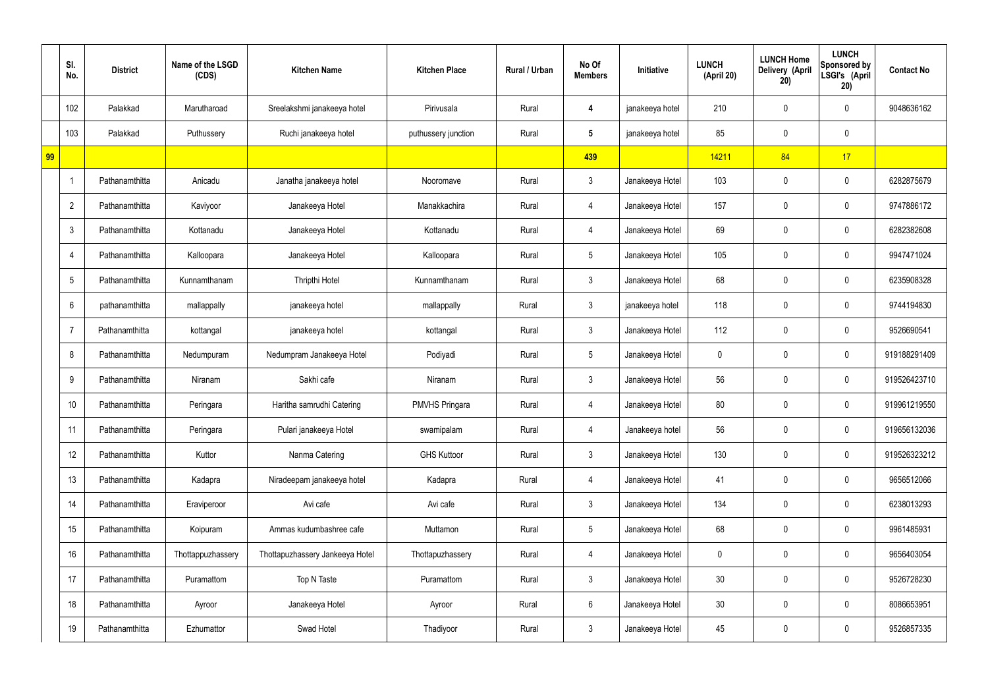|    | SI.<br>No.      | <b>District</b> | Name of the LSGD<br>(CDS) | <b>Kitchen Name</b>             | <b>Kitchen Place</b>  | Rural / Urban | No Of<br><b>Members</b> | Initiative      | <b>LUNCH</b><br>(April 20) | <b>LUNCH Home</b><br>Delivery (April<br>20) | <b>LUNCH</b><br>Sponsored by<br>LSGI's (April<br>20) | <b>Contact No</b> |
|----|-----------------|-----------------|---------------------------|---------------------------------|-----------------------|---------------|-------------------------|-----------------|----------------------------|---------------------------------------------|------------------------------------------------------|-------------------|
|    | 102             | Palakkad        | Marutharoad               | Sreelakshmi janakeeya hotel     | Pirivusala            | Rural         | 4                       | janakeeya hotel | 210                        | 0                                           | $\mathbf 0$                                          | 9048636162        |
|    | 103             | Palakkad        | Puthussery                | Ruchi janakeeya hotel           | puthussery junction   | Rural         | $5\phantom{.0}$         | janakeeya hotel | 85                         | $\mathbf 0$                                 | $\mathbf 0$                                          |                   |
| 99 |                 |                 |                           |                                 |                       |               | 439                     |                 | 14211                      | 84                                          | 17                                                   |                   |
|    |                 | Pathanamthitta  | Anicadu                   | Janatha janakeeya hotel         | Nooromave             | Rural         | $\mathbf{3}$            | Janakeeya Hotel | 103                        | $\mathbf 0$                                 | $\mathbf 0$                                          | 6282875679        |
|    | $\overline{2}$  | Pathanamthitta  | Kaviyoor                  | Janakeeya Hotel                 | Manakkachira          | Rural         | 4                       | Janakeeya Hotel | 157                        | 0                                           | $\mathbf 0$                                          | 9747886172        |
|    | $\mathbf{3}$    | Pathanamthitta  | Kottanadu                 | Janakeeya Hotel                 | Kottanadu             | Rural         | 4                       | Janakeeya Hotel | 69                         | 0                                           | $\overline{0}$                                       | 6282382608        |
|    | $\overline{4}$  | Pathanamthitta  | Kalloopara                | Janakeeya Hotel                 | Kalloopara            | Rural         | $5\overline{)}$         | Janakeeya Hotel | 105                        | 0                                           | $\mathbf 0$                                          | 9947471024        |
|    | $5\phantom{.0}$ | Pathanamthitta  | Kunnamthanam              | Thripthi Hotel                  | Kunnamthanam          | Rural         | $\mathbf{3}$            | Janakeeya Hotel | 68                         | $\mathbf 0$                                 | $\mathbf 0$                                          | 6235908328        |
|    | 6               | pathanamthitta  | mallappally               | janakeeya hotel                 | mallappally           | Rural         | $\mathbf{3}$            | janakeeya hotel | 118                        | 0                                           | $\mathbf 0$                                          | 9744194830        |
|    | 7               | Pathanamthitta  | kottangal                 | janakeeya hotel                 | kottangal             | Rural         | $\mathbf{3}$            | Janakeeya Hotel | 112                        | $\mathbf 0$                                 | $\mathbf 0$                                          | 9526690541        |
|    | 8               | Pathanamthitta  | Nedumpuram                | Nedumpram Janakeeya Hotel       | Podiyadi              | Rural         | $5\overline{)}$         | Janakeeya Hotel | 0                          | 0                                           | $\mathbf 0$                                          | 919188291409      |
|    | 9               | Pathanamthitta  | Niranam                   | Sakhi cafe                      | Niranam               | Rural         | $\mathbf{3}$            | Janakeeya Hotel | 56                         | 0                                           | $\mathbf 0$                                          | 919526423710      |
|    | 10              | Pathanamthitta  | Peringara                 | Haritha samrudhi Catering       | <b>PMVHS Pringara</b> | Rural         | 4                       | Janakeeya Hotel | 80                         | 0                                           | $\mathbf 0$                                          | 919961219550      |
|    | 11              | Pathanamthitta  | Peringara                 | Pulari janakeeya Hotel          | swamipalam            | Rural         | 4                       | Janakeeya hotel | 56                         | $\mathbf 0$                                 | $\mathbf 0$                                          | 919656132036      |
|    | 12              | Pathanamthitta  | Kuttor                    | Nanma Catering                  | <b>GHS Kuttoor</b>    | Rural         | 3 <sup>1</sup>          | Janakeeya Hotel | 130                        | 0                                           | $\mathbf 0$                                          | 919526323212      |
|    | 13              | Pathanamthitta  | Kadapra                   | Niradeepam janakeeya hotel      | Kadapra               | Rural         | 4                       | Janakeeya Hotel | 41                         | 0                                           | $\mathbf 0$                                          | 9656512066        |
|    | 14              | Pathanamthitta  | Eraviperoor               | Avi cafe                        | Avi cafe              | Rural         | $\mathbf{3}$            | Janakeeya Hotel | 134                        | 0                                           | $\mathbf 0$                                          | 6238013293        |
|    | 15              | Pathanamthitta  | Koipuram                  | Ammas kudumbashree cafe         | Muttamon              | Rural         | $5\overline{)}$         | Janakeeya Hotel | 68                         | 0                                           | $\mathbf 0$                                          | 9961485931        |
|    | 16              | Pathanamthitta  | Thottappuzhassery         | Thottapuzhassery Jankeeya Hotel | Thottapuzhassery      | Rural         | 4                       | Janakeeya Hotel | $\mathbf 0$                | 0                                           | $\mathbf 0$                                          | 9656403054        |
|    | 17              | Pathanamthitta  | Puramattom                | Top N Taste                     | Puramattom            | Rural         | $\mathbf{3}$            | Janakeeya Hotel | 30 <sub>o</sub>            | 0                                           | $\mathbf 0$                                          | 9526728230        |
|    | 18              | Pathanamthitta  | Ayroor                    | Janakeeya Hotel                 | Ayroor                | Rural         | $6\phantom{.}6$         | Janakeeya Hotel | 30 <sub>o</sub>            | 0                                           | $\mathbf 0$                                          | 8086653951        |
|    | 19              | Pathanamthitta  | Ezhumattor                | Swad Hotel                      | Thadiyoor             | Rural         | $\mathfrak{Z}$          | Janakeeya Hotel | 45                         | 0                                           | $\overline{0}$                                       | 9526857335        |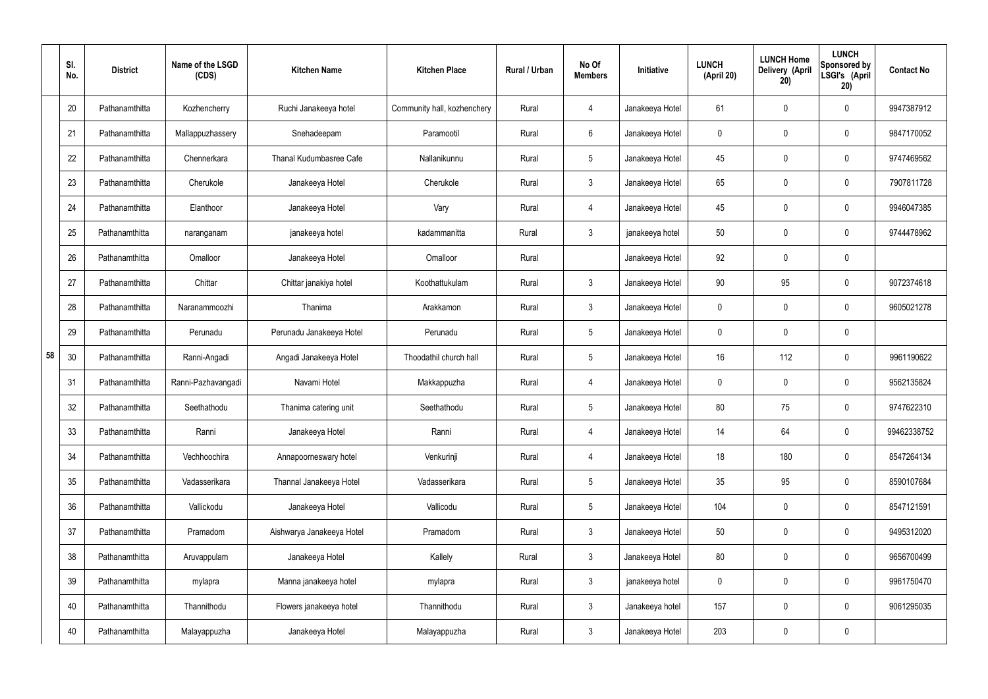|    | SI.<br>No. | <b>District</b> | Name of the LSGD<br>(CDS) | <b>Kitchen Name</b>       | <b>Kitchen Place</b>        | Rural / Urban | No Of<br><b>Members</b> | Initiative      | <b>LUNCH</b><br>(April 20) | <b>LUNCH Home</b><br>Delivery (April<br>20) | <b>LUNCH</b><br>Sponsored by<br>LSGI's (April<br>20) | <b>Contact No</b> |
|----|------------|-----------------|---------------------------|---------------------------|-----------------------------|---------------|-------------------------|-----------------|----------------------------|---------------------------------------------|------------------------------------------------------|-------------------|
|    | 20         | Pathanamthitta  | Kozhencherry              | Ruchi Janakeeya hotel     | Community hall, kozhenchery | Rural         | 4                       | Janakeeya Hotel | 61                         | 0                                           | $\mathbf 0$                                          | 9947387912        |
|    | 21         | Pathanamthitta  | Mallappuzhassery          | Snehadeepam               | Paramootil                  | Rural         | $6\phantom{.}$          | Janakeeya Hotel | $\mathbf 0$                | 0                                           | $\boldsymbol{0}$                                     | 9847170052        |
|    | 22         | Pathanamthitta  | Chennerkara               | Thanal Kudumbasree Cafe   | Nallanikunnu                | Rural         | $5\phantom{.0}$         | Janakeeya Hotel | 45                         | 0                                           | $\boldsymbol{0}$                                     | 9747469562        |
|    | 23         | Pathanamthitta  | Cherukole                 | Janakeeya Hotel           | Cherukole                   | Rural         | $\mathbf{3}$            | Janakeeya Hotel | 65                         | 0                                           | $\boldsymbol{0}$                                     | 7907811728        |
|    | 24         | Pathanamthitta  | Elanthoor                 | Janakeeya Hotel           | Vary                        | Rural         | 4                       | Janakeeya Hotel | 45                         | 0                                           | $\boldsymbol{0}$                                     | 9946047385        |
|    | 25         | Pathanamthitta  | naranganam                | janakeeya hotel           | kadammanitta                | Rural         | $\mathbf{3}$            | janakeeya hotel | 50                         | 0                                           | $\mathbf 0$                                          | 9744478962        |
|    | 26         | Pathanamthitta  | Omalloor                  | Janakeeya Hotel           | Omalloor                    | Rural         |                         | Janakeeya Hotel | 92                         | 0                                           | $\mathbf 0$                                          |                   |
|    | 27         | Pathanamthitta  | Chittar                   | Chittar janakiya hotel    | Koothattukulam              | Rural         | $\mathbf{3}$            | Janakeeya Hotel | 90                         | 95                                          | $\mathbf 0$                                          | 9072374618        |
|    | 28         | Pathanamthitta  | Naranammoozhi             | Thanima                   | Arakkamon                   | Rural         | $\mathbf{3}$            | Janakeeya Hotel | $\mathbf 0$                | $\boldsymbol{0}$                            | $\mathbf 0$                                          | 9605021278        |
|    | 29         | Pathanamthitta  | Perunadu                  | Perunadu Janakeeya Hotel  | Perunadu                    | Rural         | $5\phantom{.0}$         | Janakeeya Hotel | $\mathbf 0$                | 0                                           | $\mathbf 0$                                          |                   |
| 58 | 30         | Pathanamthitta  | Ranni-Angadi              | Angadi Janakeeya Hotel    | Thoodathil church hall      | Rural         | $5\phantom{.0}$         | Janakeeya Hotel | 16 <sup>°</sup>            | 112                                         | $\mathbf 0$                                          | 9961190622        |
|    | 31         | Pathanamthitta  | Ranni-Pazhavangadi        | Navami Hotel              | Makkappuzha                 | Rural         | 4                       | Janakeeya Hotel | $\mathbf 0$                | 0                                           | $\mathbf 0$                                          | 9562135824        |
|    | 32         | Pathanamthitta  | Seethathodu               | Thanima catering unit     | Seethathodu                 | Rural         | $5\phantom{.0}$         | Janakeeya Hotel | 80                         | 75                                          | 0                                                    | 9747622310        |
|    | 33         | Pathanamthitta  | Ranni                     | Janakeeya Hotel           | Ranni                       | Rural         | $\overline{4}$          | Janakeeya Hotel | 14                         | 64                                          | $\mathbf 0$                                          | 99462338752       |
|    | 34         | Pathanamthitta  | Vechhoochira              | Annapoorneswary hotel     | Venkurinji                  | Rural         | $\overline{4}$          | Janakeeya Hotel | 18                         | 180                                         | $\mathbf 0$                                          | 8547264134        |
|    | 35         | Pathanamthitta  | Vadasserikara             | Thannal Janakeeya Hotel   | Vadasserikara               | Rural         | $5\phantom{.0}$         | Janakeeya Hotel | 35                         | 95                                          | $\mathbf 0$                                          | 8590107684        |
|    | 36         | Pathanamthitta  | Vallickodu                | Janakeeya Hotel           | Vallicodu                   | Rural         | $5\phantom{.0}$         | Janakeeya Hotel | 104                        | 0                                           | $\mathbf 0$                                          | 8547121591        |
|    | 37         | Pathanamthitta  | Pramadom                  | Aishwarya Janakeeya Hotel | Pramadom                    | Rural         | $\mathbf{3}$            | Janakeeya Hotel | 50                         | 0                                           | $\mathbf 0$                                          | 9495312020        |
|    | 38         | Pathanamthitta  | Aruvappulam               | Janakeeya Hotel           | Kallely                     | Rural         | $\mathbf{3}$            | Janakeeya Hotel | 80                         | 0                                           | $\mathbf 0$                                          | 9656700499        |
|    | 39         | Pathanamthitta  | mylapra                   | Manna janakeeya hotel     | mylapra                     | Rural         | $\mathbf{3}$            | janakeeya hotel | $\mathbf 0$                | 0                                           | $\mathbf 0$                                          | 9961750470        |
|    | 40         | Pathanamthitta  | Thannithodu               | Flowers janakeeya hotel   | Thannithodu                 | Rural         | $\mathbf{3}$            | Janakeeya hotel | 157                        | 0                                           | $\mathbf 0$                                          | 9061295035        |
|    | 40         | Pathanamthitta  | Malayappuzha              | Janakeeya Hotel           | Malayappuzha                | Rural         | $\mathfrak{Z}$          | Janakeeya Hotel | 203                        | 0                                           | $\pmb{0}$                                            |                   |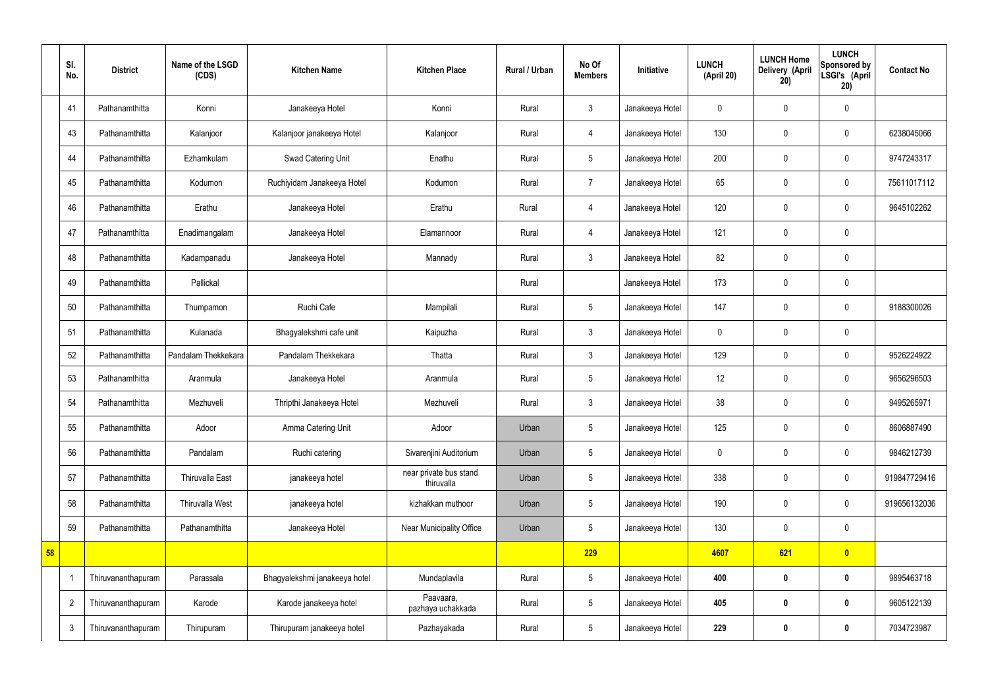|    | SI.<br>No.     | <b>District</b>    | Name of the LSGD<br>(CDS) | <b>Kitchen Name</b>           | <b>Kitchen Place</b>                 | Rural / Urban | No Of<br><b>Members</b> | Initiative      | <b>LUNCH</b><br>(April 20) | <b>LUNCH Home</b><br>Delivery (April<br>20) | <b>LUNCH</b><br>Sponsored by<br>LSGI's (April<br>20) | <b>Contact No</b> |
|----|----------------|--------------------|---------------------------|-------------------------------|--------------------------------------|---------------|-------------------------|-----------------|----------------------------|---------------------------------------------|------------------------------------------------------|-------------------|
|    | 41             | Pathanamthitta     | Konni                     | Janakeeya Hotel               | Konni                                | Rural         | 3                       | Janakeeya Hotel | $\mathbf 0$                | $\mathbf 0$                                 | $\mathbf 0$                                          |                   |
|    | 43             | Pathanamthitta     | Kalanjoor                 | Kalanjoor janakeeya Hotel     | Kalanjoor                            | Rural         | $\overline{4}$          | Janakeeya Hotel | 130                        | $\mathbf 0$                                 | $\mathbf 0$                                          | 6238045066        |
|    | 44             | Pathanamthitta     | Ezhamkulam                | Swad Catering Unit            | Enathu                               | Rural         | $5\overline{)}$         | Janakeeya Hotel | 200                        | $\mathbf 0$                                 | $\mathbf 0$                                          | 9747243317        |
|    | 45             | Pathanamthitta     | Kodumon                   | Ruchiyidam Janakeeya Hotel    | Kodumon                              | Rural         | $\overline{7}$          | Janakeeya Hotel | 65                         | $\mathbf 0$                                 | $\mathbf 0$                                          | 75611017112       |
|    | 46             | Pathanamthitta     | Erathu                    | Janakeeya Hotel               | Erathu                               | Rural         | 4                       | Janakeeya Hotel | 120                        | $\mathbf 0$                                 | $\mathbf 0$                                          | 9645102262        |
|    | 47             | Pathanamthitta     | Enadimangalam             | Janakeeya Hotel               | Elamannoor                           | Rural         | $\overline{4}$          | Janakeeya Hotel | 121                        | $\mathbf 0$                                 | $\mathbf 0$                                          |                   |
|    | 48             | Pathanamthitta     | Kadampanadu               | Janakeeya Hotel               | Mannady                              | Rural         | 3                       | Janakeeya Hotel | 82                         | $\pmb{0}$                                   | $\mathbf 0$                                          |                   |
|    | 49             | Pathanamthitta     | Pallickal                 |                               |                                      | Rural         |                         | Janakeeya Hotel | 173                        | $\mathbf 0$                                 | $\mathbf 0$                                          |                   |
|    | 50             | Pathanamthitta     | Thumpamon                 | Ruchi Cafe                    | Mampilali                            | Rural         | $5\phantom{.0}$         | Janakeeya Hotel | 147                        | $\mathbf 0$                                 | $\mathbf 0$                                          | 9188300026        |
|    | 51             | Pathanamthitta     | Kulanada                  | Bhagyalekshmi cafe unit       | Kaipuzha                             | Rural         | 3                       | Janakeeya Hotel | $\mathbf 0$                | $\mathbf 0$                                 | $\mathbf 0$                                          |                   |
|    | 52             | Pathanamthitta     | Pandalam Thekkekara       | Pandalam Thekkekara           | Thatta                               | Rural         | 3                       | Janakeeya Hotel | 129                        | $\mathbf 0$                                 | $\mathbf 0$                                          | 9526224922        |
|    | 53             | Pathanamthitta     | Aranmula                  | Janakeeya Hotel               | Aranmula                             | Rural         | 5 <sub>5</sub>          | Janakeeya Hotel | 12                         | $\pmb{0}$                                   | $\mathbf 0$                                          | 9656296503        |
|    | 54             | Pathanamthitta     | Mezhuveli                 | Thripthi Janakeeya Hotel      | Mezhuveli                            | Rural         | 3                       | Janakeeya Hotel | 38                         | $\mathbf 0$                                 | $\mathbf 0$                                          | 9495265971        |
|    | 55             | Pathanamthitta     | Adoor                     | Amma Catering Unit            | Adoor                                | Urban         | $5\phantom{.0}$         | Janakeeya Hotel | 125                        | $\pmb{0}$                                   | $\mathbf 0$                                          | 8606887490        |
|    | 56             | Pathanamthitta     | Pandalam                  | Ruchi catering                | Sivarenjini Auditorium               | Urban         | 5 <sub>5</sub>          | Janakeeya Hotel | $\pmb{0}$                  | $\pmb{0}$                                   | $\mathbf 0$                                          | 9846212739        |
|    | 57             | Pathanamthitta     | Thiruvalla East           | janakeeya hotel               | near private bus stand<br>thiruvalla | Urban         | $5\phantom{.0}$         | Janakeeya Hotel | 338                        | $\pmb{0}$                                   | $\pmb{0}$                                            | 919847729416      |
|    | 58             | Pathanamthitta     | <b>Thiruvalla West</b>    | janakeeya hotel               | kizhakkan muthoor                    | Urban         | $5\phantom{.0}$         | Janakeeya Hotel | 190                        | $\mathbf 0$                                 | $\mathbf 0$                                          | 919656132036      |
|    | 59             | Pathanamthitta     | Pathanamthitta            | Janakeeya Hotel               | Near Municipality Office             | Urban         | $5\phantom{.0}$         | Janakeeya Hotel | 130                        | $\mathbf 0$                                 | $\mathbf 0$                                          |                   |
| 58 |                |                    |                           |                               |                                      |               | 229                     |                 | 4607                       | 621                                         | $\bullet$                                            |                   |
|    |                | Thiruvananthapuram | Parassala                 | Bhagyalekshmi janakeeya hotel | Mundaplavila                         | Rural         | $5\phantom{.0}$         | Janakeeya Hotel | 400                        | $\bm{0}$                                    | $\bf{0}$                                             | 9895463718        |
|    | $\overline{2}$ | Thiruvananthapuram | Karode                    | Karode janakeeya hotel        | Paavaara,<br>pazhaya uchakkada       | Rural         | $5\phantom{.0}$         | Janakeeya Hotel | 405                        | $\bm{0}$                                    | $\bf{0}$                                             | 9605122139        |
|    | $\mathfrak{Z}$ | Thiruvananthapuram | Thirupuram                | Thirupuram janakeeya hotel    | Pazhayakada                          | Rural         | $5\phantom{.0}$         | Janakeeya Hotel | 229                        | $\pmb{0}$                                   | $\bf{0}$                                             | 7034723987        |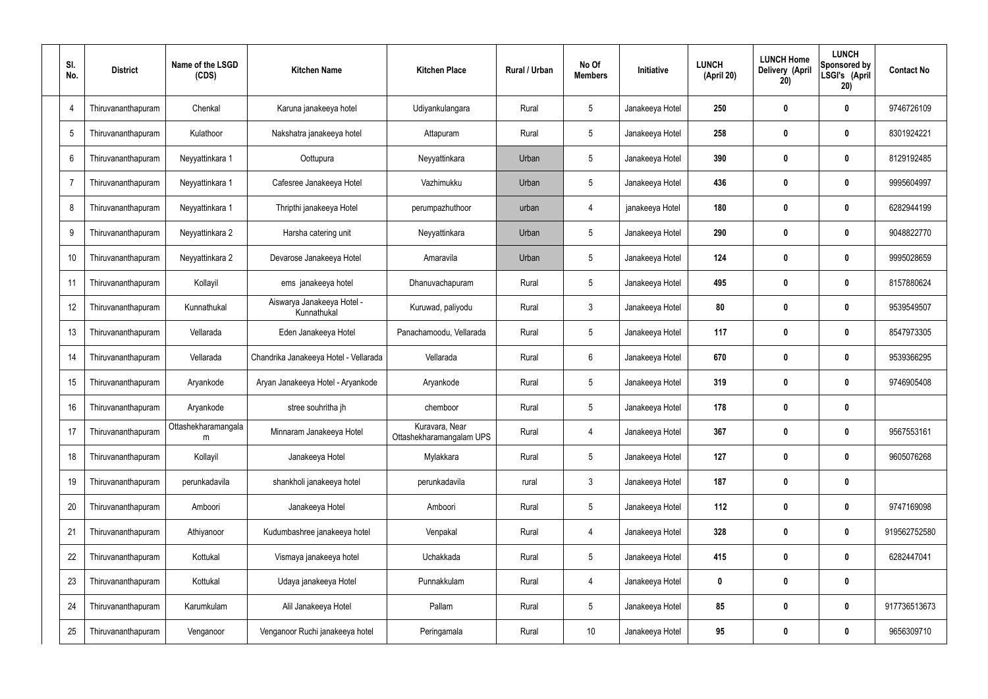| SI.<br>No. | <b>District</b>           | Name of the LSGD<br>(CDS) | <b>Kitchen Name</b>                       | <b>Kitchen Place</b>                       | Rural / Urban | No Of<br><b>Members</b> | Initiative      | <b>LUNCH</b><br>(April 20) | <b>LUNCH Home</b><br>Delivery (April<br>20) | <b>LUNCH</b><br>Sponsored by<br>LSGI's (April<br>20) | <b>Contact No</b> |
|------------|---------------------------|---------------------------|-------------------------------------------|--------------------------------------------|---------------|-------------------------|-----------------|----------------------------|---------------------------------------------|------------------------------------------------------|-------------------|
| 4          | Thiruvananthapuram        | Chenkal                   | Karuna janakeeya hotel                    | Udiyankulangara                            | Rural         | 5                       | Janakeeya Hotel | 250                        | 0                                           | $\bf{0}$                                             | 9746726109        |
| 5          | Thiruvananthapuram        | Kulathoor                 | Nakshatra janakeeya hotel                 | Attapuram                                  | Rural         | $5\phantom{.0}$         | Janakeeya Hotel | 258                        | 0                                           | $\bm{0}$                                             | 8301924221        |
| 6          | hiruvananthapuram         | Neyyattinkara 1           | Oottupura                                 | Neyyattinkara                              | Urban         | 5                       | Janakeeya Hotel | 390                        | 0                                           | $\bf{0}$                                             | 8129192485        |
| -7         | Thiruvananthapuram        | Neyyattinkara 1           | Cafesree Janakeeya Hotel                  | Vazhimukku                                 | Urban         | 5                       | Janakeeya Hotel | 436                        | 0                                           | $\bf{0}$                                             | 9995604997        |
| 8          | hiruvananthapuram         | Neyyattinkara 1           | Thripthi janakeeya Hotel                  | perumpazhuthoor                            | urban         | 4                       | janakeeya Hotel | 180                        | 0                                           | $\bf{0}$                                             | 6282944199        |
| 9          | Thiruvananthapuram        | Neyyattinkara 2           | Harsha catering unit                      | Neyyattinkara                              | Urban         | 5                       | Janakeeya Hotel | 290                        | 0                                           | $\bf{0}$                                             | 9048822770        |
| 10         | Thiruvananthapuram        | Neyyattinkara 2           | Devarose Janakeeya Hotel                  | Amaravila                                  | Urban         | $5\phantom{.0}$         | Janakeeya Hotel | 124                        | 0                                           | $\bf{0}$                                             | 9995028659        |
| 11         | Thiruvananthapuram        | Kollayil                  | ems janakeeya hotel                       | Dhanuvachapuram                            | Rural         | $5\phantom{.0}$         | Janakeeya Hotel | 495                        | 0                                           | $\bf{0}$                                             | 8157880624        |
| 12         | <b>Thiruvananthapuram</b> | Kunnathukal               | Aiswarya Janakeeya Hotel -<br>Kunnathukal | Kuruwad, paliyodu                          | Rural         | $\mathfrak{Z}$          | Janakeeya Hotel | 80                         | 0                                           | $\boldsymbol{0}$                                     | 9539549507        |
| 13         | Thiruvananthapuram        | Vellarada                 | Eden Janakeeya Hotel                      | Panachamoodu, Vellarada                    | Rural         | $5\phantom{.0}$         | Janakeeya Hotel | 117                        | 0                                           | $\mathbf 0$                                          | 8547973305        |
| 14         | Thiruvananthapuram        | Vellarada                 | Chandrika Janakeeya Hotel - Vellarada     | Vellarada                                  | Rural         | $6\phantom{.}6$         | Janakeeya Hotel | 670                        | $\boldsymbol{0}$                            | $\mathbf 0$                                          | 9539366295        |
| 15         | Thiruvananthapuram        | Aryankode                 | Aryan Janakeeya Hotel - Aryankode         | Aryankode                                  | Rural         | $5\phantom{.0}$         | Janakeeya Hotel | 319                        | 0                                           | $\boldsymbol{0}$                                     | 9746905408        |
| 16         | Thiruvananthapuram        | Aryankode                 | stree souhritha jh                        | chemboor                                   | Rural         | $5\phantom{.0}$         | Janakeeya Hotel | 178                        | 0                                           | $\mathbf 0$                                          |                   |
| 17         | Thiruvananthapuram        | Ottashekharamangala<br>m  | Minnaram Janakeeya Hotel                  | Kuravara, Near<br>Ottashekharamangalam UPS | Rural         | 4                       | Janakeeya Hotel | 367                        | 0                                           | $\mathbf 0$                                          | 9567553161        |
| 18         | Thiruvananthapuram        | Kollayil                  | Janakeeya Hotel                           | Mylakkara                                  | Rural         | $5\phantom{.0}$         | Janakeeya Hotel | 127                        | $\boldsymbol{0}$                            | $\mathbf 0$                                          | 9605076268        |
| 19         | Thiruvananthapuram        | perunkadavila             | shankholi janakeeya hotel                 | perunkadavila                              | rural         | $\mathbf{3}$            | Janakeeya Hotel | 187                        | $\boldsymbol{0}$                            | $\pmb{0}$                                            |                   |
| 20         | Thiruvananthapuram        | Amboori                   | Janakeeya Hotel                           | Amboori                                    | Rural         | $5\,$                   | Janakeeya Hotel | 112                        | $\boldsymbol{0}$                            | $\mathbf 0$                                          | 9747169098        |
| 21         | Thiruvananthapuram        | Athiyanoor                | Kudumbashree janakeeya hotel              | Venpakal                                   | Rural         | 4                       | Janakeeya Hotel | 328                        | 0                                           | $\mathbf 0$                                          | 919562752580      |
| 22         | Thiruvananthapuram        | Kottukal                  | Vismaya janakeeya hotel                   | Uchakkada                                  | Rural         | $5\,$                   | Janakeeya Hotel | 415                        | $\boldsymbol{0}$                            | $\mathbf 0$                                          | 6282447041        |
| 23         | Thiruvananthapuram        | Kottukal                  | Udaya janakeeya Hotel                     | Punnakkulam                                | Rural         | 4                       | Janakeeya Hotel | $\mathbf 0$                | 0                                           | $\pmb{0}$                                            |                   |
| 24         | Thiruvananthapuram        | Karumkulam                | Alil Janakeeya Hotel                      | Pallam                                     | Rural         | $5\,$                   | Janakeeya Hotel | 85                         | $\boldsymbol{0}$                            | $\mathbf 0$                                          | 917736513673      |
| 25         | Thiruvananthapuram        | Venganoor                 | Venganoor Ruchi janakeeya hotel           | Peringamala                                | Rural         | 10 <sup>°</sup>         | Janakeeya Hotel | 95                         | $\boldsymbol{0}$                            | $\pmb{0}$                                            | 9656309710        |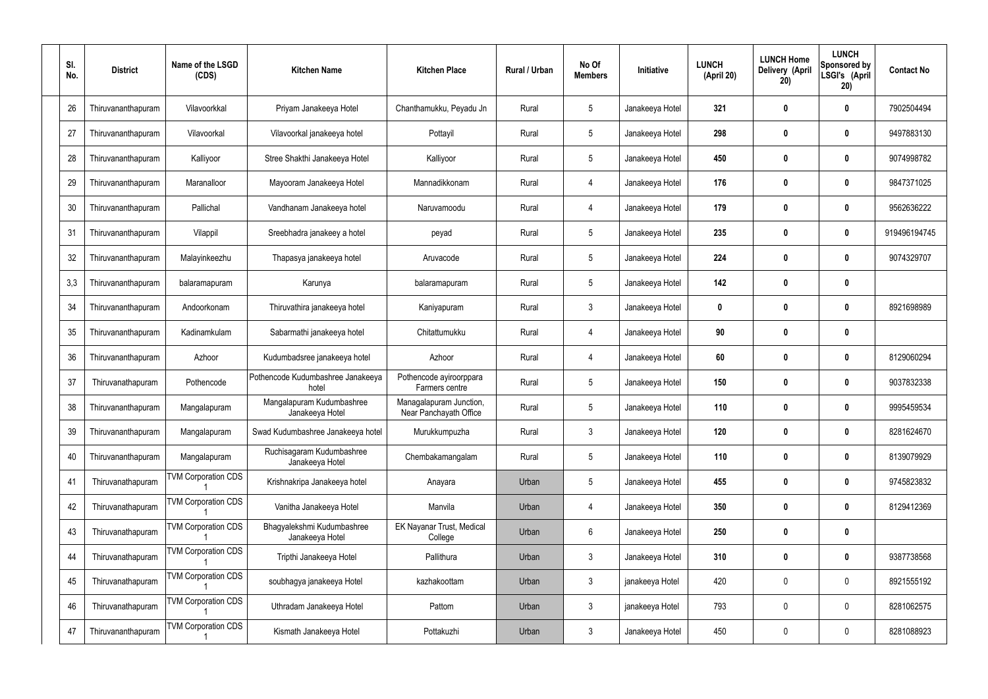| SI.<br>No. | <b>District</b>    | Name of the LSGD<br>(CDS)  | <b>Kitchen Name</b>                           | <b>Kitchen Place</b>                              | Rural / Urban | No Of<br><b>Members</b> | Initiative      | <b>LUNCH</b><br>(April 20) | <b>LUNCH Home</b><br>Delivery (April<br>20) | <b>LUNCH</b><br>Sponsored by<br>LSGI's (April<br>20) | <b>Contact No</b> |
|------------|--------------------|----------------------------|-----------------------------------------------|---------------------------------------------------|---------------|-------------------------|-----------------|----------------------------|---------------------------------------------|------------------------------------------------------|-------------------|
| 26         | Thiruvananthapuram | Vilavoorkkal               | Priyam Janakeeya Hotel                        | Chanthamukku, Peyadu Jn                           | Rural         | $\sqrt{5}$              | Janakeeya Hotel | 321                        | 0                                           | 0                                                    | 7902504494        |
| 27         | Thiruvananthapuram | Vilavoorkal                | Vilavoorkal janakeeya hotel                   | Pottayil                                          | Rural         | $5\phantom{.0}$         | Janakeeya Hotel | 298                        | 0                                           | $\boldsymbol{0}$                                     | 9497883130        |
| 28         | Thiruvananthapuram | Kalliyoor                  | Stree Shakthi Janakeeya Hotel                 | Kalliyoor                                         | Rural         | $5\,$                   | Janakeeya Hotel | 450                        | 0                                           | $\mathbf 0$                                          | 9074998782        |
| 29         | Thiruvananthapuram | Maranalloor                | Mayooram Janakeeya Hotel                      | Mannadikkonam                                     | Rural         | $\overline{4}$          | Janakeeya Hotel | 176                        | 0                                           | $\boldsymbol{0}$                                     | 9847371025        |
| 30         | Thiruvananthapuram | Pallichal                  | Vandhanam Janakeeya hotel                     | Naruvamoodu                                       | Rural         | $\overline{4}$          | Janakeeya Hotel | 179                        | 0                                           | $\boldsymbol{0}$                                     | 9562636222        |
| 31         | Thiruvananthapuram | Vilappil                   | Sreebhadra janakeey a hotel                   | peyad                                             | Rural         | $\sqrt{5}$              | Janakeeya Hotel | 235                        | 0                                           | $\boldsymbol{0}$                                     | 919496194745      |
| 32         | Thiruvananthapuram | Malayinkeezhu              | Thapasya janakeeya hotel                      | Aruvacode                                         | Rural         | $\sqrt{5}$              | Janakeeya Hotel | 224                        | 0                                           | $\boldsymbol{0}$                                     | 9074329707        |
| 3,3        | Thiruvananthapuram | balaramapuram              | Karunya                                       | balaramapuram                                     | Rural         | $\sqrt{5}$              | Janakeeya Hotel | 142                        | 0                                           | $\boldsymbol{0}$                                     |                   |
| 34         | Thiruvananthapuram | Andoorkonam                | Thiruvathira janakeeya hotel                  | Kaniyapuram                                       | Rural         | $\mathbf{3}$            | Janakeeya Hotel | $\mathbf 0$                | 0                                           | $\boldsymbol{0}$                                     | 8921698989        |
| 35         | Thiruvananthapuram | Kadinamkulam               | Sabarmathi janakeeya hotel                    | Chitattumukku                                     | Rural         | $\overline{4}$          | Janakeeya Hotel | 90                         | 0                                           | $\mathbf 0$                                          |                   |
| 36         | Thiruvananthapuram | Azhoor                     | Kudumbadsree janakeeya hotel                  | Azhoor                                            | Rural         | $\overline{4}$          | Janakeeya Hotel | 60                         | 0                                           | 0                                                    | 8129060294        |
| 37         | Thiruvanathapuram  | Pothencode                 | Pothencode Kudumbashree Janakeeya<br>hotel    | Pothencode ayiroorppara<br>Farmers centre         | Rural         | $\sqrt{5}$              | Janakeeya Hotel | 150                        | 0                                           | 0                                                    | 9037832338        |
| 38         | Thiruvananthapuram | Mangalapuram               | Mangalapuram Kudumbashree<br>Janakeeya Hotel  | Managalapuram Junction,<br>Near Panchayath Office | Rural         | 5                       | Janakeeya Hotel | 110                        | 0                                           | 0                                                    | 9995459534        |
| 39         | Thiruvananthapuram | Mangalapuram               | Swad Kudumbashree Janakeeya hotel             | Murukkumpuzha                                     | Rural         | $\mathfrak{Z}$          | Janakeeya Hotel | 120                        | 0                                           | $\pmb{0}$                                            | 8281624670        |
| 40         | Thiruvananthapuram | Mangalapuram               | Ruchisagaram Kudumbashree<br>Janakeeya Hotel  | Chembakamangalam                                  | Rural         | $5\,$                   | Janakeeya Hotel | 110                        | $\boldsymbol{0}$                            | $\mathbf 0$                                          | 8139079929        |
| 41         | Thiruvanathapuram  | <b>TVM Corporation CDS</b> | Krishnakripa Janakeeya hotel                  | Anayara                                           | Urban         | $\sqrt{5}$              | Janakeeya Hotel | 455                        | $\boldsymbol{0}$                            | $\mathbf 0$                                          | 9745823832        |
| 42         | Thiruvanathapuram  | <b>TVM Corporation CDS</b> | Vanitha Janakeeya Hotel                       | Manvila                                           | Urban         | $\overline{4}$          | Janakeeya Hotel | 350                        | $\boldsymbol{0}$                            | $\mathbf 0$                                          | 8129412369        |
| 43         | Thiruvanathapuram  | <b>TVM Corporation CDS</b> | Bhagyalekshmi Kudumbashree<br>Janakeeya Hotel | EK Nayanar Trust, Medical<br>College              | Urban         | $6\,$                   | Janakeeya Hotel | 250                        | $\boldsymbol{0}$                            | $\pmb{0}$                                            |                   |
| 44         | Thiruvanathapuram  | <b>TVM Corporation CDS</b> | Tripthi Janakeeya Hotel                       | Pallithura                                        | Urban         | $\mathfrak{Z}$          | Janakeeya Hotel | 310                        | $\boldsymbol{0}$                            | $\mathbf 0$                                          | 9387738568        |
| 45         | Thiruvanathapuram  | <b>TVM Corporation CDS</b> | soubhagya janakeeya Hotel                     | kazhakoottam                                      | Urban         | $\mathbf{3}$            | janakeeya Hotel | 420                        | $\boldsymbol{0}$                            | $\pmb{0}$                                            | 8921555192        |
| 46         | Thiruvanathapuram  | <b>TVM Corporation CDS</b> | Uthradam Janakeeya Hotel                      | Pattom                                            | Urban         | $\mathfrak{Z}$          | janakeeya Hotel | 793                        | $\boldsymbol{0}$                            | $\mathbf 0$                                          | 8281062575        |
| 47         | Thiruvananthapuram | <b>TVM Corporation CDS</b> | Kismath Janakeeya Hotel                       | Pottakuzhi                                        | Urban         | $\mathfrak{Z}$          | Janakeeya Hotel | 450                        | 0                                           | $\boldsymbol{0}$                                     | 8281088923        |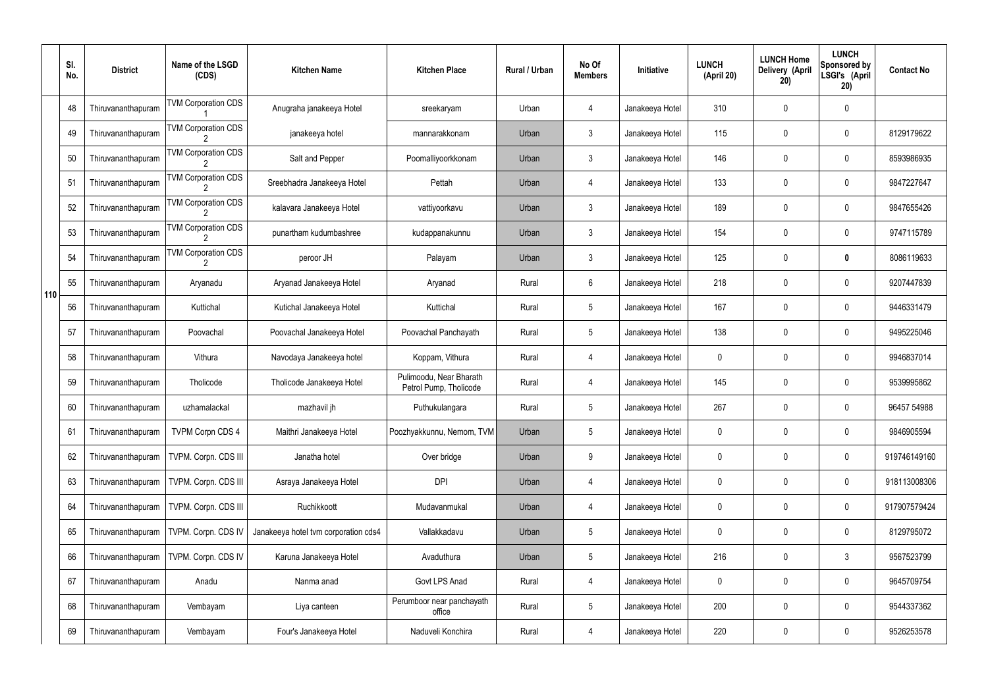|     | SI.<br>No. | <b>District</b>    | Name of the LSGD<br>(CDS)                    | <b>Kitchen Name</b>                  | <b>Kitchen Place</b>                              | Rural / Urban | No Of<br><b>Members</b> | Initiative      | <b>LUNCH</b><br>(April 20) | <b>LUNCH Home</b><br>Delivery (April<br>20) | <b>LUNCH</b><br>Sponsored by<br>LSGI's (April<br>20) | <b>Contact No</b> |
|-----|------------|--------------------|----------------------------------------------|--------------------------------------|---------------------------------------------------|---------------|-------------------------|-----------------|----------------------------|---------------------------------------------|------------------------------------------------------|-------------------|
|     | 48         | Thiruvananthapuram | <b>TVM Corporation CDS</b>                   | Anugraha janakeeya Hotel             | sreekaryam                                        | Urban         | 4                       | Janakeeya Hotel | 310                        | 0                                           | $\mathbf 0$                                          |                   |
|     | 49         | Thiruvananthapuram | <b>TVM Corporation CDS</b>                   | janakeeya hotel                      | mannarakkonam                                     | Urban         | $\mathbf{3}$            | Janakeeya Hotel | 115                        | 0                                           | $\pmb{0}$                                            | 8129179622        |
|     | 50         | Thiruvananthapuram | <b>TVM Corporation CDS</b>                   | Salt and Pepper                      | Poomalliyoorkkonam                                | Urban         | $\mathbf{3}$            | Janakeeya Hotel | 146                        | 0                                           | $\mathbf 0$                                          | 8593986935        |
|     | 51         | Thiruvananthapuram | <b>TVM Corporation CDS</b>                   | Sreebhadra Janakeeya Hotel           | Pettah                                            | Urban         | 4                       | Janakeeya Hotel | 133                        | 0                                           | $\pmb{0}$                                            | 9847227647        |
|     | 52         | Thiruvananthapuram | <b>TVM Corporation CDS</b>                   | kalavara Janakeeya Hotel             | vattiyoorkavu                                     | Urban         | $\mathbf{3}$            | Janakeeya Hotel | 189                        | 0                                           | $\mathbf 0$                                          | 9847655426        |
|     | 53         | Thiruvananthapuram | <b>TVM Corporation CDS</b>                   | punartham kudumbashree               | kudappanakunnu                                    | Urban         | $\mathfrak{Z}$          | Janakeeya Hotel | 154                        | 0                                           | $\pmb{0}$                                            | 9747115789        |
|     | 54         | Thiruvananthapuram | <b>TVM Corporation CDS</b><br>$\overline{2}$ | peroor JH                            | Palayam                                           | Urban         | $\mathbf{3}$            | Janakeeya Hotel | 125                        | 0                                           | 0                                                    | 8086119633        |
| 110 | 55         | Thiruvananthapuram | Aryanadu                                     | Aryanad Janakeeya Hotel              | Aryanad                                           | Rural         | 6                       | Janakeeya Hotel | 218                        | 0                                           | $\pmb{0}$                                            | 9207447839        |
|     | 56         | Thiruvananthapuram | Kuttichal                                    | Kutichal Janakeeya Hotel             | Kuttichal                                         | Rural         | $5\phantom{.0}$         | Janakeeya Hotel | 167                        | 0                                           | $\mathbf 0$                                          | 9446331479        |
|     | 57         | Thiruvananthapuram | Poovachal                                    | Poovachal Janakeeya Hotel            | Poovachal Panchayath                              | Rural         | $5\phantom{.0}$         | Janakeeya Hotel | 138                        | 0                                           | $\boldsymbol{0}$                                     | 9495225046        |
|     | 58         | Thiruvananthapuram | Vithura                                      | Navodaya Janakeeya hotel             | Koppam, Vithura                                   | Rural         | 4                       | Janakeeya Hotel | 0                          | 0                                           | $\mathbf 0$                                          | 9946837014        |
|     | 59         | Thiruvananthapuram | Tholicode                                    | Tholicode Janakeeya Hotel            | Pulimoodu, Near Bharath<br>Petrol Pump, Tholicode | Rural         | 4                       | Janakeeya Hotel | 145                        | 0                                           | $\mathbf 0$                                          | 9539995862        |
|     | 60         | Thiruvananthapuram | uzhamalackal                                 | mazhavil jh                          | Puthukulangara                                    | Rural         | $5\overline{)}$         | Janakeeya Hotel | 267                        | 0                                           | $\mathbf 0$                                          | 96457 54988       |
|     | 61         | Thiruvananthapuram | <b>TVPM Corpn CDS 4</b>                      | Maithri Janakeeya Hotel              | Poozhyakkunnu, Nemom, TVM                         | Urban         | 5                       | Janakeeya Hotel | 0                          | 0                                           | $\mathbf 0$                                          | 9846905594        |
|     | 62         | Thiruvananthapuram | TVPM. Corpn. CDS III                         | Janatha hotel                        | Over bridge                                       | Urban         | 9                       | Janakeeya Hotel | 0                          | 0                                           | $\pmb{0}$                                            | 919746149160      |
|     | 63         | Thiruvananthapuram | TVPM. Corpn. CDS III                         | Asraya Janakeeya Hotel               | <b>DPI</b>                                        | Urban         | 4                       | Janakeeya Hotel | 0                          | 0                                           | $\pmb{0}$                                            | 918113008306      |
|     | 64         | Thiruvananthapuram | TVPM. Corpn. CDS III                         | Ruchikkoott                          | Mudavanmukal                                      | Urban         | 4                       | Janakeeya Hotel | 0                          | 0                                           | $\pmb{0}$                                            | 917907579424      |
|     | 65         | Thiruvananthapuram | TVPM. Corpn. CDS IV                          | Janakeeya hotel tvm corporation cds4 | Vallakkadavu                                      | Urban         | 5                       | Janakeeya Hotel | 0                          | 0                                           | $\pmb{0}$                                            | 8129795072        |
|     | 66         | Thiruvananthapuram | TVPM. Corpn. CDS IV                          | Karuna Janakeeya Hotel               | Avaduthura                                        | Urban         | 5                       | Janakeeya Hotel | 216                        | 0                                           | $\mathfrak{Z}$                                       | 9567523799        |
|     | 67         | Thiruvananthapuram | Anadu                                        | Nanma anad                           | Govt LPS Anad                                     | Rural         | 4                       | Janakeeya Hotel | 0                          | 0                                           | $\pmb{0}$                                            | 9645709754        |
|     | 68         | Thiruvananthapuram | Vembayam                                     | Liya canteen                         | Perumboor near panchayath<br>office               | Rural         | 5                       | Janakeeya Hotel | 200                        | 0                                           | $\pmb{0}$                                            | 9544337362        |
|     | 69         | Thiruvananthapuram | Vembayam                                     | Four's Janakeeya Hotel               | Naduveli Konchira                                 | Rural         | 4                       | Janakeeya Hotel | 220                        | 0                                           | $\pmb{0}$                                            | 9526253578        |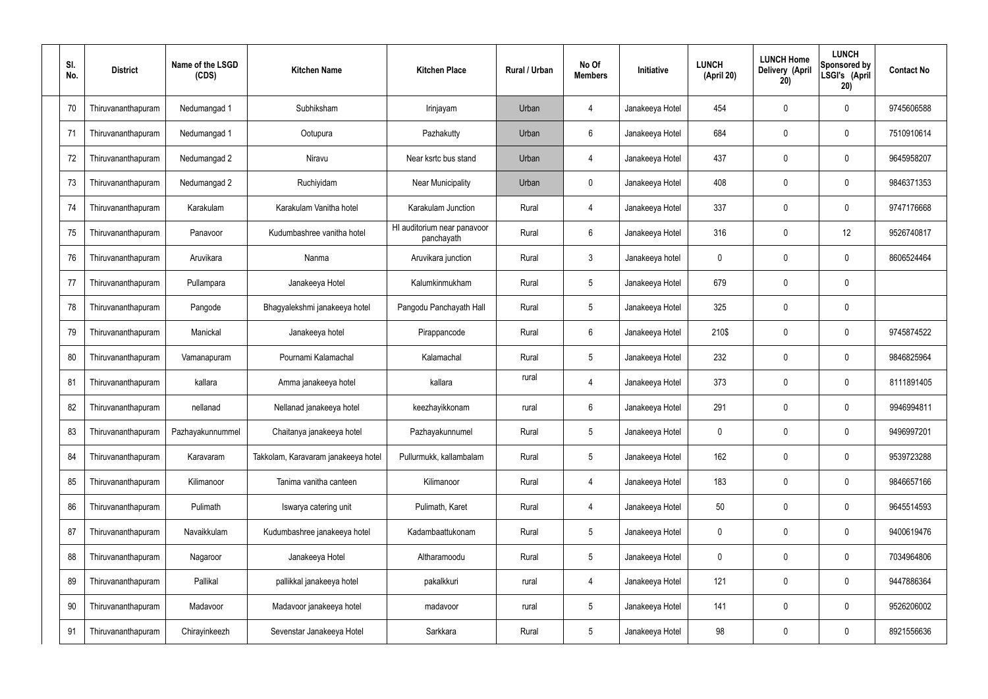| SI.<br>No. | <b>District</b>    | Name of the LSGD<br>(CDS) | <b>Kitchen Name</b>                 | <b>Kitchen Place</b>                      | Rural / Urban | No Of<br><b>Members</b> | Initiative      | <b>LUNCH</b><br>(April 20) | <b>LUNCH Home</b><br>Delivery (April<br>20) | <b>LUNCH</b><br>Sponsored by<br>LSGI's (April<br>20) | <b>Contact No</b> |
|------------|--------------------|---------------------------|-------------------------------------|-------------------------------------------|---------------|-------------------------|-----------------|----------------------------|---------------------------------------------|------------------------------------------------------|-------------------|
| 70         | Thiruvananthapuram | Nedumangad 1              | Subhiksham                          | Irinjayam                                 | Urban         | 4                       | Janakeeya Hotel | 454                        | 0                                           | 0                                                    | 9745606588        |
| 71         | Thiruvananthapuram | Nedumangad 1              | Ootupura                            | Pazhakutty                                | Urban         | 6                       | Janakeeya Hotel | 684                        | 0                                           | $\mathbf 0$                                          | 7510910614        |
| 72         | Thiruvananthapuram | Nedumangad 2              | Niravu                              | Near ksrtc bus stand                      | Urban         | $\overline{4}$          | Janakeeya Hotel | 437                        | 0                                           | $\mathbf 0$                                          | 9645958207        |
| 73         | Thiruvananthapuram | Nedumangad 2              | Ruchiyidam                          | Near Municipality                         | Urban         | $\mathbf 0$             | Janakeeya Hotel | 408                        | 0                                           | $\mathbf 0$                                          | 9846371353        |
| 74         | Thiruvananthapuram | Karakulam                 | Karakulam Vanitha hotel             | Karakulam Junction                        | Rural         | $\overline{4}$          | Janakeeya Hotel | 337                        | 0                                           | $\mathbf 0$                                          | 9747176668        |
| 75         | Thiruvananthapuram | Panavoor                  | Kudumbashree vanitha hotel          | HI auditorium near panavoor<br>panchayath | Rural         | $6\phantom{.}$          | Janakeeya Hotel | 316                        | 0                                           | 12                                                   | 9526740817        |
| 76         | Thiruvananthapuram | Aruvikara                 | Nanma                               | Aruvikara junction                        | Rural         | $\mathbf{3}$            | Janakeeya hotel | 0                          | 0                                           | $\mathbf 0$                                          | 8606524464        |
| 77         | Thiruvananthapuram | Pullampara                | Janakeeya Hotel                     | Kalumkinmukham                            | Rural         | $5\phantom{.0}$         | Janakeeya Hotel | 679                        | 0                                           | $\mathbf 0$                                          |                   |
| 78         | Thiruvananthapuram | Pangode                   | Bhagyalekshmi janakeeya hotel       | Pangodu Panchayath Hall                   | Rural         | $5\phantom{.0}$         | Janakeeya Hotel | 325                        | 0                                           | $\mathbf 0$                                          |                   |
| 79         | Thiruvananthapuram | Manickal                  | Janakeeya hotel                     | Pirappancode                              | Rural         | $6\phantom{.}$          | Janakeeya Hotel | 210\$                      | 0                                           | $\boldsymbol{0}$                                     | 9745874522        |
| 80         | Thiruvananthapuram | Vamanapuram               | Pournami Kalamachal                 | Kalamachal                                | Rural         | $5\phantom{.0}$         | Janakeeya Hotel | 232                        | 0                                           | $\boldsymbol{0}$                                     | 9846825964        |
| 81         | Thiruvananthapuram | kallara                   | Amma janakeeya hotel                | kallara                                   | rural         | 4                       | Janakeeya Hotel | 373                        | 0                                           | $\boldsymbol{0}$                                     | 8111891405        |
| 82         | Thiruvananthapuram | nellanad                  | Nellanad janakeeya hotel            | keezhayikkonam                            | rural         | 6                       | Janakeeya Hotel | 291                        | 0                                           | 0                                                    | 9946994811        |
| 83         | Thiruvananthapuram | Pazhayakunnummel          | Chaitanya janakeeya hotel           | Pazhayakunnumel                           | Rural         | $5\phantom{.0}$         | Janakeeya Hotel | 0                          | 0                                           | $\mathbf 0$                                          | 9496997201        |
| 84         | Thiruvananthapuram | Karavaram                 | Takkolam, Karavaram janakeeya hotel | Pullurmukk, kallambalam                   | Rural         | $5\phantom{.0}$         | Janakeeya Hotel | 162                        | $\mathbf 0$                                 | $\mathbf 0$                                          | 9539723288        |
| 85         | Thiruvananthapuram | Kilimanoor                | Tanima vanitha canteen              | Kilimanoor                                | Rural         | $\overline{4}$          | Janakeeya Hotel | 183                        | 0                                           | $\mathbf 0$                                          | 9846657166        |
| 86         | Thiruvananthapuram | Pulimath                  | Iswarya catering unit               | Pulimath, Karet                           | Rural         | $\overline{4}$          | Janakeeya Hotel | 50                         | 0                                           | $\mathbf 0$                                          | 9645514593        |
| 87         | Thiruvananthapuram | Navaikkulam               | Kudumbashree janakeeya hotel        | Kadambaattukonam                          | Rural         | $5\phantom{.0}$         | Janakeeya Hotel | $\mathbf 0$                | 0                                           | $\boldsymbol{0}$                                     | 9400619476        |
| 88         | Thiruvananthapuram | Nagaroor                  | Janakeeya Hotel                     | Altharamoodu                              | Rural         | $5\phantom{.0}$         | Janakeeya Hotel | $\mathbf 0$                | 0                                           | $\mathbf 0$                                          | 7034964806        |
| 89         | Thiruvananthapuram | Pallikal                  | pallikkal janakeeya hotel           | pakalkkuri                                | rural         | 4                       | Janakeeya Hotel | 121                        | 0                                           | $\mathbf 0$                                          | 9447886364        |
| 90         | Thiruvananthapuram | Madavoor                  | Madavoor janakeeya hotel            | madavoor                                  | rural         | $5\phantom{.0}$         | Janakeeya Hotel | 141                        | $\boldsymbol{0}$                            | $\pmb{0}$                                            | 9526206002        |
| 91         | Thiruvananthapuram | Chirayinkeezh             | Sevenstar Janakeeya Hotel           | Sarkkara                                  | Rural         | $5\,$                   | Janakeeya Hotel | 98                         | 0                                           | $\boldsymbol{0}$                                     | 8921556636        |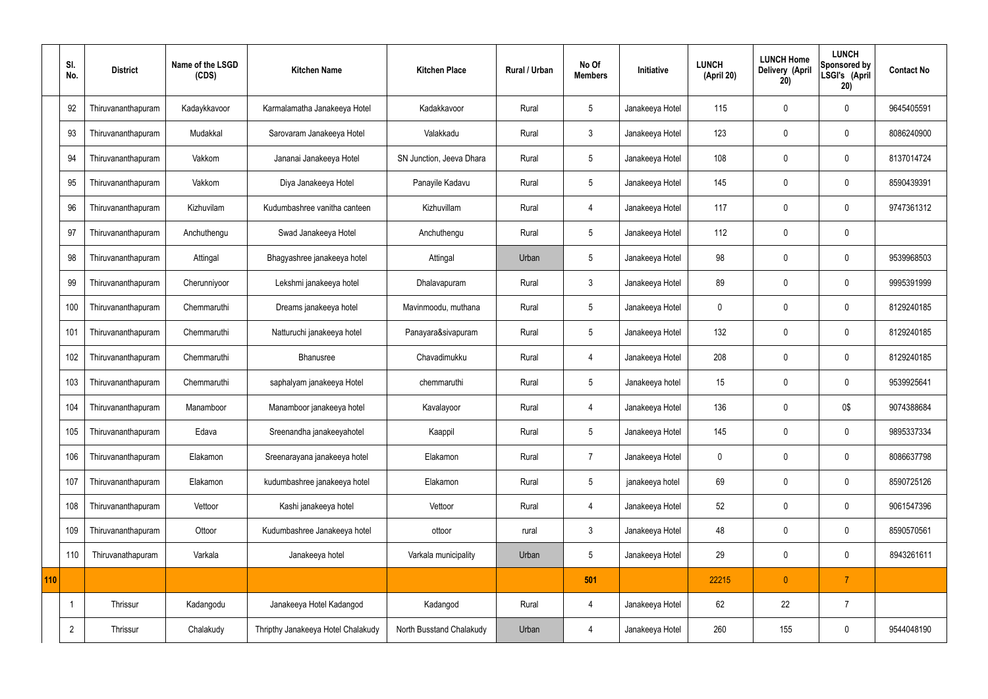|     | SI.<br>No.     | <b>District</b>    | Name of the LSGD<br>(CDS) | <b>Kitchen Name</b>                | <b>Kitchen Place</b>     | Rural / Urban | No Of<br><b>Members</b> | Initiative      | <b>LUNCH</b><br>(April 20) | <b>LUNCH Home</b><br>Delivery (April<br>20) | <b>LUNCH</b><br>Sponsored by<br>LSGI's (April<br>20) | <b>Contact No</b> |
|-----|----------------|--------------------|---------------------------|------------------------------------|--------------------------|---------------|-------------------------|-----------------|----------------------------|---------------------------------------------|------------------------------------------------------|-------------------|
|     | 92             | Thiruvananthapuram | Kadaykkavoor              | Karmalamatha Janakeeya Hotel       | Kadakkavoor              | Rural         | 5                       | Janakeeya Hotel | 115                        | 0                                           | $\mathbf 0$                                          | 9645405591        |
|     | 93             | Thiruvananthapuram | Mudakkal                  | Sarovaram Janakeeya Hotel          | Valakkadu                | Rural         | $\mathbf{3}$            | Janakeeya Hotel | 123                        | $\mathbf 0$                                 | $\mathbf 0$                                          | 8086240900        |
|     | 94             | Thiruvananthapuram | Vakkom                    | Jananai Janakeeya Hotel            | SN Junction, Jeeva Dhara | Rural         | $5\overline{)}$         | Janakeeya Hotel | 108                        | $\mathbf 0$                                 | $\mathbf 0$                                          | 8137014724        |
|     | 95             | Thiruvananthapuram | Vakkom                    | Diya Janakeeya Hotel               | Panayile Kadavu          | Rural         | $5\overline{)}$         | Janakeeya Hotel | 145                        | $\mathbf 0$                                 | $\mathbf 0$                                          | 8590439391        |
|     | 96             | Thiruvananthapuram | Kizhuvilam                | Kudumbashree vanitha canteen       | Kizhuvillam              | Rural         | $\overline{4}$          | Janakeeya Hotel | 117                        | $\mathbf 0$                                 | $\mathbf 0$                                          | 9747361312        |
|     | 97             | Thiruvananthapuram | Anchuthengu               | Swad Janakeeya Hotel               | Anchuthengu              | Rural         | $5\phantom{.0}$         | Janakeeya Hotel | 112                        | $\mathbf 0$                                 | $\mathbf 0$                                          |                   |
|     | 98             | Thiruvananthapuram | Attingal                  | Bhagyashree janakeeya hotel        | Attingal                 | Urban         | $5\phantom{.0}$         | Janakeeya Hotel | 98                         | $\mathbf 0$                                 | $\mathbf 0$                                          | 9539968503        |
|     | 99             | Thiruvananthapuram | Cherunniyoor              | Lekshmi janakeeya hotel            | Dhalavapuram             | Rural         | $\mathbf{3}$            | Janakeeya Hotel | 89                         | $\mathbf 0$                                 | $\mathbf 0$                                          | 9995391999        |
|     | 100            | Thiruvananthapuram | Chemmaruthi               | Dreams janakeeya hotel             | Mavinmoodu, muthana      | Rural         | 5                       | Janakeeya Hotel | $\mathbf 0$                | $\mathbf 0$                                 | $\mathbf 0$                                          | 8129240185        |
|     | 101            | Thiruvananthapuram | Chemmaruthi               | Natturuchi janakeeya hotel         | Panayara&sivapuram       | Rural         | $5\phantom{.0}$         | Janakeeya Hotel | 132                        | $\mathbf 0$                                 | $\mathbf 0$                                          | 8129240185        |
|     | 102            | Thiruvananthapuram | Chemmaruthi               | Bhanusree                          | Chavadimukku             | Rural         | 4                       | Janakeeya Hotel | 208                        | $\mathbf 0$                                 | $\mathbf 0$                                          | 8129240185        |
|     | 103            | Thiruvananthapuram | Chemmaruthi               | saphalyam janakeeya Hotel          | chemmaruthi              | Rural         | 5                       | Janakeeya hotel | 15                         | $\mathbf 0$                                 | $\mathbf 0$                                          | 9539925641        |
|     | 104            | Thiruvananthapuram | Manamboor                 | Manamboor janakeeya hotel          | Kavalayoor               | Rural         | 4                       | Janakeeya Hotel | 136                        | 0                                           | 0\$                                                  | 9074388684        |
|     | 105            | Thiruvananthapuram | Edava                     | Sreenandha janakeeyahotel          | Kaappil                  | Rural         | $5\phantom{.0}$         | Janakeeya Hotel | 145                        | $\mathbf 0$                                 | $\mathbf 0$                                          | 9895337334        |
|     | 106            | Thiruvananthapuram | Elakamon                  | Sreenarayana janakeeya hotel       | Elakamon                 | Rural         | $\overline{7}$          | Janakeeya Hotel | $\pmb{0}$                  | $\mathbf 0$                                 | $\mathbf 0$                                          | 8086637798        |
|     | 107            | Thiruvananthapuram | Elakamon                  | kudumbashree janakeeya hotel       | Elakamon                 | Rural         | $5\phantom{.0}$         | janakeeya hotel | 69                         | $\mathbf 0$                                 | $\mathbf 0$                                          | 8590725126        |
|     | 108            | Thiruvananthapuram | Vettoor                   | Kashi janakeeya hotel              | Vettoor                  | Rural         | $\overline{4}$          | Janakeeya Hotel | 52                         | $\mathbf 0$                                 | $\mathbf 0$                                          | 9061547396        |
|     | 109            | Thiruvananthapuram | Ottoor                    | Kudumbashree Janakeeya hotel       | ottoor                   | rural         | $\mathbf{3}$            | Janakeeya Hotel | 48                         | $\pmb{0}$                                   | $\mathbf 0$                                          | 8590570561        |
|     | 110            | Thiruvanathapuram  | Varkala                   | Janakeeya hotel                    | Varkala municipality     | Urban         | $5\phantom{.0}$         | Janakeeya Hotel | 29                         | $\pmb{0}$                                   | $\mathbf 0$                                          | 8943261611        |
| 110 |                |                    |                           |                                    |                          |               | 501                     |                 | 22215                      | $\mathbf{0}$                                | $\overline{7}$                                       |                   |
|     | -1             | Thrissur           | Kadangodu                 | Janakeeya Hotel Kadangod           | Kadangod                 | Rural         | 4                       | Janakeeya Hotel | 62                         | 22                                          | $\overline{7}$                                       |                   |
|     | $\overline{2}$ | Thrissur           | Chalakudy                 | Thripthy Janakeeya Hotel Chalakudy | North Busstand Chalakudy | Urban         | 4                       | Janakeeya Hotel | 260                        | 155                                         | $\mathbf 0$                                          | 9544048190        |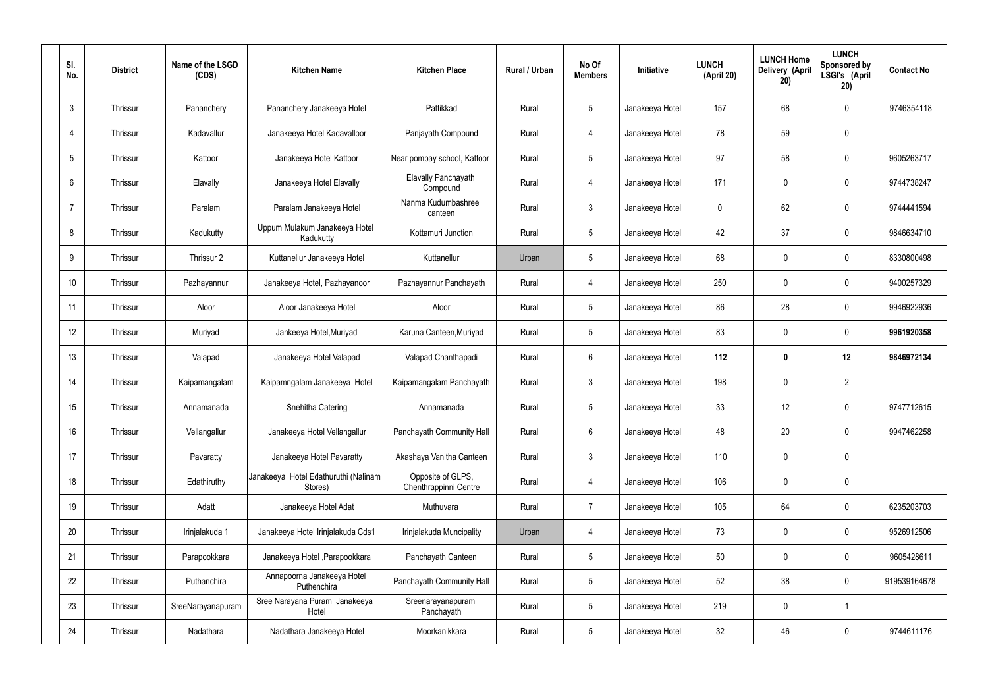| SI.<br>No.     | <b>District</b> | Name of the LSGD<br>(CDS) | <b>Kitchen Name</b>                             | <b>Kitchen Place</b>                       | <b>Rural / Urban</b> | No Of<br><b>Members</b> | Initiative      | <b>LUNCH</b><br>(April 20) | <b>LUNCH Home</b><br>Delivery (April<br>20) | <b>LUNCH</b><br>Sponsored by<br>LSGI's (April<br>20) | <b>Contact No</b> |
|----------------|-----------------|---------------------------|-------------------------------------------------|--------------------------------------------|----------------------|-------------------------|-----------------|----------------------------|---------------------------------------------|------------------------------------------------------|-------------------|
| 3              | Thrissur        | Pananchery                | Pananchery Janakeeya Hotel                      | Pattikkad                                  | Rural                | $5\phantom{.0}$         | Janakeeya Hotel | 157                        | 68                                          | $\mathbf 0$                                          | 9746354118        |
| 4              | Thrissur        | Kadavallur                | Janakeeya Hotel Kadavalloor                     | Panjayath Compound                         | Rural                | $\overline{4}$          | Janakeeya Hotel | 78                         | 59                                          | $\mathbf 0$                                          |                   |
| 5              | Thrissur        | Kattoor                   | Janakeeya Hotel Kattoor                         | Near pompay school, Kattoor                | Rural                | $5\overline{)}$         | Janakeeya Hotel | 97                         | 58                                          | $\mathbf 0$                                          | 9605263717        |
| 6              | Thrissur        | Elavally                  | Janakeeya Hotel Elavally                        | Elavally Panchayath<br>Compound            | Rural                | $\overline{4}$          | Janakeeya Hotel | 171                        | $\mathbf 0$                                 | $\mathbf 0$                                          | 9744738247        |
| $\overline{7}$ | Thrissur        | Paralam                   | Paralam Janakeeya Hotel                         | Nanma Kudumbashree<br>canteen              | Rural                | $\mathbf{3}$            | Janakeeya Hotel | 0                          | 62                                          | $\mathbf 0$                                          | 9744441594        |
| 8              | Thrissur        | Kadukutty                 | Uppum Mulakum Janakeeya Hotel<br>Kadukutty      | Kottamuri Junction                         | Rural                | $5\overline{)}$         | Janakeeya Hotel | 42                         | 37                                          | $\mathbf 0$                                          | 9846634710        |
| 9              | Thrissur        | Thrissur 2                | Kuttanellur Janakeeya Hotel                     | Kuttanellur                                | Urban                | $5\overline{)}$         | Janakeeya Hotel | 68                         | $\mathbf 0$                                 | $\mathbf 0$                                          | 8330800498        |
| 10             | Thrissur        | Pazhayannur               | Janakeeya Hotel, Pazhayanoor                    | Pazhayannur Panchayath                     | Rural                | $\overline{4}$          | Janakeeya Hotel | 250                        | $\mathbf 0$                                 | $\mathbf 0$                                          | 9400257329        |
| 11             | Thrissur        | Aloor                     | Aloor Janakeeya Hotel                           | Aloor                                      | Rural                | $5\overline{)}$         | Janakeeya Hotel | 86                         | 28                                          | $\mathbf 0$                                          | 9946922936        |
| 12             | Thrissur        | Muriyad                   | Jankeeya Hotel, Muriyad                         | Karuna Canteen, Muriyad                    | Rural                | $5\phantom{.0}$         | Janakeeya Hotel | 83                         | $\mathbf 0$                                 | $\mathbf 0$                                          | 9961920358        |
| 13             | Thrissur        | Valapad                   | Janakeeya Hotel Valapad                         | Valapad Chanthapadi                        | Rural                | $6\overline{6}$         | Janakeeya Hotel | 112                        | $\boldsymbol{0}$                            | 12                                                   | 9846972134        |
| 14             | Thrissur        | Kaipamangalam             | Kaipamngalam Janakeeya Hotel                    | Kaipamangalam Panchayath                   | Rural                | $\mathbf{3}$            | Janakeeya Hotel | 198                        | $\mathbf 0$                                 | $\overline{2}$                                       |                   |
| 15             | Thrissur        | Annamanada                | Snehitha Catering                               | Annamanada                                 | Rural                | $5\phantom{.0}$         | Janakeeya Hotel | 33                         | 12                                          | $\mathbf 0$                                          | 9747712615        |
| 16             | Thrissur        | Vellangallur              | Janakeeya Hotel Vellangallur                    | Panchayath Community Hall                  | Rural                | $6\phantom{.}6$         | Janakeeya Hotel | 48                         | 20                                          | $\mathbf 0$                                          | 9947462258        |
| 17             | Thrissur        | Pavaratty                 | Janakeeya Hotel Pavaratty                       | Akashaya Vanitha Canteen                   | Rural                | $\mathbf{3}$            | Janakeeya Hotel | 110                        | $\mathbf 0$                                 | $\mathbf 0$                                          |                   |
| 18             | Thrissur        | Edathiruthy               | Janakeeya Hotel Edathuruthi (Nalinam<br>Stores) | Opposite of GLPS,<br>Chenthrappinni Centre | Rural                | $\overline{4}$          | Janakeeya Hotel | 106                        | $\mathbf 0$                                 | $\mathbf 0$                                          |                   |
| 19             | Thrissur        | Adatt                     | Janakeeya Hotel Adat                            | Muthuvara                                  | Rural                | $\overline{7}$          | Janakeeya Hotel | 105                        | 64                                          | $\mathbf 0$                                          | 6235203703        |
| 20             | Thrissur        | Irinjalakuda 1            | Janakeeya Hotel Irinjalakuda Cds1               | Irinjalakuda Muncipality                   | Urban                | $\overline{4}$          | Janakeeya Hotel | 73                         | 0                                           | $\mathbf 0$                                          | 9526912506        |
| 21             | Thrissur        | Parapookkara              | Janakeeya Hotel, Parapookkara                   | Panchayath Canteen                         | Rural                | $5\phantom{.0}$         | Janakeeya Hotel | 50                         | 0                                           | $\mathbf 0$                                          | 9605428611        |
| 22             | Thrissur        | Puthanchira               | Annapoorna Janakeeya Hotel<br>Puthenchira       | Panchayath Community Hall                  | Rural                | $5\overline{)}$         | Janakeeya Hotel | 52                         | 38                                          | $\mathbf 0$                                          | 919539164678      |
| 23             | Thrissur        | SreeNarayanapuram         | Sree Narayana Puram Janakeeya<br>Hotel          | Sreenarayanapuram<br>Panchayath            | Rural                | $5\phantom{.0}$         | Janakeeya Hotel | 219                        | 0                                           | $\overline{1}$                                       |                   |
| 24             | Thrissur        | Nadathara                 | Nadathara Janakeeya Hotel                       | Moorkanikkara                              | Rural                | $5\phantom{.0}$         | Janakeeya Hotel | 32                         | 46                                          | $\overline{0}$                                       | 9744611176        |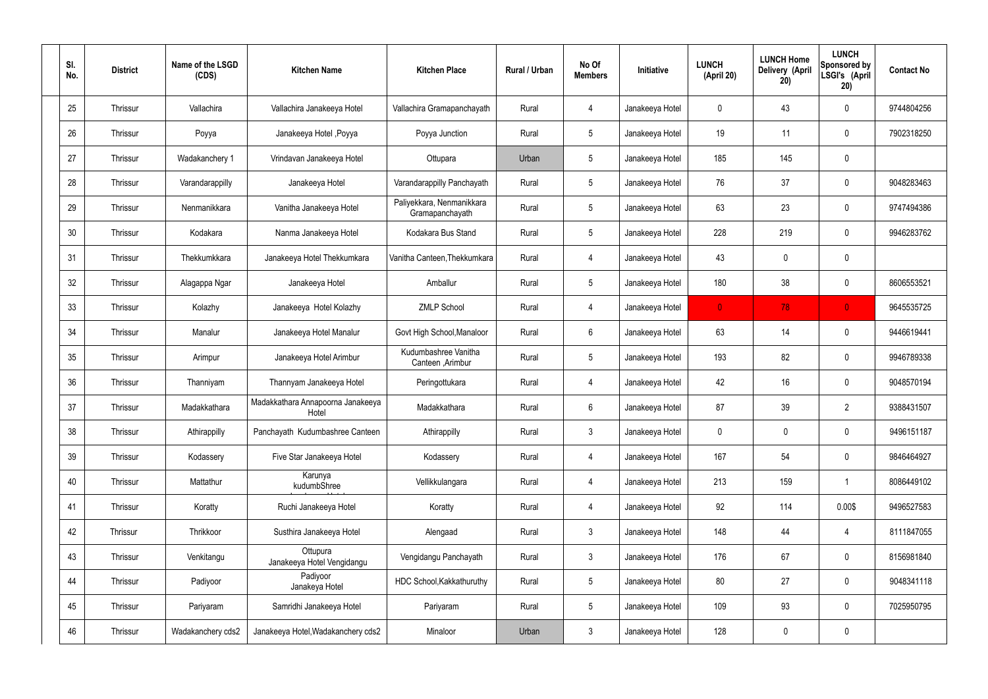| SI.<br>No. | <b>District</b> | Name of the LSGD<br>(CDS) | <b>Kitchen Name</b>                        | <b>Kitchen Place</b>                         | Rural / Urban | No Of<br><b>Members</b> | Initiative      | <b>LUNCH</b><br>(April 20) | <b>LUNCH Home</b><br>Delivery (April<br>20) | <b>LUNCH</b><br>Sponsored by<br>LSGI's (April<br>20) | <b>Contact No</b> |
|------------|-----------------|---------------------------|--------------------------------------------|----------------------------------------------|---------------|-------------------------|-----------------|----------------------------|---------------------------------------------|------------------------------------------------------|-------------------|
| 25         | Thrissur        | Vallachira                | Vallachira Janakeeya Hotel                 | Vallachira Gramapanchayath                   | Rural         | $\overline{4}$          | Janakeeya Hotel | $\mathbf 0$                | 43                                          | $\mathbf 0$                                          | 9744804256        |
| 26         | Thrissur        | Poyya                     | Janakeeya Hotel , Poyya                    | Poyya Junction                               | Rural         | $5\phantom{.0}$         | Janakeeya Hotel | 19                         | 11                                          | $\mathbf 0$                                          | 7902318250        |
| 27         | Thrissur        | Wadakanchery 1            | Vrindavan Janakeeya Hotel                  | Ottupara                                     | Urban         | $5\phantom{.0}$         | Janakeeya Hotel | 185                        | 145                                         | $\mathbf 0$                                          |                   |
| 28         | Thrissur        | Varandarappilly           | Janakeeya Hotel                            | Varandarappilly Panchayath                   | Rural         | $5\phantom{.0}$         | Janakeeya Hotel | 76                         | 37                                          | $\mathbf 0$                                          | 9048283463        |
| 29         | Thrissur        | Nenmanikkara              | Vanitha Janakeeya Hotel                    | Paliyekkara, Nenmanikkara<br>Gramapanchayath | Rural         | $5\phantom{.0}$         | Janakeeya Hotel | 63                         | 23                                          | $\mathbf 0$                                          | 9747494386        |
| 30         | Thrissur        | Kodakara                  | Nanma Janakeeya Hotel                      | Kodakara Bus Stand                           | Rural         | $5\phantom{.0}$         | Janakeeya Hotel | 228                        | 219                                         | $\mathbf 0$                                          | 9946283762        |
| 31         | Thrissur        | Thekkumkkara              | Janakeeya Hotel Thekkumkara                | Vanitha Canteen, Thekkumkara                 | Rural         | 4                       | Janakeeya Hotel | 43                         | 0                                           | $\mathbf 0$                                          |                   |
| 32         | Thrissur        | Alagappa Ngar             | Janakeeya Hotel                            | Amballur                                     | Rural         | $5\phantom{.0}$         | Janakeeya Hotel | 180                        | 38                                          | $\pmb{0}$                                            | 8606553521        |
| 33         | Thrissur        | Kolazhy                   | Janakeeya Hotel Kolazhy                    | <b>ZMLP School</b>                           | Rural         | $\overline{4}$          | Janakeeya Hotel | $\mathbf{0}$               | 78                                          | $\overline{0}$                                       | 9645535725        |
| 34         | Thrissur        | Manalur                   | Janakeeya Hotel Manalur                    | Govt High School, Manaloor                   | Rural         | $6\phantom{.}6$         | Janakeeya Hotel | 63                         | 14                                          | $\mathbf 0$                                          | 9446619441        |
| 35         | Thrissur        | Arimpur                   | Janakeeya Hotel Arimbur                    | Kudumbashree Vanitha<br>Canteen , Arimbur    | Rural         | $5\phantom{.0}$         | Janakeeya Hotel | 193                        | 82                                          | $\mathbf 0$                                          | 9946789338        |
| 36         | Thrissur        | Thanniyam                 | Thannyam Janakeeya Hotel                   | Peringottukara                               | Rural         | 4                       | Janakeeya Hotel | 42                         | 16                                          | $\mathbf 0$                                          | 9048570194        |
| 37         | Thrissur        | Madakkathara              | Madakkathara Annapoorna Janakeeya<br>Hotel | Madakkathara                                 | Rural         | $6\phantom{.}6$         | Janakeeya Hotel | 87                         | 39                                          | $\overline{2}$                                       | 9388431507        |
| 38         | Thrissur        | Athirappilly              | Panchayath Kudumbashree Canteen            | Athirappilly                                 | Rural         | $\mathbf{3}$            | Janakeeya Hotel | $\mathbf 0$                | $\mathsf{0}$                                | $\mathbf 0$                                          | 9496151187        |
| 39         | Thrissur        | Kodassery                 | Five Star Janakeeya Hotel                  | Kodassery                                    | Rural         | $\overline{4}$          | Janakeeya Hotel | 167                        | 54                                          | $\mathbf 0$                                          | 9846464927        |
| 40         | Thrissur        | Mattathur                 | Karunya<br>kudumbShree                     | Vellikkulangara                              | Rural         | $\overline{4}$          | Janakeeya Hotel | 213                        | 159                                         | $\mathbf{1}$                                         | 8086449102        |
| 41         | Thrissur        | Koratty                   | Ruchi Janakeeya Hotel                      | Koratty                                      | Rural         | $\overline{4}$          | Janakeeya Hotel | 92                         | 114                                         | 0.00\$                                               | 9496527583        |
| 42         | Thrissur        | Thrikkoor                 | Susthira Janakeeya Hotel                   | Alengaad                                     | Rural         | $\mathbf{3}$            | Janakeeya Hotel | 148                        | 44                                          | $\overline{4}$                                       | 8111847055        |
| 43         | Thrissur        | Venkitangu                | Ottupura<br>Janakeeya Hotel Vengidangu     | Vengidangu Panchayath                        | Rural         | $\mathfrak{Z}$          | Janakeeya Hotel | 176                        | 67                                          | $\mathbf 0$                                          | 8156981840        |
| 44         | Thrissur        | Padiyoor                  | Padiyoor<br>Janakeya Hotel                 | HDC School, Kakkathuruthy                    | Rural         | $5\phantom{.0}$         | Janakeeya Hotel | 80                         | 27                                          | $\mathbf 0$                                          | 9048341118        |
| 45         | Thrissur        | Pariyaram                 | Samridhi Janakeeya Hotel                   | Pariyaram                                    | Rural         | $5\phantom{.0}$         | Janakeeya Hotel | 109                        | 93                                          | $\mathbf 0$                                          | 7025950795        |
| 46         | Thrissur        | Wadakanchery cds2         | Janakeeya Hotel, Wadakanchery cds2         | Minaloor                                     | Urban         | $\mathfrak{Z}$          | Janakeeya Hotel | 128                        | 0                                           | $\mathbf 0$                                          |                   |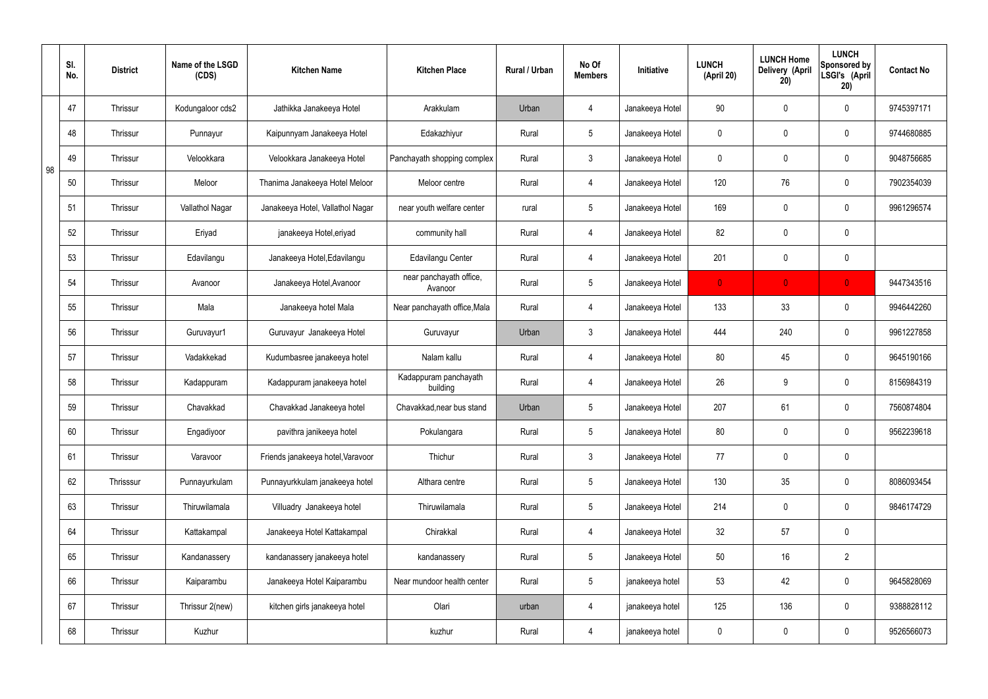|    | SI.<br>No. | <b>District</b> | Name of the LSGD<br>(CDS) | <b>Kitchen Name</b>               | <b>Kitchen Place</b>               | Rural / Urban | No Of<br><b>Members</b> | Initiative      | <b>LUNCH</b><br>(April 20) | <b>LUNCH Home</b><br>Delivery (April<br>20) | <b>LUNCH</b><br>Sponsored by<br>LSGI's (April<br>20) | <b>Contact No</b> |
|----|------------|-----------------|---------------------------|-----------------------------------|------------------------------------|---------------|-------------------------|-----------------|----------------------------|---------------------------------------------|------------------------------------------------------|-------------------|
|    | 47         | <b>Thrissur</b> | Kodungaloor cds2          | Jathikka Janakeeya Hotel          | Arakkulam                          | Urban         | 4                       | Janakeeya Hotel | 90                         | $\mathbf 0$                                 | $\mathbf 0$                                          | 9745397171        |
|    | 48         | <b>Thrissur</b> | Punnayur                  | Kaipunnyam Janakeeya Hotel        | Edakazhiyur                        | Rural         | $5\overline{)}$         | Janakeeya Hotel | $\mathbf 0$                | $\mathbf 0$                                 | $\mathbf 0$                                          | 9744680885        |
| 98 | 49         | <b>Thrissur</b> | Velookkara                | Velookkara Janakeeya Hotel        | Panchayath shopping complex        | Rural         | $\mathbf{3}$            | Janakeeya Hotel | $\mathbf 0$                | $\mathbf 0$                                 | $\mathbf 0$                                          | 9048756685        |
|    | 50         | <b>Thrissur</b> | Meloor                    | Thanima Janakeeya Hotel Meloor    | Meloor centre                      | Rural         | 4                       | Janakeeya Hotel | 120                        | 76                                          | $\mathbf 0$                                          | 7902354039        |
|    | 51         | <b>Thrissur</b> | Vallathol Nagar           | Janakeeya Hotel, Vallathol Nagar  | near youth welfare center          | rural         | $5\overline{)}$         | Janakeeya Hotel | 169                        | $\mathbf 0$                                 | $\mathbf 0$                                          | 9961296574        |
|    | 52         | <b>Thrissur</b> | Eriyad                    | janakeeya Hotel, eriyad           | community hall                     | Rural         | 4                       | Janakeeya Hotel | 82                         | $\mathbf 0$                                 | $\mathbf 0$                                          |                   |
|    | 53         | <b>Thrissur</b> | Edavilangu                | Janakeeya Hotel, Edavilangu       | Edavilangu Center                  | Rural         | $\overline{4}$          | Janakeeya Hotel | 201                        | 0                                           | $\mathbf 0$                                          |                   |
|    | 54         | <b>Thrissur</b> | Avanoor                   | Janakeeya Hotel, Avanoor          | near panchayath office,<br>Avanoor | Rural         | $5\overline{)}$         | Janakeeya Hotel | $\mathbf{0}$               | $\mathbf{0}$                                | $\overline{0}$                                       | 9447343516        |
|    | 55         | <b>Thrissur</b> | Mala                      | Janakeeya hotel Mala              | Near panchayath office, Mala       | Rural         | $\overline{4}$          | Janakeeya Hotel | 133                        | 33                                          | $\mathbf 0$                                          | 9946442260        |
|    | 56         | Thrissur        | Guruvayur1                | Guruvayur Janakeeya Hotel         | Guruvayur                          | Urban         | $\mathbf{3}$            | Janakeeya Hotel | 444                        | 240                                         | $\mathbf 0$                                          | 9961227858        |
|    | 57         | Thrissur        | Vadakkekad                | Kudumbasree janakeeya hotel       | Nalam kallu                        | Rural         | 4                       | Janakeeya Hotel | 80                         | 45                                          | $\mathbf 0$                                          | 9645190166        |
|    | 58         | Thrissur        | Kadappuram                | Kadappuram janakeeya hotel        | Kadappuram panchayath<br>building  | Rural         | 4                       | Janakeeya Hotel | 26                         | 9                                           | $\mathbf 0$                                          | 8156984319        |
|    | 59         | <b>Thrissur</b> | Chavakkad                 | Chavakkad Janakeeya hotel         | Chavakkad, near bus stand          | Urban         | 5 <sup>5</sup>          | Janakeeya Hotel | 207                        | 61                                          | $\mathbf 0$                                          | 7560874804        |
|    | 60         | Thrissur        | Engadiyoor                | pavithra janikeeya hotel          | Pokulangara                        | Rural         | $5\overline{)}$         | Janakeeya Hotel | 80                         | $\pmb{0}$                                   | $\mathbf 0$                                          | 9562239618        |
|    | 61         | Thrissur        | Varavoor                  | Friends janakeeya hotel, Varavoor | Thichur                            | Rural         | $\mathbf{3}$            | Janakeeya Hotel | 77                         | $\pmb{0}$                                   | $\mathbf 0$                                          |                   |
|    | 62         | Thrisssur       | Punnayurkulam             | Punnayurkkulam janakeeya hotel    | Althara centre                     | Rural         | $5\overline{)}$         | Janakeeya Hotel | 130                        | 35                                          | $\mathbf 0$                                          | 8086093454        |
|    | 63         | Thrissur        | Thiruwilamala             | Villuadry Janakeeya hotel         | Thiruwilamala                      | Rural         | $5\overline{)}$         | Janakeeya Hotel | 214                        | $\pmb{0}$                                   | $\mathbf 0$                                          | 9846174729        |
|    | 64         | Thrissur        | Kattakampal               | Janakeeya Hotel Kattakampal       | Chirakkal                          | Rural         | $\overline{4}$          | Janakeeya Hotel | 32                         | 57                                          | $\mathbf 0$                                          |                   |
|    | 65         | Thrissur        | Kandanassery              | kandanassery janakeeya hotel      | kandanassery                       | Rural         | $5\overline{)}$         | Janakeeya Hotel | 50                         | 16                                          | $\overline{2}$                                       |                   |
|    | 66         | Thrissur        | Kaiparambu                | Janakeeya Hotel Kaiparambu        | Near mundoor health center         | Rural         | $5\overline{)}$         | janakeeya hotel | 53                         | 42                                          | $\mathbf 0$                                          | 9645828069        |
|    | 67         | Thrissur        | Thrissur 2(new)           | kitchen girls janakeeya hotel     | Olari                              | urban         | 4                       | janakeeya hotel | 125                        | 136                                         | $\mathbf 0$                                          | 9388828112        |
|    | 68         | Thrissur        | Kuzhur                    |                                   | kuzhur                             | Rural         | $\overline{4}$          | janakeeya hotel | $\pmb{0}$                  | $\pmb{0}$                                   | $\boldsymbol{0}$                                     | 9526566073        |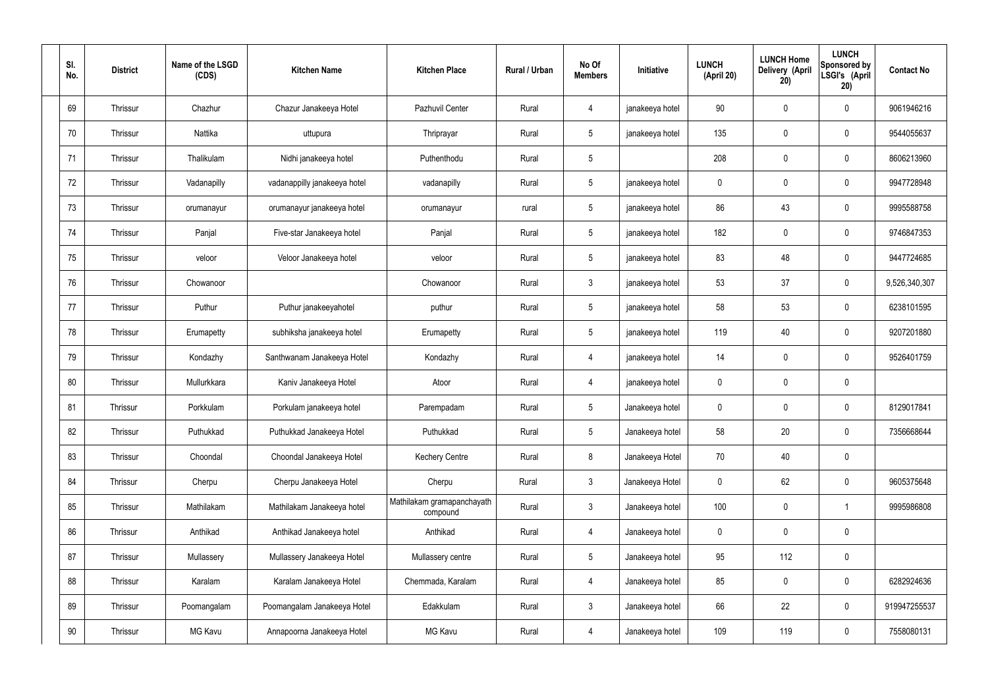| SI.<br>No. | <b>District</b> | Name of the LSGD<br>(CDS) | <b>Kitchen Name</b>          | <b>Kitchen Place</b>                   | Rural / Urban | No Of<br><b>Members</b> | Initiative      | <b>LUNCH</b><br>(April 20) | <b>LUNCH Home</b><br>Delivery (April<br>20) | <b>LUNCH</b><br>Sponsored by<br>LSGI's (April<br>20) | <b>Contact No</b> |
|------------|-----------------|---------------------------|------------------------------|----------------------------------------|---------------|-------------------------|-----------------|----------------------------|---------------------------------------------|------------------------------------------------------|-------------------|
| 69         | Thrissur        | Chazhur                   | Chazur Janakeeya Hotel       | Pazhuvil Center                        | Rural         | 4                       | janakeeya hotel | 90                         | $\mathbf 0$                                 | $\mathbf 0$                                          | 9061946216        |
| 70         | Thrissur        | Nattika                   | uttupura                     | Thriprayar                             | Rural         | $5\phantom{.0}$         | janakeeya hotel | 135                        | $\mathbf 0$                                 | $\mathbf 0$                                          | 9544055637        |
| 71         | Thrissur        | Thalikulam                | Nidhi janakeeya hotel        | Puthenthodu                            | Rural         | $5\phantom{.0}$         |                 | 208                        | $\mathbf 0$                                 | $\mathbf 0$                                          | 8606213960        |
| 72         | Thrissur        | Vadanapilly               | vadanappilly janakeeya hotel | vadanapilly                            | Rural         | $5\phantom{.0}$         | janakeeya hotel | $\mathbf 0$                | $\mathbf 0$                                 | $\mathbf 0$                                          | 9947728948        |
| 73         | Thrissur        | orumanayur                | orumanayur janakeeya hotel   | orumanayur                             | rural         | $5\phantom{.0}$         | janakeeya hotel | 86                         | 43                                          | $\mathbf 0$                                          | 9995588758        |
| 74         | Thrissur        | Panjal                    | Five-star Janakeeya hotel    | Panjal                                 | Rural         | $5\overline{)}$         | janakeeya hotel | 182                        | $\mathbf 0$                                 | $\mathbf 0$                                          | 9746847353        |
| 75         | Thrissur        | veloor                    | Veloor Janakeeya hotel       | veloor                                 | Rural         | $5\overline{)}$         | janakeeya hotel | 83                         | 48                                          | $\mathbf 0$                                          | 9447724685        |
| 76         | Thrissur        | Chowanoor                 |                              | Chowanoor                              | Rural         | $\mathbf{3}$            | janakeeya hotel | 53                         | 37                                          | $\mathbf 0$                                          | 9,526,340,307     |
| 77         | Thrissur        | Puthur                    | Puthur janakeeyahotel        | puthur                                 | Rural         | $5\overline{)}$         | janakeeya hotel | 58                         | 53                                          | $\mathbf 0$                                          | 6238101595        |
| 78         | Thrissur        | Erumapetty                | subhiksha janakeeya hotel    | Erumapetty                             | Rural         | $5\phantom{.0}$         | janakeeya hotel | 119                        | 40                                          | $\mathbf 0$                                          | 9207201880        |
| 79         | Thrissur        | Kondazhy                  | Santhwanam Janakeeya Hotel   | Kondazhy                               | Rural         | 4                       | janakeeya hotel | 14                         | $\mathbf 0$                                 | $\mathbf 0$                                          | 9526401759        |
| 80         | Thrissur        | Mullurkkara               | Kaniv Janakeeya Hotel        | Atoor                                  | Rural         | 4                       | janakeeya hotel | $\mathbf 0$                | $\mathbf 0$                                 | $\mathbf 0$                                          |                   |
| 81         | Thrissur        | Porkkulam                 | Porkulam janakeeya hotel     | Parempadam                             | Rural         | 5                       | Janakeeya hotel | $\mathbf 0$                | $\mathbf 0$                                 | $\mathbf 0$                                          | 8129017841        |
| 82         | Thrissur        | Puthukkad                 | Puthukkad Janakeeya Hotel    | Puthukkad                              | Rural         | 5 <sup>5</sup>          | Janakeeya hotel | 58                         | 20                                          | $\mathbf 0$                                          | 7356668644        |
| 83         | Thrissur        | Choondal                  | Choondal Janakeeya Hotel     | <b>Kechery Centre</b>                  | Rural         | 8                       | Janakeeya Hotel | 70                         | 40                                          | $\mathbf 0$                                          |                   |
| 84         | Thrissur        | Cherpu                    | Cherpu Janakeeya Hotel       | Cherpu                                 | Rural         | $\mathbf{3}$            | Janakeeya Hotel | $\mathbf 0$                | 62                                          | $\mathbf 0$                                          | 9605375648        |
| 85         | Thrissur        | Mathilakam                | Mathilakam Janakeeya hotel   | Mathilakam gramapanchayath<br>compound | Rural         | $\mathbf{3}$            | Janakeeya hotel | 100                        | $\pmb{0}$                                   | $\mathbf{1}$                                         | 9995986808        |
| 86         | Thrissur        | Anthikad                  | Anthikad Janakeeya hotel     | Anthikad                               | Rural         | $\overline{4}$          | Janakeeya hotel | $\mathbf 0$                | $\pmb{0}$                                   | $\mathbf 0$                                          |                   |
| 87         | Thrissur        | Mullassery                | Mullassery Janakeeya Hotel   | Mullassery centre                      | Rural         | $5\overline{)}$         | Janakeeya hotel | 95                         | 112                                         | $\mathbf 0$                                          |                   |
| 88         | Thrissur        | Karalam                   | Karalam Janakeeya Hotel      | Chemmada, Karalam                      | Rural         | $\overline{4}$          | Janakeeya hotel | 85                         | $\pmb{0}$                                   | $\mathbf 0$                                          | 6282924636        |
| 89         | Thrissur        | Poomangalam               | Poomangalam Janakeeya Hotel  | Edakkulam                              | Rural         | $\mathbf{3}$            | Janakeeya hotel | 66                         | 22                                          | $\mathbf 0$                                          | 919947255537      |
| 90         | Thrissur        | MG Kavu                   | Annapoorna Janakeeya Hotel   | MG Kavu                                | Rural         | 4                       | Janakeeya hotel | 109                        | 119                                         | $\mathbf 0$                                          | 7558080131        |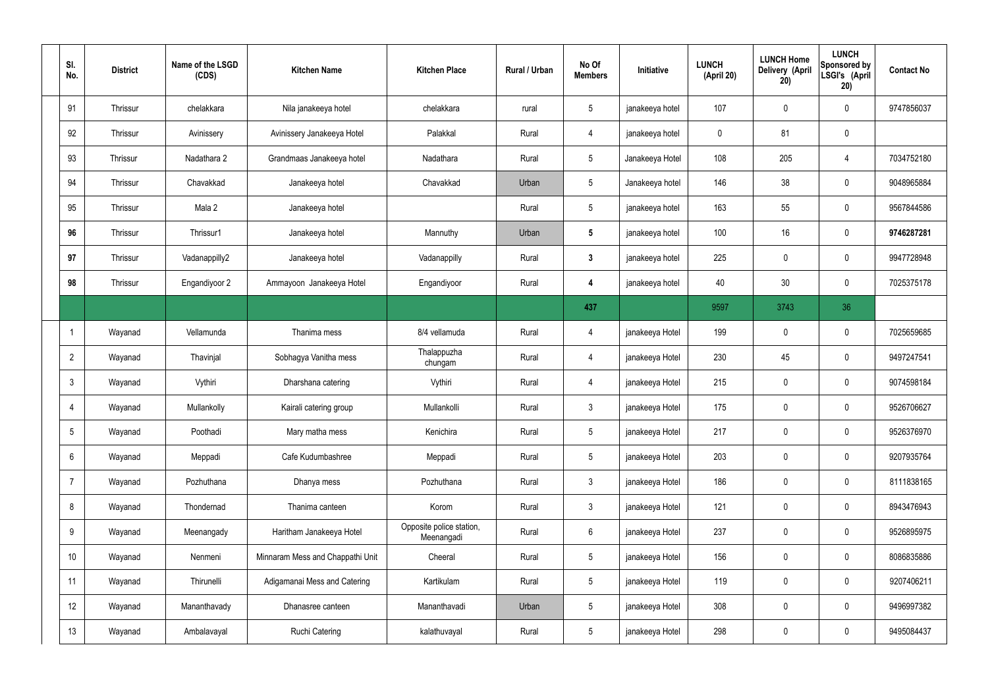| SI.<br>No.      | <b>District</b> | Name of the LSGD<br>(CDS) | <b>Kitchen Name</b>              | <b>Kitchen Place</b>                   | Rural / Urban | No Of<br><b>Members</b> | Initiative      | <b>LUNCH</b><br>(April 20) | <b>LUNCH Home</b><br>Delivery (April<br>20) | <b>LUNCH</b><br>Sponsored by<br>LSGI's (April<br>20) | <b>Contact No</b> |
|-----------------|-----------------|---------------------------|----------------------------------|----------------------------------------|---------------|-------------------------|-----------------|----------------------------|---------------------------------------------|------------------------------------------------------|-------------------|
| 91              | Thrissur        | chelakkara                | Nila janakeeya hotel             | chelakkara                             | rural         | $5\overline{)}$         | janakeeya hotel | 107                        | 0                                           | $\mathbf 0$                                          | 9747856037        |
| 92              | Thrissur        | Avinissery                | Avinissery Janakeeya Hotel       | Palakkal                               | Rural         | $\overline{4}$          | janakeeya hotel | $\mathbf 0$                | 81                                          | $\mathbf 0$                                          |                   |
| 93              | Thrissur        | Nadathara 2               | Grandmaas Janakeeya hotel        | Nadathara                              | Rural         | $5\overline{)}$         | Janakeeya Hotel | 108                        | 205                                         | 4                                                    | 7034752180        |
| 94              | Thrissur        | Chavakkad                 | Janakeeya hotel                  | Chavakkad                              | Urban         | $5\overline{)}$         | Janakeeya hotel | 146                        | 38                                          | $\mathbf 0$                                          | 9048965884        |
| 95              | <b>Thrissur</b> | Mala 2                    | Janakeeya hotel                  |                                        | Rural         | $5\overline{)}$         | janakeeya hotel | 163                        | 55                                          | $\mathbf 0$                                          | 9567844586        |
| 96              | Thrissur        | Thrissur1                 | Janakeeya hotel                  | Mannuthy                               | Urban         | $5\overline{)}$         | janakeeya hotel | 100                        | 16                                          | $\mathbf 0$                                          | 9746287281        |
| 97              | <b>Thrissur</b> | Vadanappilly2             | Janakeeya hotel                  | Vadanappilly                           | Rural         | $3\phantom{a}$          | janakeeya hotel | 225                        | $\mathbf 0$                                 | $\mathbf 0$                                          | 9947728948        |
| 98              | Thrissur        | Engandiyoor 2             | Ammayoon Janakeeya Hotel         | Engandiyoor                            | Rural         | 4                       | janakeeya hotel | 40                         | 30                                          | $\mathbf 0$                                          | 7025375178        |
|                 |                 |                           |                                  |                                        |               | 437                     |                 | 9597                       | 3743                                        | 36                                                   |                   |
| -1              | Wayanad         | Vellamunda                | Thanima mess                     | 8/4 vellamuda                          | Rural         | 4                       | janakeeya Hotel | 199                        | $\mathbf 0$                                 | $\mathbf 0$                                          | 7025659685        |
| $\overline{2}$  | Wayanad         | Thavinjal                 | Sobhagya Vanitha mess            | Thalappuzha<br>chungam                 | Rural         | $\overline{4}$          | janakeeya Hotel | 230                        | 45                                          | $\mathbf 0$                                          | 9497247541        |
| $\mathbf{3}$    | Wayanad         | Vythiri                   | Dharshana catering               | Vythiri                                | Rural         | $\overline{4}$          | janakeeya Hotel | 215                        | $\mathbf 0$                                 | $\mathbf 0$                                          | 9074598184        |
| $\overline{4}$  | Wayanad         | Mullankolly               | Kairali catering group           | Mullankolli                            | Rural         | $\mathbf{3}$            | janakeeya Hotel | 175                        | $\mathbf 0$                                 | $\mathbf 0$                                          | 9526706627        |
| $5\overline{)}$ | Wayanad         | Poothadi                  | Mary matha mess                  | Kenichira                              | Rural         | $5\phantom{.0}$         | janakeeya Hotel | 217                        | $\pmb{0}$                                   | $\mathbf 0$                                          | 9526376970        |
| 6               | Wayanad         | Meppadi                   | Cafe Kudumbashree                | Meppadi                                | Rural         | $5\overline{)}$         | janakeeya Hotel | 203                        | $\pmb{0}$                                   | $\mathbf 0$                                          | 9207935764        |
| $\overline{7}$  | Wayanad         | Pozhuthana                | Dhanya mess                      | Pozhuthana                             | Rural         | $\mathbf{3}$            | janakeeya Hotel | 186                        | $\mathbf 0$                                 | $\mathbf 0$                                          | 8111838165        |
| 8               | Wayanad         | Thondernad                | Thanima canteen                  | Korom                                  | Rural         | $\mathbf{3}$            | janakeeya Hotel | 121                        | $\pmb{0}$                                   | $\mathbf 0$                                          | 8943476943        |
| 9               | Wayanad         | Meenangady                | Haritham Janakeeya Hotel         | Opposite police station,<br>Meenangadi | Rural         | $6\overline{6}$         | janakeeya Hotel | 237                        | 0                                           | $\mathbf 0$                                          | 9526895975        |
| 10              | Wayanad         | Nenmeni                   | Minnaram Mess and Chappathi Unit | Cheeral                                | Rural         | $5\overline{)}$         | janakeeya Hotel | 156                        | $\pmb{0}$                                   | $\mathbf 0$                                          | 8086835886        |
| 11              | Wayanad         | Thirunelli                | Adigamanai Mess and Catering     | Kartikulam                             | Rural         | $5\overline{)}$         | janakeeya Hotel | 119                        | 0                                           | $\mathbf 0$                                          | 9207406211        |
| 12              | Wayanad         | Mananthavady              | Dhanasree canteen                | Mananthavadi                           | Urban         | $5\phantom{.0}$         | janakeeya Hotel | 308                        | 0                                           | $\mathbf 0$                                          | 9496997382        |
| 13              | Wayanad         | Ambalavayal               | <b>Ruchi Catering</b>            | kalathuvayal                           | Rural         | $5\overline{)}$         | janakeeya Hotel | 298                        | 0                                           | $\boldsymbol{0}$                                     | 9495084437        |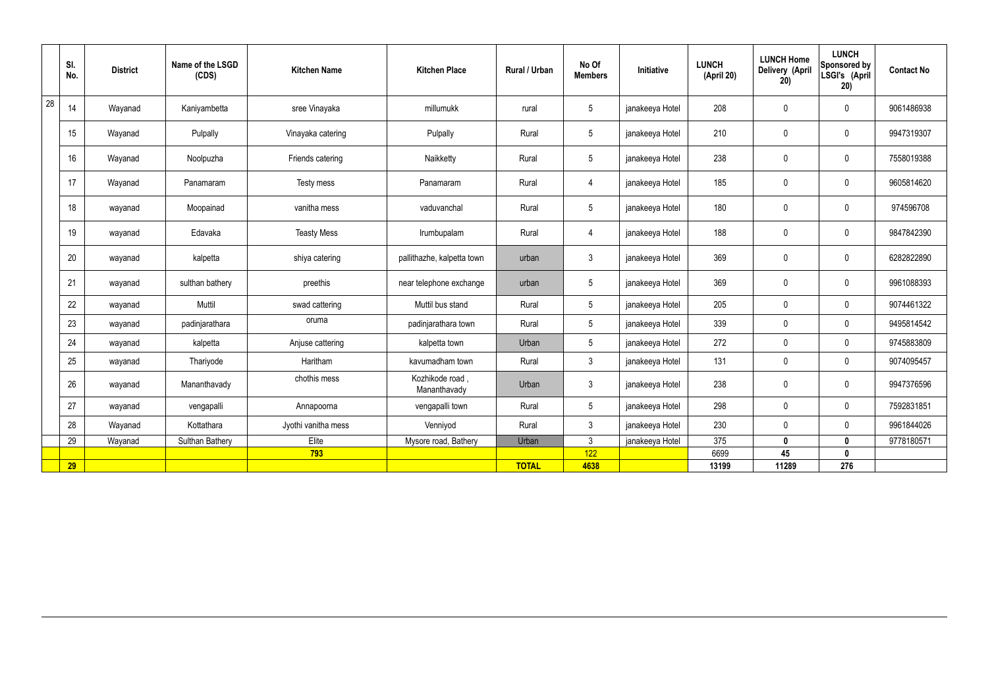|    | SI.<br>No. | <b>District</b> | Name of the LSGD<br>(CDS) | <b>Kitchen Name</b> | <b>Kitchen Place</b>           | Rural / Urban | No Of<br><b>Members</b> | Initiative      | <b>LUNCH</b><br>(April 20) | <b>LUNCH Home</b><br>Delivery (April<br>20) | <b>LUNCH</b><br>Sponsored by<br>LSGI's (April<br>20) | <b>Contact No</b> |
|----|------------|-----------------|---------------------------|---------------------|--------------------------------|---------------|-------------------------|-----------------|----------------------------|---------------------------------------------|------------------------------------------------------|-------------------|
| 28 | 14         | Wayanad         | Kaniyambetta              | sree Vinayaka       | millumukk                      | rural         | $5\overline{)}$         | janakeeya Hotel | 208                        | $\mathbf 0$                                 | $\mathbf 0$                                          | 9061486938        |
|    | 15         | Wayanad         | Pulpally                  | Vinayaka catering   | Pulpally                       | Rural         | $5\overline{)}$         | janakeeya Hotel | 210                        | $\mathbf 0$                                 | $\mathbf 0$                                          | 9947319307        |
|    | 16         | Wayanad         | Noolpuzha                 | Friends catering    | Naikketty                      | Rural         | $5\overline{)}$         | janakeeya Hotel | 238                        | $\pmb{0}$                                   | $\mathbf 0$                                          | 7558019388        |
|    | 17         | Wayanad         | Panamaram                 | Testy mess          | Panamaram                      | Rural         | $\overline{4}$          | janakeeya Hotel | 185                        | $\pmb{0}$                                   | $\mathbf 0$                                          | 9605814620        |
|    | 18         | wayanad         | Moopainad                 | vanitha mess        | vaduvanchal                    | Rural         | $5\phantom{.0}$         | janakeeya Hotel | 180                        | $\mathbf 0$                                 | $\mathbf 0$                                          | 974596708         |
|    | 19         | wayanad         | Edavaka                   | <b>Teasty Mess</b>  | Irumbupalam                    | Rural         | $\overline{4}$          | janakeeya Hotel | 188                        | $\pmb{0}$                                   | $\mathbf 0$                                          | 9847842390        |
|    | 20         | wayanad         | kalpetta                  | shiya catering      | pallithazhe, kalpetta town     | urban         | $\mathbf{3}$            | janakeeya Hotel | 369                        | $\mathbf 0$                                 | $\mathbf 0$                                          | 6282822890        |
|    | 21         | wayanad         | sulthan bathery           | preethis            | near telephone exchange        | urban         | $5\phantom{.0}$         | janakeeya Hotel | 369                        | $\mathbf 0$                                 | $\mathbf 0$                                          | 9961088393        |
|    | 22         | wayanad         | Muttil                    | swad cattering      | Muttil bus stand               | Rural         | $5\overline{)}$         | janakeeya Hotel | 205                        | $\mathbf 0$                                 | $\mathbf 0$                                          | 9074461322        |
|    | 23         | wayanad         | padinjarathara            | oruma               | padinjarathara town            | Rural         | $5\phantom{.0}$         | janakeeya Hotel | 339                        | $\pmb{0}$                                   | $\mathbf 0$                                          | 9495814542        |
|    | 24         | wayanad         | kalpetta                  | Anjuse cattering    | kalpetta town                  | Urban         | $5\phantom{.0}$         | janakeeya Hotel | 272                        | $\pmb{0}$                                   | $\mathbf 0$                                          | 9745883809        |
|    | 25         | wayanad         | Thariyode                 | Haritham            | kavumadham town                | Rural         | $\mathbf{3}$            | janakeeya Hotel | 131                        | $\pmb{0}$                                   | $\mathbf 0$                                          | 9074095457        |
|    | 26         | wayanad         | Mananthavady              | chothis mess        | Kozhikode road<br>Mananthavady | Urban         | $\mathbf{3}$            | janakeeya Hotel | 238                        | $\pmb{0}$                                   | $\mathbf 0$                                          | 9947376596        |
|    | 27         | wayanad         | vengapalli                | Annapoorna          | vengapalli town                | Rural         | $5\phantom{.0}$         | janakeeya Hotel | 298                        | $\pmb{0}$                                   | $\mathbf 0$                                          | 7592831851        |
|    | 28         | Wayanad         | Kottathara                | Jyothi vanitha mess | Venniyod                       | Rural         | $\mathbf{3}$            | janakeeya Hotel | 230                        | $\mathbf 0$                                 | $\mathbf 0$                                          | 9961844026        |
|    | 29         | Wayanad         | <b>Sulthan Bathery</b>    | Elite               | Mysore road, Bathery           | Urban         | $\mathbf{3}$            | janakeeya Hotel | 375                        | $\mathbf 0$                                 | $\mathbf 0$                                          | 9778180571        |
|    |            |                 |                           | 793                 |                                |               | 122                     |                 | 6699                       | 45                                          | $\mathbf{0}$                                         |                   |
|    | 29         |                 |                           |                     |                                | <b>TOTAL</b>  | 4638                    |                 | 13199                      | 11289                                       | 276                                                  |                   |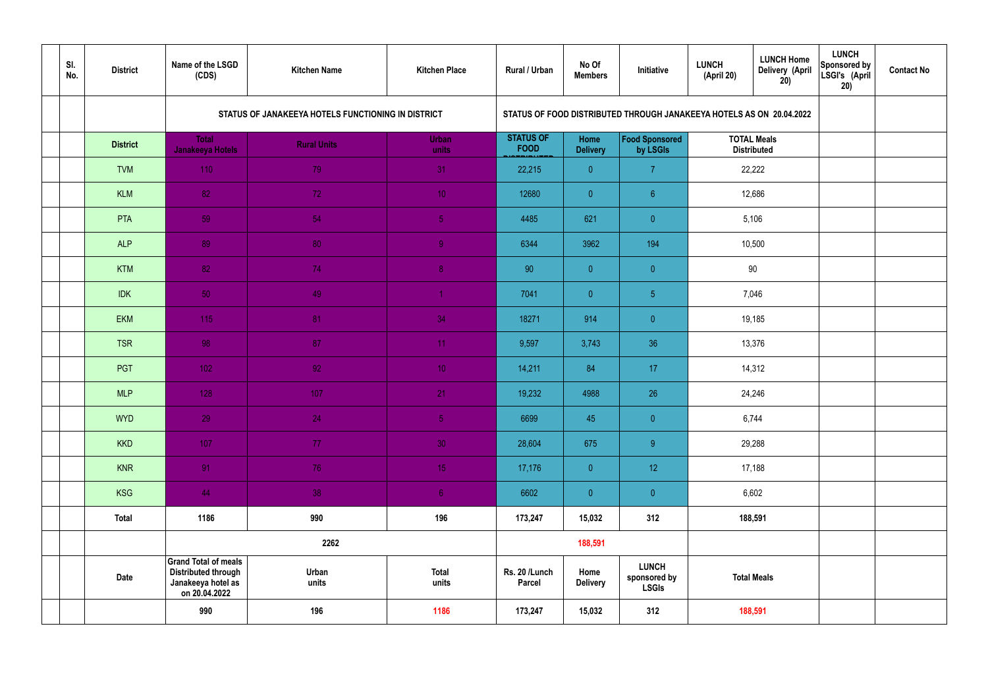| SI.<br>No. | <b>District</b> | Name of the LSGD<br>(CDS)                                                                        | <b>Kitchen Name</b>                                | <b>Kitchen Place</b>  | Rural / Urban                   | No Of<br><b>Members</b> | Initiative                                                           | <b>LUNCH</b><br>(April 20) | <b>LUNCH Home</b><br><b>Delivery (April</b><br>20) | <b>LUNCH</b><br>Sponsored by<br>LSGI's (April<br>20) | <b>Contact No</b> |
|------------|-----------------|--------------------------------------------------------------------------------------------------|----------------------------------------------------|-----------------------|---------------------------------|-------------------------|----------------------------------------------------------------------|----------------------------|----------------------------------------------------|------------------------------------------------------|-------------------|
|            |                 |                                                                                                  | STATUS OF JANAKEEYA HOTELS FUNCTIONING IN DISTRICT |                       |                                 |                         | STATUS OF FOOD DISTRIBUTED THROUGH JANAKEEYA HOTELS AS ON 20.04.2022 |                            |                                                    |                                                      |                   |
|            | <b>District</b> | <b>Total</b><br><b>Janakeeya Hotels</b>                                                          | <b>Rural Units</b>                                 | <b>Urban</b><br>units | <b>STATUS OF</b><br><b>FOOD</b> | Home<br><b>Delivery</b> | Food Sponsored<br>by LSGIs                                           |                            | <b>TOTAL Meals</b><br><b>Distributed</b>           |                                                      |                   |
|            | <b>TVM</b>      | 110                                                                                              | 79                                                 | 31                    | 22,215                          | $\overline{0}$          | $\overline{7}$                                                       |                            | 22,222                                             |                                                      |                   |
|            | <b>KLM</b>      | 82                                                                                               | 72                                                 | 10 <sup>°</sup>       | 12680                           | $\overline{0}$          | $6^{\circ}$                                                          |                            | 12,686                                             |                                                      |                   |
|            | PTA             | 59                                                                                               | 54                                                 | $\sqrt{5}$            | 4485                            | 621                     | $\overline{0}$                                                       |                            | 5,106                                              |                                                      |                   |
|            | <b>ALP</b>      | 89                                                                                               | 80                                                 | $\overline{9}$        | 6344                            | 3962                    | 194                                                                  |                            | 10,500                                             |                                                      |                   |
|            | <b>KTM</b>      | 82                                                                                               | 74                                                 | 8 <sup>°</sup>        | 90                              | $\overline{0}$          | $\overline{0}$                                                       |                            | 90                                                 |                                                      |                   |
|            | <b>IDK</b>      | 50                                                                                               | 49                                                 | $\blacktriangleleft$  | 7041                            | $\overline{0}$          | 5 <sub>5</sub>                                                       |                            | 7,046                                              |                                                      |                   |
|            | <b>EKM</b>      | 115                                                                                              | 81                                                 | 34                    | 18271                           | 914                     | $\overline{0}$                                                       |                            | 19,185                                             |                                                      |                   |
|            | <b>TSR</b>      | 98                                                                                               | 87                                                 | 11                    | 9,597                           | 3,743                   | 36                                                                   |                            | 13,376                                             |                                                      |                   |
|            | PGT             | $102$                                                                                            | 92                                                 | 10 <sup>°</sup>       | 14,211                          | 84                      | 17                                                                   |                            | 14,312                                             |                                                      |                   |
|            | <b>MLP</b>      | 128                                                                                              | 107                                                | 21                    | 19,232                          | 4988                    | 26                                                                   |                            | 24,246                                             |                                                      |                   |
|            | <b>WYD</b>      | 29                                                                                               | 24                                                 | 5 <sub>1</sub>        | 6699                            | 45                      | $\overline{0}$                                                       |                            | 6,744                                              |                                                      |                   |
|            | <b>KKD</b>      | 107                                                                                              | 77 <sub>1</sub>                                    | 30                    | 28,604                          | 675                     | 9                                                                    |                            | 29,288                                             |                                                      |                   |
|            | <b>KNR</b>      | 91                                                                                               | 76                                                 | 15 <sub>1</sub>       | 17,176                          | $\overline{0}$          | 12 <sup>°</sup>                                                      |                            | 17,188                                             |                                                      |                   |
|            | <b>KSG</b>      | 44                                                                                               | 38                                                 | 6 <sup>1</sup>        | 6602                            | $\overline{0}$          | $\pmb{0}$                                                            |                            | 6,602                                              |                                                      |                   |
|            | <b>Total</b>    | 1186                                                                                             | 990                                                | 196                   | 173,247                         | 15,032                  | 312                                                                  |                            | 188,591                                            |                                                      |                   |
|            |                 |                                                                                                  | 2262                                               |                       |                                 | 188,591                 |                                                                      |                            |                                                    |                                                      |                   |
|            | <b>Date</b>     | <b>Grand Total of meals</b><br><b>Distributed through</b><br>Janakeeya hotel as<br>on 20.04.2022 | Urban<br>units                                     | <b>Total</b><br>units | Rs. 20 /Lunch<br><b>Parcel</b>  | Home<br><b>Delivery</b> | <b>LUNCH</b><br>sponsored by<br><b>LSGIs</b>                         |                            | <b>Total Meals</b>                                 |                                                      |                   |
|            |                 | 990                                                                                              | 196                                                | 1186                  | 173,247                         | 15,032                  | 312                                                                  |                            | 188,591                                            |                                                      |                   |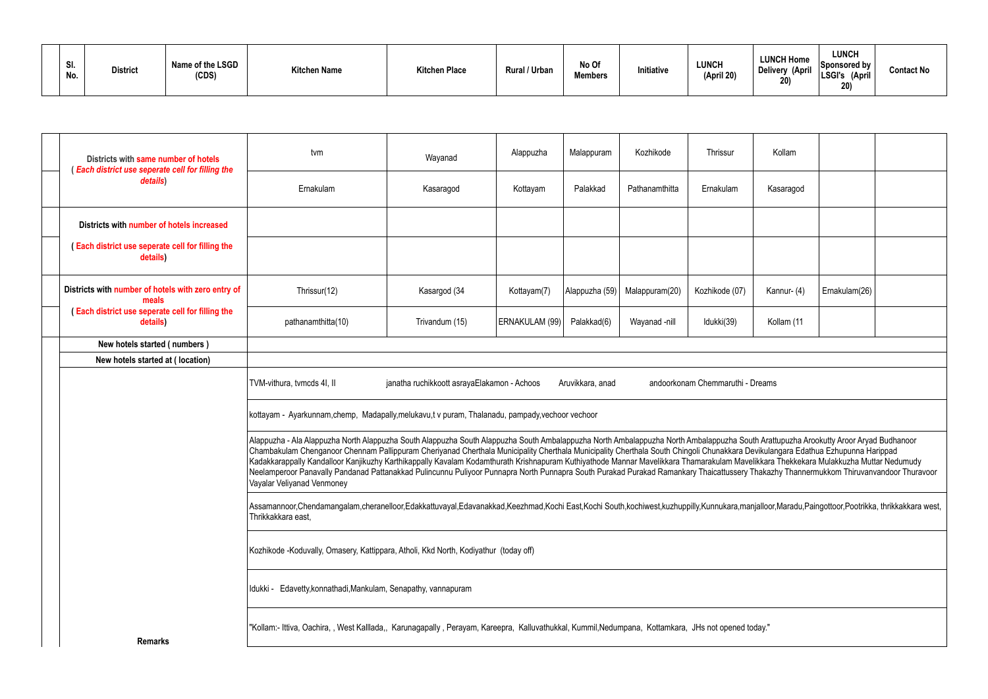| SI.<br>No. | Name of the LSGD<br><b>District</b><br>(CDS) | <b>Kitchen Name</b> | <b>Kitchen Place</b> | Rural / Urban | No Of<br><b>Members</b> | Initiative | <b>LUNCH</b><br>(April 20) | <b>LUNCH Home</b><br>Delivery (April<br>20) | LUNCH<br>Sponsored by<br><b>LSGI's</b><br>(April<br>20) | <b>Contact No</b> |
|------------|----------------------------------------------|---------------------|----------------------|---------------|-------------------------|------------|----------------------------|---------------------------------------------|---------------------------------------------------------|-------------------|
|------------|----------------------------------------------|---------------------|----------------------|---------------|-------------------------|------------|----------------------------|---------------------------------------------|---------------------------------------------------------|-------------------|

| Districts with same number of hotels<br>(Each district use seperate cell for filling the | tvm                                                                                                                                                                                                                                                                                                                                                                                                                                                                                                                                                                                                                                                                                                                                                                     | Wayanad        | Alappuzha      | Malappuram     | Kozhikode      | Thrissur       | Kollam      |               |  |  |  |
|------------------------------------------------------------------------------------------|-------------------------------------------------------------------------------------------------------------------------------------------------------------------------------------------------------------------------------------------------------------------------------------------------------------------------------------------------------------------------------------------------------------------------------------------------------------------------------------------------------------------------------------------------------------------------------------------------------------------------------------------------------------------------------------------------------------------------------------------------------------------------|----------------|----------------|----------------|----------------|----------------|-------------|---------------|--|--|--|
| details)                                                                                 | Ernakulam                                                                                                                                                                                                                                                                                                                                                                                                                                                                                                                                                                                                                                                                                                                                                               | Kasaragod      | Kottayam       | Palakkad       | Pathanamthitta | Ernakulam      | Kasaragod   |               |  |  |  |
| Districts with number of hotels increased                                                |                                                                                                                                                                                                                                                                                                                                                                                                                                                                                                                                                                                                                                                                                                                                                                         |                |                |                |                |                |             |               |  |  |  |
| (Each district use seperate cell for filling the<br>details)                             |                                                                                                                                                                                                                                                                                                                                                                                                                                                                                                                                                                                                                                                                                                                                                                         |                |                |                |                |                |             |               |  |  |  |
| Districts with number of hotels with zero entry of<br>meals                              | Thrissur(12)                                                                                                                                                                                                                                                                                                                                                                                                                                                                                                                                                                                                                                                                                                                                                            | Kasargod (34   | Kottayam(7)    | Alappuzha (59) | Malappuram(20) | Kozhikode (07) | Kannur- (4) | Ernakulam(26) |  |  |  |
| (Each district use seperate cell for filling the<br>details)                             | pathanamthitta(10)                                                                                                                                                                                                                                                                                                                                                                                                                                                                                                                                                                                                                                                                                                                                                      | Trivandum (15) | ERNAKULAM (99) | Palakkad(6)    | Wayanad -nill  | Idukki(39)     | Kollam (11  |               |  |  |  |
| New hotels started (numbers)                                                             |                                                                                                                                                                                                                                                                                                                                                                                                                                                                                                                                                                                                                                                                                                                                                                         |                |                |                |                |                |             |               |  |  |  |
| New hotels started at (location)                                                         |                                                                                                                                                                                                                                                                                                                                                                                                                                                                                                                                                                                                                                                                                                                                                                         |                |                |                |                |                |             |               |  |  |  |
|                                                                                          | andoorkonam Chemmaruthi - Dreams<br>TVM-vithura, tvmcds 4I, II<br>janatha ruchikkoott asrayaElakamon - Achoos<br>Aruvikkara, anad                                                                                                                                                                                                                                                                                                                                                                                                                                                                                                                                                                                                                                       |                |                |                |                |                |             |               |  |  |  |
|                                                                                          | kottayam - Ayarkunnam,chemp, Madapally,melukavu,t v puram, Thalanadu, pampady,vechoor vechoor                                                                                                                                                                                                                                                                                                                                                                                                                                                                                                                                                                                                                                                                           |                |                |                |                |                |             |               |  |  |  |
|                                                                                          | Alappuzha - Ala Alappuzha North Alappuzha South Alappuzha South Alappuzha South Ambalappuzha North Ambalappuzha South Arattupuzha Arookutty Aroor Aryad Budhanoor<br>Chambakulam Chenganoor Chennam Pallippuram Cheriyanad Cherthala Municipality Cherthala Municipality Cherthala South Chingoli Chunakkara Devikulangara Edathua Ezhupunna Harippad<br>Kadakkarappally Kandalloor Kanjikuzhy Karthikappally Kavalam Kodamthurath Krishnapuram Kuthiyathode Mannar Mavelikkara Thamarakulam Mavelikkara Thekkekara Mulakkuzha Muttar Nedumudy<br>Neelamperoor Panavally Pandanad Pattanakkad Pulincunnu Puliyoor Punnapra North Punnapra South Purakad Purakad Ramankary Thaicattussery Thakazhy Thannermukkom Thiruvanvandoor Thuravoor<br>Vayalar Veliyanad Venmoney |                |                |                |                |                |             |               |  |  |  |
|                                                                                          | Assamannoor,Chendamangalam,cheranelloor,Edakkattuvayal,Edavanakkad,Keezhmad,Kochi East,Kochi South,kochiwest,kuzhuppilly,Kunnukara,manjalloor,Maradu,Paingottoor,Pootrikka, thrikkakkara west,<br>Thrikkakkara east,                                                                                                                                                                                                                                                                                                                                                                                                                                                                                                                                                    |                |                |                |                |                |             |               |  |  |  |
|                                                                                          | Kozhikode-Koduvally, Omasery, Kattippara, Atholi, Kkd North, Kodiyathur (today off)                                                                                                                                                                                                                                                                                                                                                                                                                                                                                                                                                                                                                                                                                     |                |                |                |                |                |             |               |  |  |  |
|                                                                                          | Idukki - Edavetty, konnathadi, Mankulam, Senapathy, vannapuram                                                                                                                                                                                                                                                                                                                                                                                                                                                                                                                                                                                                                                                                                                          |                |                |                |                |                |             |               |  |  |  |
| <b>Remarks</b>                                                                           | "Kollam:- Ittiva, Oachira, , West Kalllada,, Karunagapally, Perayam, Kareepra, Kalluvathukkal, Kummil,Nedumpana, Kottamkara, JHs not opened today."                                                                                                                                                                                                                                                                                                                                                                                                                                                                                                                                                                                                                     |                |                |                |                |                |             |               |  |  |  |